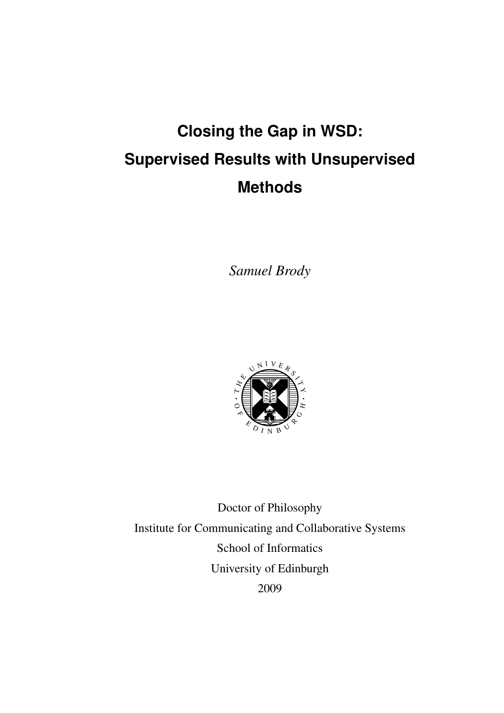# **Closing the Gap in WSD: Supervised Results with Unsupervised Methods**

*Samuel Brody*



Doctor of Philosophy Institute for Communicating and Collaborative Systems School of Informatics University of Edinburgh 2009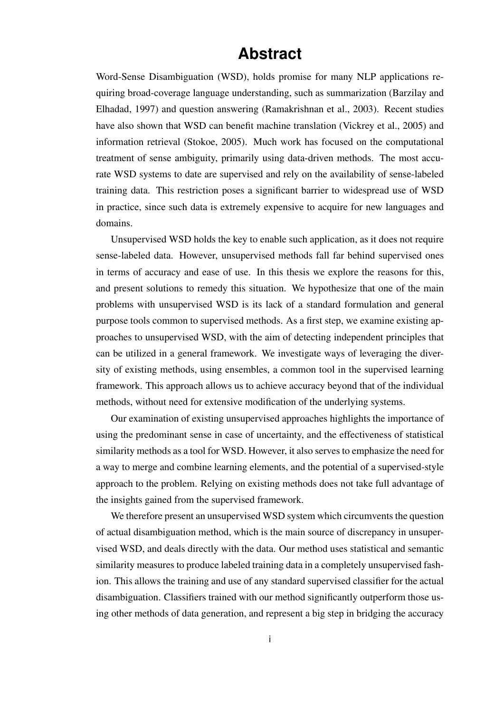## **Abstract**

Word-Sense Disambiguation (WSD), holds promise for many NLP applications requiring broad-coverage language understanding, such as summarization (Barzilay and Elhadad, 1997) and question answering (Ramakrishnan et al., 2003). Recent studies have also shown that WSD can benefit machine translation (Vickrey et al., 2005) and information retrieval (Stokoe, 2005). Much work has focused on the computational treatment of sense ambiguity, primarily using data-driven methods. The most accurate WSD systems to date are supervised and rely on the availability of sense-labeled training data. This restriction poses a significant barrier to widespread use of WSD in practice, since such data is extremely expensive to acquire for new languages and domains.

Unsupervised WSD holds the key to enable such application, as it does not require sense-labeled data. However, unsupervised methods fall far behind supervised ones in terms of accuracy and ease of use. In this thesis we explore the reasons for this, and present solutions to remedy this situation. We hypothesize that one of the main problems with unsupervised WSD is its lack of a standard formulation and general purpose tools common to supervised methods. As a first step, we examine existing approaches to unsupervised WSD, with the aim of detecting independent principles that can be utilized in a general framework. We investigate ways of leveraging the diversity of existing methods, using ensembles, a common tool in the supervised learning framework. This approach allows us to achieve accuracy beyond that of the individual methods, without need for extensive modification of the underlying systems.

Our examination of existing unsupervised approaches highlights the importance of using the predominant sense in case of uncertainty, and the effectiveness of statistical similarity methods as a tool for WSD. However, it also serves to emphasize the need for a way to merge and combine learning elements, and the potential of a supervised-style approach to the problem. Relying on existing methods does not take full advantage of the insights gained from the supervised framework.

We therefore present an unsupervised WSD system which circumvents the question of actual disambiguation method, which is the main source of discrepancy in unsupervised WSD, and deals directly with the data. Our method uses statistical and semantic similarity measures to produce labeled training data in a completely unsupervised fashion. This allows the training and use of any standard supervised classifier for the actual disambiguation. Classifiers trained with our method significantly outperform those using other methods of data generation, and represent a big step in bridging the accuracy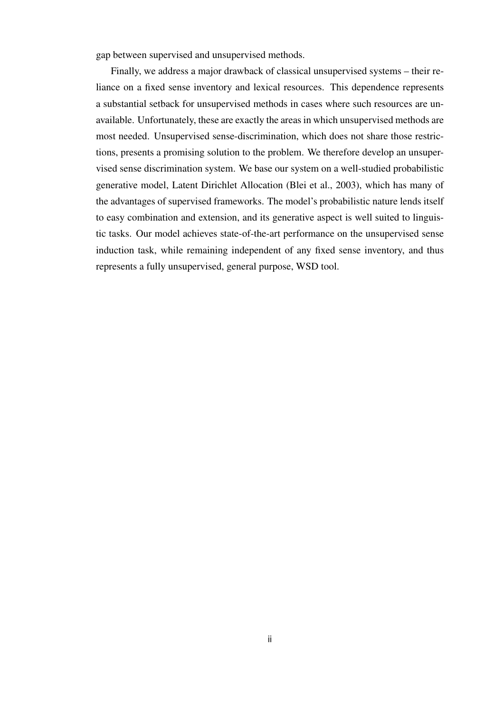gap between supervised and unsupervised methods.

Finally, we address a major drawback of classical unsupervised systems – their reliance on a fixed sense inventory and lexical resources. This dependence represents a substantial setback for unsupervised methods in cases where such resources are unavailable. Unfortunately, these are exactly the areas in which unsupervised methods are most needed. Unsupervised sense-discrimination, which does not share those restrictions, presents a promising solution to the problem. We therefore develop an unsupervised sense discrimination system. We base our system on a well-studied probabilistic generative model, Latent Dirichlet Allocation (Blei et al., 2003), which has many of the advantages of supervised frameworks. The model's probabilistic nature lends itself to easy combination and extension, and its generative aspect is well suited to linguistic tasks. Our model achieves state-of-the-art performance on the unsupervised sense induction task, while remaining independent of any fixed sense inventory, and thus represents a fully unsupervised, general purpose, WSD tool.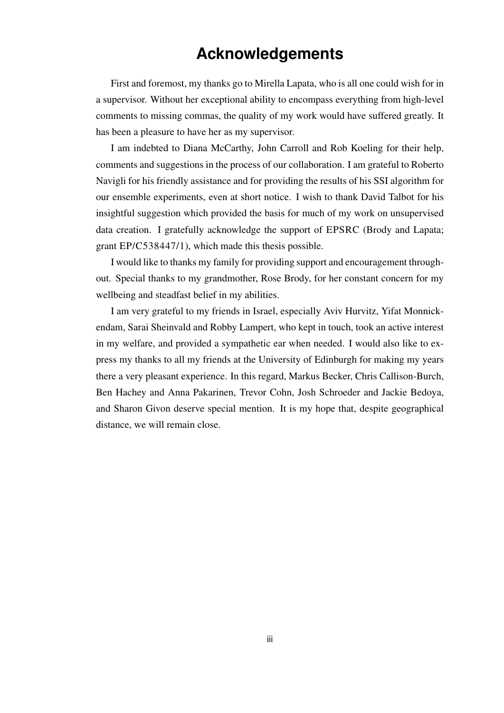## **Acknowledgements**

First and foremost, my thanks go to Mirella Lapata, who is all one could wish for in a supervisor. Without her exceptional ability to encompass everything from high-level comments to missing commas, the quality of my work would have suffered greatly. It has been a pleasure to have her as my supervisor.

I am indebted to Diana McCarthy, John Carroll and Rob Koeling for their help, comments and suggestions in the process of our collaboration. I am grateful to Roberto Navigli for his friendly assistance and for providing the results of his SSI algorithm for our ensemble experiments, even at short notice. I wish to thank David Talbot for his insightful suggestion which provided the basis for much of my work on unsupervised data creation. I gratefully acknowledge the support of EPSRC (Brody and Lapata; grant EP/C538447/1), which made this thesis possible.

I would like to thanks my family for providing support and encouragement throughout. Special thanks to my grandmother, Rose Brody, for her constant concern for my wellbeing and steadfast belief in my abilities.

I am very grateful to my friends in Israel, especially Aviv Hurvitz, Yifat Monnickendam, Sarai Sheinvald and Robby Lampert, who kept in touch, took an active interest in my welfare, and provided a sympathetic ear when needed. I would also like to express my thanks to all my friends at the University of Edinburgh for making my years there a very pleasant experience. In this regard, Markus Becker, Chris Callison-Burch, Ben Hachey and Anna Pakarinen, Trevor Cohn, Josh Schroeder and Jackie Bedoya, and Sharon Givon deserve special mention. It is my hope that, despite geographical distance, we will remain close.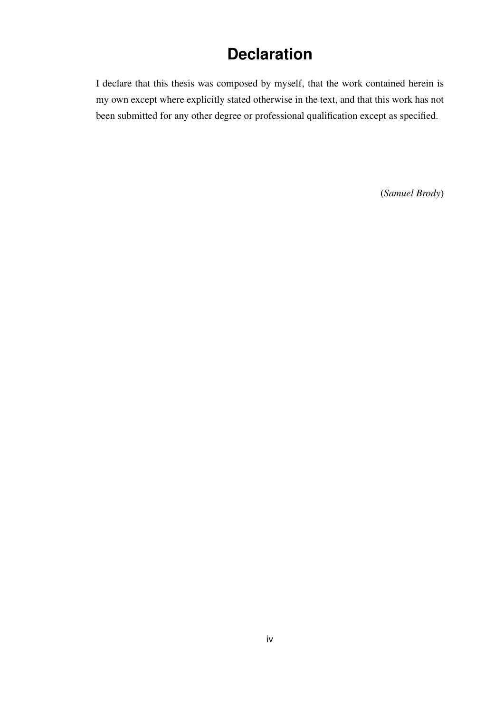## **Declaration**

I declare that this thesis was composed by myself, that the work contained herein is my own except where explicitly stated otherwise in the text, and that this work has not been submitted for any other degree or professional qualification except as specified.

(*Samuel Brody*)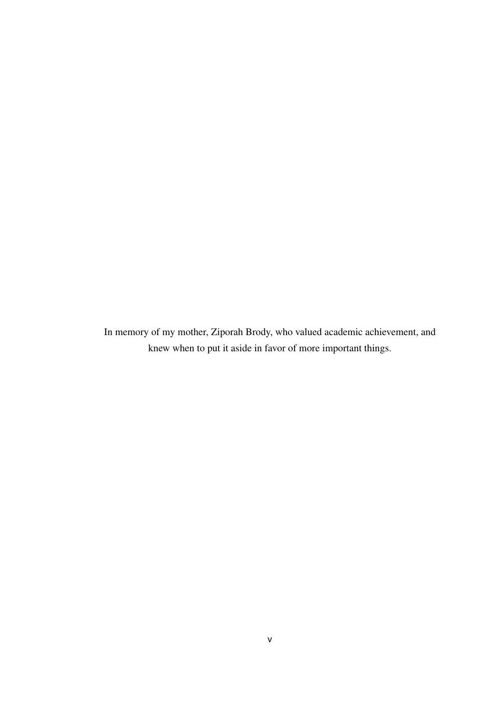In memory of my mother, Ziporah Brody, who valued academic achievement, and knew when to put it aside in favor of more important things.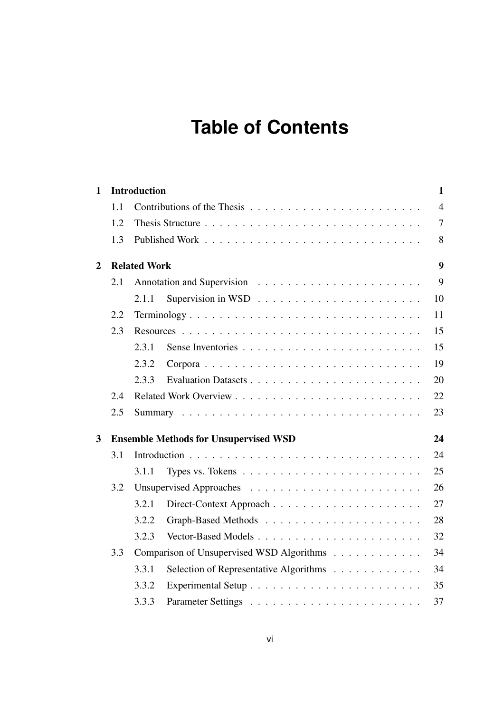## **Table of Contents**

| $\mathbf{1}$   |     | <b>Introduction</b> |                                                                          | $\mathbf{1}$   |  |
|----------------|-----|---------------------|--------------------------------------------------------------------------|----------------|--|
|                | 1.1 |                     |                                                                          | $\overline{4}$ |  |
|                | 1.2 |                     |                                                                          | $\overline{7}$ |  |
|                | 1.3 |                     |                                                                          | 8              |  |
| $\overline{2}$ |     | <b>Related Work</b> |                                                                          |                |  |
|                | 2.1 |                     |                                                                          | 9              |  |
|                |     | 2.1.1               | Supervision in WSD $\dots \dots \dots \dots \dots \dots \dots \dots$     | 10             |  |
|                | 2.2 |                     | Terminology                                                              | 11             |  |
|                | 2.3 |                     |                                                                          | 15             |  |
|                |     | 2.3.1               |                                                                          | 15             |  |
|                |     | 2.3.2               |                                                                          | 19             |  |
|                |     | 2.3.3               |                                                                          | 20             |  |
|                | 2.4 |                     |                                                                          | 22             |  |
|                | 2.5 |                     |                                                                          | 23             |  |
| 3              |     |                     | <b>Ensemble Methods for Unsupervised WSD</b>                             | 24             |  |
|                | 3.1 |                     |                                                                          | 24             |  |
|                |     | 3.1.1               | Types vs. Tokens $\dots \dots \dots \dots \dots \dots \dots \dots \dots$ | 25             |  |
|                | 3.2 |                     |                                                                          | 26             |  |
|                |     | 3.2.1               |                                                                          | 27             |  |
|                |     | 3.2.2               |                                                                          | 28             |  |
|                |     | 3.2.3               |                                                                          | 32             |  |
|                | 3.3 |                     | Comparison of Unsupervised WSD Algorithms                                | 34             |  |
|                |     | 3.3.1               | Selection of Representative Algorithms                                   | 34             |  |
|                |     | 3.3.2               |                                                                          | 35             |  |
|                |     | 3.3.3               |                                                                          | 37             |  |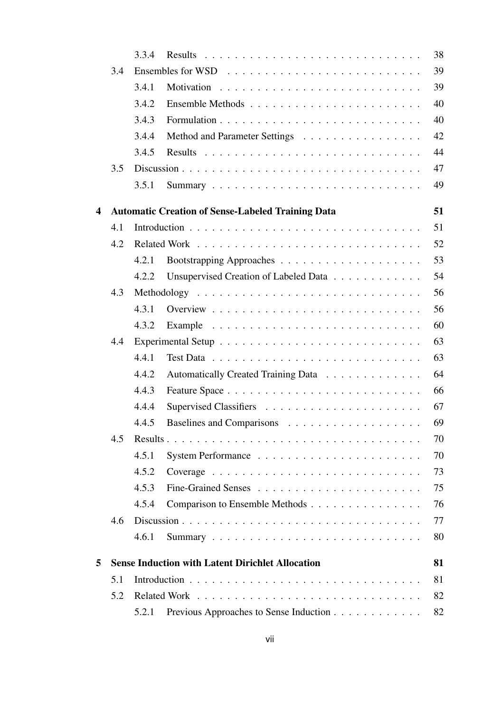|                       |                                                               | 3.3.4 |                                                          | 38 |  |
|-----------------------|---------------------------------------------------------------|-------|----------------------------------------------------------|----|--|
|                       | 3.4                                                           |       |                                                          | 39 |  |
|                       |                                                               | 3.4.1 |                                                          | 39 |  |
|                       |                                                               | 3.4.2 |                                                          | 40 |  |
|                       |                                                               | 3.4.3 |                                                          | 40 |  |
|                       |                                                               | 3.4.4 | Method and Parameter Settings                            | 42 |  |
|                       |                                                               | 3.4.5 |                                                          | 44 |  |
|                       | 3.5                                                           |       |                                                          | 47 |  |
|                       |                                                               | 3.5.1 |                                                          | 49 |  |
| $\boldsymbol{\Delta}$ |                                                               |       | <b>Automatic Creation of Sense-Labeled Training Data</b> | 51 |  |
|                       | 4.1                                                           |       |                                                          | 51 |  |
|                       | 4.2                                                           |       |                                                          | 52 |  |
|                       |                                                               | 4.2.1 |                                                          | 53 |  |
|                       |                                                               | 4.2.2 | Unsupervised Creation of Labeled Data                    | 54 |  |
|                       | 4.3                                                           |       |                                                          | 56 |  |
|                       |                                                               | 4.3.1 |                                                          | 56 |  |
|                       |                                                               | 4.3.2 |                                                          | 60 |  |
|                       | 4.4                                                           |       |                                                          | 63 |  |
|                       |                                                               | 4.4.1 |                                                          | 63 |  |
|                       |                                                               | 4.4.2 | Automatically Created Training Data                      | 64 |  |
|                       |                                                               | 4.4.3 |                                                          | 66 |  |
|                       |                                                               | 4.4.4 |                                                          | 67 |  |
|                       |                                                               | 4.4.5 |                                                          | 69 |  |
|                       | 4.5                                                           |       |                                                          | 70 |  |
|                       |                                                               | 4.5.1 |                                                          | 70 |  |
|                       |                                                               | 4.5.2 |                                                          | 73 |  |
|                       |                                                               | 4.5.3 |                                                          | 75 |  |
|                       |                                                               | 4.5.4 | Comparison to Ensemble Methods                           | 76 |  |
|                       | 4.6                                                           |       |                                                          | 77 |  |
|                       |                                                               | 4.6.1 |                                                          | 80 |  |
| 5                     | <b>Sense Induction with Latent Dirichlet Allocation</b><br>81 |       |                                                          |    |  |
|                       | 5.1                                                           |       |                                                          |    |  |
|                       | 5.2                                                           |       |                                                          |    |  |
|                       |                                                               | 5.2.1 | Previous Approaches to Sense Induction                   | 82 |  |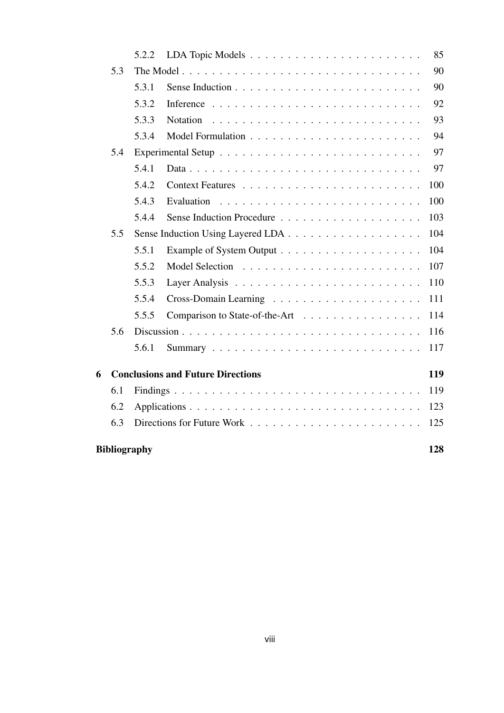|                     |     | 5.2.2 |                                          | 85  |
|---------------------|-----|-------|------------------------------------------|-----|
|                     | 5.3 |       |                                          | 90  |
|                     |     | 5.3.1 |                                          | 90  |
|                     |     | 5.3.2 |                                          | 92  |
|                     |     | 5.3.3 | <b>Notation</b>                          | 93  |
|                     |     | 5.3.4 |                                          | 94  |
|                     | 5.4 |       |                                          | 97  |
|                     |     | 5.4.1 |                                          | 97  |
|                     |     | 5.4.2 |                                          | 100 |
|                     |     | 5.4.3 | Evaluation                               | 100 |
|                     |     | 5.4.4 |                                          | 103 |
|                     | 5.5 |       |                                          | 104 |
|                     |     | 5.5.1 |                                          | 104 |
|                     |     | 5.5.2 |                                          | 107 |
|                     |     | 5.5.3 |                                          | 110 |
|                     |     | 5.5.4 |                                          | 111 |
|                     |     | 5.5.5 | Comparison to State-of-the-Art           | 114 |
|                     | 5.6 |       |                                          | 116 |
|                     |     | 5.6.1 |                                          | 117 |
| 6                   |     |       | <b>Conclusions and Future Directions</b> | 119 |
|                     | 6.1 |       |                                          | 119 |
|                     | 6.2 |       |                                          | 123 |
|                     | 6.3 |       |                                          | 125 |
| <b>Bibliography</b> |     |       |                                          | 128 |
|                     |     |       |                                          |     |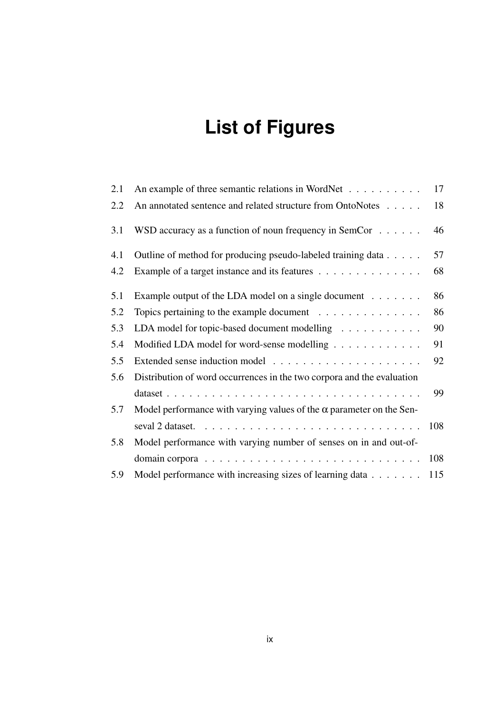# **List of Figures**

| 2.1 | An example of three semantic relations in WordNet                                 | 17  |
|-----|-----------------------------------------------------------------------------------|-----|
| 2.2 | An annotated sentence and related structure from OntoNotes                        | 18  |
| 3.1 | WSD accuracy as a function of noun frequency in SemCor $\dots \dots$              | 46  |
| 4.1 | Outline of method for producing pseudo-labeled training data                      | 57  |
| 4.2 | Example of a target instance and its features                                     | 68  |
| 5.1 | Example output of the LDA model on a single document $\dots \dots$                | 86  |
| 5.2 | Topics pertaining to the example document $\dots \dots \dots \dots \dots$         | 86  |
| 5.3 | LDA model for topic-based document modelling                                      | 90  |
| 5.4 | Modified LDA model for word-sense modelling                                       | 91  |
| 5.5 |                                                                                   | 92  |
| 5.6 | Distribution of word occurrences in the two corpora and the evaluation            |     |
|     |                                                                                   | 99  |
| 5.7 | Model performance with varying values of the $\alpha$ parameter on the Sen-       |     |
|     | seval 2 dataset. $\ldots \ldots \ldots \ldots \ldots \ldots \ldots \ldots \ldots$ | 108 |
| 5.8 | Model performance with varying number of senses on in and out-of-                 |     |
|     |                                                                                   | 108 |
| 5.9 | Model performance with increasing sizes of learning data                          | 115 |
|     |                                                                                   |     |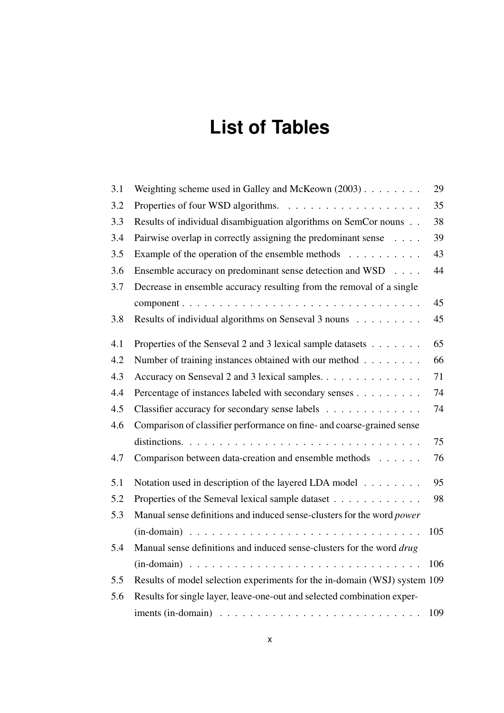## **List of Tables**

| 3.1 | Weighting scheme used in Galley and McKeown $(2003)$                                   | 29  |
|-----|----------------------------------------------------------------------------------------|-----|
| 3.2 |                                                                                        | 35  |
| 3.3 | Results of individual disambiguation algorithms on SemCor nouns                        | 38  |
| 3.4 | Pairwise overlap in correctly assigning the predominant sense                          | 39  |
| 3.5 | Example of the operation of the ensemble methods $\dots \dots \dots$                   | 43  |
| 3.6 | Ensemble accuracy on predominant sense detection and WSD                               | 44  |
| 3.7 | Decrease in ensemble accuracy resulting from the removal of a single                   |     |
|     |                                                                                        | 45  |
| 3.8 | Results of individual algorithms on Senseval 3 nouns                                   | 45  |
| 4.1 | Properties of the Senseval 2 and 3 lexical sample datasets                             | 65  |
| 4.2 | Number of training instances obtained with our method $\dots \dots$                    | 66  |
| 4.3 | Accuracy on Senseval 2 and 3 lexical samples.                                          | 71  |
| 4.4 | Percentage of instances labeled with secondary senses                                  | 74  |
| 4.5 | Classifier accuracy for secondary sense labels                                         | 74  |
| 4.6 | Comparison of classifier performance on fine- and coarse-grained sense                 |     |
|     |                                                                                        | 75  |
| 4.7 | Comparison between data-creation and ensemble methods                                  | 76  |
| 5.1 | Notation used in description of the layered LDA model                                  | 95  |
| 5.2 | Properties of the Semeval lexical sample dataset                                       | 98  |
| 5.3 | Manual sense definitions and induced sense-clusters for the word power                 |     |
|     |                                                                                        | 105 |
| 5.4 | Manual sense definitions and induced sense-clusters for the word drug                  |     |
|     |                                                                                        | 106 |
| 5.5 | Results of model selection experiments for the in-domain (WSJ) system 109              |     |
| 5.6 | Results for single layer, leave-one-out and selected combination exper-                |     |
|     | iments (in-domain) $\dots \dots \dots \dots \dots \dots \dots \dots \dots \dots \dots$ | 109 |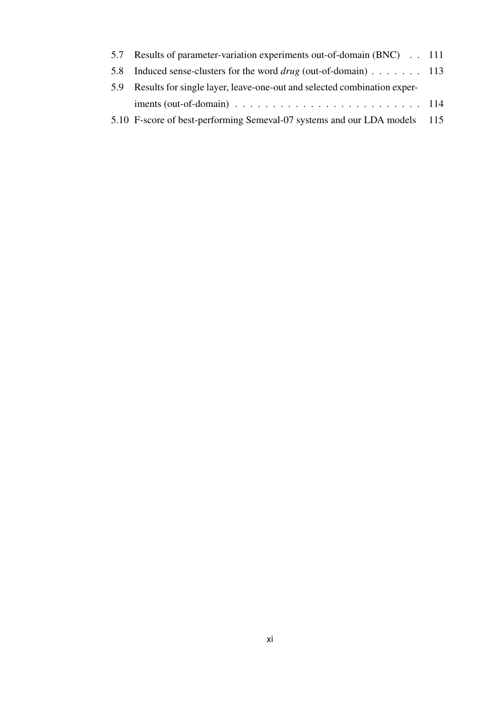| 5.7 Results of parameter-variation experiments out-of-domain (BNC) 111                             |  |
|----------------------------------------------------------------------------------------------------|--|
| 5.8 Induced sense-clusters for the word <i>drug</i> (out-of-domain) 113                            |  |
| 5.9 Results for single layer, leave-one-out and selected combination exper-                        |  |
| iments (out-of-domain) $\ldots \ldots \ldots \ldots \ldots \ldots \ldots \ldots \ldots \ldots 114$ |  |
| 5.10 F-score of best-performing Semeval-07 systems and our LDA models 115                          |  |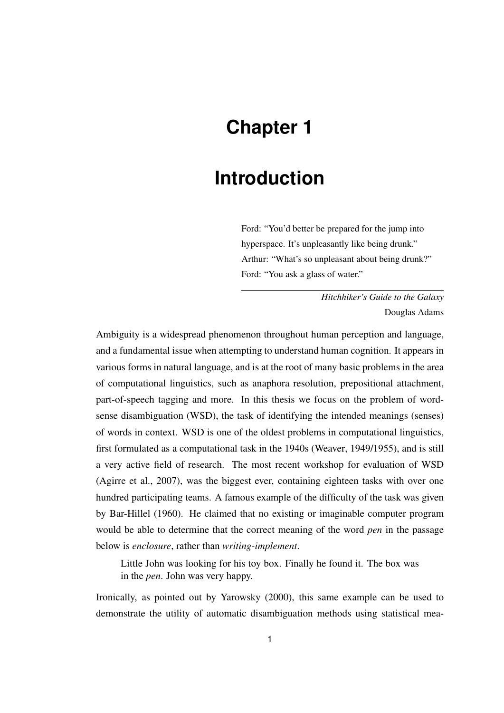## **Chapter 1**

## **Introduction**

Ford: "You'd better be prepared for the jump into hyperspace. It's unpleasantly like being drunk." Arthur: "What's so unpleasant about being drunk?" Ford: "You ask a glass of water."

> *Hitchhiker's Guide to the Galaxy* Douglas Adams

Ambiguity is a widespread phenomenon throughout human perception and language, and a fundamental issue when attempting to understand human cognition. It appears in various forms in natural language, and is at the root of many basic problems in the area of computational linguistics, such as anaphora resolution, prepositional attachment, part-of-speech tagging and more. In this thesis we focus on the problem of wordsense disambiguation (WSD), the task of identifying the intended meanings (senses) of words in context. WSD is one of the oldest problems in computational linguistics, first formulated as a computational task in the 1940s (Weaver, 1949/1955), and is still a very active field of research. The most recent workshop for evaluation of WSD (Agirre et al., 2007), was the biggest ever, containing eighteen tasks with over one hundred participating teams. A famous example of the difficulty of the task was given by Bar-Hillel (1960). He claimed that no existing or imaginable computer program would be able to determine that the correct meaning of the word *pen* in the passage below is *enclosure*, rather than *writing-implement*.

Little John was looking for his toy box. Finally he found it. The box was in the *pen*. John was very happy.

Ironically, as pointed out by Yarowsky (2000), this same example can be used to demonstrate the utility of automatic disambiguation methods using statistical mea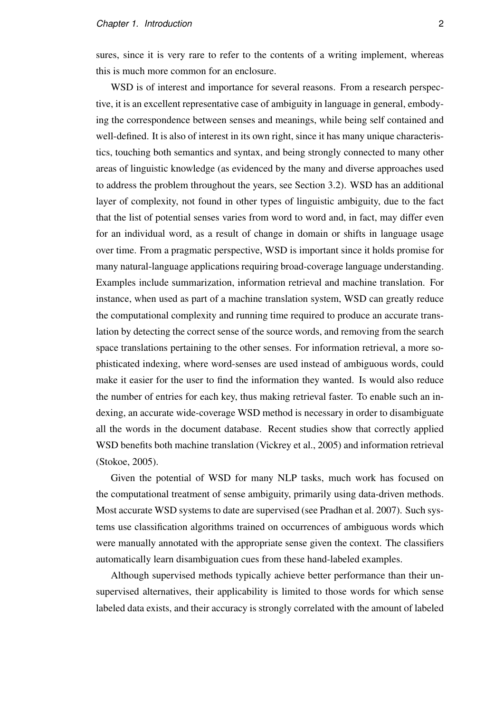sures, since it is very rare to refer to the contents of a writing implement, whereas this is much more common for an enclosure.

WSD is of interest and importance for several reasons. From a research perspective, it is an excellent representative case of ambiguity in language in general, embodying the correspondence between senses and meanings, while being self contained and well-defined. It is also of interest in its own right, since it has many unique characteristics, touching both semantics and syntax, and being strongly connected to many other areas of linguistic knowledge (as evidenced by the many and diverse approaches used to address the problem throughout the years, see Section 3.2). WSD has an additional layer of complexity, not found in other types of linguistic ambiguity, due to the fact that the list of potential senses varies from word to word and, in fact, may differ even for an individual word, as a result of change in domain or shifts in language usage over time. From a pragmatic perspective, WSD is important since it holds promise for many natural-language applications requiring broad-coverage language understanding. Examples include summarization, information retrieval and machine translation. For instance, when used as part of a machine translation system, WSD can greatly reduce the computational complexity and running time required to produce an accurate translation by detecting the correct sense of the source words, and removing from the search space translations pertaining to the other senses. For information retrieval, a more sophisticated indexing, where word-senses are used instead of ambiguous words, could make it easier for the user to find the information they wanted. Is would also reduce the number of entries for each key, thus making retrieval faster. To enable such an indexing, an accurate wide-coverage WSD method is necessary in order to disambiguate all the words in the document database. Recent studies show that correctly applied WSD benefits both machine translation (Vickrey et al., 2005) and information retrieval (Stokoe, 2005).

Given the potential of WSD for many NLP tasks, much work has focused on the computational treatment of sense ambiguity, primarily using data-driven methods. Most accurate WSD systems to date are supervised (see Pradhan et al. 2007). Such systems use classification algorithms trained on occurrences of ambiguous words which were manually annotated with the appropriate sense given the context. The classifiers automatically learn disambiguation cues from these hand-labeled examples.

Although supervised methods typically achieve better performance than their unsupervised alternatives, their applicability is limited to those words for which sense labeled data exists, and their accuracy is strongly correlated with the amount of labeled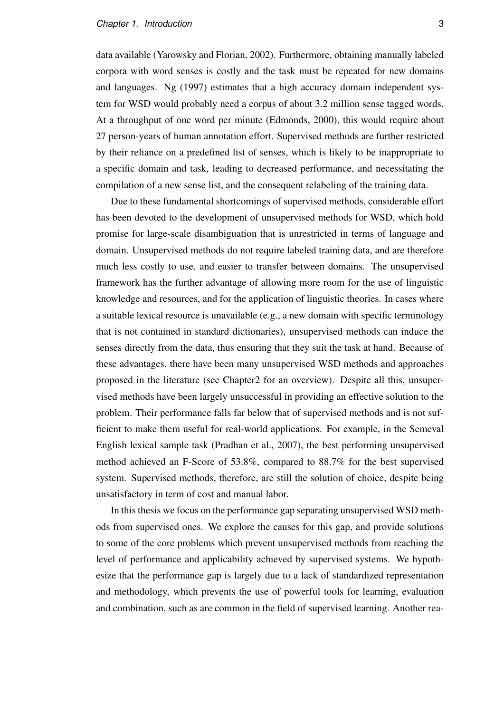#### *Chapter 1. Introduction* 3

data available (Yarowsky and Florian, 2002). Furthermore, obtaining manually labeled corpora with word senses is costly and the task must be repeated for new domains and languages. Ng (1997) estimates that a high accuracy domain independent system for WSD would probably need a corpus of about 3.2 million sense tagged words. At a throughput of one word per minute (Edmonds, 2000), this would require about 27 person-years of human annotation effort. Supervised methods are further restricted by their reliance on a predefined list of senses, which is likely to be inappropriate to a specific domain and task, leading to decreased performance, and necessitating the compilation of a new sense list, and the consequent relabeling of the training data.

Due to these fundamental shortcomings of supervised methods, considerable effort has been devoted to the development of unsupervised methods for WSD, which hold promise for large-scale disambiguation that is unrestricted in terms of language and domain. Unsupervised methods do not require labeled training data, and are therefore much less costly to use, and easier to transfer between domains. The unsupervised framework has the further advantage of allowing more room for the use of linguistic knowledge and resources, and for the application of linguistic theories. In cases where a suitable lexical resource is unavailable (e.g., a new domain with specific terminology that is not contained in standard dictionaries), unsupervised methods can induce the senses directly from the data, thus ensuring that they suit the task at hand. Because of these advantages, there have been many unsupervised WSD methods and approaches proposed in the literature (see Chapter2 for an overview). Despite all this, unsupervised methods have been largely unsuccessful in providing an effective solution to the problem. Their performance falls far below that of supervised methods and is not sufficient to make them useful for real-world applications. For example, in the Semeval English lexical sample task (Pradhan et al., 2007), the best performing unsupervised method achieved an F-Score of 53.8%, compared to 88.7% for the best supervised system. Supervised methods, therefore, are still the solution of choice, despite being unsatisfactory in term of cost and manual labor.

In this thesis we focus on the performance gap separating unsupervised WSD methods from supervised ones. We explore the causes for this gap, and provide solutions to some of the core problems which prevent unsupervised methods from reaching the level of performance and applicability achieved by supervised systems. We hypothesize that the performance gap is largely due to a lack of standardized representation and methodology, which prevents the use of powerful tools for learning, evaluation and combination, such as are common in the field of supervised learning. Another rea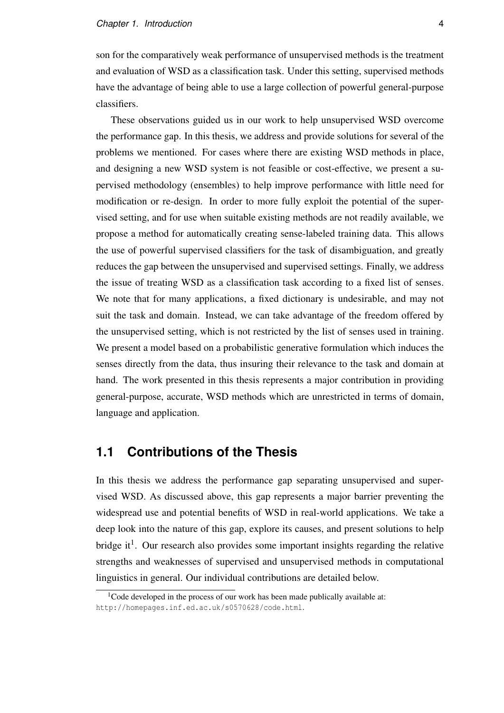son for the comparatively weak performance of unsupervised methods is the treatment and evaluation of WSD as a classification task. Under this setting, supervised methods have the advantage of being able to use a large collection of powerful general-purpose classifiers.

These observations guided us in our work to help unsupervised WSD overcome the performance gap. In this thesis, we address and provide solutions for several of the problems we mentioned. For cases where there are existing WSD methods in place, and designing a new WSD system is not feasible or cost-effective, we present a supervised methodology (ensembles) to help improve performance with little need for modification or re-design. In order to more fully exploit the potential of the supervised setting, and for use when suitable existing methods are not readily available, we propose a method for automatically creating sense-labeled training data. This allows the use of powerful supervised classifiers for the task of disambiguation, and greatly reduces the gap between the unsupervised and supervised settings. Finally, we address the issue of treating WSD as a classification task according to a fixed list of senses. We note that for many applications, a fixed dictionary is undesirable, and may not suit the task and domain. Instead, we can take advantage of the freedom offered by the unsupervised setting, which is not restricted by the list of senses used in training. We present a model based on a probabilistic generative formulation which induces the senses directly from the data, thus insuring their relevance to the task and domain at hand. The work presented in this thesis represents a major contribution in providing general-purpose, accurate, WSD methods which are unrestricted in terms of domain, language and application.

### **1.1 Contributions of the Thesis**

In this thesis we address the performance gap separating unsupervised and supervised WSD. As discussed above, this gap represents a major barrier preventing the widespread use and potential benefits of WSD in real-world applications. We take a deep look into the nature of this gap, explore its causes, and present solutions to help bridge it<sup>1</sup>. Our research also provides some important insights regarding the relative strengths and weaknesses of supervised and unsupervised methods in computational linguistics in general. Our individual contributions are detailed below.

<sup>&</sup>lt;sup>1</sup>Code developed in the process of our work has been made publically available at: http://homepages.inf.ed.ac.uk/s0570628/code.html.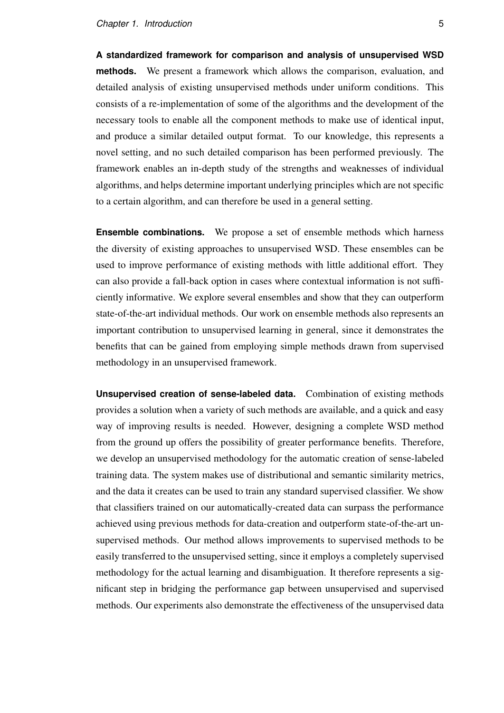**A standardized framework for comparison and analysis of unsupervised WSD methods.** We present a framework which allows the comparison, evaluation, and detailed analysis of existing unsupervised methods under uniform conditions. This consists of a re-implementation of some of the algorithms and the development of the necessary tools to enable all the component methods to make use of identical input, and produce a similar detailed output format. To our knowledge, this represents a novel setting, and no such detailed comparison has been performed previously. The framework enables an in-depth study of the strengths and weaknesses of individual algorithms, and helps determine important underlying principles which are not specific to a certain algorithm, and can therefore be used in a general setting.

**Ensemble combinations.** We propose a set of ensemble methods which harness the diversity of existing approaches to unsupervised WSD. These ensembles can be used to improve performance of existing methods with little additional effort. They can also provide a fall-back option in cases where contextual information is not sufficiently informative. We explore several ensembles and show that they can outperform state-of-the-art individual methods. Our work on ensemble methods also represents an important contribution to unsupervised learning in general, since it demonstrates the benefits that can be gained from employing simple methods drawn from supervised methodology in an unsupervised framework.

**Unsupervised creation of sense-labeled data.** Combination of existing methods provides a solution when a variety of such methods are available, and a quick and easy way of improving results is needed. However, designing a complete WSD method from the ground up offers the possibility of greater performance benefits. Therefore, we develop an unsupervised methodology for the automatic creation of sense-labeled training data. The system makes use of distributional and semantic similarity metrics, and the data it creates can be used to train any standard supervised classifier. We show that classifiers trained on our automatically-created data can surpass the performance achieved using previous methods for data-creation and outperform state-of-the-art unsupervised methods. Our method allows improvements to supervised methods to be easily transferred to the unsupervised setting, since it employs a completely supervised methodology for the actual learning and disambiguation. It therefore represents a significant step in bridging the performance gap between unsupervised and supervised methods. Our experiments also demonstrate the effectiveness of the unsupervised data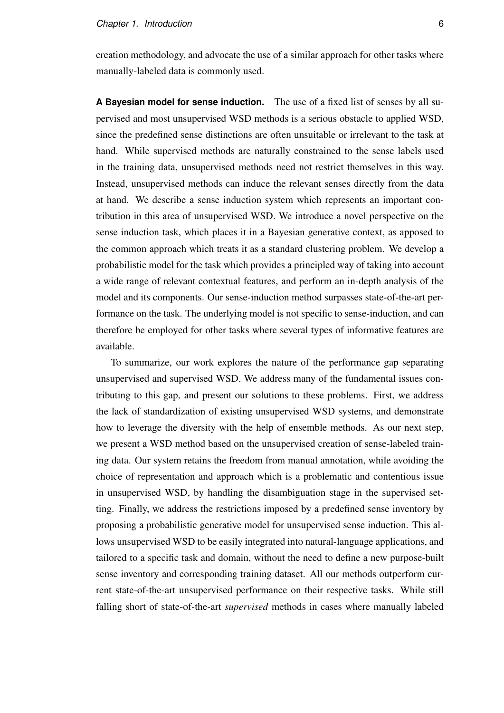creation methodology, and advocate the use of a similar approach for other tasks where manually-labeled data is commonly used.

**A Bayesian model for sense induction.** The use of a fixed list of senses by all supervised and most unsupervised WSD methods is a serious obstacle to applied WSD, since the predefined sense distinctions are often unsuitable or irrelevant to the task at hand. While supervised methods are naturally constrained to the sense labels used in the training data, unsupervised methods need not restrict themselves in this way. Instead, unsupervised methods can induce the relevant senses directly from the data at hand. We describe a sense induction system which represents an important contribution in this area of unsupervised WSD. We introduce a novel perspective on the sense induction task, which places it in a Bayesian generative context, as apposed to the common approach which treats it as a standard clustering problem. We develop a probabilistic model for the task which provides a principled way of taking into account a wide range of relevant contextual features, and perform an in-depth analysis of the model and its components. Our sense-induction method surpasses state-of-the-art performance on the task. The underlying model is not specific to sense-induction, and can therefore be employed for other tasks where several types of informative features are available.

To summarize, our work explores the nature of the performance gap separating unsupervised and supervised WSD. We address many of the fundamental issues contributing to this gap, and present our solutions to these problems. First, we address the lack of standardization of existing unsupervised WSD systems, and demonstrate how to leverage the diversity with the help of ensemble methods. As our next step, we present a WSD method based on the unsupervised creation of sense-labeled training data. Our system retains the freedom from manual annotation, while avoiding the choice of representation and approach which is a problematic and contentious issue in unsupervised WSD, by handling the disambiguation stage in the supervised setting. Finally, we address the restrictions imposed by a predefined sense inventory by proposing a probabilistic generative model for unsupervised sense induction. This allows unsupervised WSD to be easily integrated into natural-language applications, and tailored to a specific task and domain, without the need to define a new purpose-built sense inventory and corresponding training dataset. All our methods outperform current state-of-the-art unsupervised performance on their respective tasks. While still falling short of state-of-the-art *supervised* methods in cases where manually labeled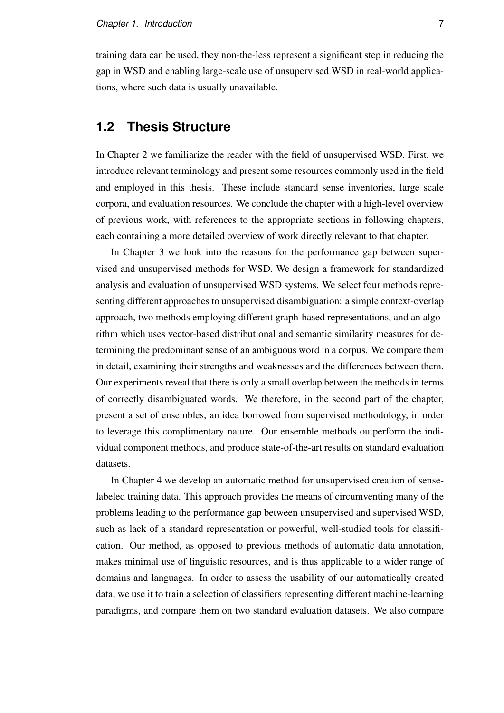training data can be used, they non-the-less represent a significant step in reducing the gap in WSD and enabling large-scale use of unsupervised WSD in real-world applications, where such data is usually unavailable.

### **1.2 Thesis Structure**

In Chapter 2 we familiarize the reader with the field of unsupervised WSD. First, we introduce relevant terminology and present some resources commonly used in the field and employed in this thesis. These include standard sense inventories, large scale corpora, and evaluation resources. We conclude the chapter with a high-level overview of previous work, with references to the appropriate sections in following chapters, each containing a more detailed overview of work directly relevant to that chapter.

In Chapter 3 we look into the reasons for the performance gap between supervised and unsupervised methods for WSD. We design a framework for standardized analysis and evaluation of unsupervised WSD systems. We select four methods representing different approaches to unsupervised disambiguation: a simple context-overlap approach, two methods employing different graph-based representations, and an algorithm which uses vector-based distributional and semantic similarity measures for determining the predominant sense of an ambiguous word in a corpus. We compare them in detail, examining their strengths and weaknesses and the differences between them. Our experiments reveal that there is only a small overlap between the methods in terms of correctly disambiguated words. We therefore, in the second part of the chapter, present a set of ensembles, an idea borrowed from supervised methodology, in order to leverage this complimentary nature. Our ensemble methods outperform the individual component methods, and produce state-of-the-art results on standard evaluation datasets.

In Chapter 4 we develop an automatic method for unsupervised creation of senselabeled training data. This approach provides the means of circumventing many of the problems leading to the performance gap between unsupervised and supervised WSD, such as lack of a standard representation or powerful, well-studied tools for classification. Our method, as opposed to previous methods of automatic data annotation, makes minimal use of linguistic resources, and is thus applicable to a wider range of domains and languages. In order to assess the usability of our automatically created data, we use it to train a selection of classifiers representing different machine-learning paradigms, and compare them on two standard evaluation datasets. We also compare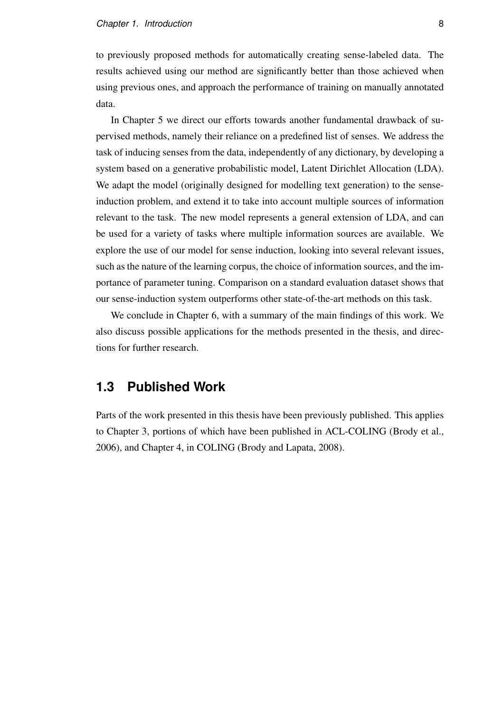to previously proposed methods for automatically creating sense-labeled data. The results achieved using our method are significantly better than those achieved when using previous ones, and approach the performance of training on manually annotated data.

In Chapter 5 we direct our efforts towards another fundamental drawback of supervised methods, namely their reliance on a predefined list of senses. We address the task of inducing senses from the data, independently of any dictionary, by developing a system based on a generative probabilistic model, Latent Dirichlet Allocation (LDA). We adapt the model (originally designed for modelling text generation) to the senseinduction problem, and extend it to take into account multiple sources of information relevant to the task. The new model represents a general extension of LDA, and can be used for a variety of tasks where multiple information sources are available. We explore the use of our model for sense induction, looking into several relevant issues, such as the nature of the learning corpus, the choice of information sources, and the importance of parameter tuning. Comparison on a standard evaluation dataset shows that our sense-induction system outperforms other state-of-the-art methods on this task.

We conclude in Chapter 6, with a summary of the main findings of this work. We also discuss possible applications for the methods presented in the thesis, and directions for further research.

### **1.3 Published Work**

Parts of the work presented in this thesis have been previously published. This applies to Chapter 3, portions of which have been published in ACL-COLING (Brody et al., 2006), and Chapter 4, in COLING (Brody and Lapata, 2008).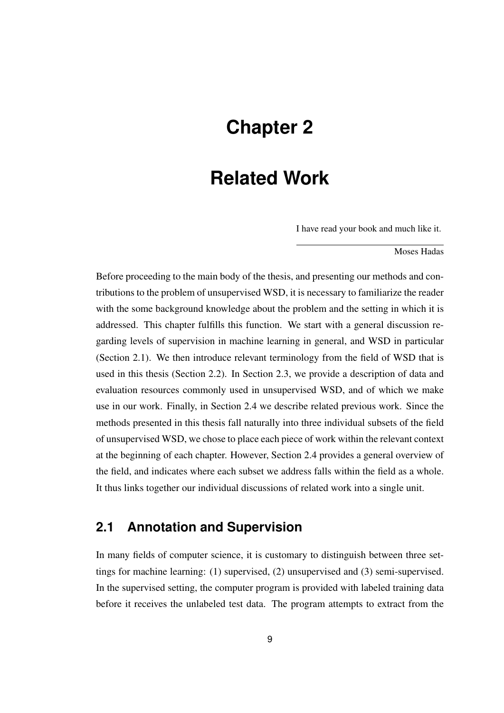## **Chapter 2**

## **Related Work**

I have read your book and much like it.

Moses Hadas

Before proceeding to the main body of the thesis, and presenting our methods and contributions to the problem of unsupervised WSD, it is necessary to familiarize the reader with the some background knowledge about the problem and the setting in which it is addressed. This chapter fulfills this function. We start with a general discussion regarding levels of supervision in machine learning in general, and WSD in particular (Section 2.1). We then introduce relevant terminology from the field of WSD that is used in this thesis (Section 2.2). In Section 2.3, we provide a description of data and evaluation resources commonly used in unsupervised WSD, and of which we make use in our work. Finally, in Section 2.4 we describe related previous work. Since the methods presented in this thesis fall naturally into three individual subsets of the field of unsupervised WSD, we chose to place each piece of work within the relevant context at the beginning of each chapter. However, Section 2.4 provides a general overview of the field, and indicates where each subset we address falls within the field as a whole. It thus links together our individual discussions of related work into a single unit.

### **2.1 Annotation and Supervision**

In many fields of computer science, it is customary to distinguish between three settings for machine learning: (1) supervised, (2) unsupervised and (3) semi-supervised. In the supervised setting, the computer program is provided with labeled training data before it receives the unlabeled test data. The program attempts to extract from the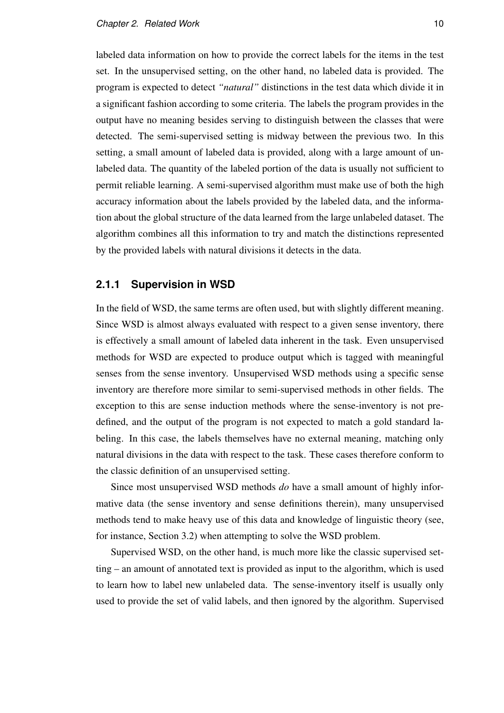labeled data information on how to provide the correct labels for the items in the test set. In the unsupervised setting, on the other hand, no labeled data is provided. The program is expected to detect *"natural"* distinctions in the test data which divide it in a significant fashion according to some criteria. The labels the program provides in the output have no meaning besides serving to distinguish between the classes that were detected. The semi-supervised setting is midway between the previous two. In this setting, a small amount of labeled data is provided, along with a large amount of unlabeled data. The quantity of the labeled portion of the data is usually not sufficient to permit reliable learning. A semi-supervised algorithm must make use of both the high accuracy information about the labels provided by the labeled data, and the information about the global structure of the data learned from the large unlabeled dataset. The algorithm combines all this information to try and match the distinctions represented by the provided labels with natural divisions it detects in the data.

#### **2.1.1 Supervision in WSD**

In the field of WSD, the same terms are often used, but with slightly different meaning. Since WSD is almost always evaluated with respect to a given sense inventory, there is effectively a small amount of labeled data inherent in the task. Even unsupervised methods for WSD are expected to produce output which is tagged with meaningful senses from the sense inventory. Unsupervised WSD methods using a specific sense inventory are therefore more similar to semi-supervised methods in other fields. The exception to this are sense induction methods where the sense-inventory is not predefined, and the output of the program is not expected to match a gold standard labeling. In this case, the labels themselves have no external meaning, matching only natural divisions in the data with respect to the task. These cases therefore conform to the classic definition of an unsupervised setting.

Since most unsupervised WSD methods *do* have a small amount of highly informative data (the sense inventory and sense definitions therein), many unsupervised methods tend to make heavy use of this data and knowledge of linguistic theory (see, for instance, Section 3.2) when attempting to solve the WSD problem.

Supervised WSD, on the other hand, is much more like the classic supervised setting – an amount of annotated text is provided as input to the algorithm, which is used to learn how to label new unlabeled data. The sense-inventory itself is usually only used to provide the set of valid labels, and then ignored by the algorithm. Supervised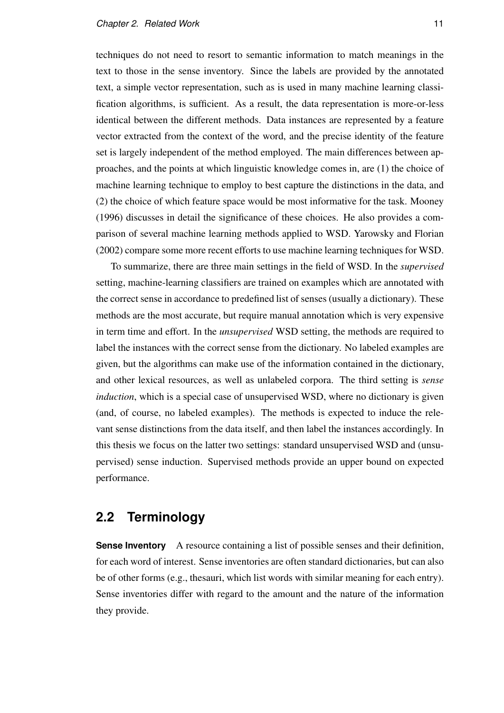techniques do not need to resort to semantic information to match meanings in the text to those in the sense inventory. Since the labels are provided by the annotated text, a simple vector representation, such as is used in many machine learning classification algorithms, is sufficient. As a result, the data representation is more-or-less identical between the different methods. Data instances are represented by a feature vector extracted from the context of the word, and the precise identity of the feature set is largely independent of the method employed. The main differences between approaches, and the points at which linguistic knowledge comes in, are (1) the choice of machine learning technique to employ to best capture the distinctions in the data, and (2) the choice of which feature space would be most informative for the task. Mooney (1996) discusses in detail the significance of these choices. He also provides a comparison of several machine learning methods applied to WSD. Yarowsky and Florian (2002) compare some more recent efforts to use machine learning techniques for WSD.

To summarize, there are three main settings in the field of WSD. In the *supervised* setting, machine-learning classifiers are trained on examples which are annotated with the correct sense in accordance to predefined list of senses (usually a dictionary). These methods are the most accurate, but require manual annotation which is very expensive in term time and effort. In the *unsupervised* WSD setting, the methods are required to label the instances with the correct sense from the dictionary. No labeled examples are given, but the algorithms can make use of the information contained in the dictionary, and other lexical resources, as well as unlabeled corpora. The third setting is *sense induction*, which is a special case of unsupervised WSD, where no dictionary is given (and, of course, no labeled examples). The methods is expected to induce the relevant sense distinctions from the data itself, and then label the instances accordingly. In this thesis we focus on the latter two settings: standard unsupervised WSD and (unsupervised) sense induction. Supervised methods provide an upper bound on expected performance.

### **2.2 Terminology**

**Sense Inventory** A resource containing a list of possible senses and their definition, for each word of interest. Sense inventories are often standard dictionaries, but can also be of other forms (e.g., thesauri, which list words with similar meaning for each entry). Sense inventories differ with regard to the amount and the nature of the information they provide.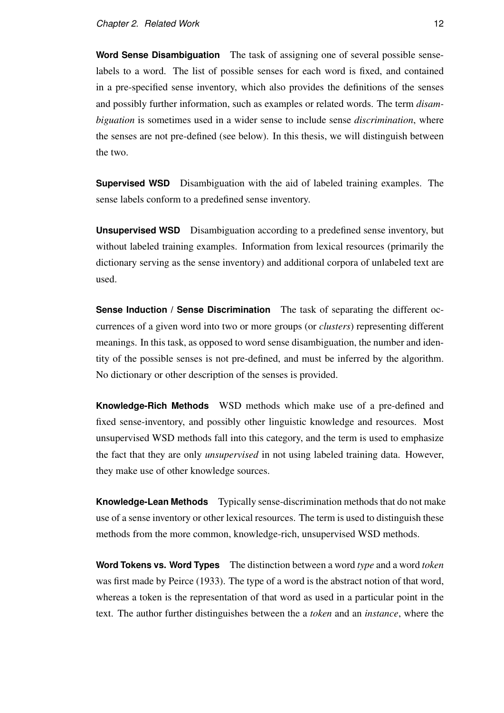**Word Sense Disambiguation** The task of assigning one of several possible senselabels to a word. The list of possible senses for each word is fixed, and contained in a pre-specified sense inventory, which also provides the definitions of the senses and possibly further information, such as examples or related words. The term *disambiguation* is sometimes used in a wider sense to include sense *discrimination*, where the senses are not pre-defined (see below). In this thesis, we will distinguish between the two.

**Supervised WSD** Disambiguation with the aid of labeled training examples. The sense labels conform to a predefined sense inventory.

**Unsupervised WSD** Disambiguation according to a predefined sense inventory, but without labeled training examples. Information from lexical resources (primarily the dictionary serving as the sense inventory) and additional corpora of unlabeled text are used.

**Sense Induction / Sense Discrimination** The task of separating the different occurrences of a given word into two or more groups (or *clusters*) representing different meanings. In this task, as opposed to word sense disambiguation, the number and identity of the possible senses is not pre-defined, and must be inferred by the algorithm. No dictionary or other description of the senses is provided.

**Knowledge-Rich Methods** WSD methods which make use of a pre-defined and fixed sense-inventory, and possibly other linguistic knowledge and resources. Most unsupervised WSD methods fall into this category, and the term is used to emphasize the fact that they are only *unsupervised* in not using labeled training data. However, they make use of other knowledge sources.

**Knowledge-Lean Methods** Typically sense-discrimination methods that do not make use of a sense inventory or other lexical resources. The term is used to distinguish these methods from the more common, knowledge-rich, unsupervised WSD methods.

**Word Tokens vs. Word Types** The distinction between a word *type* and a word *token* was first made by Peirce (1933). The type of a word is the abstract notion of that word, whereas a token is the representation of that word as used in a particular point in the text. The author further distinguishes between the a *token* and an *instance*, where the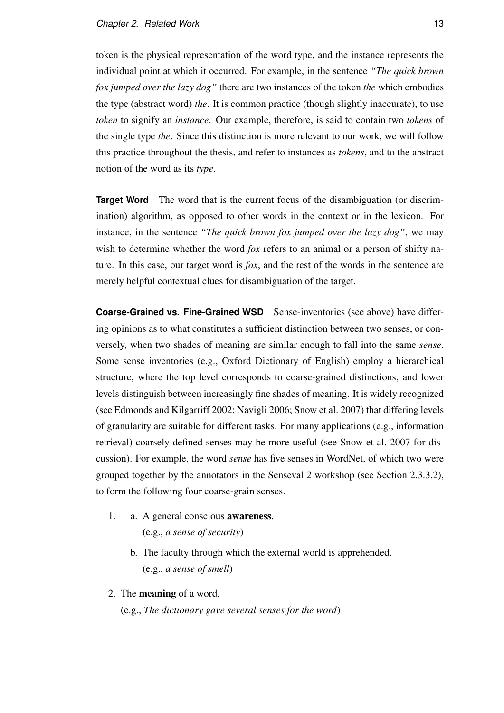token is the physical representation of the word type, and the instance represents the individual point at which it occurred. For example, in the sentence *"The quick brown fox jumped over the lazy dog"* there are two instances of the token *the* which embodies the type (abstract word) *the*. It is common practice (though slightly inaccurate), to use *token* to signify an *instance*. Our example, therefore, is said to contain two *tokens* of the single type *the*. Since this distinction is more relevant to our work, we will follow this practice throughout the thesis, and refer to instances as *tokens*, and to the abstract notion of the word as its *type*.

**Target Word** The word that is the current focus of the disambiguation (or discrimination) algorithm, as opposed to other words in the context or in the lexicon. For instance, in the sentence *"The quick brown fox jumped over the lazy dog"*, we may wish to determine whether the word *fox* refers to an animal or a person of shifty nature. In this case, our target word is *fox*, and the rest of the words in the sentence are merely helpful contextual clues for disambiguation of the target.

**Coarse-Grained vs. Fine-Grained WSD** Sense-inventories (see above) have differing opinions as to what constitutes a sufficient distinction between two senses, or conversely, when two shades of meaning are similar enough to fall into the same *sense*. Some sense inventories (e.g., Oxford Dictionary of English) employ a hierarchical structure, where the top level corresponds to coarse-grained distinctions, and lower levels distinguish between increasingly fine shades of meaning. It is widely recognized (see Edmonds and Kilgarriff 2002; Navigli 2006; Snow et al. 2007) that differing levels of granularity are suitable for different tasks. For many applications (e.g., information retrieval) coarsely defined senses may be more useful (see Snow et al. 2007 for discussion). For example, the word *sense* has five senses in WordNet, of which two were grouped together by the annotators in the Senseval 2 workshop (see Section 2.3.3.2), to form the following four coarse-grain senses.

- 1. a. A general conscious awareness. (e.g., *a sense of security*)
	- b. The faculty through which the external world is apprehended. (e.g., *a sense of smell*)
- 2. The meaning of a word.

(e.g., *The dictionary gave several senses for the word*)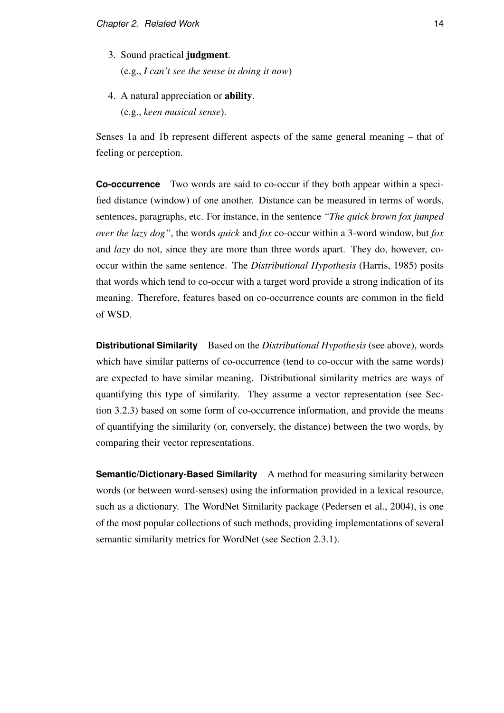- 3. Sound practical judgment. (e.g., *I can't see the sense in doing it now*)
- 4. A natural appreciation or ability. (e.g., *keen musical sense*).

Senses 1a and 1b represent different aspects of the same general meaning – that of feeling or perception.

**Co-occurrence** Two words are said to co-occur if they both appear within a specified distance (window) of one another. Distance can be measured in terms of words, sentences, paragraphs, etc. For instance, in the sentence *"The quick brown fox jumped over the lazy dog"*, the words *quick* and *fox* co-occur within a 3-word window, but *fox* and *lazy* do not, since they are more than three words apart. They do, however, cooccur within the same sentence. The *Distributional Hypothesis* (Harris, 1985) posits that words which tend to co-occur with a target word provide a strong indication of its meaning. Therefore, features based on co-occurrence counts are common in the field of WSD.

**Distributional Similarity** Based on the *Distributional Hypothesis* (see above), words which have similar patterns of co-occurrence (tend to co-occur with the same words) are expected to have similar meaning. Distributional similarity metrics are ways of quantifying this type of similarity. They assume a vector representation (see Section 3.2.3) based on some form of co-occurrence information, and provide the means of quantifying the similarity (or, conversely, the distance) between the two words, by comparing their vector representations.

**Semantic/Dictionary-Based Similarity** A method for measuring similarity between words (or between word-senses) using the information provided in a lexical resource, such as a dictionary. The WordNet Similarity package (Pedersen et al., 2004), is one of the most popular collections of such methods, providing implementations of several semantic similarity metrics for WordNet (see Section 2.3.1).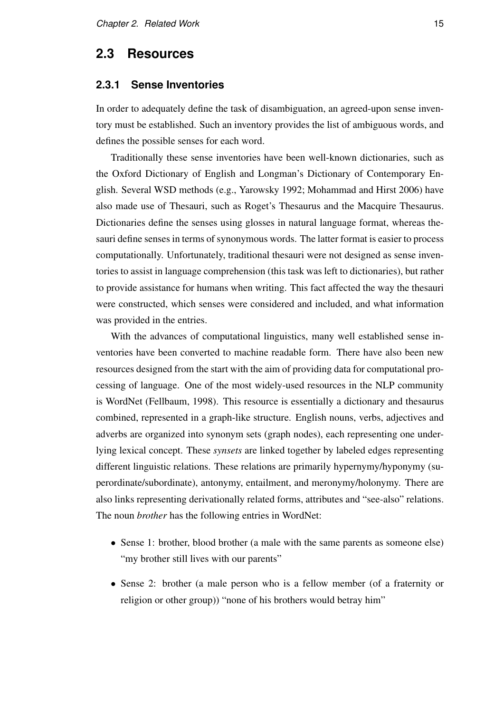#### **2.3 Resources**

#### **2.3.1 Sense Inventories**

In order to adequately define the task of disambiguation, an agreed-upon sense inventory must be established. Such an inventory provides the list of ambiguous words, and defines the possible senses for each word.

Traditionally these sense inventories have been well-known dictionaries, such as the Oxford Dictionary of English and Longman's Dictionary of Contemporary English. Several WSD methods (e.g., Yarowsky 1992; Mohammad and Hirst 2006) have also made use of Thesauri, such as Roget's Thesaurus and the Macquire Thesaurus. Dictionaries define the senses using glosses in natural language format, whereas thesauri define senses in terms of synonymous words. The latter format is easier to process computationally. Unfortunately, traditional thesauri were not designed as sense inventories to assist in language comprehension (this task was left to dictionaries), but rather to provide assistance for humans when writing. This fact affected the way the thesauri were constructed, which senses were considered and included, and what information was provided in the entries.

With the advances of computational linguistics, many well established sense inventories have been converted to machine readable form. There have also been new resources designed from the start with the aim of providing data for computational processing of language. One of the most widely-used resources in the NLP community is WordNet (Fellbaum, 1998). This resource is essentially a dictionary and thesaurus combined, represented in a graph-like structure. English nouns, verbs, adjectives and adverbs are organized into synonym sets (graph nodes), each representing one underlying lexical concept. These *synsets* are linked together by labeled edges representing different linguistic relations. These relations are primarily hypernymy/hyponymy (superordinate/subordinate), antonymy, entailment, and meronymy/holonymy. There are also links representing derivationally related forms, attributes and "see-also" relations. The noun *brother* has the following entries in WordNet:

- Sense 1: brother, blood brother (a male with the same parents as someone else) "my brother still lives with our parents"
- Sense 2: brother (a male person who is a fellow member (of a fraternity or religion or other group)) "none of his brothers would betray him"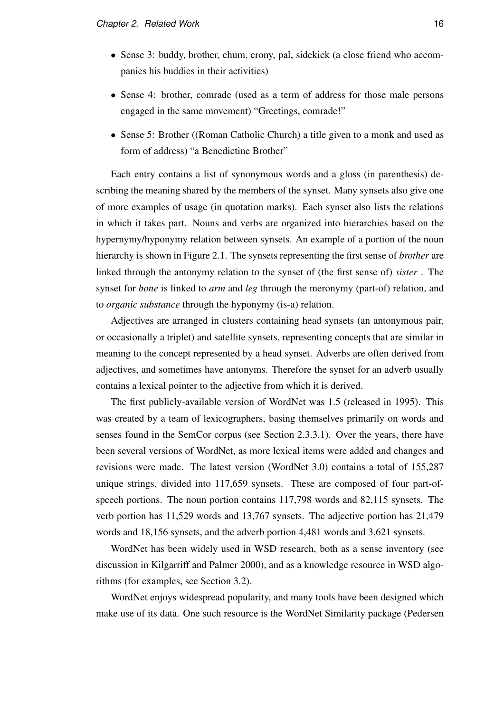- Sense 3: buddy, brother, chum, crony, pal, sidekick (a close friend who accompanies his buddies in their activities)
- Sense 4: brother, comrade (used as a term of address for those male persons engaged in the same movement) "Greetings, comrade!"
- Sense 5: Brother ((Roman Catholic Church) a title given to a monk and used as form of address) "a Benedictine Brother"

Each entry contains a list of synonymous words and a gloss (in parenthesis) describing the meaning shared by the members of the synset. Many synsets also give one of more examples of usage (in quotation marks). Each synset also lists the relations in which it takes part. Nouns and verbs are organized into hierarchies based on the hypernymy/hyponymy relation between synsets. An example of a portion of the noun hierarchy is shown in Figure 2.1. The synsets representing the first sense of *brother* are linked through the antonymy relation to the synset of (the first sense of) *sister* . The synset for *bone* is linked to *arm* and *leg* through the meronymy (part-of) relation, and to *organic substance* through the hyponymy (is-a) relation.

Adjectives are arranged in clusters containing head synsets (an antonymous pair, or occasionally a triplet) and satellite synsets, representing concepts that are similar in meaning to the concept represented by a head synset. Adverbs are often derived from adjectives, and sometimes have antonyms. Therefore the synset for an adverb usually contains a lexical pointer to the adjective from which it is derived.

The first publicly-available version of WordNet was 1.5 (released in 1995). This was created by a team of lexicographers, basing themselves primarily on words and senses found in the SemCor corpus (see Section 2.3.3.1). Over the years, there have been several versions of WordNet, as more lexical items were added and changes and revisions were made. The latest version (WordNet 3.0) contains a total of 155,287 unique strings, divided into 117,659 synsets. These are composed of four part-ofspeech portions. The noun portion contains 117,798 words and 82,115 synsets. The verb portion has 11,529 words and 13,767 synsets. The adjective portion has 21,479 words and 18,156 synsets, and the adverb portion 4,481 words and 3,621 synsets.

WordNet has been widely used in WSD research, both as a sense inventory (see discussion in Kilgarriff and Palmer 2000), and as a knowledge resource in WSD algorithms (for examples, see Section 3.2).

WordNet enjoys widespread popularity, and many tools have been designed which make use of its data. One such resource is the WordNet Similarity package (Pedersen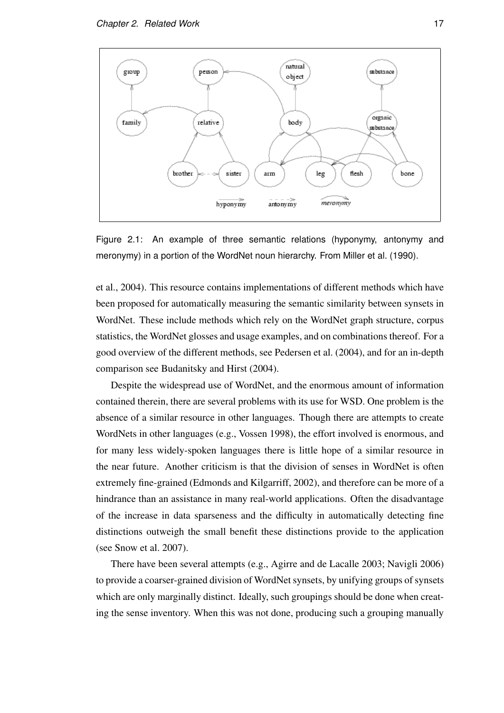

Figure 2.1: An example of three semantic relations (hyponymy, antonymy and meronymy) in a portion of the WordNet noun hierarchy. From Miller et al. (1990).

et al., 2004). This resource contains implementations of different methods which have been proposed for automatically measuring the semantic similarity between synsets in WordNet. These include methods which rely on the WordNet graph structure, corpus statistics, the WordNet glosses and usage examples, and on combinations thereof. For a good overview of the different methods, see Pedersen et al. (2004), and for an in-depth comparison see Budanitsky and Hirst (2004).

Despite the widespread use of WordNet, and the enormous amount of information contained therein, there are several problems with its use for WSD. One problem is the absence of a similar resource in other languages. Though there are attempts to create WordNets in other languages (e.g., Vossen 1998), the effort involved is enormous, and for many less widely-spoken languages there is little hope of a similar resource in the near future. Another criticism is that the division of senses in WordNet is often extremely fine-grained (Edmonds and Kilgarriff, 2002), and therefore can be more of a hindrance than an assistance in many real-world applications. Often the disadvantage of the increase in data sparseness and the difficulty in automatically detecting fine distinctions outweigh the small benefit these distinctions provide to the application (see Snow et al. 2007).

There have been several attempts (e.g., Agirre and de Lacalle 2003; Navigli 2006) to provide a coarser-grained division of WordNet synsets, by unifying groups of synsets which are only marginally distinct. Ideally, such groupings should be done when creating the sense inventory. When this was not done, producing such a grouping manually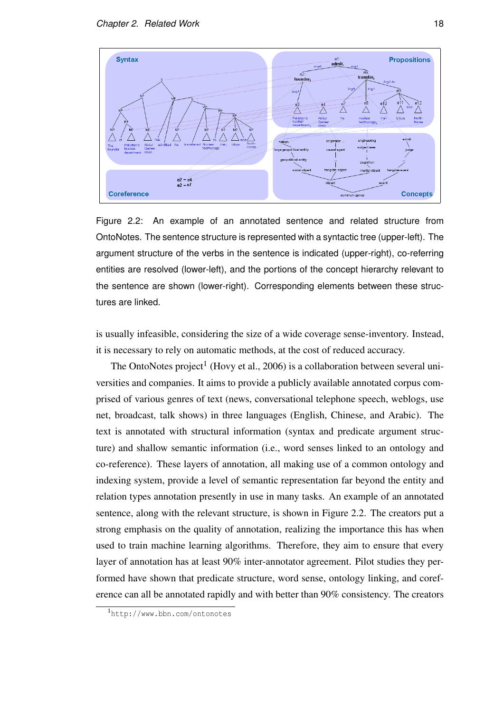

Figure 2.2: An example of an annotated sentence and related structure from OntoNotes. The sentence structure is represented with a syntactic tree (upper-left). The argument structure of the verbs in the sentence is indicated (upper-right), co-referring entities are resolved (lower-left), and the portions of the concept hierarchy relevant to the sentence are shown (lower-right). Corresponding elements between these structures are linked.

is usually infeasible, considering the size of a wide coverage sense-inventory. Instead, it is necessary to rely on automatic methods, at the cost of reduced accuracy.

The OntoNotes project<sup>1</sup> (Hovy et al., 2006) is a collaboration between several universities and companies. It aims to provide a publicly available annotated corpus comprised of various genres of text (news, conversational telephone speech, weblogs, use net, broadcast, talk shows) in three languages (English, Chinese, and Arabic). The text is annotated with structural information (syntax and predicate argument structure) and shallow semantic information (i.e., word senses linked to an ontology and co-reference). These layers of annotation, all making use of a common ontology and indexing system, provide a level of semantic representation far beyond the entity and relation types annotation presently in use in many tasks. An example of an annotated sentence, along with the relevant structure, is shown in Figure 2.2. The creators put a strong emphasis on the quality of annotation, realizing the importance this has when used to train machine learning algorithms. Therefore, they aim to ensure that every layer of annotation has at least 90% inter-annotator agreement. Pilot studies they performed have shown that predicate structure, word sense, ontology linking, and coreference can all be annotated rapidly and with better than 90% consistency. The creators

<sup>1</sup>http://www.bbn.com/ontonotes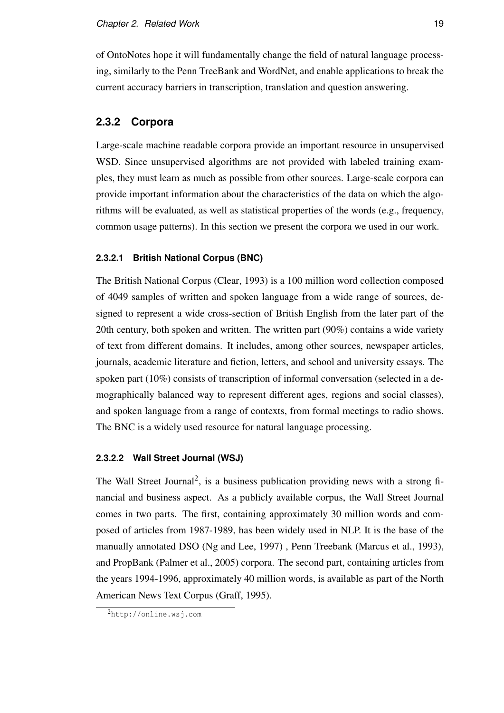of OntoNotes hope it will fundamentally change the field of natural language processing, similarly to the Penn TreeBank and WordNet, and enable applications to break the current accuracy barriers in transcription, translation and question answering.

#### **2.3.2 Corpora**

Large-scale machine readable corpora provide an important resource in unsupervised WSD. Since unsupervised algorithms are not provided with labeled training examples, they must learn as much as possible from other sources. Large-scale corpora can provide important information about the characteristics of the data on which the algorithms will be evaluated, as well as statistical properties of the words (e.g., frequency, common usage patterns). In this section we present the corpora we used in our work.

#### **2.3.2.1 British National Corpus (BNC)**

The British National Corpus (Clear, 1993) is a 100 million word collection composed of 4049 samples of written and spoken language from a wide range of sources, designed to represent a wide cross-section of British English from the later part of the 20th century, both spoken and written. The written part (90%) contains a wide variety of text from different domains. It includes, among other sources, newspaper articles, journals, academic literature and fiction, letters, and school and university essays. The spoken part (10%) consists of transcription of informal conversation (selected in a demographically balanced way to represent different ages, regions and social classes), and spoken language from a range of contexts, from formal meetings to radio shows. The BNC is a widely used resource for natural language processing.

#### **2.3.2.2 Wall Street Journal (WSJ)**

The Wall Street Journal<sup>2</sup>, is a business publication providing news with a strong financial and business aspect. As a publicly available corpus, the Wall Street Journal comes in two parts. The first, containing approximately 30 million words and composed of articles from 1987-1989, has been widely used in NLP. It is the base of the manually annotated DSO (Ng and Lee, 1997) , Penn Treebank (Marcus et al., 1993), and PropBank (Palmer et al., 2005) corpora. The second part, containing articles from the years 1994-1996, approximately 40 million words, is available as part of the North American News Text Corpus (Graff, 1995).

<sup>2</sup>http://online.wsj.com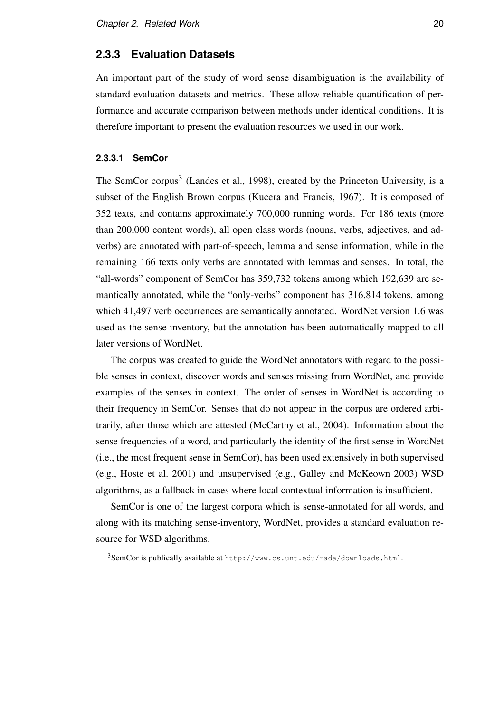#### **2.3.3 Evaluation Datasets**

An important part of the study of word sense disambiguation is the availability of standard evaluation datasets and metrics. These allow reliable quantification of performance and accurate comparison between methods under identical conditions. It is therefore important to present the evaluation resources we used in our work.

#### **2.3.3.1 SemCor**

The SemCor corpus<sup>3</sup> (Landes et al., 1998), created by the Princeton University, is a subset of the English Brown corpus (Kucera and Francis, 1967). It is composed of 352 texts, and contains approximately 700,000 running words. For 186 texts (more than 200,000 content words), all open class words (nouns, verbs, adjectives, and adverbs) are annotated with part-of-speech, lemma and sense information, while in the remaining 166 texts only verbs are annotated with lemmas and senses. In total, the "all-words" component of SemCor has 359,732 tokens among which 192,639 are semantically annotated, while the "only-verbs" component has 316,814 tokens, among which 41,497 verb occurrences are semantically annotated. WordNet version 1.6 was used as the sense inventory, but the annotation has been automatically mapped to all later versions of WordNet.

The corpus was created to guide the WordNet annotators with regard to the possible senses in context, discover words and senses missing from WordNet, and provide examples of the senses in context. The order of senses in WordNet is according to their frequency in SemCor. Senses that do not appear in the corpus are ordered arbitrarily, after those which are attested (McCarthy et al., 2004). Information about the sense frequencies of a word, and particularly the identity of the first sense in WordNet (i.e., the most frequent sense in SemCor), has been used extensively in both supervised (e.g., Hoste et al. 2001) and unsupervised (e.g., Galley and McKeown 2003) WSD algorithms, as a fallback in cases where local contextual information is insufficient.

SemCor is one of the largest corpora which is sense-annotated for all words, and along with its matching sense-inventory, WordNet, provides a standard evaluation resource for WSD algorithms.

<sup>3</sup>SemCor is publically available at http://www.cs.unt.edu/rada/downloads.html.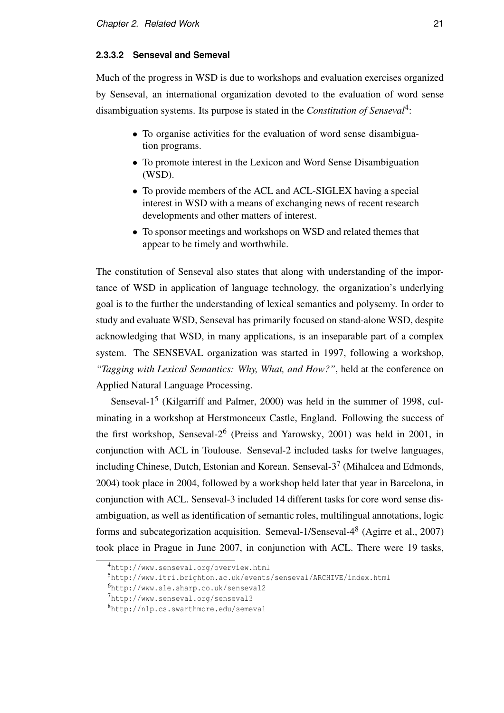#### **2.3.3.2 Senseval and Semeval**

Much of the progress in WSD is due to workshops and evaluation exercises organized by Senseval, an international organization devoted to the evaluation of word sense disambiguation systems. Its purpose is stated in the *Constitution of Senseval*<sup>4</sup> :

- To organise activities for the evaluation of word sense disambiguation programs.
- To promote interest in the Lexicon and Word Sense Disambiguation (WSD).
- To provide members of the ACL and ACL-SIGLEX having a special interest in WSD with a means of exchanging news of recent research developments and other matters of interest.
- To sponsor meetings and workshops on WSD and related themes that appear to be timely and worthwhile.

The constitution of Senseval also states that along with understanding of the importance of WSD in application of language technology, the organization's underlying goal is to the further the understanding of lexical semantics and polysemy. In order to study and evaluate WSD, Senseval has primarily focused on stand-alone WSD, despite acknowledging that WSD, in many applications, is an inseparable part of a complex system. The SENSEVAL organization was started in 1997, following a workshop, *"Tagging with Lexical Semantics: Why, What, and How?"*, held at the conference on Applied Natural Language Processing.

Senseval-1<sup>5</sup> (Kilgarriff and Palmer, 2000) was held in the summer of 1998, culminating in a workshop at Herstmonceux Castle, England. Following the success of the first workshop, Senseval-2<sup>6</sup> (Preiss and Yarowsky, 2001) was held in 2001, in conjunction with ACL in Toulouse. Senseval-2 included tasks for twelve languages, including Chinese, Dutch, Estonian and Korean. Senseval- $3^7$  (Mihalcea and Edmonds, 2004) took place in 2004, followed by a workshop held later that year in Barcelona, in conjunction with ACL. Senseval-3 included 14 different tasks for core word sense disambiguation, as well as identification of semantic roles, multilingual annotations, logic forms and subcategorization acquisition. Semeval-1/Senseval-4<sup>8</sup> (Agirre et al., 2007) took place in Prague in June 2007, in conjunction with ACL. There were 19 tasks,

<sup>4</sup>http://www.senseval.org/overview.html

<sup>5</sup>http://www.itri.brighton.ac.uk/events/senseval/ARCHIVE/index.html

<sup>6</sup>http://www.sle.sharp.co.uk/senseval2

<sup>7</sup>http://www.senseval.org/senseval3

<sup>8</sup>http://nlp.cs.swarthmore.edu/semeval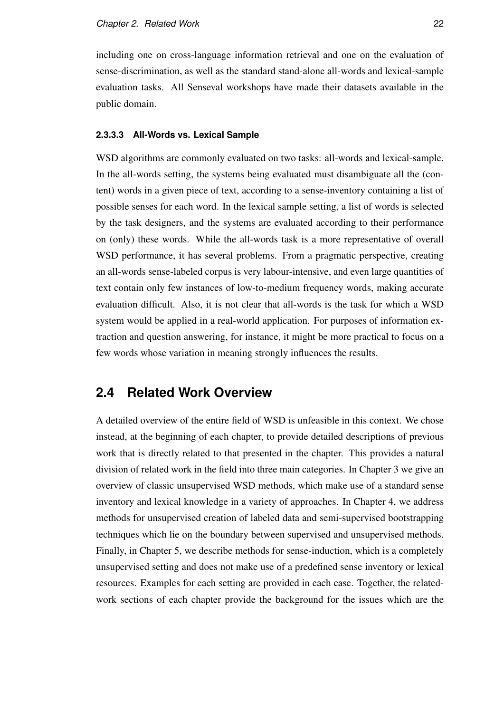including one on cross-language information retrieval and one on the evaluation of sense-discrimination, as well as the standard stand-alone all-words and lexical-sample evaluation tasks. All Senseval workshops have made their datasets available in the public domain.

#### **2.3.3.3 All-Words vs. Lexical Sample**

WSD algorithms are commonly evaluated on two tasks: all-words and lexical-sample. In the all-words setting, the systems being evaluated must disambiguate all the (content) words in a given piece of text, according to a sense-inventory containing a list of possible senses for each word. In the lexical sample setting, a list of words is selected by the task designers, and the systems are evaluated according to their performance on (only) these words. While the all-words task is a more representative of overall WSD performance, it has several problems. From a pragmatic perspective, creating an all-words sense-labeled corpus is very labour-intensive, and even large quantities of text contain only few instances of low-to-medium frequency words, making accurate evaluation difficult. Also, it is not clear that all-words is the task for which a WSD system would be applied in a real-world application. For purposes of information extraction and question answering, for instance, it might be more practical to focus on a few words whose variation in meaning strongly influences the results.

### **2.4 Related Work Overview**

A detailed overview of the entire field of WSD is unfeasible in this context. We chose instead, at the beginning of each chapter, to provide detailed descriptions of previous work that is directly related to that presented in the chapter. This provides a natural division of related work in the field into three main categories. In Chapter 3 we give an overview of classic unsupervised WSD methods, which make use of a standard sense inventory and lexical knowledge in a variety of approaches. In Chapter 4, we address methods for unsupervised creation of labeled data and semi-supervised bootstrapping techniques which lie on the boundary between supervised and unsupervised methods. Finally, in Chapter 5, we describe methods for sense-induction, which is a completely unsupervised setting and does not make use of a predefined sense inventory or lexical resources. Examples for each setting are provided in each case. Together, the relatedwork sections of each chapter provide the background for the issues which are the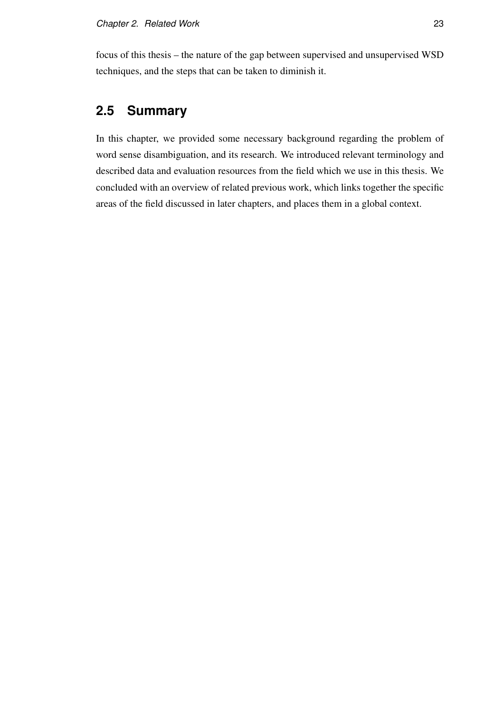focus of this thesis – the nature of the gap between supervised and unsupervised WSD techniques, and the steps that can be taken to diminish it.

## **2.5 Summary**

In this chapter, we provided some necessary background regarding the problem of word sense disambiguation, and its research. We introduced relevant terminology and described data and evaluation resources from the field which we use in this thesis. We concluded with an overview of related previous work, which links together the specific areas of the field discussed in later chapters, and places them in a global context.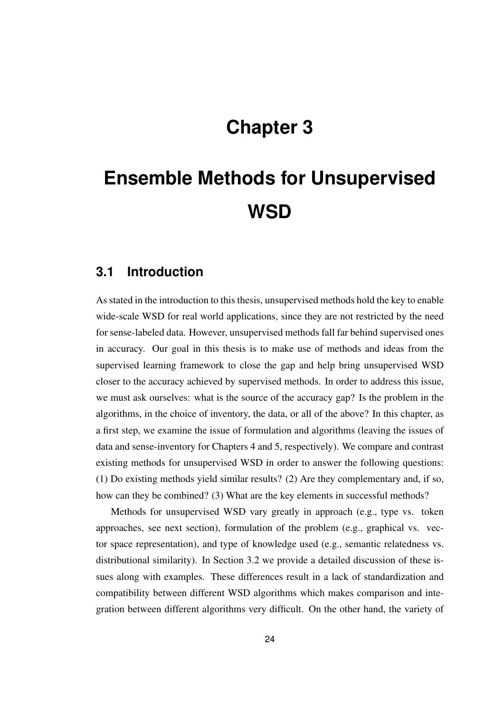## **Chapter 3**

# **Ensemble Methods for Unsupervised WSD**

### **3.1 Introduction**

As stated in the introduction to this thesis, unsupervised methods hold the key to enable wide-scale WSD for real world applications, since they are not restricted by the need for sense-labeled data. However, unsupervised methods fall far behind supervised ones in accuracy. Our goal in this thesis is to make use of methods and ideas from the supervised learning framework to close the gap and help bring unsupervised WSD closer to the accuracy achieved by supervised methods. In order to address this issue, we must ask ourselves: what is the source of the accuracy gap? Is the problem in the algorithms, in the choice of inventory, the data, or all of the above? In this chapter, as a first step, we examine the issue of formulation and algorithms (leaving the issues of data and sense-inventory for Chapters 4 and 5, respectively). We compare and contrast existing methods for unsupervised WSD in order to answer the following questions: (1) Do existing methods yield similar results? (2) Are they complementary and, if so, how can they be combined? (3) What are the key elements in successful methods?

Methods for unsupervised WSD vary greatly in approach (e.g., type vs. token approaches, see next section), formulation of the problem (e.g., graphical vs. vector space representation), and type of knowledge used (e.g., semantic relatedness vs. distributional similarity). In Section 3.2 we provide a detailed discussion of these issues along with examples. These differences result in a lack of standardization and compatibility between different WSD algorithms which makes comparison and integration between different algorithms very difficult. On the other hand, the variety of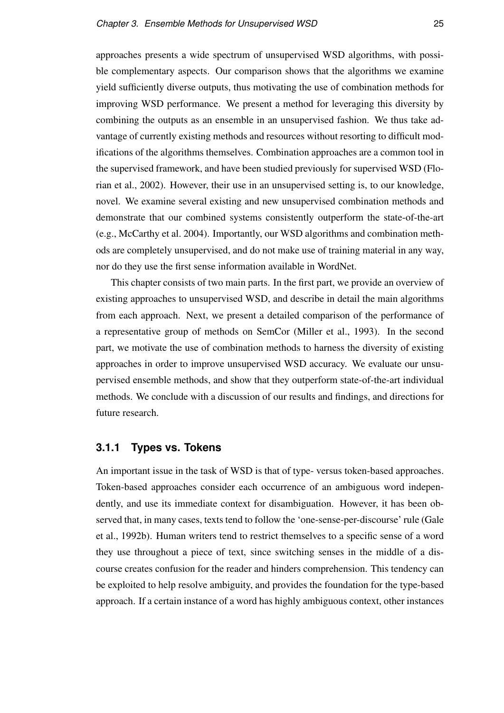approaches presents a wide spectrum of unsupervised WSD algorithms, with possible complementary aspects. Our comparison shows that the algorithms we examine yield sufficiently diverse outputs, thus motivating the use of combination methods for improving WSD performance. We present a method for leveraging this diversity by combining the outputs as an ensemble in an unsupervised fashion. We thus take advantage of currently existing methods and resources without resorting to difficult modifications of the algorithms themselves. Combination approaches are a common tool in the supervised framework, and have been studied previously for supervised WSD (Florian et al., 2002). However, their use in an unsupervised setting is, to our knowledge, novel. We examine several existing and new unsupervised combination methods and demonstrate that our combined systems consistently outperform the state-of-the-art (e.g., McCarthy et al. 2004). Importantly, our WSD algorithms and combination methods are completely unsupervised, and do not make use of training material in any way, nor do they use the first sense information available in WordNet.

This chapter consists of two main parts. In the first part, we provide an overview of existing approaches to unsupervised WSD, and describe in detail the main algorithms from each approach. Next, we present a detailed comparison of the performance of a representative group of methods on SemCor (Miller et al., 1993). In the second part, we motivate the use of combination methods to harness the diversity of existing approaches in order to improve unsupervised WSD accuracy. We evaluate our unsupervised ensemble methods, and show that they outperform state-of-the-art individual methods. We conclude with a discussion of our results and findings, and directions for future research.

#### **3.1.1 Types vs. Tokens**

An important issue in the task of WSD is that of type- versus token-based approaches. Token-based approaches consider each occurrence of an ambiguous word independently, and use its immediate context for disambiguation. However, it has been observed that, in many cases, texts tend to follow the 'one-sense-per-discourse' rule (Gale et al., 1992b). Human writers tend to restrict themselves to a specific sense of a word they use throughout a piece of text, since switching senses in the middle of a discourse creates confusion for the reader and hinders comprehension. This tendency can be exploited to help resolve ambiguity, and provides the foundation for the type-based approach. If a certain instance of a word has highly ambiguous context, other instances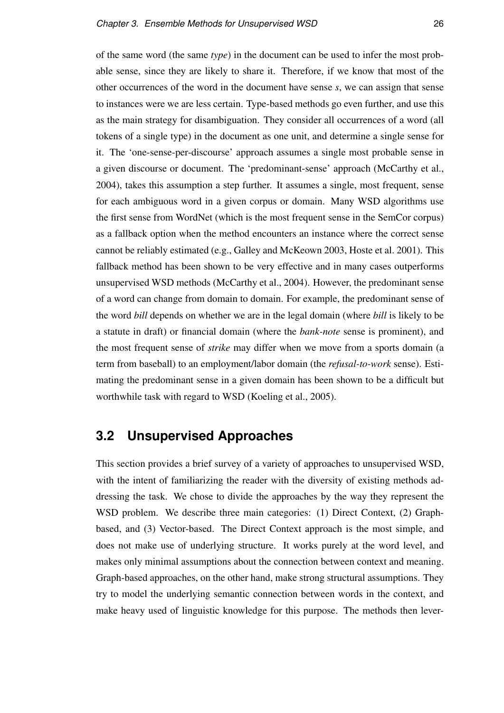of the same word (the same *type*) in the document can be used to infer the most probable sense, since they are likely to share it. Therefore, if we know that most of the other occurrences of the word in the document have sense *s*, we can assign that sense to instances were we are less certain. Type-based methods go even further, and use this as the main strategy for disambiguation. They consider all occurrences of a word (all tokens of a single type) in the document as one unit, and determine a single sense for it. The 'one-sense-per-discourse' approach assumes a single most probable sense in a given discourse or document. The 'predominant-sense' approach (McCarthy et al., 2004), takes this assumption a step further. It assumes a single, most frequent, sense for each ambiguous word in a given corpus or domain. Many WSD algorithms use the first sense from WordNet (which is the most frequent sense in the SemCor corpus) as a fallback option when the method encounters an instance where the correct sense cannot be reliably estimated (e.g., Galley and McKeown 2003, Hoste et al. 2001). This fallback method has been shown to be very effective and in many cases outperforms unsupervised WSD methods (McCarthy et al., 2004). However, the predominant sense of a word can change from domain to domain. For example, the predominant sense of the word *bill* depends on whether we are in the legal domain (where *bill* is likely to be a statute in draft) or financial domain (where the *bank-note* sense is prominent), and the most frequent sense of *strike* may differ when we move from a sports domain (a term from baseball) to an employment/labor domain (the *refusal-to-work* sense). Estimating the predominant sense in a given domain has been shown to be a difficult but worthwhile task with regard to WSD (Koeling et al., 2005).

# **3.2 Unsupervised Approaches**

This section provides a brief survey of a variety of approaches to unsupervised WSD, with the intent of familiarizing the reader with the diversity of existing methods addressing the task. We chose to divide the approaches by the way they represent the WSD problem. We describe three main categories: (1) Direct Context, (2) Graphbased, and (3) Vector-based. The Direct Context approach is the most simple, and does not make use of underlying structure. It works purely at the word level, and makes only minimal assumptions about the connection between context and meaning. Graph-based approaches, on the other hand, make strong structural assumptions. They try to model the underlying semantic connection between words in the context, and make heavy used of linguistic knowledge for this purpose. The methods then lever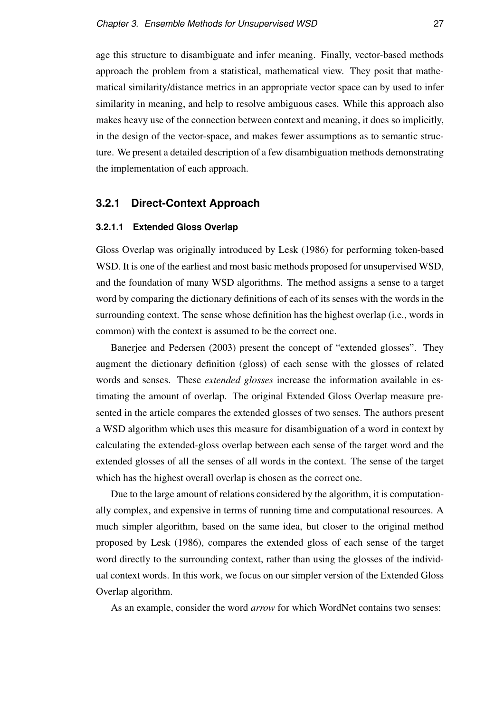age this structure to disambiguate and infer meaning. Finally, vector-based methods approach the problem from a statistical, mathematical view. They posit that mathematical similarity/distance metrics in an appropriate vector space can by used to infer similarity in meaning, and help to resolve ambiguous cases. While this approach also makes heavy use of the connection between context and meaning, it does so implicitly, in the design of the vector-space, and makes fewer assumptions as to semantic structure. We present a detailed description of a few disambiguation methods demonstrating the implementation of each approach.

#### **3.2.1 Direct-Context Approach**

#### **3.2.1.1 Extended Gloss Overlap**

Gloss Overlap was originally introduced by Lesk (1986) for performing token-based WSD. It is one of the earliest and most basic methods proposed for unsupervised WSD, and the foundation of many WSD algorithms. The method assigns a sense to a target word by comparing the dictionary definitions of each of its senses with the words in the surrounding context. The sense whose definition has the highest overlap (i.e., words in common) with the context is assumed to be the correct one.

Banerjee and Pedersen (2003) present the concept of "extended glosses". They augment the dictionary definition (gloss) of each sense with the glosses of related words and senses. These *extended glosses* increase the information available in estimating the amount of overlap. The original Extended Gloss Overlap measure presented in the article compares the extended glosses of two senses. The authors present a WSD algorithm which uses this measure for disambiguation of a word in context by calculating the extended-gloss overlap between each sense of the target word and the extended glosses of all the senses of all words in the context. The sense of the target which has the highest overall overlap is chosen as the correct one.

Due to the large amount of relations considered by the algorithm, it is computationally complex, and expensive in terms of running time and computational resources. A much simpler algorithm, based on the same idea, but closer to the original method proposed by Lesk (1986), compares the extended gloss of each sense of the target word directly to the surrounding context, rather than using the glosses of the individual context words. In this work, we focus on our simpler version of the Extended Gloss Overlap algorithm.

As an example, consider the word *arrow* for which WordNet contains two senses: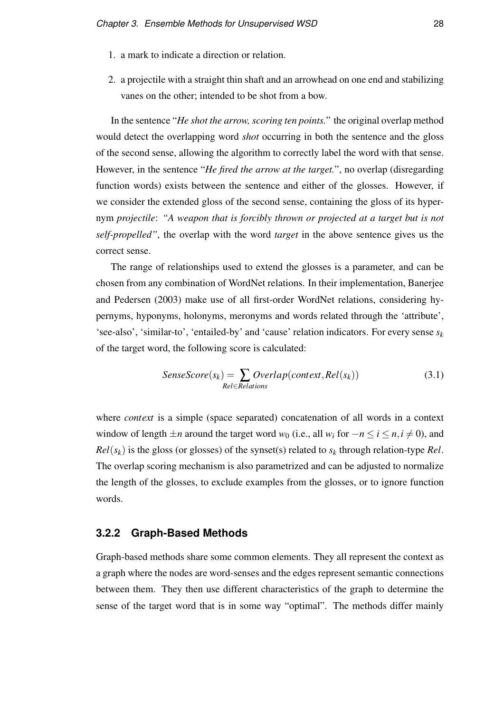- 1. a mark to indicate a direction or relation.
- 2. a projectile with a straight thin shaft and an arrowhead on one end and stabilizing vanes on the other; intended to be shot from a bow.

In the sentence "*He shot the arrow, scoring ten points.*" the original overlap method would detect the overlapping word *shot* occurring in both the sentence and the gloss of the second sense, allowing the algorithm to correctly label the word with that sense. However, in the sentence "*He fired the arrow at the target.*", no overlap (disregarding function words) exists between the sentence and either of the glosses. However, if we consider the extended gloss of the second sense, containing the gloss of its hypernym *projectile*: *"A weapon that is forcibly thrown or projected at a target but is not self-propelled"*, the overlap with the word *target* in the above sentence gives us the correct sense.

The range of relationships used to extend the glosses is a parameter, and can be chosen from any combination of WordNet relations. In their implementation, Banerjee and Pedersen (2003) make use of all first-order WordNet relations, considering hypernyms, hyponyms, holonyms, meronyms and words related through the 'attribute', 'see-also', 'similar-to', 'entailed-by' and 'cause' relation indicators. For every sense *s<sup>k</sup>* of the target word, the following score is calculated:

$$
SenseScore(s_k) = \sum_{Rel \in Relations} Overlap(context, Rel(s_k))
$$
\n(3.1)

where *context* is a simple (space separated) concatenation of all words in a context window of length  $\pm n$  around the target word  $w_0$  (i.e., all  $w_i$  for  $-n \le i \le n, i \ne 0$ ), and  $Rel(s_k)$  is the gloss (or glosses) of the synset(s) related to  $s_k$  through relation-type *Rel*. The overlap scoring mechanism is also parametrized and can be adjusted to normalize the length of the glosses, to exclude examples from the glosses, or to ignore function words.

#### **3.2.2 Graph-Based Methods**

Graph-based methods share some common elements. They all represent the context as a graph where the nodes are word-senses and the edges represent semantic connections between them. They then use different characteristics of the graph to determine the sense of the target word that is in some way "optimal". The methods differ mainly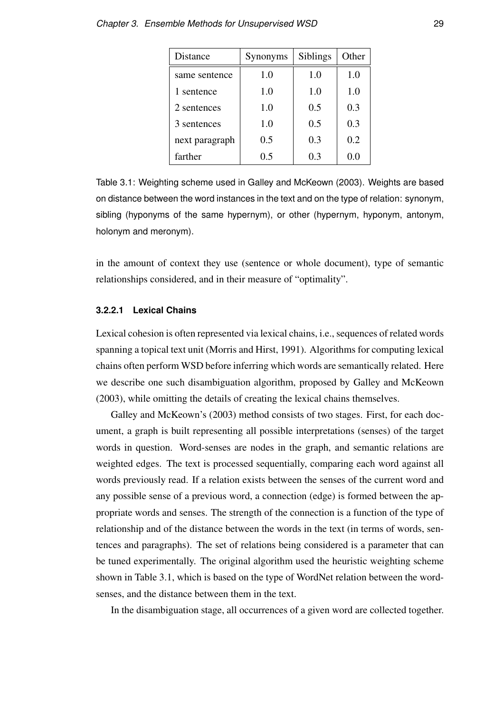| Distance       | Synonyms | Siblings | Other   |
|----------------|----------|----------|---------|
| same sentence  | 1.0      | 1.0      | 1.0     |
| 1 sentence     | 1.0      | 1.0      | 1.0     |
| 2 sentences    | 1.0      | 0.5      | 0.3     |
| 3 sentences    | 1.0      | 0.5      | 0.3     |
| next paragraph | 0.5      | 0.3      | 0.2     |
| farther        | 0.5      | 0.3      | $0.0\,$ |

Table 3.1: Weighting scheme used in Galley and McKeown (2003). Weights are based on distance between the word instances in the text and on the type of relation: synonym, sibling (hyponyms of the same hypernym), or other (hypernym, hyponym, antonym, holonym and meronym).

in the amount of context they use (sentence or whole document), type of semantic relationships considered, and in their measure of "optimality".

#### **3.2.2.1 Lexical Chains**

Lexical cohesion is often represented via lexical chains, i.e., sequences of related words spanning a topical text unit (Morris and Hirst, 1991). Algorithms for computing lexical chains often perform WSD before inferring which words are semantically related. Here we describe one such disambiguation algorithm, proposed by Galley and McKeown (2003), while omitting the details of creating the lexical chains themselves.

Galley and McKeown's (2003) method consists of two stages. First, for each document, a graph is built representing all possible interpretations (senses) of the target words in question. Word-senses are nodes in the graph, and semantic relations are weighted edges. The text is processed sequentially, comparing each word against all words previously read. If a relation exists between the senses of the current word and any possible sense of a previous word, a connection (edge) is formed between the appropriate words and senses. The strength of the connection is a function of the type of relationship and of the distance between the words in the text (in terms of words, sentences and paragraphs). The set of relations being considered is a parameter that can be tuned experimentally. The original algorithm used the heuristic weighting scheme shown in Table 3.1, which is based on the type of WordNet relation between the wordsenses, and the distance between them in the text.

In the disambiguation stage, all occurrences of a given word are collected together.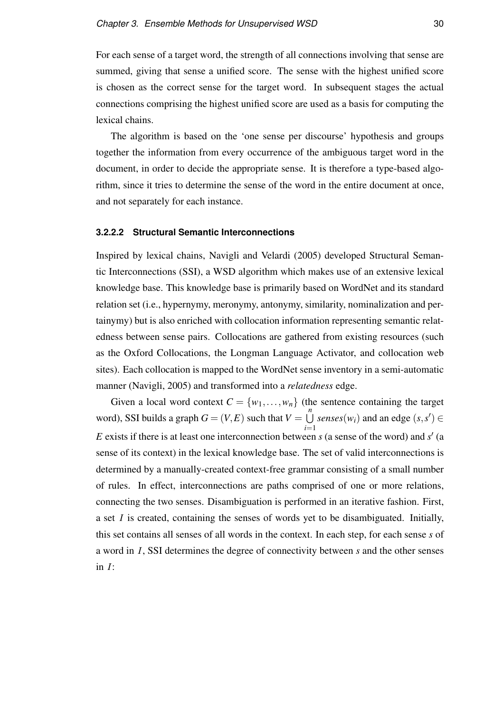For each sense of a target word, the strength of all connections involving that sense are summed, giving that sense a unified score. The sense with the highest unified score is chosen as the correct sense for the target word. In subsequent stages the actual connections comprising the highest unified score are used as a basis for computing the lexical chains.

The algorithm is based on the 'one sense per discourse' hypothesis and groups together the information from every occurrence of the ambiguous target word in the document, in order to decide the appropriate sense. It is therefore a type-based algorithm, since it tries to determine the sense of the word in the entire document at once, and not separately for each instance.

#### **3.2.2.2 Structural Semantic Interconnections**

Inspired by lexical chains, Navigli and Velardi (2005) developed Structural Semantic Interconnections (SSI), a WSD algorithm which makes use of an extensive lexical knowledge base. This knowledge base is primarily based on WordNet and its standard relation set (i.e., hypernymy, meronymy, antonymy, similarity, nominalization and pertainymy) but is also enriched with collocation information representing semantic relatedness between sense pairs. Collocations are gathered from existing resources (such as the Oxford Collocations, the Longman Language Activator, and collocation web sites). Each collocation is mapped to the WordNet sense inventory in a semi-automatic manner (Navigli, 2005) and transformed into a *relatedness* edge.

Given a local word context  $C = \{w_1, \ldots, w_n\}$  (the sentence containing the target word), SSI builds a graph  $G = (V, E)$  such that  $V = \bigcup_{n=1}^{n}$ *i*=1 *senses*( $w_i$ ) and an edge ( $s, s'$ )  $\in$ E exists if there is at least one interconnection between *s* (a sense of the word) and *s'* (a sense of its context) in the lexical knowledge base. The set of valid interconnections is determined by a manually-created context-free grammar consisting of a small number of rules. In effect, interconnections are paths comprised of one or more relations, connecting the two senses. Disambiguation is performed in an iterative fashion. First, a set *I* is created, containing the senses of words yet to be disambiguated. Initially, this set contains all senses of all words in the context. In each step, for each sense *s* of a word in *I*, SSI determines the degree of connectivity between *s* and the other senses in *I*: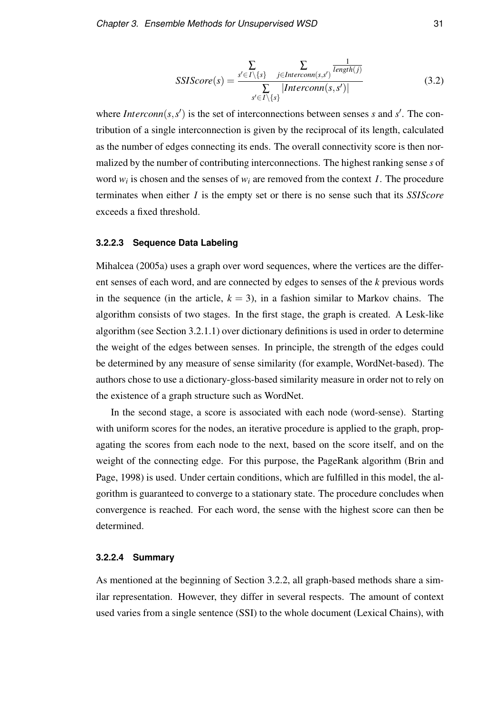$$
SSIScore(s) = \frac{\sum\limits_{s' \in I \setminus \{s\}} \sum\limits_{j \in Internonn(s,s')} \frac{1}{length(j)}}{\sum\limits_{s' \in I \setminus \{s\}} |Interconn(s,s')|}
$$
(3.2)

where *Interconn*( $s$ , $s'$ ) is the set of interconnections between senses *s* and  $s'$ . The contribution of a single interconnection is given by the reciprocal of its length, calculated as the number of edges connecting its ends. The overall connectivity score is then normalized by the number of contributing interconnections. The highest ranking sense *s* of word  $w_i$  is chosen and the senses of  $w_i$  are removed from the context *I*. The procedure terminates when either *I* is the empty set or there is no sense such that its *SSIScore* exceeds a fixed threshold.

#### **3.2.2.3 Sequence Data Labeling**

Mihalcea (2005a) uses a graph over word sequences, where the vertices are the different senses of each word, and are connected by edges to senses of the *k* previous words in the sequence (in the article,  $k = 3$ ), in a fashion similar to Markov chains. The algorithm consists of two stages. In the first stage, the graph is created. A Lesk-like algorithm (see Section 3.2.1.1) over dictionary definitions is used in order to determine the weight of the edges between senses. In principle, the strength of the edges could be determined by any measure of sense similarity (for example, WordNet-based). The authors chose to use a dictionary-gloss-based similarity measure in order not to rely on the existence of a graph structure such as WordNet.

In the second stage, a score is associated with each node (word-sense). Starting with uniform scores for the nodes, an iterative procedure is applied to the graph, propagating the scores from each node to the next, based on the score itself, and on the weight of the connecting edge. For this purpose, the PageRank algorithm (Brin and Page, 1998) is used. Under certain conditions, which are fulfilled in this model, the algorithm is guaranteed to converge to a stationary state. The procedure concludes when convergence is reached. For each word, the sense with the highest score can then be determined.

#### **3.2.2.4 Summary**

As mentioned at the beginning of Section 3.2.2, all graph-based methods share a similar representation. However, they differ in several respects. The amount of context used varies from a single sentence (SSI) to the whole document (Lexical Chains), with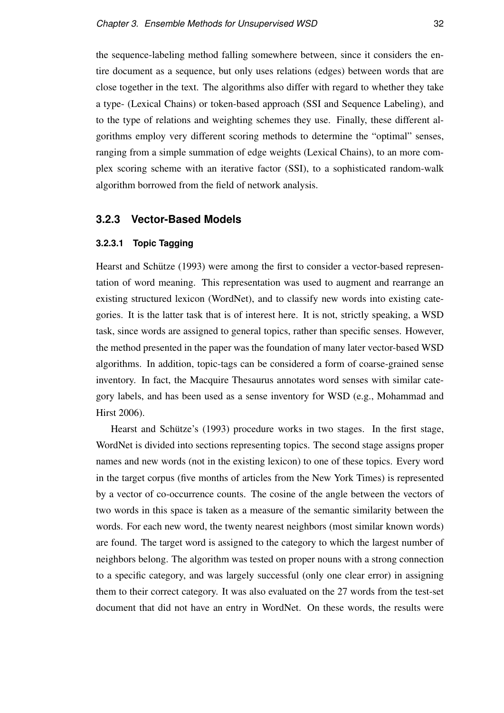the sequence-labeling method falling somewhere between, since it considers the entire document as a sequence, but only uses relations (edges) between words that are close together in the text. The algorithms also differ with regard to whether they take a type- (Lexical Chains) or token-based approach (SSI and Sequence Labeling), and to the type of relations and weighting schemes they use. Finally, these different algorithms employ very different scoring methods to determine the "optimal" senses, ranging from a simple summation of edge weights (Lexical Chains), to an more complex scoring scheme with an iterative factor (SSI), to a sophisticated random-walk algorithm borrowed from the field of network analysis.

#### **3.2.3 Vector-Based Models**

#### **3.2.3.1 Topic Tagging**

Hearst and Schütze (1993) were among the first to consider a vector-based representation of word meaning. This representation was used to augment and rearrange an existing structured lexicon (WordNet), and to classify new words into existing categories. It is the latter task that is of interest here. It is not, strictly speaking, a WSD task, since words are assigned to general topics, rather than specific senses. However, the method presented in the paper was the foundation of many later vector-based WSD algorithms. In addition, topic-tags can be considered a form of coarse-grained sense inventory. In fact, the Macquire Thesaurus annotates word senses with similar category labels, and has been used as a sense inventory for WSD (e.g., Mohammad and Hirst 2006).

Hearst and Schütze's (1993) procedure works in two stages. In the first stage, WordNet is divided into sections representing topics. The second stage assigns proper names and new words (not in the existing lexicon) to one of these topics. Every word in the target corpus (five months of articles from the New York Times) is represented by a vector of co-occurrence counts. The cosine of the angle between the vectors of two words in this space is taken as a measure of the semantic similarity between the words. For each new word, the twenty nearest neighbors (most similar known words) are found. The target word is assigned to the category to which the largest number of neighbors belong. The algorithm was tested on proper nouns with a strong connection to a specific category, and was largely successful (only one clear error) in assigning them to their correct category. It was also evaluated on the 27 words from the test-set document that did not have an entry in WordNet. On these words, the results were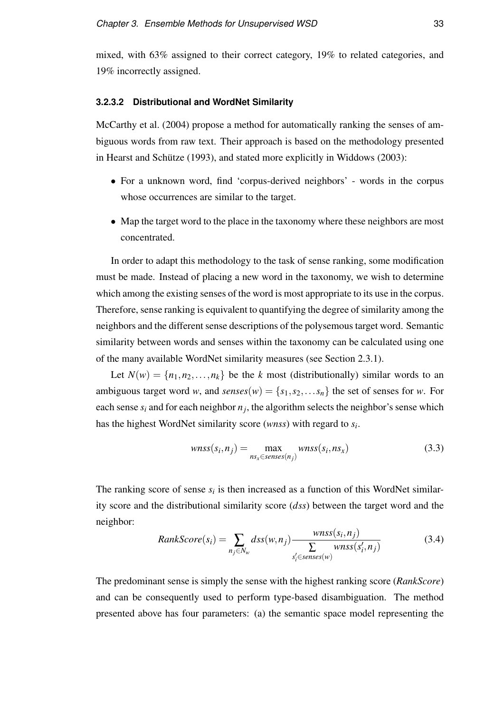mixed, with 63% assigned to their correct category, 19% to related categories, and 19% incorrectly assigned.

#### **3.2.3.2 Distributional and WordNet Similarity**

McCarthy et al. (2004) propose a method for automatically ranking the senses of ambiguous words from raw text. Their approach is based on the methodology presented in Hearst and Schütze (1993), and stated more explicitly in Widdows (2003):

- For a unknown word, find 'corpus-derived neighbors' words in the corpus whose occurrences are similar to the target.
- Map the target word to the place in the taxonomy where these neighbors are most concentrated.

In order to adapt this methodology to the task of sense ranking, some modification must be made. Instead of placing a new word in the taxonomy, we wish to determine which among the existing senses of the word is most appropriate to its use in the corpus. Therefore, sense ranking is equivalent to quantifying the degree of similarity among the neighbors and the different sense descriptions of the polysemous target word. Semantic similarity between words and senses within the taxonomy can be calculated using one of the many available WordNet similarity measures (see Section 2.3.1).

Let  $N(w) = \{n_1, n_2, \ldots, n_k\}$  be the *k* most (distributionally) similar words to an ambiguous target word *w*, and *senses*(*w*) = { $s_1, s_2, \ldots s_n$ } the set of senses for *w*. For each sense  $s_i$  and for each neighbor  $n_j$ , the algorithm selects the neighbor's sense which has the highest WordNet similarity score (*wnss*) with regard to *s<sup>i</sup>* .

$$
wnss(s_i, n_j) = \max_{ns_x \in senses(n_j)} wnss(s_i, ns_x)
$$
\n(3.3)

The ranking score of sense  $s_i$  is then increased as a function of this WordNet similarity score and the distributional similarity score (*dss*) between the target word and the neighbor:

$$
RankScore(s_i) = \sum_{n_j \in N_w} dss(w, n_j) \frac{wnss(s_i, n_j)}{\sum_{s'_i \in senses(w)} wnss(s'_i, n_j)}
$$
(3.4)

The predominant sense is simply the sense with the highest ranking score (*RankScore*) and can be consequently used to perform type-based disambiguation. The method presented above has four parameters: (a) the semantic space model representing the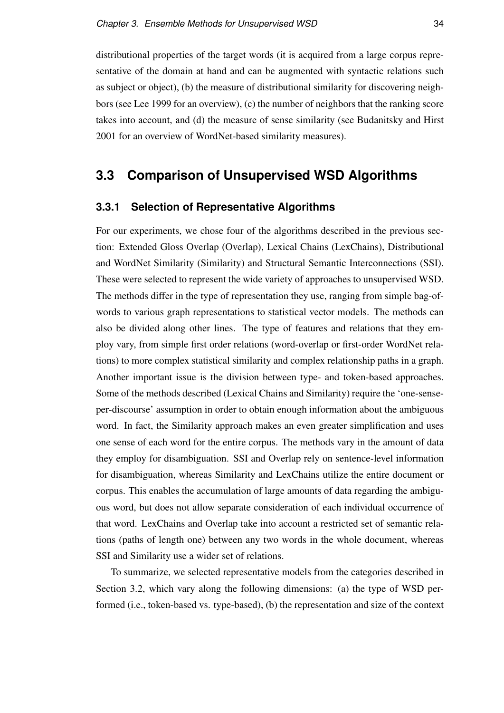distributional properties of the target words (it is acquired from a large corpus representative of the domain at hand and can be augmented with syntactic relations such as subject or object), (b) the measure of distributional similarity for discovering neighbors (see Lee 1999 for an overview), (c) the number of neighbors that the ranking score takes into account, and (d) the measure of sense similarity (see Budanitsky and Hirst 2001 for an overview of WordNet-based similarity measures).

# **3.3 Comparison of Unsupervised WSD Algorithms**

#### **3.3.1 Selection of Representative Algorithms**

For our experiments, we chose four of the algorithms described in the previous section: Extended Gloss Overlap (Overlap), Lexical Chains (LexChains), Distributional and WordNet Similarity (Similarity) and Structural Semantic Interconnections (SSI). These were selected to represent the wide variety of approaches to unsupervised WSD. The methods differ in the type of representation they use, ranging from simple bag-ofwords to various graph representations to statistical vector models. The methods can also be divided along other lines. The type of features and relations that they employ vary, from simple first order relations (word-overlap or first-order WordNet relations) to more complex statistical similarity and complex relationship paths in a graph. Another important issue is the division between type- and token-based approaches. Some of the methods described (Lexical Chains and Similarity) require the 'one-senseper-discourse' assumption in order to obtain enough information about the ambiguous word. In fact, the Similarity approach makes an even greater simplification and uses one sense of each word for the entire corpus. The methods vary in the amount of data they employ for disambiguation. SSI and Overlap rely on sentence-level information for disambiguation, whereas Similarity and LexChains utilize the entire document or corpus. This enables the accumulation of large amounts of data regarding the ambiguous word, but does not allow separate consideration of each individual occurrence of that word. LexChains and Overlap take into account a restricted set of semantic relations (paths of length one) between any two words in the whole document, whereas SSI and Similarity use a wider set of relations.

To summarize, we selected representative models from the categories described in Section 3.2, which vary along the following dimensions: (a) the type of WSD performed (i.e., token-based vs. type-based), (b) the representation and size of the context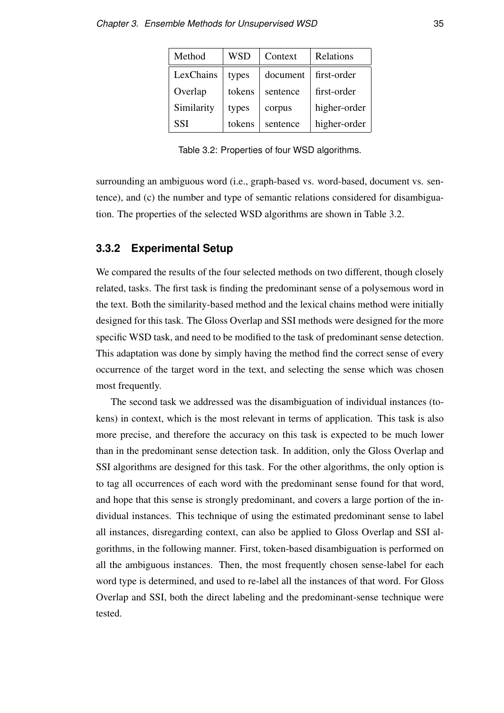| Method     | <b>WSD</b> | Context  | Relations    |
|------------|------------|----------|--------------|
| LexChains  | types      | document | first-order  |
| Overlap    | tokens     | sentence | first-order  |
| Similarity | types      | corpus   | higher-order |
| <b>SSI</b> | tokens     | sentence | higher-order |

Table 3.2: Properties of four WSD algorithms.

surrounding an ambiguous word (i.e., graph-based vs. word-based, document vs. sentence), and (c) the number and type of semantic relations considered for disambiguation. The properties of the selected WSD algorithms are shown in Table 3.2.

#### **3.3.2 Experimental Setup**

We compared the results of the four selected methods on two different, though closely related, tasks. The first task is finding the predominant sense of a polysemous word in the text. Both the similarity-based method and the lexical chains method were initially designed for this task. The Gloss Overlap and SSI methods were designed for the more specific WSD task, and need to be modified to the task of predominant sense detection. This adaptation was done by simply having the method find the correct sense of every occurrence of the target word in the text, and selecting the sense which was chosen most frequently.

The second task we addressed was the disambiguation of individual instances (tokens) in context, which is the most relevant in terms of application. This task is also more precise, and therefore the accuracy on this task is expected to be much lower than in the predominant sense detection task. In addition, only the Gloss Overlap and SSI algorithms are designed for this task. For the other algorithms, the only option is to tag all occurrences of each word with the predominant sense found for that word, and hope that this sense is strongly predominant, and covers a large portion of the individual instances. This technique of using the estimated predominant sense to label all instances, disregarding context, can also be applied to Gloss Overlap and SSI algorithms, in the following manner. First, token-based disambiguation is performed on all the ambiguous instances. Then, the most frequently chosen sense-label for each word type is determined, and used to re-label all the instances of that word. For Gloss Overlap and SSI, both the direct labeling and the predominant-sense technique were tested.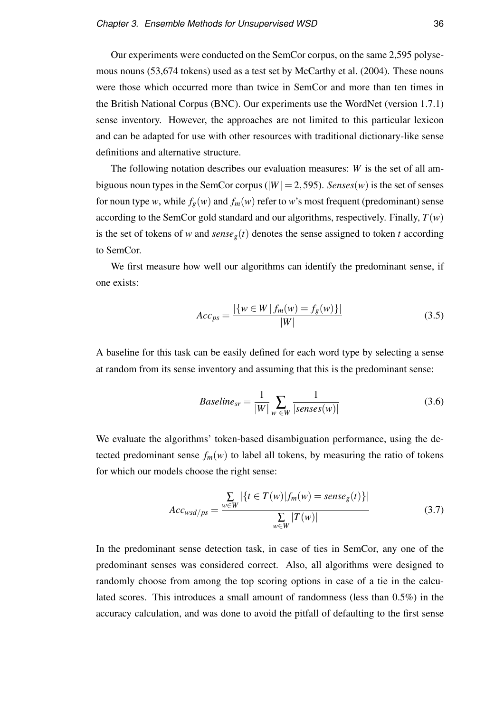Our experiments were conducted on the SemCor corpus, on the same 2,595 polysemous nouns (53,674 tokens) used as a test set by McCarthy et al. (2004). These nouns were those which occurred more than twice in SemCor and more than ten times in the British National Corpus (BNC). Our experiments use the WordNet (version 1.7.1) sense inventory. However, the approaches are not limited to this particular lexicon and can be adapted for use with other resources with traditional dictionary-like sense definitions and alternative structure.

The following notation describes our evaluation measures: *W* is the set of all ambiguous noun types in the SemCor corpus ( $|W| = 2,595$ ). *Senses*(*w*) is the set of senses for noun type *w*, while  $f_g(w)$  and  $f_m(w)$  refer to *w*'s most frequent (predominant) sense according to the SemCor gold standard and our algorithms, respectively. Finally,  $T(w)$ is the set of tokens of *w* and  $sense<sub>g</sub>(t)$  denotes the sense assigned to token *t* according to SemCor.

We first measure how well our algorithms can identify the predominant sense, if one exists:

$$
Acc_{ps} = \frac{|\{w \in W \mid f_m(w) = f_g(w)\}|}{|W|}
$$
(3.5)

A baseline for this task can be easily defined for each word type by selecting a sense at random from its sense inventory and assuming that this is the predominant sense:

$$
Baseline_{sr} = \frac{1}{|W|} \sum_{w \in W} \frac{1}{|senses(w)|}
$$
(3.6)

We evaluate the algorithms' token-based disambiguation performance, using the detected predominant sense  $f_m(w)$  to label all tokens, by measuring the ratio of tokens for which our models choose the right sense:

$$
Acc_{wsd/ps} = \frac{\sum_{w \in W} |\{t \in T(w)| f_m(w) = sense_g(t)\}|}{\sum_{w \in W} |T(w)|}
$$
(3.7)

In the predominant sense detection task, in case of ties in SemCor, any one of the predominant senses was considered correct. Also, all algorithms were designed to randomly choose from among the top scoring options in case of a tie in the calculated scores. This introduces a small amount of randomness (less than 0.5%) in the accuracy calculation, and was done to avoid the pitfall of defaulting to the first sense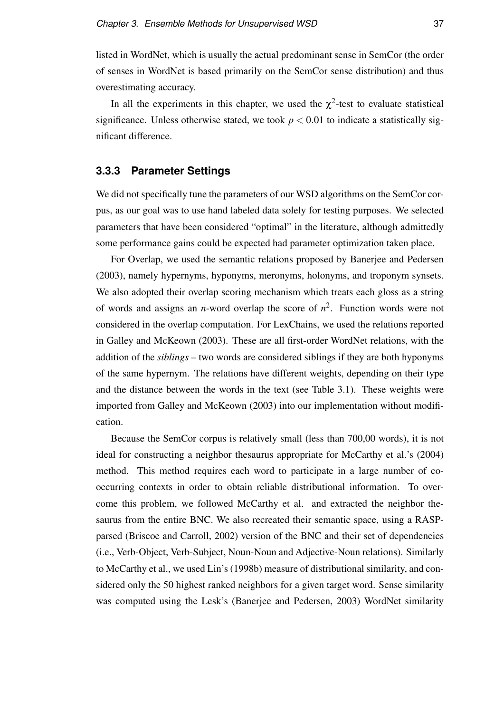listed in WordNet, which is usually the actual predominant sense in SemCor (the order of senses in WordNet is based primarily on the SemCor sense distribution) and thus overestimating accuracy.

In all the experiments in this chapter, we used the  $\chi^2$ -test to evaluate statistical significance. Unless otherwise stated, we took  $p < 0.01$  to indicate a statistically significant difference.

#### **3.3.3 Parameter Settings**

We did not specifically tune the parameters of our WSD algorithms on the SemCor corpus, as our goal was to use hand labeled data solely for testing purposes. We selected parameters that have been considered "optimal" in the literature, although admittedly some performance gains could be expected had parameter optimization taken place.

For Overlap, we used the semantic relations proposed by Banerjee and Pedersen (2003), namely hypernyms, hyponyms, meronyms, holonyms, and troponym synsets. We also adopted their overlap scoring mechanism which treats each gloss as a string of words and assigns an *n*-word overlap the score of *n* 2 . Function words were not considered in the overlap computation. For LexChains, we used the relations reported in Galley and McKeown (2003). These are all first-order WordNet relations, with the addition of the *siblings* – two words are considered siblings if they are both hyponyms of the same hypernym. The relations have different weights, depending on their type and the distance between the words in the text (see Table 3.1). These weights were imported from Galley and McKeown (2003) into our implementation without modification.

Because the SemCor corpus is relatively small (less than 700,00 words), it is not ideal for constructing a neighbor thesaurus appropriate for McCarthy et al.'s (2004) method. This method requires each word to participate in a large number of cooccurring contexts in order to obtain reliable distributional information. To overcome this problem, we followed McCarthy et al. and extracted the neighbor thesaurus from the entire BNC. We also recreated their semantic space, using a RASPparsed (Briscoe and Carroll, 2002) version of the BNC and their set of dependencies (i.e., Verb-Object, Verb-Subject, Noun-Noun and Adjective-Noun relations). Similarly to McCarthy et al., we used Lin's (1998b) measure of distributional similarity, and considered only the 50 highest ranked neighbors for a given target word. Sense similarity was computed using the Lesk's (Banerjee and Pedersen, 2003) WordNet similarity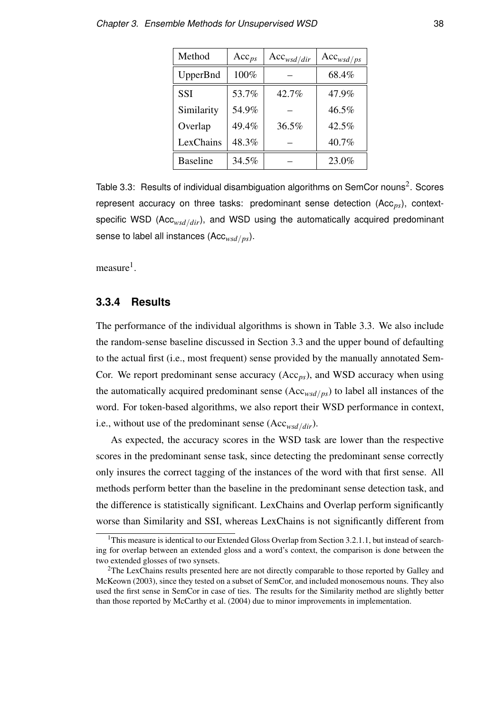| Method          | $Acc_{ps}$ | $Acc_{wsd/dir}$ | $Acc_{wsd/ps}$ |
|-----------------|------------|-----------------|----------------|
| UpperBnd        | 100%       |                 | 68.4%          |
| <b>SSI</b>      | 53.7%      | 42.7%           | 47.9%          |
| Similarity      | 54.9%      |                 | 46.5%          |
| Overlap         | 49.4%      | 36.5%           | 42.5%          |
| LexChains       | 48.3%      |                 | 40.7%          |
| <b>Baseline</b> | 34.5%      |                 | 23.0%          |

Table 3.3: Results of individual disambiguation algorithms on SemCor nouns<sup>2</sup>. Scores represent accuracy on three tasks: predominant sense detection (Acc<sub>*ps*</sub>), contextspecific WSD (Acc*wsd*/*dir*), and WSD using the automatically acquired predominant sense to label all instances (Acc*wsd*/*ps*).

measure<sup>1</sup>.

#### **3.3.4 Results**

The performance of the individual algorithms is shown in Table 3.3. We also include the random-sense baseline discussed in Section 3.3 and the upper bound of defaulting to the actual first (i.e., most frequent) sense provided by the manually annotated Sem-Cor. We report predominant sense accuracy (Acc*ps*), and WSD accuracy when using the automatically acquired predominant sense (Acc*wsd*/*ps*) to label all instances of the word. For token-based algorithms, we also report their WSD performance in context, i.e., without use of the predominant sense (Acc*wsd*/*dir*).

As expected, the accuracy scores in the WSD task are lower than the respective scores in the predominant sense task, since detecting the predominant sense correctly only insures the correct tagging of the instances of the word with that first sense. All methods perform better than the baseline in the predominant sense detection task, and the difference is statistically significant. LexChains and Overlap perform significantly worse than Similarity and SSI, whereas LexChains is not significantly different from

<sup>&</sup>lt;sup>1</sup>This measure is identical to our Extended Gloss Overlap from Section 3.2.1.1, but instead of searching for overlap between an extended gloss and a word's context, the comparison is done between the two extended glosses of two synsets.

<sup>&</sup>lt;sup>2</sup>The LexChains results presented here are not directly comparable to those reported by Galley and McKeown (2003), since they tested on a subset of SemCor, and included monosemous nouns. They also used the first sense in SemCor in case of ties. The results for the Similarity method are slightly better than those reported by McCarthy et al. (2004) due to minor improvements in implementation.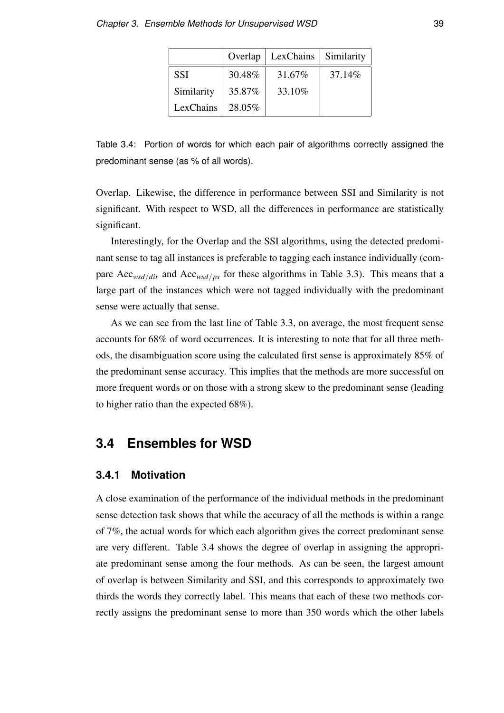|            | Overlap | LexChains | Similarity |
|------------|---------|-----------|------------|
| <b>SSI</b> | 30.48%  | 31.67%    | 37.14%     |
| Similarity | 35.87%  | 33.10%    |            |
| LexChains  | 28.05%  |           |            |

Table 3.4: Portion of words for which each pair of algorithms correctly assigned the predominant sense (as % of all words).

Overlap. Likewise, the difference in performance between SSI and Similarity is not significant. With respect to WSD, all the differences in performance are statistically significant.

Interestingly, for the Overlap and the SSI algorithms, using the detected predominant sense to tag all instances is preferable to tagging each instance individually (compare Acc*wsd*/*dir* and Acc*wsd*/*ps* for these algorithms in Table 3.3). This means that a large part of the instances which were not tagged individually with the predominant sense were actually that sense.

As we can see from the last line of Table 3.3, on average, the most frequent sense accounts for 68% of word occurrences. It is interesting to note that for all three methods, the disambiguation score using the calculated first sense is approximately 85% of the predominant sense accuracy. This implies that the methods are more successful on more frequent words or on those with a strong skew to the predominant sense (leading to higher ratio than the expected 68%).

# **3.4 Ensembles for WSD**

#### **3.4.1 Motivation**

A close examination of the performance of the individual methods in the predominant sense detection task shows that while the accuracy of all the methods is within a range of 7%, the actual words for which each algorithm gives the correct predominant sense are very different. Table 3.4 shows the degree of overlap in assigning the appropriate predominant sense among the four methods. As can be seen, the largest amount of overlap is between Similarity and SSI, and this corresponds to approximately two thirds the words they correctly label. This means that each of these two methods correctly assigns the predominant sense to more than 350 words which the other labels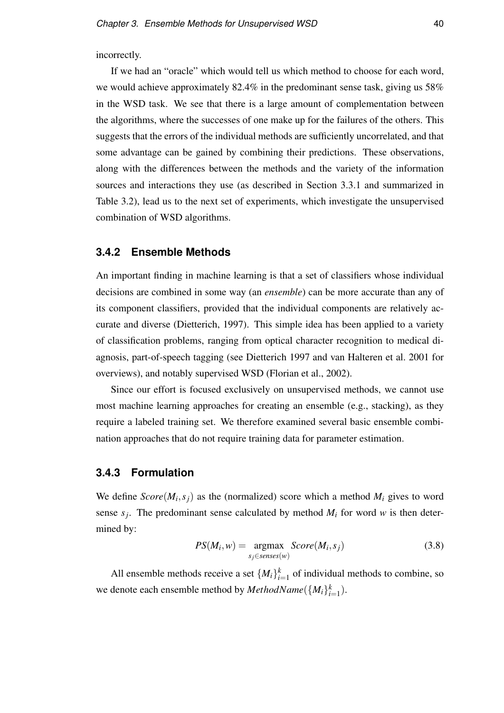incorrectly.

If we had an "oracle" which would tell us which method to choose for each word, we would achieve approximately 82.4% in the predominant sense task, giving us 58% in the WSD task. We see that there is a large amount of complementation between the algorithms, where the successes of one make up for the failures of the others. This suggests that the errors of the individual methods are sufficiently uncorrelated, and that some advantage can be gained by combining their predictions. These observations, along with the differences between the methods and the variety of the information sources and interactions they use (as described in Section 3.3.1 and summarized in Table 3.2), lead us to the next set of experiments, which investigate the unsupervised combination of WSD algorithms.

#### **3.4.2 Ensemble Methods**

An important finding in machine learning is that a set of classifiers whose individual decisions are combined in some way (an *ensemble*) can be more accurate than any of its component classifiers, provided that the individual components are relatively accurate and diverse (Dietterich, 1997). This simple idea has been applied to a variety of classification problems, ranging from optical character recognition to medical diagnosis, part-of-speech tagging (see Dietterich 1997 and van Halteren et al. 2001 for overviews), and notably supervised WSD (Florian et al., 2002).

Since our effort is focused exclusively on unsupervised methods, we cannot use most machine learning approaches for creating an ensemble (e.g., stacking), as they require a labeled training set. We therefore examined several basic ensemble combination approaches that do not require training data for parameter estimation.

#### **3.4.3 Formulation**

We define  $Score(M_i, s_j)$  as the (normalized) score which a method  $M_i$  gives to word sense  $s_j$ . The predominant sense calculated by method  $M_i$  for word  $w$  is then determined by:

$$
PS(M_i, w) = \underset{s_j \in senses(w)}{\operatorname{argmax}} Score(M_i, s_j)
$$
\n(3.8)

All ensemble methods receive a set  $\{M_i\}_{i=1}^k$  of individual methods to combine, so we denote each ensemble method by  $MethodName({M_i}_{i=1}^k)$ .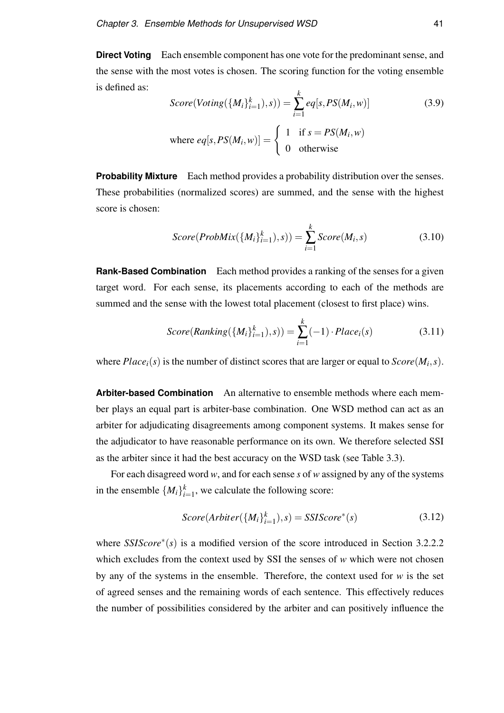**Direct Voting** Each ensemble component has one vote for the predominant sense, and the sense with the most votes is chosen. The scoring function for the voting ensemble is defined as:

$$
Score(Voting({Mi}ki=1), s)) = \sum_{i=1}^{k} eq[s, PS(Mi, w)]
$$
\n
$$
where eq[s, PS(Mi, w)] = \begin{cases} 1 & \text{if } s = PS(Mi, w) \\ 0 & \text{otherwise} \end{cases}
$$
\n(3.9)

**Probability Mixture** Each method provides a probability distribution over the senses. These probabilities (normalized scores) are summed, and the sense with the highest score is chosen:

$$
Score(ProbMix(\{M_i\}_{i=1}^k), s)) = \sum_{i=1}^k Score(M_i, s)
$$
\n(3.10)

**Rank-Based Combination** Each method provides a ranking of the senses for a given target word. For each sense, its placements according to each of the methods are summed and the sense with the lowest total placement (closest to first place) wins.

$$
Score(Ranking(\{M_i\}_{i=1}^k), s)) = \sum_{i=1}^k (-1) \cdot Place_i(s)
$$
\n(3.11)

where  $Place_i(s)$  is the number of distinct scores that are larger or equal to  $Score(M_i, s)$ .

**Arbiter-based Combination** An alternative to ensemble methods where each member plays an equal part is arbiter-base combination. One WSD method can act as an arbiter for adjudicating disagreements among component systems. It makes sense for the adjudicator to have reasonable performance on its own. We therefore selected SSI as the arbiter since it had the best accuracy on the WSD task (see Table 3.3).

For each disagreed word *w*, and for each sense *s* of *w* assigned by any of the systems in the ensemble  $\{M_i\}_{i=1}^k$ , we calculate the following score:

$$
Score(Arbiter(\{M_i\}_{i=1}^k), s) = SSIScore^*(s)
$$
\n(3.12)

where *SSIScore*<sup>\*</sup>(s) is a modified version of the score introduced in Section 3.2.2.2 which excludes from the context used by SSI the senses of *w* which were not chosen by any of the systems in the ensemble. Therefore, the context used for *w* is the set of agreed senses and the remaining words of each sentence. This effectively reduces the number of possibilities considered by the arbiter and can positively influence the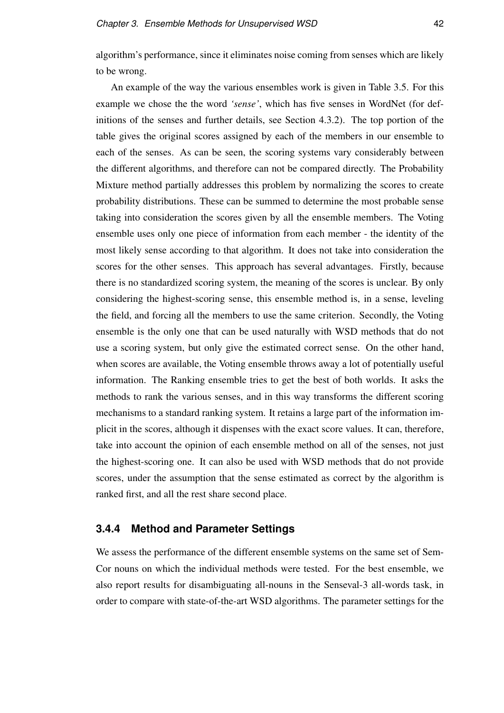algorithm's performance, since it eliminates noise coming from senses which are likely to be wrong.

An example of the way the various ensembles work is given in Table 3.5. For this example we chose the the word *'sense'*, which has five senses in WordNet (for definitions of the senses and further details, see Section 4.3.2). The top portion of the table gives the original scores assigned by each of the members in our ensemble to each of the senses. As can be seen, the scoring systems vary considerably between the different algorithms, and therefore can not be compared directly. The Probability Mixture method partially addresses this problem by normalizing the scores to create probability distributions. These can be summed to determine the most probable sense taking into consideration the scores given by all the ensemble members. The Voting ensemble uses only one piece of information from each member - the identity of the most likely sense according to that algorithm. It does not take into consideration the scores for the other senses. This approach has several advantages. Firstly, because there is no standardized scoring system, the meaning of the scores is unclear. By only considering the highest-scoring sense, this ensemble method is, in a sense, leveling the field, and forcing all the members to use the same criterion. Secondly, the Voting ensemble is the only one that can be used naturally with WSD methods that do not use a scoring system, but only give the estimated correct sense. On the other hand, when scores are available, the Voting ensemble throws away a lot of potentially useful information. The Ranking ensemble tries to get the best of both worlds. It asks the methods to rank the various senses, and in this way transforms the different scoring mechanisms to a standard ranking system. It retains a large part of the information implicit in the scores, although it dispenses with the exact score values. It can, therefore, take into account the opinion of each ensemble method on all of the senses, not just the highest-scoring one. It can also be used with WSD methods that do not provide scores, under the assumption that the sense estimated as correct by the algorithm is ranked first, and all the rest share second place.

#### **3.4.4 Method and Parameter Settings**

We assess the performance of the different ensemble systems on the same set of Sem-Cor nouns on which the individual methods were tested. For the best ensemble, we also report results for disambiguating all-nouns in the Senseval-3 all-words task, in order to compare with state-of-the-art WSD algorithms. The parameter settings for the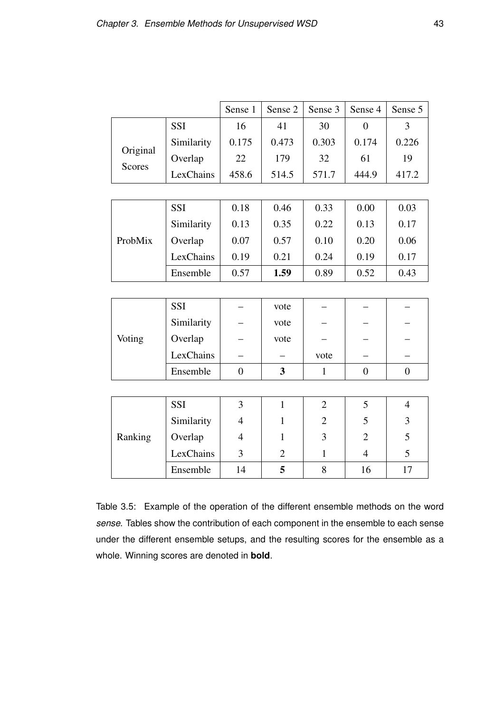|                           |            | Sense 1        | Sense 2        | Sense 3        | Sense 4        | Sense 5        |
|---------------------------|------------|----------------|----------------|----------------|----------------|----------------|
|                           | <b>SSI</b> | 16             | 41             | 30             | $\overline{0}$ | 3              |
|                           | Similarity | 0.175          | 0.473          | 0.303          | 0.174          | 0.226          |
| Original<br><b>Scores</b> | Overlap    | 22             | 179            | 32             | 61             | 19             |
|                           | LexChains  | 458.6          | 514.5          | 571.7          | 444.9          | 417.2          |
|                           |            |                |                |                |                |                |
|                           | <b>SSI</b> | 0.18           | 0.46           | 0.33           | 0.00           | 0.03           |
|                           | Similarity | 0.13           | 0.35           | 0.22           | 0.13           | 0.17           |
| ProbMix                   | Overlap    | 0.07           | 0.57           | 0.10           | 0.20           | 0.06           |
|                           | LexChains  | 0.19           | 0.21           | 0.24           | 0.19           | 0.17           |
|                           | Ensemble   | 0.57           | 1.59           | 0.89           | 0.52           | 0.43           |
|                           |            |                |                |                |                |                |
|                           | <b>SSI</b> |                | vote           |                |                |                |
|                           | Similarity |                | vote           |                |                |                |
| Voting                    | Overlap    |                | vote           |                |                |                |
|                           | LexChains  |                |                | vote           |                |                |
|                           | Ensemble   | $\overline{0}$ | $\mathbf{3}$   | $\mathbf{1}$   | $\overline{0}$ | $\overline{0}$ |
|                           |            |                |                |                |                |                |
|                           | <b>SSI</b> | 3              | $\mathbf{1}$   | $\overline{2}$ | 5              | $\overline{4}$ |
|                           | Similarity | $\overline{4}$ | $\mathbf{1}$   | $\overline{2}$ | 5              | 3              |
| Ranking                   | Overlap    | $\overline{4}$ | $\mathbf{1}$   | 3              | $\overline{2}$ | 5              |
|                           | LexChains  | 3              | $\overline{2}$ | $\mathbf{1}$   | $\overline{4}$ | 5              |
|                           | Ensemble   | 14             | 5              | 8              | 16             | 17             |

Table 3.5: Example of the operation of the different ensemble methods on the word *sense*. Tables show the contribution of each component in the ensemble to each sense under the different ensemble setups, and the resulting scores for the ensemble as a whole. Winning scores are denoted in **bold**.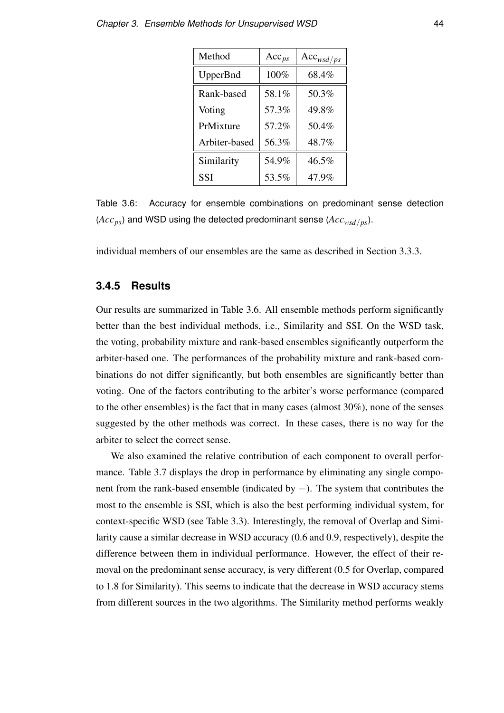| Method          | $Acc_{ps}$ | $Acc_{wsd/ps}$ |
|-----------------|------------|----------------|
| <b>UpperBnd</b> | 100%       | 68.4%          |
| Rank-based      | 58.1%      | 50.3%          |
| Voting          | 57.3%      | 49.8%          |
| PrMixture       | 57.2%      | 50.4%          |
| Arbiter-based   | 56.3%      | 48.7%          |
| Similarity      | 54.9%      | $46.5\%$       |
| <b>SSI</b>      | 53.5%      | 47.9%          |

Table 3.6: Accuracy for ensemble combinations on predominant sense detection (*Accps*) and WSD using the detected predominant sense (*Accwsd*/*ps*).

individual members of our ensembles are the same as described in Section 3.3.3.

#### **3.4.5 Results**

Our results are summarized in Table 3.6. All ensemble methods perform significantly better than the best individual methods, i.e., Similarity and SSI. On the WSD task, the voting, probability mixture and rank-based ensembles significantly outperform the arbiter-based one. The performances of the probability mixture and rank-based combinations do not differ significantly, but both ensembles are significantly better than voting. One of the factors contributing to the arbiter's worse performance (compared to the other ensembles) is the fact that in many cases (almost 30%), none of the senses suggested by the other methods was correct. In these cases, there is no way for the arbiter to select the correct sense.

We also examined the relative contribution of each component to overall performance. Table 3.7 displays the drop in performance by eliminating any single component from the rank-based ensemble (indicated by −). The system that contributes the most to the ensemble is SSI, which is also the best performing individual system, for context-specific WSD (see Table 3.3). Interestingly, the removal of Overlap and Similarity cause a similar decrease in WSD accuracy (0.6 and 0.9, respectively), despite the difference between them in individual performance. However, the effect of their removal on the predominant sense accuracy, is very different (0.5 for Overlap, compared to 1.8 for Similarity). This seems to indicate that the decrease in WSD accuracy stems from different sources in the two algorithms. The Similarity method performs weakly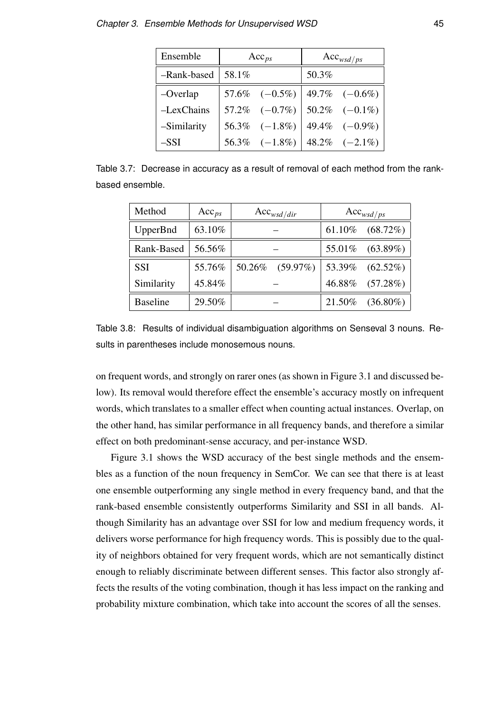| Ensemble     | $Acc_{ps}$ |                                         | $Acc_{wsd/ps}$ |                  |
|--------------|------------|-----------------------------------------|----------------|------------------|
| -Rank-based  | 58.1%      |                                         | 50.3%          |                  |
| $-Overlap$   |            | 57.6% $(-0.5\%)$ 49.7% $(-0.6\%)$       |                |                  |
| $-LexChains$ |            | $57.2\%$ $(-0.7\%)$ $50.2\%$ $(-0.1\%)$ |                |                  |
| -Similarity  |            | 56.3% $(-1.8\%)$                        |                | 49.4% $(-0.9\%)$ |
| $-$ SSI      |            | 56.3% $(-1.8\%)$ 48.2% $(-2.1\%)$       |                |                  |

Table 3.7: Decrease in accuracy as a result of removal of each method from the rankbased ensemble.

| Method          | $Acc_{ps}$ | $Acc_{wsd/dir}$       | $Acc_{wsd/ps}$        |  |
|-----------------|------------|-----------------------|-----------------------|--|
| UpperBnd        | 63.10%     |                       | 61.10%<br>$(68.72\%)$ |  |
| Rank-Based      | 56.56%     |                       | $(63.89\%)$<br>55.01% |  |
| <b>SSI</b>      | 55.76%     | 50.26%<br>$(59.97\%)$ | 53.39%<br>$(62.52\%)$ |  |
| Similarity      | 45.84%     |                       | 46.88%<br>(57.28%)    |  |
| <b>Baseline</b> | 29.50%     |                       | 21.50%<br>$(36.80\%)$ |  |

Table 3.8: Results of individual disambiguation algorithms on Senseval 3 nouns. Results in parentheses include monosemous nouns.

on frequent words, and strongly on rarer ones (as shown in Figure 3.1 and discussed below). Its removal would therefore effect the ensemble's accuracy mostly on infrequent words, which translates to a smaller effect when counting actual instances. Overlap, on the other hand, has similar performance in all frequency bands, and therefore a similar effect on both predominant-sense accuracy, and per-instance WSD.

Figure 3.1 shows the WSD accuracy of the best single methods and the ensembles as a function of the noun frequency in SemCor. We can see that there is at least one ensemble outperforming any single method in every frequency band, and that the rank-based ensemble consistently outperforms Similarity and SSI in all bands. Although Similarity has an advantage over SSI for low and medium frequency words, it delivers worse performance for high frequency words. This is possibly due to the quality of neighbors obtained for very frequent words, which are not semantically distinct enough to reliably discriminate between different senses. This factor also strongly affects the results of the voting combination, though it has less impact on the ranking and probability mixture combination, which take into account the scores of all the senses.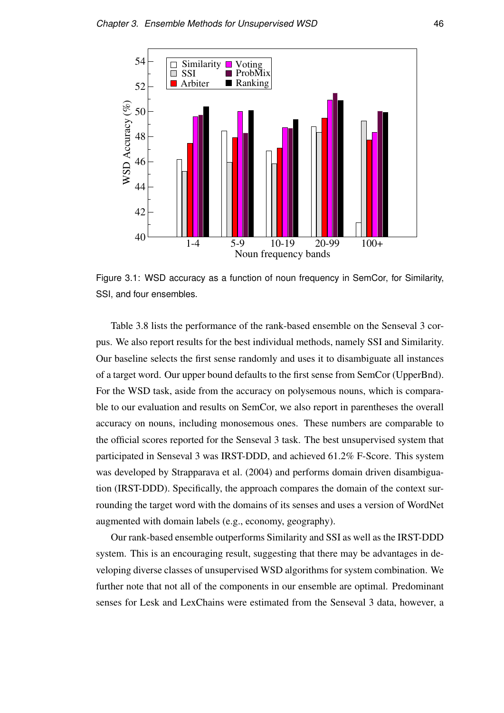

Figure 3.1: WSD accuracy as a function of noun frequency in SemCor, for Similarity, SSI, and four ensembles.

Table 3.8 lists the performance of the rank-based ensemble on the Senseval 3 corpus. We also report results for the best individual methods, namely SSI and Similarity. Our baseline selects the first sense randomly and uses it to disambiguate all instances of a target word. Our upper bound defaults to the first sense from SemCor (UpperBnd). For the WSD task, aside from the accuracy on polysemous nouns, which is comparable to our evaluation and results on SemCor, we also report in parentheses the overall accuracy on nouns, including monosemous ones. These numbers are comparable to the official scores reported for the Senseval 3 task. The best unsupervised system that participated in Senseval 3 was IRST-DDD, and achieved 61.2% F-Score. This system was developed by Strapparava et al. (2004) and performs domain driven disambiguation (IRST-DDD). Specifically, the approach compares the domain of the context surrounding the target word with the domains of its senses and uses a version of WordNet augmented with domain labels (e.g., economy, geography).

Our rank-based ensemble outperforms Similarity and SSI as well as the IRST-DDD system. This is an encouraging result, suggesting that there may be advantages in developing diverse classes of unsupervised WSD algorithms for system combination. We further note that not all of the components in our ensemble are optimal. Predominant senses for Lesk and LexChains were estimated from the Senseval 3 data, however, a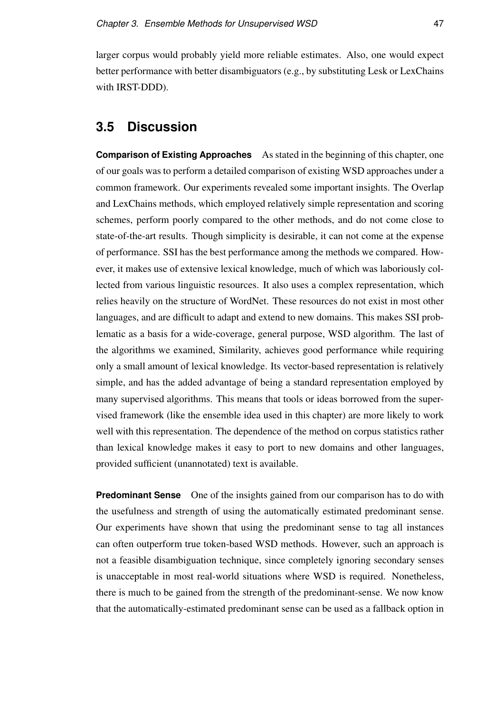larger corpus would probably yield more reliable estimates. Also, one would expect better performance with better disambiguators (e.g., by substituting Lesk or LexChains with IRST-DDD).

# **3.5 Discussion**

**Comparison of Existing Approaches** As stated in the beginning of this chapter, one of our goals was to perform a detailed comparison of existing WSD approaches under a common framework. Our experiments revealed some important insights. The Overlap and LexChains methods, which employed relatively simple representation and scoring schemes, perform poorly compared to the other methods, and do not come close to state-of-the-art results. Though simplicity is desirable, it can not come at the expense of performance. SSI has the best performance among the methods we compared. However, it makes use of extensive lexical knowledge, much of which was laboriously collected from various linguistic resources. It also uses a complex representation, which relies heavily on the structure of WordNet. These resources do not exist in most other languages, and are difficult to adapt and extend to new domains. This makes SSI problematic as a basis for a wide-coverage, general purpose, WSD algorithm. The last of the algorithms we examined, Similarity, achieves good performance while requiring only a small amount of lexical knowledge. Its vector-based representation is relatively simple, and has the added advantage of being a standard representation employed by many supervised algorithms. This means that tools or ideas borrowed from the supervised framework (like the ensemble idea used in this chapter) are more likely to work well with this representation. The dependence of the method on corpus statistics rather than lexical knowledge makes it easy to port to new domains and other languages, provided sufficient (unannotated) text is available.

**Predominant Sense** One of the insights gained from our comparison has to do with the usefulness and strength of using the automatically estimated predominant sense. Our experiments have shown that using the predominant sense to tag all instances can often outperform true token-based WSD methods. However, such an approach is not a feasible disambiguation technique, since completely ignoring secondary senses is unacceptable in most real-world situations where WSD is required. Nonetheless, there is much to be gained from the strength of the predominant-sense. We now know that the automatically-estimated predominant sense can be used as a fallback option in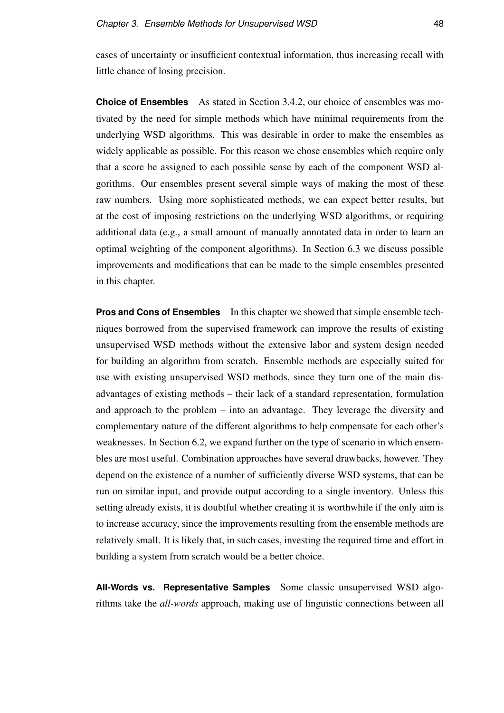cases of uncertainty or insufficient contextual information, thus increasing recall with little chance of losing precision.

**Choice of Ensembles** As stated in Section 3.4.2, our choice of ensembles was motivated by the need for simple methods which have minimal requirements from the underlying WSD algorithms. This was desirable in order to make the ensembles as widely applicable as possible. For this reason we chose ensembles which require only that a score be assigned to each possible sense by each of the component WSD algorithms. Our ensembles present several simple ways of making the most of these raw numbers. Using more sophisticated methods, we can expect better results, but at the cost of imposing restrictions on the underlying WSD algorithms, or requiring additional data (e.g., a small amount of manually annotated data in order to learn an optimal weighting of the component algorithms). In Section 6.3 we discuss possible improvements and modifications that can be made to the simple ensembles presented in this chapter.

**Pros and Cons of Ensembles** In this chapter we showed that simple ensemble techniques borrowed from the supervised framework can improve the results of existing unsupervised WSD methods without the extensive labor and system design needed for building an algorithm from scratch. Ensemble methods are especially suited for use with existing unsupervised WSD methods, since they turn one of the main disadvantages of existing methods – their lack of a standard representation, formulation and approach to the problem – into an advantage. They leverage the diversity and complementary nature of the different algorithms to help compensate for each other's weaknesses. In Section 6.2, we expand further on the type of scenario in which ensembles are most useful. Combination approaches have several drawbacks, however. They depend on the existence of a number of sufficiently diverse WSD systems, that can be run on similar input, and provide output according to a single inventory. Unless this setting already exists, it is doubtful whether creating it is worthwhile if the only aim is to increase accuracy, since the improvements resulting from the ensemble methods are relatively small. It is likely that, in such cases, investing the required time and effort in building a system from scratch would be a better choice.

**All-Words vs. Representative Samples** Some classic unsupervised WSD algorithms take the *all-words* approach, making use of linguistic connections between all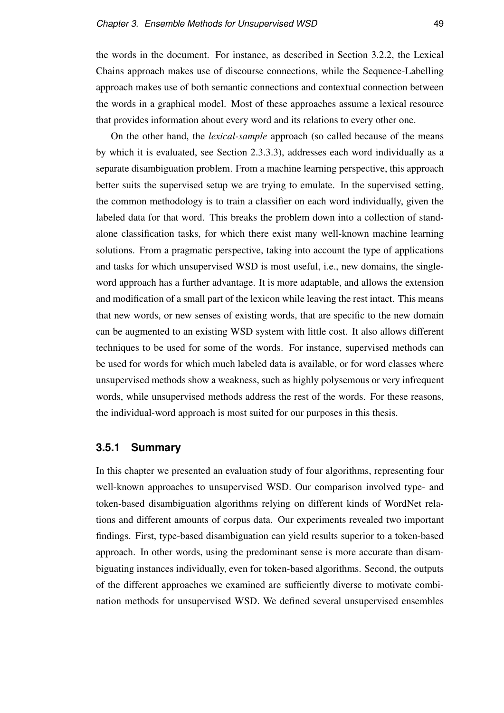the words in the document. For instance, as described in Section 3.2.2, the Lexical Chains approach makes use of discourse connections, while the Sequence-Labelling approach makes use of both semantic connections and contextual connection between the words in a graphical model. Most of these approaches assume a lexical resource that provides information about every word and its relations to every other one.

On the other hand, the *lexical-sample* approach (so called because of the means by which it is evaluated, see Section 2.3.3.3), addresses each word individually as a separate disambiguation problem. From a machine learning perspective, this approach better suits the supervised setup we are trying to emulate. In the supervised setting, the common methodology is to train a classifier on each word individually, given the labeled data for that word. This breaks the problem down into a collection of standalone classification tasks, for which there exist many well-known machine learning solutions. From a pragmatic perspective, taking into account the type of applications and tasks for which unsupervised WSD is most useful, i.e., new domains, the singleword approach has a further advantage. It is more adaptable, and allows the extension and modification of a small part of the lexicon while leaving the rest intact. This means that new words, or new senses of existing words, that are specific to the new domain can be augmented to an existing WSD system with little cost. It also allows different techniques to be used for some of the words. For instance, supervised methods can be used for words for which much labeled data is available, or for word classes where unsupervised methods show a weakness, such as highly polysemous or very infrequent words, while unsupervised methods address the rest of the words. For these reasons, the individual-word approach is most suited for our purposes in this thesis.

#### **3.5.1 Summary**

In this chapter we presented an evaluation study of four algorithms, representing four well-known approaches to unsupervised WSD. Our comparison involved type- and token-based disambiguation algorithms relying on different kinds of WordNet relations and different amounts of corpus data. Our experiments revealed two important findings. First, type-based disambiguation can yield results superior to a token-based approach. In other words, using the predominant sense is more accurate than disambiguating instances individually, even for token-based algorithms. Second, the outputs of the different approaches we examined are sufficiently diverse to motivate combination methods for unsupervised WSD. We defined several unsupervised ensembles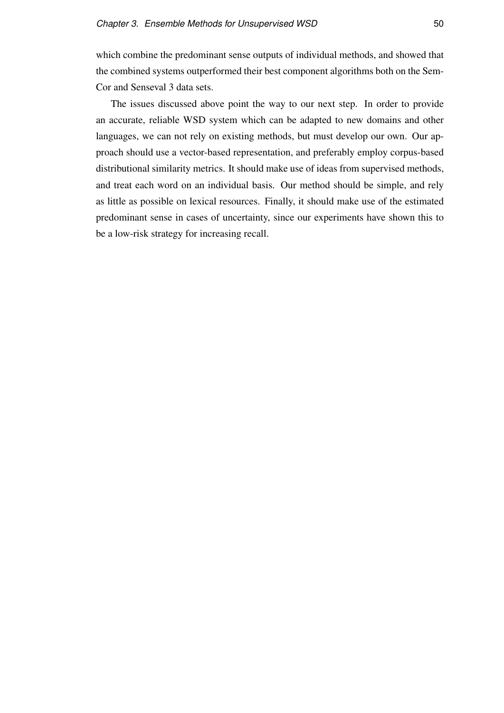which combine the predominant sense outputs of individual methods, and showed that the combined systems outperformed their best component algorithms both on the Sem-Cor and Senseval 3 data sets.

The issues discussed above point the way to our next step. In order to provide an accurate, reliable WSD system which can be adapted to new domains and other languages, we can not rely on existing methods, but must develop our own. Our approach should use a vector-based representation, and preferably employ corpus-based distributional similarity metrics. It should make use of ideas from supervised methods, and treat each word on an individual basis. Our method should be simple, and rely as little as possible on lexical resources. Finally, it should make use of the estimated predominant sense in cases of uncertainty, since our experiments have shown this to be a low-risk strategy for increasing recall.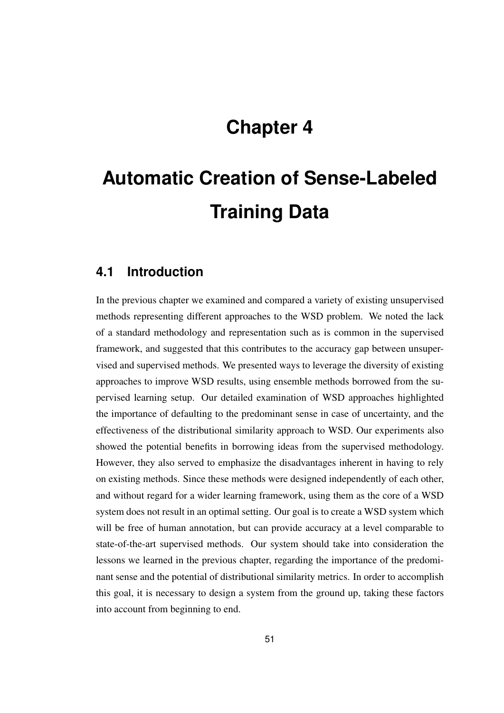# **Chapter 4**

# **Automatic Creation of Sense-Labeled Training Data**

### **4.1 Introduction**

In the previous chapter we examined and compared a variety of existing unsupervised methods representing different approaches to the WSD problem. We noted the lack of a standard methodology and representation such as is common in the supervised framework, and suggested that this contributes to the accuracy gap between unsupervised and supervised methods. We presented ways to leverage the diversity of existing approaches to improve WSD results, using ensemble methods borrowed from the supervised learning setup. Our detailed examination of WSD approaches highlighted the importance of defaulting to the predominant sense in case of uncertainty, and the effectiveness of the distributional similarity approach to WSD. Our experiments also showed the potential benefits in borrowing ideas from the supervised methodology. However, they also served to emphasize the disadvantages inherent in having to rely on existing methods. Since these methods were designed independently of each other, and without regard for a wider learning framework, using them as the core of a WSD system does not result in an optimal setting. Our goal is to create a WSD system which will be free of human annotation, but can provide accuracy at a level comparable to state-of-the-art supervised methods. Our system should take into consideration the lessons we learned in the previous chapter, regarding the importance of the predominant sense and the potential of distributional similarity metrics. In order to accomplish this goal, it is necessary to design a system from the ground up, taking these factors into account from beginning to end.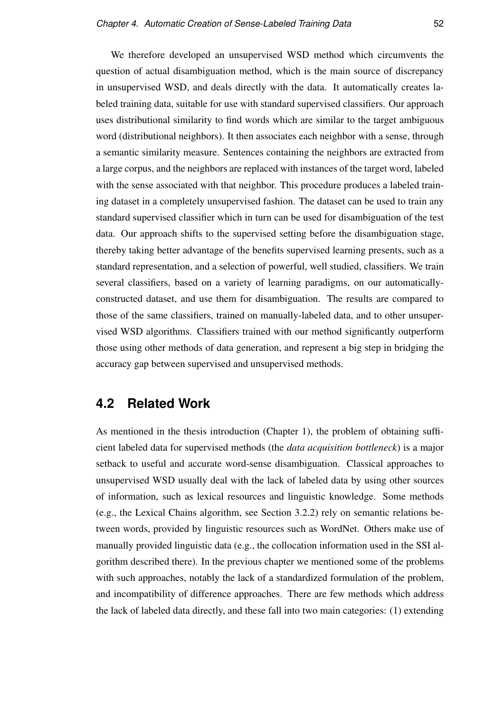We therefore developed an unsupervised WSD method which circumvents the question of actual disambiguation method, which is the main source of discrepancy in unsupervised WSD, and deals directly with the data. It automatically creates labeled training data, suitable for use with standard supervised classifiers. Our approach uses distributional similarity to find words which are similar to the target ambiguous word (distributional neighbors). It then associates each neighbor with a sense, through a semantic similarity measure. Sentences containing the neighbors are extracted from a large corpus, and the neighbors are replaced with instances of the target word, labeled with the sense associated with that neighbor. This procedure produces a labeled training dataset in a completely unsupervised fashion. The dataset can be used to train any standard supervised classifier which in turn can be used for disambiguation of the test data. Our approach shifts to the supervised setting before the disambiguation stage, thereby taking better advantage of the benefits supervised learning presents, such as a standard representation, and a selection of powerful, well studied, classifiers. We train several classifiers, based on a variety of learning paradigms, on our automaticallyconstructed dataset, and use them for disambiguation. The results are compared to those of the same classifiers, trained on manually-labeled data, and to other unsupervised WSD algorithms. Classifiers trained with our method significantly outperform those using other methods of data generation, and represent a big step in bridging the accuracy gap between supervised and unsupervised methods.

# **4.2 Related Work**

As mentioned in the thesis introduction (Chapter 1), the problem of obtaining sufficient labeled data for supervised methods (the *data acquisition bottleneck*) is a major setback to useful and accurate word-sense disambiguation. Classical approaches to unsupervised WSD usually deal with the lack of labeled data by using other sources of information, such as lexical resources and linguistic knowledge. Some methods (e.g., the Lexical Chains algorithm, see Section 3.2.2) rely on semantic relations between words, provided by linguistic resources such as WordNet. Others make use of manually provided linguistic data (e.g., the collocation information used in the SSI algorithm described there). In the previous chapter we mentioned some of the problems with such approaches, notably the lack of a standardized formulation of the problem, and incompatibility of difference approaches. There are few methods which address the lack of labeled data directly, and these fall into two main categories: (1) extending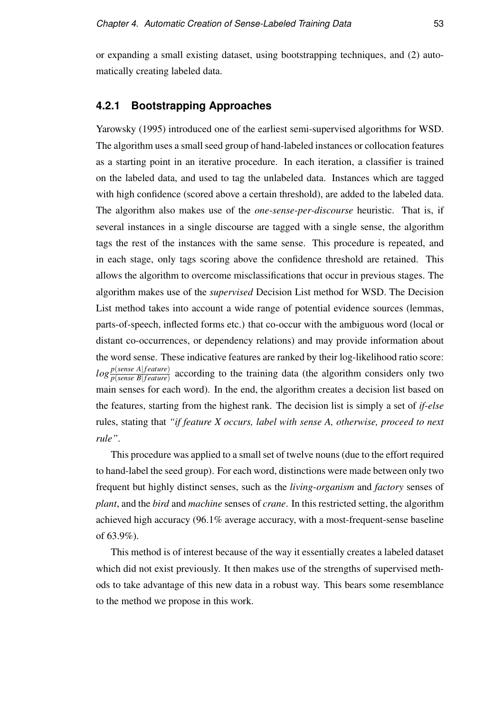or expanding a small existing dataset, using bootstrapping techniques, and (2) automatically creating labeled data.

#### **4.2.1 Bootstrapping Approaches**

Yarowsky (1995) introduced one of the earliest semi-supervised algorithms for WSD. The algorithm uses a small seed group of hand-labeled instances or collocation features as a starting point in an iterative procedure. In each iteration, a classifier is trained on the labeled data, and used to tag the unlabeled data. Instances which are tagged with high confidence (scored above a certain threshold), are added to the labeled data. The algorithm also makes use of the *one-sense-per-discourse* heuristic. That is, if several instances in a single discourse are tagged with a single sense, the algorithm tags the rest of the instances with the same sense. This procedure is repeated, and in each stage, only tags scoring above the confidence threshold are retained. This allows the algorithm to overcome misclassifications that occur in previous stages. The algorithm makes use of the *supervised* Decision List method for WSD. The Decision List method takes into account a wide range of potential evidence sources (lemmas, parts-of-speech, inflected forms etc.) that co-occur with the ambiguous word (local or distant co-occurrences, or dependency relations) and may provide information about the word sense. These indicative features are ranked by their log-likelihood ratio score:  $log \frac{p(sense A|feature)}{p(sense B|feature)}$  according to the training data (the algorithm considers only two main senses for each word). In the end, the algorithm creates a decision list based on the features, starting from the highest rank. The decision list is simply a set of *if-else* rules, stating that *"if feature X occurs, label with sense A, otherwise, proceed to next rule"*.

This procedure was applied to a small set of twelve nouns (due to the effort required to hand-label the seed group). For each word, distinctions were made between only two frequent but highly distinct senses, such as the *living-organism* and *factory* senses of *plant*, and the *bird* and *machine* senses of *crane*. In this restricted setting, the algorithm achieved high accuracy (96.1% average accuracy, with a most-frequent-sense baseline of 63.9%).

This method is of interest because of the way it essentially creates a labeled dataset which did not exist previously. It then makes use of the strengths of supervised methods to take advantage of this new data in a robust way. This bears some resemblance to the method we propose in this work.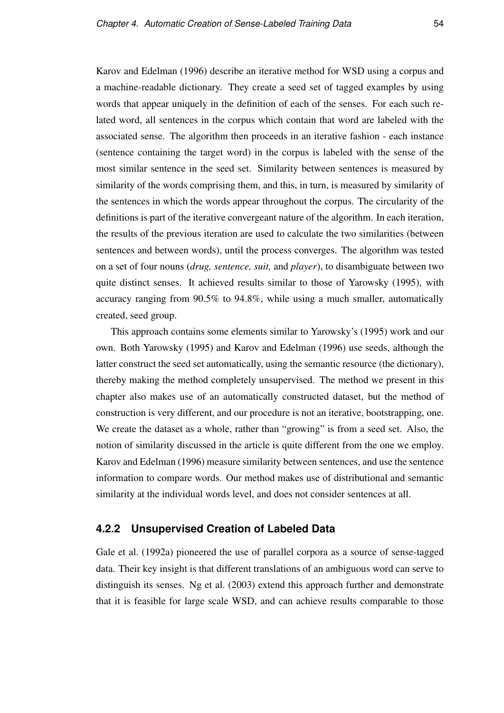Karov and Edelman (1996) describe an iterative method for WSD using a corpus and a machine-readable dictionary. They create a seed set of tagged examples by using words that appear uniquely in the definition of each of the senses. For each such related word, all sentences in the corpus which contain that word are labeled with the associated sense. The algorithm then proceeds in an iterative fashion - each instance (sentence containing the target word) in the corpus is labeled with the sense of the most similar sentence in the seed set. Similarity between sentences is measured by similarity of the words comprising them, and this, in turn, is measured by similarity of the sentences in which the words appear throughout the corpus. The circularity of the definitions is part of the iterative convergeant nature of the algorithm. In each iteration, the results of the previous iteration are used to calculate the two similarities (between sentences and between words), until the process converges. The algorithm was tested on a set of four nouns (*drug, sentence, suit,* and *player*), to disambiguate between two quite distinct senses. It achieved results similar to those of Yarowsky (1995), with accuracy ranging from 90.5% to 94.8%, while using a much smaller, automatically created, seed group.

This approach contains some elements similar to Yarowsky's (1995) work and our own. Both Yarowsky (1995) and Karov and Edelman (1996) use seeds, although the latter construct the seed set automatically, using the semantic resource (the dictionary), thereby making the method completely unsupervised. The method we present in this chapter also makes use of an automatically constructed dataset, but the method of construction is very different, and our procedure is not an iterative, bootstrapping, one. We create the dataset as a whole, rather than "growing" is from a seed set. Also, the notion of similarity discussed in the article is quite different from the one we employ. Karov and Edelman (1996) measure similarity between sentences, and use the sentence information to compare words. Our method makes use of distributional and semantic similarity at the individual words level, and does not consider sentences at all.

#### **4.2.2 Unsupervised Creation of Labeled Data**

Gale et al. (1992a) pioneered the use of parallel corpora as a source of sense-tagged data. Their key insight is that different translations of an ambiguous word can serve to distinguish its senses. Ng et al. (2003) extend this approach further and demonstrate that it is feasible for large scale WSD, and can achieve results comparable to those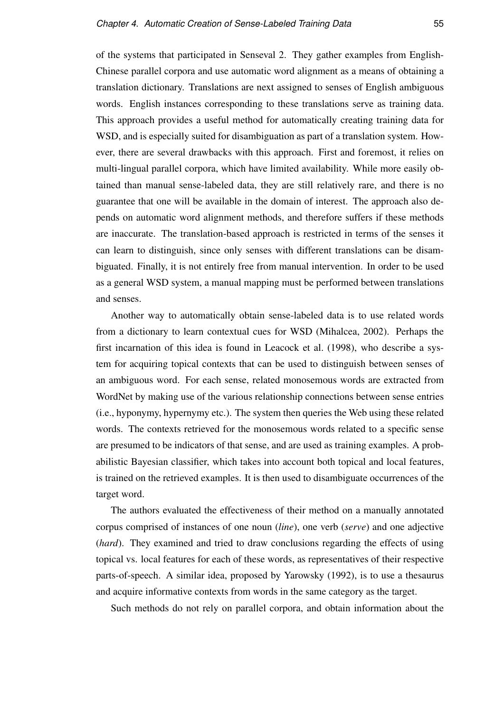of the systems that participated in Senseval 2. They gather examples from English-Chinese parallel corpora and use automatic word alignment as a means of obtaining a translation dictionary. Translations are next assigned to senses of English ambiguous words. English instances corresponding to these translations serve as training data. This approach provides a useful method for automatically creating training data for WSD, and is especially suited for disambiguation as part of a translation system. However, there are several drawbacks with this approach. First and foremost, it relies on multi-lingual parallel corpora, which have limited availability. While more easily obtained than manual sense-labeled data, they are still relatively rare, and there is no guarantee that one will be available in the domain of interest. The approach also depends on automatic word alignment methods, and therefore suffers if these methods are inaccurate. The translation-based approach is restricted in terms of the senses it can learn to distinguish, since only senses with different translations can be disambiguated. Finally, it is not entirely free from manual intervention. In order to be used as a general WSD system, a manual mapping must be performed between translations and senses.

Another way to automatically obtain sense-labeled data is to use related words from a dictionary to learn contextual cues for WSD (Mihalcea, 2002). Perhaps the first incarnation of this idea is found in Leacock et al. (1998), who describe a system for acquiring topical contexts that can be used to distinguish between senses of an ambiguous word. For each sense, related monosemous words are extracted from WordNet by making use of the various relationship connections between sense entries (i.e., hyponymy, hypernymy etc.). The system then queries the Web using these related words. The contexts retrieved for the monosemous words related to a specific sense are presumed to be indicators of that sense, and are used as training examples. A probabilistic Bayesian classifier, which takes into account both topical and local features, is trained on the retrieved examples. It is then used to disambiguate occurrences of the target word.

The authors evaluated the effectiveness of their method on a manually annotated corpus comprised of instances of one noun (*line*), one verb (*serve*) and one adjective (*hard*). They examined and tried to draw conclusions regarding the effects of using topical vs. local features for each of these words, as representatives of their respective parts-of-speech. A similar idea, proposed by Yarowsky (1992), is to use a thesaurus and acquire informative contexts from words in the same category as the target.

Such methods do not rely on parallel corpora, and obtain information about the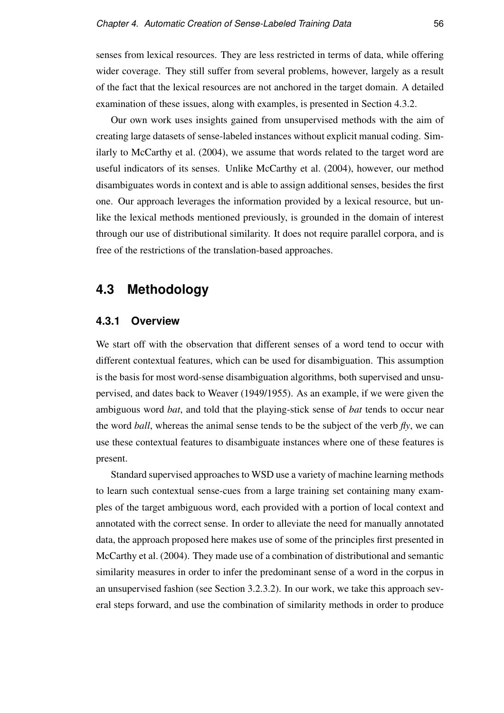senses from lexical resources. They are less restricted in terms of data, while offering wider coverage. They still suffer from several problems, however, largely as a result of the fact that the lexical resources are not anchored in the target domain. A detailed examination of these issues, along with examples, is presented in Section 4.3.2.

Our own work uses insights gained from unsupervised methods with the aim of creating large datasets of sense-labeled instances without explicit manual coding. Similarly to McCarthy et al. (2004), we assume that words related to the target word are useful indicators of its senses. Unlike McCarthy et al. (2004), however, our method disambiguates words in context and is able to assign additional senses, besides the first one. Our approach leverages the information provided by a lexical resource, but unlike the lexical methods mentioned previously, is grounded in the domain of interest through our use of distributional similarity. It does not require parallel corpora, and is free of the restrictions of the translation-based approaches.

# **4.3 Methodology**

#### **4.3.1 Overview**

We start off with the observation that different senses of a word tend to occur with different contextual features, which can be used for disambiguation. This assumption is the basis for most word-sense disambiguation algorithms, both supervised and unsupervised, and dates back to Weaver (1949/1955). As an example, if we were given the ambiguous word *bat*, and told that the playing-stick sense of *bat* tends to occur near the word *ball*, whereas the animal sense tends to be the subject of the verb  $f(y)$ , we can use these contextual features to disambiguate instances where one of these features is present.

Standard supervised approaches to WSD use a variety of machine learning methods to learn such contextual sense-cues from a large training set containing many examples of the target ambiguous word, each provided with a portion of local context and annotated with the correct sense. In order to alleviate the need for manually annotated data, the approach proposed here makes use of some of the principles first presented in McCarthy et al. (2004). They made use of a combination of distributional and semantic similarity measures in order to infer the predominant sense of a word in the corpus in an unsupervised fashion (see Section 3.2.3.2). In our work, we take this approach several steps forward, and use the combination of similarity methods in order to produce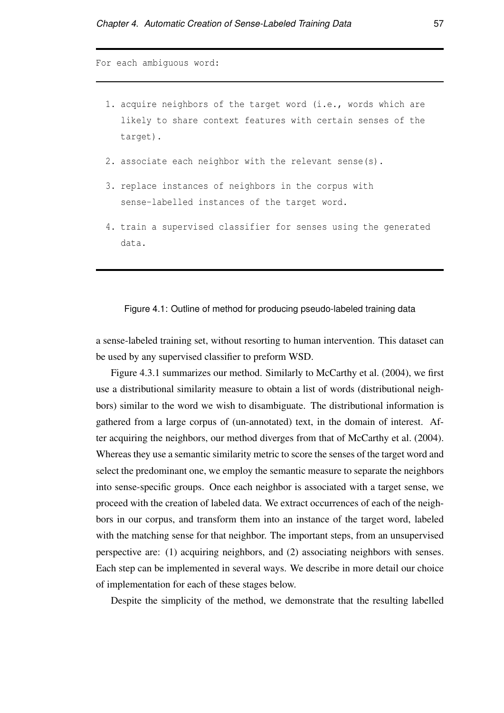For each ambiguous word:

- 1. acquire neighbors of the target word (i.e., words which are likely to share context features with certain senses of the target).
- 2. associate each neighbor with the relevant sense(s).
- 3. replace instances of neighbors in the corpus with sense-labelled instances of the target word.
- 4. train a supervised classifier for senses using the generated data.

#### Figure 4.1: Outline of method for producing pseudo-labeled training data

a sense-labeled training set, without resorting to human intervention. This dataset can be used by any supervised classifier to preform WSD.

Figure 4.3.1 summarizes our method. Similarly to McCarthy et al. (2004), we first use a distributional similarity measure to obtain a list of words (distributional neighbors) similar to the word we wish to disambiguate. The distributional information is gathered from a large corpus of (un-annotated) text, in the domain of interest. After acquiring the neighbors, our method diverges from that of McCarthy et al. (2004). Whereas they use a semantic similarity metric to score the senses of the target word and select the predominant one, we employ the semantic measure to separate the neighbors into sense-specific groups. Once each neighbor is associated with a target sense, we proceed with the creation of labeled data. We extract occurrences of each of the neighbors in our corpus, and transform them into an instance of the target word, labeled with the matching sense for that neighbor. The important steps, from an unsupervised perspective are: (1) acquiring neighbors, and (2) associating neighbors with senses. Each step can be implemented in several ways. We describe in more detail our choice of implementation for each of these stages below.

Despite the simplicity of the method, we demonstrate that the resulting labelled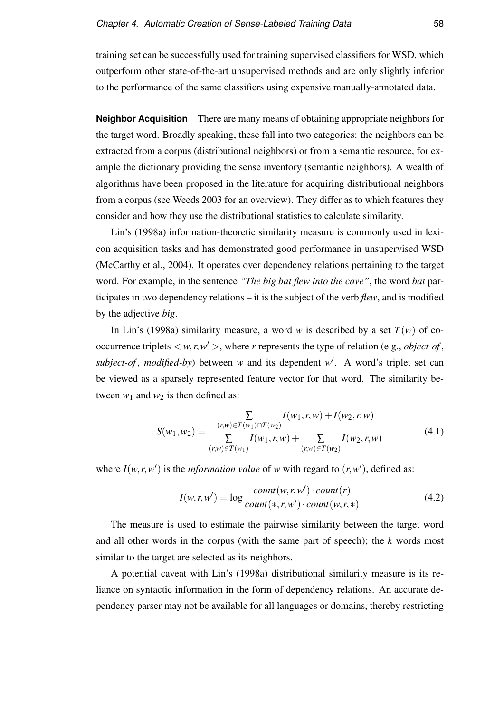training set can be successfully used for training supervised classifiers for WSD, which outperform other state-of-the-art unsupervised methods and are only slightly inferior to the performance of the same classifiers using expensive manually-annotated data.

**Neighbor Acquisition** There are many means of obtaining appropriate neighbors for the target word. Broadly speaking, these fall into two categories: the neighbors can be extracted from a corpus (distributional neighbors) or from a semantic resource, for example the dictionary providing the sense inventory (semantic neighbors). A wealth of algorithms have been proposed in the literature for acquiring distributional neighbors from a corpus (see Weeds 2003 for an overview). They differ as to which features they consider and how they use the distributional statistics to calculate similarity.

Lin's (1998a) information-theoretic similarity measure is commonly used in lexicon acquisition tasks and has demonstrated good performance in unsupervised WSD (McCarthy et al., 2004). It operates over dependency relations pertaining to the target word. For example, in the sentence *"The big bat flew into the cave"*, the word *bat* participates in two dependency relations – it is the subject of the verb *flew*, and is modified by the adjective *big*.

In Lin's (1998a) similarity measure, a word *w* is described by a set  $T(w)$  of cooccurrence triplets  $\langle w, r, w' \rangle$ , where *r* represents the type of relation (e.g., *object-of*, subject-of, modified-by) between *w* and its dependent *w*<sup>'</sup>. A word's triplet set can be viewed as a sparsely represented feature vector for that word. The similarity between  $w_1$  and  $w_2$  is then defined as:

$$
S(w_1, w_2) = \frac{\sum\limits_{(r,w) \in T(w_1) \cap T(w_2)} I(w_1, r, w) + I(w_2, r, w)}{\sum\limits_{(r,w) \in T(w_1)} I(w_1, r, w) + \sum\limits_{(r,w) \in T(w_2)} I(w_2, r, w)}
$$
(4.1)

where  $I(w, r, w')$  is the *information value* of *w* with regard to  $(r, w')$ , defined as:

$$
I(w,r,w') = \log \frac{count(w,r,w') \cdot count(r)}{count(*,r,w') \cdot count(w,r,*)}
$$
(4.2)

The measure is used to estimate the pairwise similarity between the target word and all other words in the corpus (with the same part of speech); the *k* words most similar to the target are selected as its neighbors.

A potential caveat with Lin's (1998a) distributional similarity measure is its reliance on syntactic information in the form of dependency relations. An accurate dependency parser may not be available for all languages or domains, thereby restricting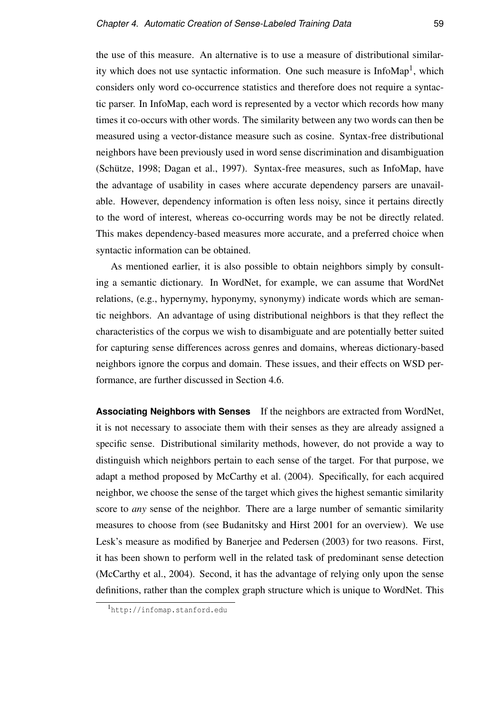the use of this measure. An alternative is to use a measure of distributional similarity which does not use syntactic information. One such measure is InfoMap<sup>1</sup>, which considers only word co-occurrence statistics and therefore does not require a syntactic parser. In InfoMap, each word is represented by a vector which records how many times it co-occurs with other words. The similarity between any two words can then be measured using a vector-distance measure such as cosine. Syntax-free distributional neighbors have been previously used in word sense discrimination and disambiguation (Schütze, 1998; Dagan et al., 1997). Syntax-free measures, such as InfoMap, have the advantage of usability in cases where accurate dependency parsers are unavailable. However, dependency information is often less noisy, since it pertains directly to the word of interest, whereas co-occurring words may be not be directly related. This makes dependency-based measures more accurate, and a preferred choice when syntactic information can be obtained.

As mentioned earlier, it is also possible to obtain neighbors simply by consulting a semantic dictionary. In WordNet, for example, we can assume that WordNet relations, (e.g., hypernymy, hyponymy, synonymy) indicate words which are semantic neighbors. An advantage of using distributional neighbors is that they reflect the characteristics of the corpus we wish to disambiguate and are potentially better suited for capturing sense differences across genres and domains, whereas dictionary-based neighbors ignore the corpus and domain. These issues, and their effects on WSD performance, are further discussed in Section 4.6.

**Associating Neighbors with Senses** If the neighbors are extracted from WordNet, it is not necessary to associate them with their senses as they are already assigned a specific sense. Distributional similarity methods, however, do not provide a way to distinguish which neighbors pertain to each sense of the target. For that purpose, we adapt a method proposed by McCarthy et al. (2004). Specifically, for each acquired neighbor, we choose the sense of the target which gives the highest semantic similarity score to *any* sense of the neighbor. There are a large number of semantic similarity measures to choose from (see Budanitsky and Hirst 2001 for an overview). We use Lesk's measure as modified by Banerjee and Pedersen (2003) for two reasons. First, it has been shown to perform well in the related task of predominant sense detection (McCarthy et al., 2004). Second, it has the advantage of relying only upon the sense definitions, rather than the complex graph structure which is unique to WordNet. This

<sup>1</sup>http://infomap.stanford.edu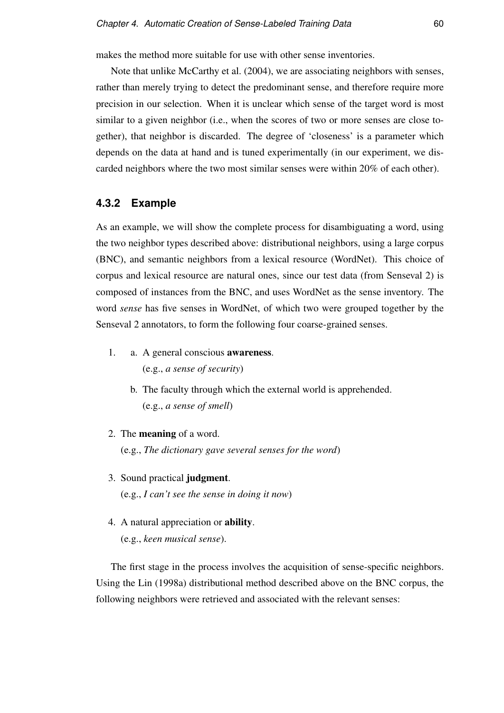makes the method more suitable for use with other sense inventories.

Note that unlike McCarthy et al. (2004), we are associating neighbors with senses, rather than merely trying to detect the predominant sense, and therefore require more precision in our selection. When it is unclear which sense of the target word is most similar to a given neighbor (i.e., when the scores of two or more senses are close together), that neighbor is discarded. The degree of 'closeness' is a parameter which depends on the data at hand and is tuned experimentally (in our experiment, we discarded neighbors where the two most similar senses were within 20% of each other).

#### **4.3.2 Example**

As an example, we will show the complete process for disambiguating a word, using the two neighbor types described above: distributional neighbors, using a large corpus (BNC), and semantic neighbors from a lexical resource (WordNet). This choice of corpus and lexical resource are natural ones, since our test data (from Senseval 2) is composed of instances from the BNC, and uses WordNet as the sense inventory. The word *sense* has five senses in WordNet, of which two were grouped together by the Senseval 2 annotators, to form the following four coarse-grained senses.

- 1. a. A general conscious awareness. (e.g., *a sense of security*)
	- b. The faculty through which the external world is apprehended. (e.g., *a sense of smell*)
- 2. The meaning of a word.

(e.g., *The dictionary gave several senses for the word*)

- 3. Sound practical judgment. (e.g., *I can't see the sense in doing it now*)
- 4. A natural appreciation or ability. (e.g., *keen musical sense*).

The first stage in the process involves the acquisition of sense-specific neighbors. Using the Lin (1998a) distributional method described above on the BNC corpus, the following neighbors were retrieved and associated with the relevant senses: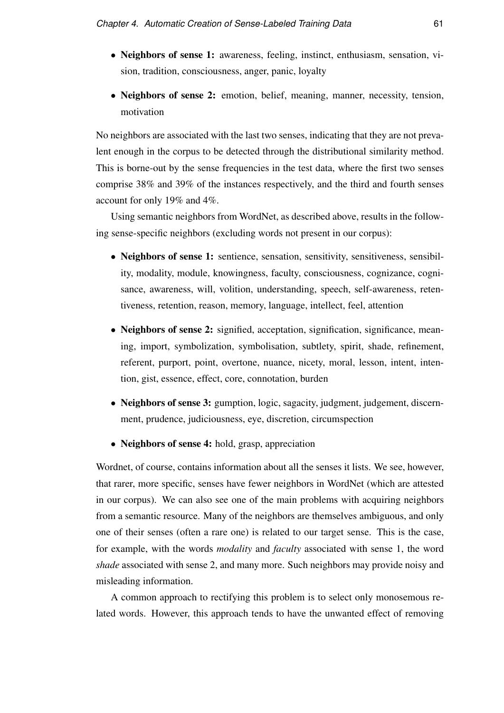- Neighbors of sense 1: awareness, feeling, instinct, enthusiasm, sensation, vision, tradition, consciousness, anger, panic, loyalty
- Neighbors of sense 2: emotion, belief, meaning, manner, necessity, tension, motivation

No neighbors are associated with the last two senses, indicating that they are not prevalent enough in the corpus to be detected through the distributional similarity method. This is borne-out by the sense frequencies in the test data, where the first two senses comprise 38% and 39% of the instances respectively, and the third and fourth senses account for only 19% and 4%.

Using semantic neighbors from WordNet, as described above, results in the following sense-specific neighbors (excluding words not present in our corpus):

- Neighbors of sense 1: sentience, sensation, sensitivity, sensitiveness, sensibility, modality, module, knowingness, faculty, consciousness, cognizance, cognisance, awareness, will, volition, understanding, speech, self-awareness, retentiveness, retention, reason, memory, language, intellect, feel, attention
- Neighbors of sense 2: signified, acceptation, signification, significance, meaning, import, symbolization, symbolisation, subtlety, spirit, shade, refinement, referent, purport, point, overtone, nuance, nicety, moral, lesson, intent, intention, gist, essence, effect, core, connotation, burden
- Neighbors of sense 3: gumption, logic, sagacity, judgment, judgement, discernment, prudence, judiciousness, eye, discretion, circumspection
- Neighbors of sense 4: hold, grasp, appreciation

Wordnet, of course, contains information about all the senses it lists. We see, however, that rarer, more specific, senses have fewer neighbors in WordNet (which are attested in our corpus). We can also see one of the main problems with acquiring neighbors from a semantic resource. Many of the neighbors are themselves ambiguous, and only one of their senses (often a rare one) is related to our target sense. This is the case, for example, with the words *modality* and *faculty* associated with sense 1, the word *shade* associated with sense 2, and many more. Such neighbors may provide noisy and misleading information.

A common approach to rectifying this problem is to select only monosemous related words. However, this approach tends to have the unwanted effect of removing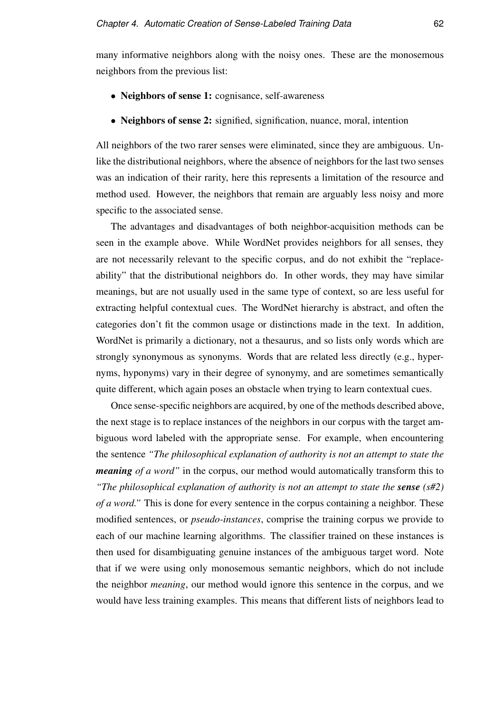many informative neighbors along with the noisy ones. These are the monosemous neighbors from the previous list:

- Neighbors of sense 1: cognisance, self-awareness
- Neighbors of sense 2: signified, signification, nuance, moral, intention

All neighbors of the two rarer senses were eliminated, since they are ambiguous. Unlike the distributional neighbors, where the absence of neighbors for the last two senses was an indication of their rarity, here this represents a limitation of the resource and method used. However, the neighbors that remain are arguably less noisy and more specific to the associated sense.

The advantages and disadvantages of both neighbor-acquisition methods can be seen in the example above. While WordNet provides neighbors for all senses, they are not necessarily relevant to the specific corpus, and do not exhibit the "replaceability" that the distributional neighbors do. In other words, they may have similar meanings, but are not usually used in the same type of context, so are less useful for extracting helpful contextual cues. The WordNet hierarchy is abstract, and often the categories don't fit the common usage or distinctions made in the text. In addition, WordNet is primarily a dictionary, not a thesaurus, and so lists only words which are strongly synonymous as synonyms. Words that are related less directly (e.g., hypernyms, hyponyms) vary in their degree of synonymy, and are sometimes semantically quite different, which again poses an obstacle when trying to learn contextual cues.

Once sense-specific neighbors are acquired, by one of the methods described above, the next stage is to replace instances of the neighbors in our corpus with the target ambiguous word labeled with the appropriate sense. For example, when encountering the sentence *"The philosophical explanation of authority is not an attempt to state the meaning of a word"* in the corpus, our method would automatically transform this to *"The philosophical explanation of authority is not an attempt to state the sense (s#2) of a word."* This is done for every sentence in the corpus containing a neighbor. These modified sentences, or *pseudo-instances*, comprise the training corpus we provide to each of our machine learning algorithms. The classifier trained on these instances is then used for disambiguating genuine instances of the ambiguous target word. Note that if we were using only monosemous semantic neighbors, which do not include the neighbor *meaning*, our method would ignore this sentence in the corpus, and we would have less training examples. This means that different lists of neighbors lead to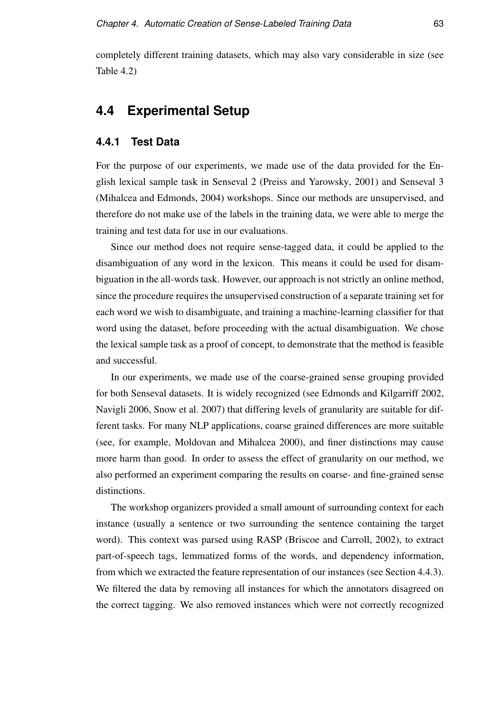completely different training datasets, which may also vary considerable in size (see Table 4.2)

# **4.4 Experimental Setup**

### **4.4.1 Test Data**

For the purpose of our experiments, we made use of the data provided for the English lexical sample task in Senseval 2 (Preiss and Yarowsky, 2001) and Senseval 3 (Mihalcea and Edmonds, 2004) workshops. Since our methods are unsupervised, and therefore do not make use of the labels in the training data, we were able to merge the training and test data for use in our evaluations.

Since our method does not require sense-tagged data, it could be applied to the disambiguation of any word in the lexicon. This means it could be used for disambiguation in the all-words task. However, our approach is not strictly an online method, since the procedure requires the unsupervised construction of a separate training set for each word we wish to disambiguate, and training a machine-learning classifier for that word using the dataset, before proceeding with the actual disambiguation. We chose the lexical sample task as a proof of concept, to demonstrate that the method is feasible and successful.

In our experiments, we made use of the coarse-grained sense grouping provided for both Senseval datasets. It is widely recognized (see Edmonds and Kilgarriff 2002, Navigli 2006, Snow et al. 2007) that differing levels of granularity are suitable for different tasks. For many NLP applications, coarse grained differences are more suitable (see, for example, Moldovan and Mihalcea 2000), and finer distinctions may cause more harm than good. In order to assess the effect of granularity on our method, we also performed an experiment comparing the results on coarse- and fine-grained sense distinctions.

The workshop organizers provided a small amount of surrounding context for each instance (usually a sentence or two surrounding the sentence containing the target word). This context was parsed using RASP (Briscoe and Carroll, 2002), to extract part-of-speech tags, lemmatized forms of the words, and dependency information, from which we extracted the feature representation of our instances (see Section 4.4.3). We filtered the data by removing all instances for which the annotators disagreed on the correct tagging. We also removed instances which were not correctly recognized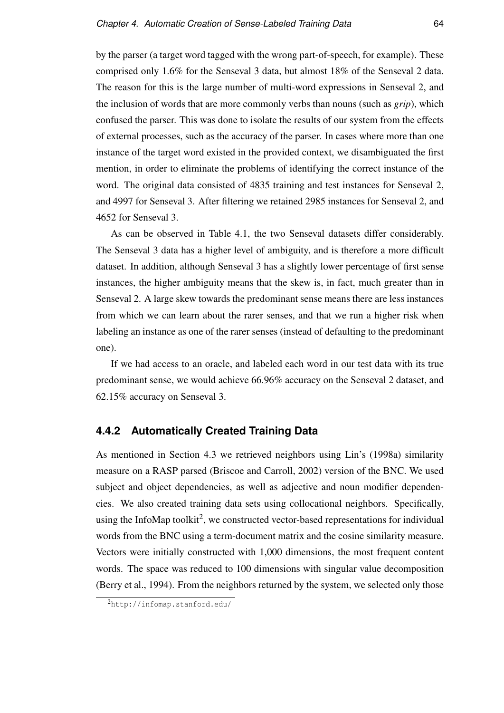by the parser (a target word tagged with the wrong part-of-speech, for example). These comprised only 1.6% for the Senseval 3 data, but almost 18% of the Senseval 2 data. The reason for this is the large number of multi-word expressions in Senseval 2, and the inclusion of words that are more commonly verbs than nouns (such as *grip*), which confused the parser. This was done to isolate the results of our system from the effects of external processes, such as the accuracy of the parser. In cases where more than one instance of the target word existed in the provided context, we disambiguated the first mention, in order to eliminate the problems of identifying the correct instance of the word. The original data consisted of 4835 training and test instances for Senseval 2, and 4997 for Senseval 3. After filtering we retained 2985 instances for Senseval 2, and 4652 for Senseval 3.

As can be observed in Table 4.1, the two Senseval datasets differ considerably. The Senseval 3 data has a higher level of ambiguity, and is therefore a more difficult dataset. In addition, although Senseval 3 has a slightly lower percentage of first sense instances, the higher ambiguity means that the skew is, in fact, much greater than in Senseval 2. A large skew towards the predominant sense means there are less instances from which we can learn about the rarer senses, and that we run a higher risk when labeling an instance as one of the rarer senses (instead of defaulting to the predominant one).

If we had access to an oracle, and labeled each word in our test data with its true predominant sense, we would achieve 66.96% accuracy on the Senseval 2 dataset, and 62.15% accuracy on Senseval 3.

### **4.4.2 Automatically Created Training Data**

As mentioned in Section 4.3 we retrieved neighbors using Lin's (1998a) similarity measure on a RASP parsed (Briscoe and Carroll, 2002) version of the BNC. We used subject and object dependencies, as well as adjective and noun modifier dependencies. We also created training data sets using collocational neighbors. Specifically, using the InfoMap toolkit<sup>2</sup>, we constructed vector-based representations for individual words from the BNC using a term-document matrix and the cosine similarity measure. Vectors were initially constructed with 1,000 dimensions, the most frequent content words. The space was reduced to 100 dimensions with singular value decomposition (Berry et al., 1994). From the neighbors returned by the system, we selected only those

<sup>2</sup>http://infomap.stanford.edu/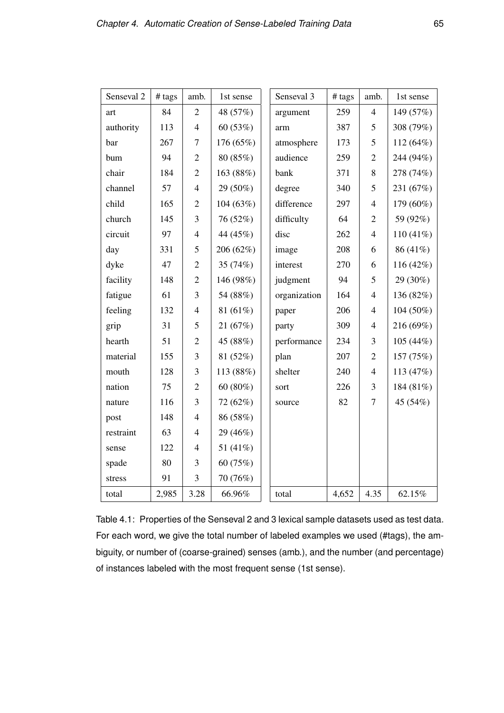| Senseval <sub>2</sub> | # tags | amb.           | 1st sense   | Senseval 3   | # tags | amb.           | 1st sense   |
|-----------------------|--------|----------------|-------------|--------------|--------|----------------|-------------|
| art                   | 84     | $\overline{2}$ | 48 (57%)    | argument     | 259    | $\overline{4}$ | 149 (57%)   |
| authority             | 113    | $\overline{4}$ | 60(53%)     | arm          | 387    | 5              | 308 (79%)   |
| bar                   | 267    | $\overline{7}$ | 176 (65%)   | atmosphere   | 173    | 5              | 112 (64%)   |
| bum                   | 94     | $\overline{2}$ | 80 (85%)    | audience     | 259    | $\overline{2}$ | 244 (94%)   |
| chair                 | 184    | $\overline{2}$ | 163 (88%)   | bank         | 371    | 8              | 278 (74%)   |
| channel               | 57     | $\overline{4}$ | 29 (50%)    | degree       | 340    | 5              | 231 (67%)   |
| child                 | 165    | $\overline{2}$ | 104 (63%)   | difference   | 297    | $\overline{4}$ | 179 (60%)   |
| church                | 145    | 3              | 76 (52%)    | difficulty   | 64     | $\overline{2}$ | 59 (92%)    |
| circuit               | 97     | $\overline{4}$ | 44 (45%)    | disc         | 262    | $\overline{4}$ | $110(41\%)$ |
| day                   | 331    | 5              | 206 (62%)   | image        | 208    | 6              | 86 (41%)    |
| dyke                  | 47     | $\overline{2}$ | 35 (74%)    | interest     | 270    | 6              | 116 (42%)   |
| facility              | 148    | $\overline{2}$ | 146 (98%)   | judgment     | 94     | 5              | 29 (30%)    |
| fatigue               | 61     | 3              | 54 (88%)    | organization | 164    | $\overline{4}$ | 136 (82%)   |
| feeling               | 132    | $\overline{4}$ | 81 $(61\%)$ | paper        | 206    | $\overline{4}$ | 104 (50%)   |
| grip                  | 31     | 5              | 21(67%)     | party        | 309    | $\overline{4}$ | 216 (69%)   |
| hearth                | 51     | $\overline{2}$ | 45 (88%)    | performance  | 234    | 3              | 105 (44%)   |
| material              | 155    | $\mathfrak{Z}$ | 81 (52%)    | plan         | 207    | $\mathfrak{2}$ | 157 (75%)   |
| mouth                 | 128    | 3              | 113 (88%)   | shelter      | 240    | $\overline{4}$ | 113 $(47%)$ |
| nation                | 75     | $\overline{2}$ | 60 $(80\%)$ | sort         | 226    | 3              | 184 (81%)   |
| nature                | 116    | 3              | 72 (62%)    | source       | 82     | $\overline{7}$ | 45 (54%)    |
| post                  | 148    | $\overline{4}$ | 86 (58%)    |              |        |                |             |
| restraint             | 63     | $\overline{4}$ | 29 (46%)    |              |        |                |             |
| sense                 | 122    | $\overline{4}$ | 51 $(41\%)$ |              |        |                |             |
| spade                 | 80     | 3              | 60 (75%)    |              |        |                |             |
| stress                | 91     | 3              | 70 (76%)    |              |        |                |             |
| total                 | 2,985  | 3.28           | 66.96%      | total        | 4,652  | 4.35           | 62.15%      |

Table 4.1: Properties of the Senseval 2 and 3 lexical sample datasets used as test data. For each word, we give the total number of labeled examples we used (#tags), the ambiguity, or number of (coarse-grained) senses (amb.), and the number (and percentage) of instances labeled with the most frequent sense (1st sense).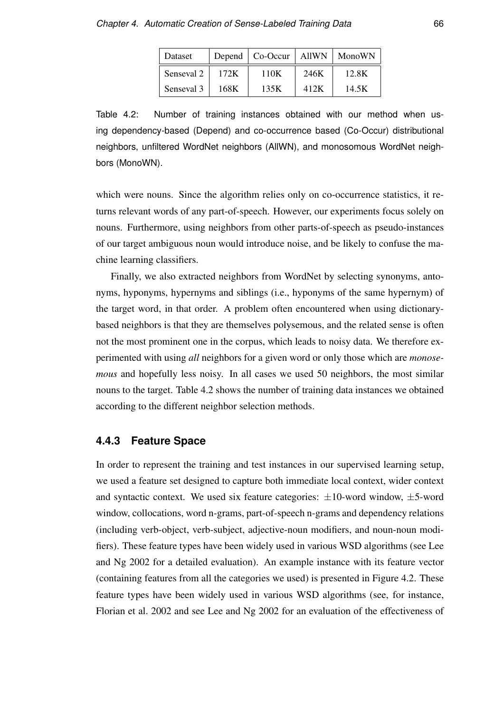| Dataset    |      | Depend   Co-Occur |      | AllWN   MonoWN |
|------------|------|-------------------|------|----------------|
| Senseval 2 | 172K | 110K              | 246K | 12.8K          |
| Senseval 3 | 168K | 135K              | 412K | 14.5K          |

Table 4.2: Number of training instances obtained with our method when using dependency-based (Depend) and co-occurrence based (Co-Occur) distributional neighbors, unfiltered WordNet neighbors (AllWN), and monosomous WordNet neighbors (MonoWN).

which were nouns. Since the algorithm relies only on co-occurrence statistics, it returns relevant words of any part-of-speech. However, our experiments focus solely on nouns. Furthermore, using neighbors from other parts-of-speech as pseudo-instances of our target ambiguous noun would introduce noise, and be likely to confuse the machine learning classifiers.

Finally, we also extracted neighbors from WordNet by selecting synonyms, antonyms, hyponyms, hypernyms and siblings (i.e., hyponyms of the same hypernym) of the target word, in that order. A problem often encountered when using dictionarybased neighbors is that they are themselves polysemous, and the related sense is often not the most prominent one in the corpus, which leads to noisy data. We therefore experimented with using *all* neighbors for a given word or only those which are *monosemous* and hopefully less noisy. In all cases we used 50 neighbors, the most similar nouns to the target. Table 4.2 shows the number of training data instances we obtained according to the different neighbor selection methods.

### **4.4.3 Feature Space**

In order to represent the training and test instances in our supervised learning setup, we used a feature set designed to capture both immediate local context, wider context and syntactic context. We used six feature categories:  $\pm 10$ -word window,  $\pm 5$ -word window, collocations, word n-grams, part-of-speech n-grams and dependency relations (including verb-object, verb-subject, adjective-noun modifiers, and noun-noun modifiers). These feature types have been widely used in various WSD algorithms (see Lee and Ng 2002 for a detailed evaluation). An example instance with its feature vector (containing features from all the categories we used) is presented in Figure 4.2. These feature types have been widely used in various WSD algorithms (see, for instance, Florian et al. 2002 and see Lee and Ng 2002 for an evaluation of the effectiveness of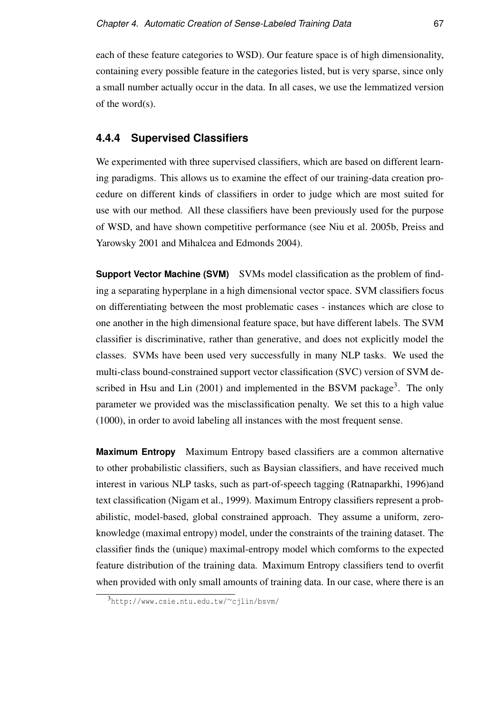each of these feature categories to WSD). Our feature space is of high dimensionality, containing every possible feature in the categories listed, but is very sparse, since only a small number actually occur in the data. In all cases, we use the lemmatized version of the word(s).

### **4.4.4 Supervised Classifiers**

We experimented with three supervised classifiers, which are based on different learning paradigms. This allows us to examine the effect of our training-data creation procedure on different kinds of classifiers in order to judge which are most suited for use with our method. All these classifiers have been previously used for the purpose of WSD, and have shown competitive performance (see Niu et al. 2005b, Preiss and Yarowsky 2001 and Mihalcea and Edmonds 2004).

**Support Vector Machine (SVM)** SVMs model classification as the problem of finding a separating hyperplane in a high dimensional vector space. SVM classifiers focus on differentiating between the most problematic cases - instances which are close to one another in the high dimensional feature space, but have different labels. The SVM classifier is discriminative, rather than generative, and does not explicitly model the classes. SVMs have been used very successfully in many NLP tasks. We used the multi-class bound-constrained support vector classification (SVC) version of SVM described in Hsu and Lin  $(2001)$  and implemented in the BSVM package<sup>3</sup>. The only parameter we provided was the misclassification penalty. We set this to a high value (1000), in order to avoid labeling all instances with the most frequent sense.

**Maximum Entropy** Maximum Entropy based classifiers are a common alternative to other probabilistic classifiers, such as Baysian classifiers, and have received much interest in various NLP tasks, such as part-of-speech tagging (Ratnaparkhi, 1996)and text classification (Nigam et al., 1999). Maximum Entropy classifiers represent a probabilistic, model-based, global constrained approach. They assume a uniform, zeroknowledge (maximal entropy) model, under the constraints of the training dataset. The classifier finds the (unique) maximal-entropy model which comforms to the expected feature distribution of the training data. Maximum Entropy classifiers tend to overfit when provided with only small amounts of training data. In our case, where there is an

<sup>3</sup>http://www.csie.ntu.edu.tw/∼cjlin/bsvm/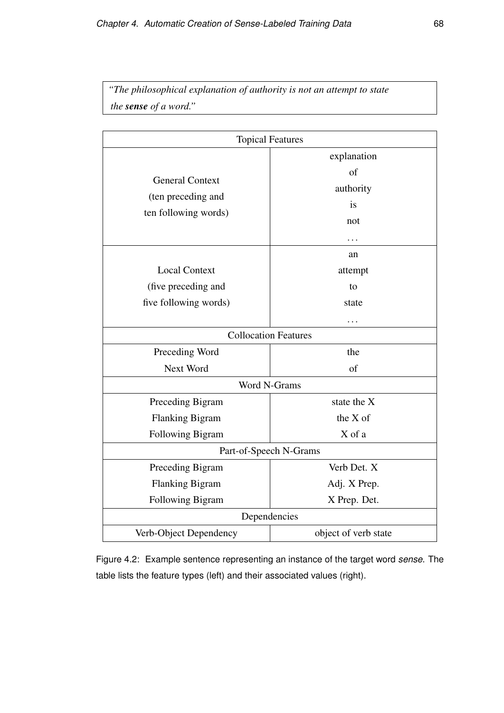*"The philosophical explanation of authority is not an attempt to state the sense of a word."*

| <b>Topical Features</b>                                              |                                             |  |  |
|----------------------------------------------------------------------|---------------------------------------------|--|--|
| <b>General Context</b><br>(ten preceding and<br>ten following words) | explanation<br>of<br>authority<br>is<br>not |  |  |
| <b>Local Context</b><br>(five preceding and<br>five following words) | an<br>attempt<br>to<br>state<br>.           |  |  |
| <b>Collocation Features</b>                                          |                                             |  |  |
| Preceding Word<br>Next Word                                          | the<br>of                                   |  |  |
| Word N-Grams                                                         |                                             |  |  |
| Preceding Bigram<br><b>Flanking Bigram</b><br>Following Bigram       | state the X<br>the X of<br>X of a           |  |  |
| Part-of-Speech N-Grams                                               |                                             |  |  |
| Preceding Bigram<br><b>Flanking Bigram</b><br>Following Bigram       | Verb Det. X<br>Adj. X Prep.<br>X Prep. Det. |  |  |
| Dependencies                                                         |                                             |  |  |
| Verb-Object Dependency                                               | object of verb state                        |  |  |

Figure 4.2: Example sentence representing an instance of the target word *sense*. The table lists the feature types (left) and their associated values (right).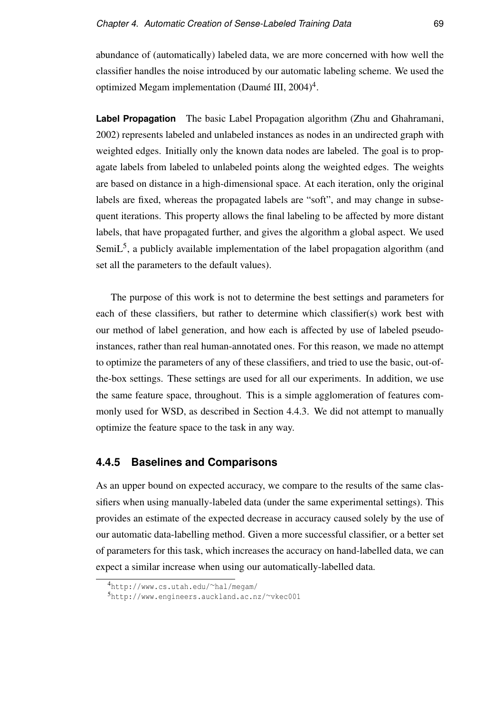abundance of (automatically) labeled data, we are more concerned with how well the classifier handles the noise introduced by our automatic labeling scheme. We used the optimized Megam implementation (Daumé III, 2004)<sup>4</sup>.

**Label Propagation** The basic Label Propagation algorithm (Zhu and Ghahramani, 2002) represents labeled and unlabeled instances as nodes in an undirected graph with weighted edges. Initially only the known data nodes are labeled. The goal is to propagate labels from labeled to unlabeled points along the weighted edges. The weights are based on distance in a high-dimensional space. At each iteration, only the original labels are fixed, whereas the propagated labels are "soft", and may change in subsequent iterations. This property allows the final labeling to be affected by more distant labels, that have propagated further, and gives the algorithm a global aspect. We used Semi $L<sup>5</sup>$ , a publicly available implementation of the label propagation algorithm (and set all the parameters to the default values).

The purpose of this work is not to determine the best settings and parameters for each of these classifiers, but rather to determine which classifier(s) work best with our method of label generation, and how each is affected by use of labeled pseudoinstances, rather than real human-annotated ones. For this reason, we made no attempt to optimize the parameters of any of these classifiers, and tried to use the basic, out-ofthe-box settings. These settings are used for all our experiments. In addition, we use the same feature space, throughout. This is a simple agglomeration of features commonly used for WSD, as described in Section 4.4.3. We did not attempt to manually optimize the feature space to the task in any way.

### **4.4.5 Baselines and Comparisons**

As an upper bound on expected accuracy, we compare to the results of the same classifiers when using manually-labeled data (under the same experimental settings). This provides an estimate of the expected decrease in accuracy caused solely by the use of our automatic data-labelling method. Given a more successful classifier, or a better set of parameters for this task, which increases the accuracy on hand-labelled data, we can expect a similar increase when using our automatically-labelled data.

<sup>4</sup>http://www.cs.utah.edu/∼hal/megam/

<sup>5</sup>http://www.engineers.auckland.ac.nz/∼vkec001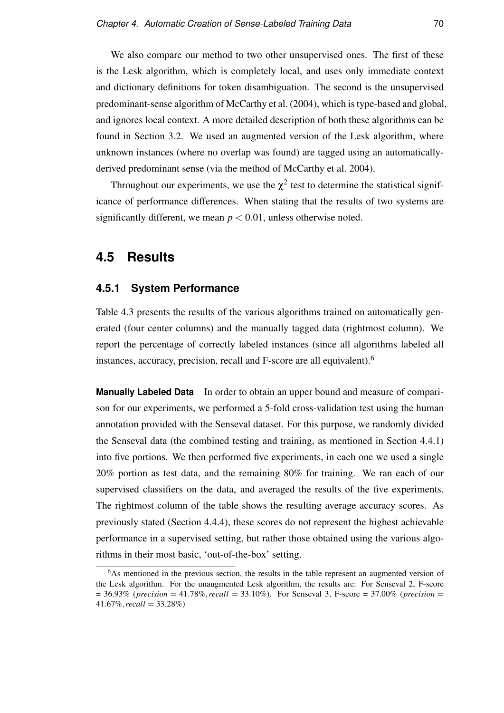We also compare our method to two other unsupervised ones. The first of these is the Lesk algorithm, which is completely local, and uses only immediate context and dictionary definitions for token disambiguation. The second is the unsupervised predominant-sense algorithm of McCarthy et al. (2004), which is type-based and global, and ignores local context. A more detailed description of both these algorithms can be found in Section 3.2. We used an augmented version of the Lesk algorithm, where unknown instances (where no overlap was found) are tagged using an automaticallyderived predominant sense (via the method of McCarthy et al. 2004).

Throughout our experiments, we use the  $\chi^2$  test to determine the statistical significance of performance differences. When stating that the results of two systems are significantly different, we mean  $p < 0.01$ , unless otherwise noted.

# **4.5 Results**

#### **4.5.1 System Performance**

Table 4.3 presents the results of the various algorithms trained on automatically generated (four center columns) and the manually tagged data (rightmost column). We report the percentage of correctly labeled instances (since all algorithms labeled all instances, accuracy, precision, recall and F-score are all equivalent).<sup>6</sup>

**Manually Labeled Data** In order to obtain an upper bound and measure of comparison for our experiments, we performed a 5-fold cross-validation test using the human annotation provided with the Senseval dataset. For this purpose, we randomly divided the Senseval data (the combined testing and training, as mentioned in Section 4.4.1) into five portions. We then performed five experiments, in each one we used a single 20% portion as test data, and the remaining 80% for training. We ran each of our supervised classifiers on the data, and averaged the results of the five experiments. The rightmost column of the table shows the resulting average accuracy scores. As previously stated (Section 4.4.4), these scores do not represent the highest achievable performance in a supervised setting, but rather those obtained using the various algorithms in their most basic, 'out-of-the-box' setting.

<sup>&</sup>lt;sup>6</sup>As mentioned in the previous section, the results in the table represent an augmented version of the Lesk algorithm. For the unaugmented Lesk algorithm, the results are: For Senseval 2, F-score = 36.93% (*precision* = 41.78%,*recall* = 33.10%). For Senseval 3, F-score = 37.00% (*precision* = 41.67%,*recall* = 33.28%)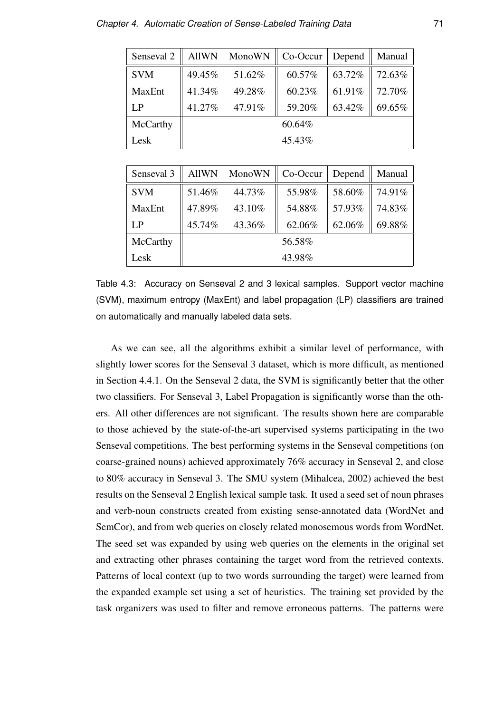| Senseval 2 | <b>AllWN</b> | MonoWN | Co-Occur | Depend | Manual |  |
|------------|--------------|--------|----------|--------|--------|--|
| <b>SVM</b> | 49.45%       | 51.62% | 60.57%   | 63.72% | 72.63% |  |
| MaxEnt     | 41.34%       | 49.28% | 60.23%   | 61.91% | 72.70% |  |
| LP         | 41.27%       | 47.91% | 59.20%   | 63.42% | 69.65% |  |
| McCarthy   | 60.64%       |        |          |        |        |  |
| Lesk       |              | 45.43% |          |        |        |  |

| Senseval <sub>3</sub> | <b>AllWN</b> | MonoWN | Co-Occur | Depend | Manual |
|-----------------------|--------------|--------|----------|--------|--------|
| <b>SVM</b>            | 51.46%       | 44.73% | 55.98%   | 58.60% | 74.91% |
| MaxEnt                | 47.89%       | 43.10% | 54.88%   | 57.93% | 74.83% |
| LP                    | 45.74%       | 43.36% | 62.06%   | 62.06% | 69.88% |
| McCarthy              | 56.58%       |        |          |        |        |
| Lesk                  |              | 43.98% |          |        |        |

Table 4.3: Accuracy on Senseval 2 and 3 lexical samples. Support vector machine (SVM), maximum entropy (MaxEnt) and label propagation (LP) classifiers are trained on automatically and manually labeled data sets.

As we can see, all the algorithms exhibit a similar level of performance, with slightly lower scores for the Senseval 3 dataset, which is more difficult, as mentioned in Section 4.4.1. On the Senseval 2 data, the SVM is significantly better that the other two classifiers. For Senseval 3, Label Propagation is significantly worse than the others. All other differences are not significant. The results shown here are comparable to those achieved by the state-of-the-art supervised systems participating in the two Senseval competitions. The best performing systems in the Senseval competitions (on coarse-grained nouns) achieved approximately 76% accuracy in Senseval 2, and close to 80% accuracy in Senseval 3. The SMU system (Mihalcea, 2002) achieved the best results on the Senseval 2 English lexical sample task. It used a seed set of noun phrases and verb-noun constructs created from existing sense-annotated data (WordNet and SemCor), and from web queries on closely related monosemous words from WordNet. The seed set was expanded by using web queries on the elements in the original set and extracting other phrases containing the target word from the retrieved contexts. Patterns of local context (up to two words surrounding the target) were learned from the expanded example set using a set of heuristics. The training set provided by the task organizers was used to filter and remove erroneous patterns. The patterns were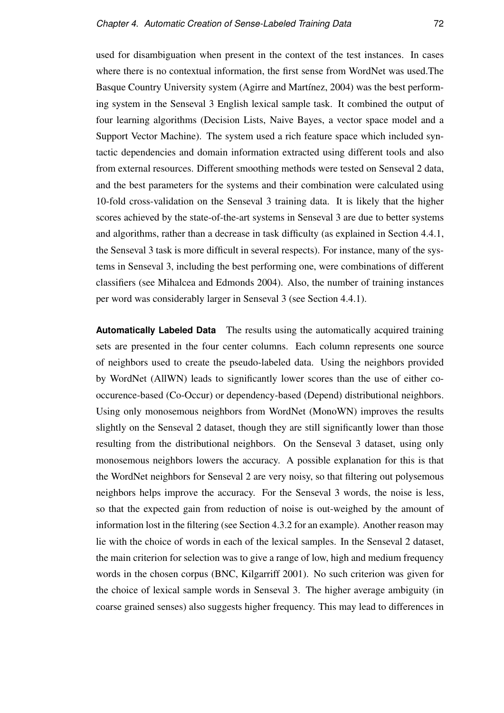used for disambiguation when present in the context of the test instances. In cases where there is no contextual information, the first sense from WordNet was used.The Basque Country University system (Agirre and Martínez, 2004) was the best performing system in the Senseval 3 English lexical sample task. It combined the output of four learning algorithms (Decision Lists, Naive Bayes, a vector space model and a Support Vector Machine). The system used a rich feature space which included syntactic dependencies and domain information extracted using different tools and also from external resources. Different smoothing methods were tested on Senseval 2 data, and the best parameters for the systems and their combination were calculated using 10-fold cross-validation on the Senseval 3 training data. It is likely that the higher scores achieved by the state-of-the-art systems in Senseval 3 are due to better systems and algorithms, rather than a decrease in task difficulty (as explained in Section 4.4.1, the Senseval 3 task is more difficult in several respects). For instance, many of the systems in Senseval 3, including the best performing one, were combinations of different classifiers (see Mihalcea and Edmonds 2004). Also, the number of training instances per word was considerably larger in Senseval 3 (see Section 4.4.1).

**Automatically Labeled Data** The results using the automatically acquired training sets are presented in the four center columns. Each column represents one source of neighbors used to create the pseudo-labeled data. Using the neighbors provided by WordNet (AllWN) leads to significantly lower scores than the use of either cooccurence-based (Co-Occur) or dependency-based (Depend) distributional neighbors. Using only monosemous neighbors from WordNet (MonoWN) improves the results slightly on the Senseval 2 dataset, though they are still significantly lower than those resulting from the distributional neighbors. On the Senseval 3 dataset, using only monosemous neighbors lowers the accuracy. A possible explanation for this is that the WordNet neighbors for Senseval 2 are very noisy, so that filtering out polysemous neighbors helps improve the accuracy. For the Senseval 3 words, the noise is less, so that the expected gain from reduction of noise is out-weighed by the amount of information lost in the filtering (see Section 4.3.2 for an example). Another reason may lie with the choice of words in each of the lexical samples. In the Senseval 2 dataset, the main criterion for selection was to give a range of low, high and medium frequency words in the chosen corpus (BNC, Kilgarriff 2001). No such criterion was given for the choice of lexical sample words in Senseval 3. The higher average ambiguity (in coarse grained senses) also suggests higher frequency. This may lead to differences in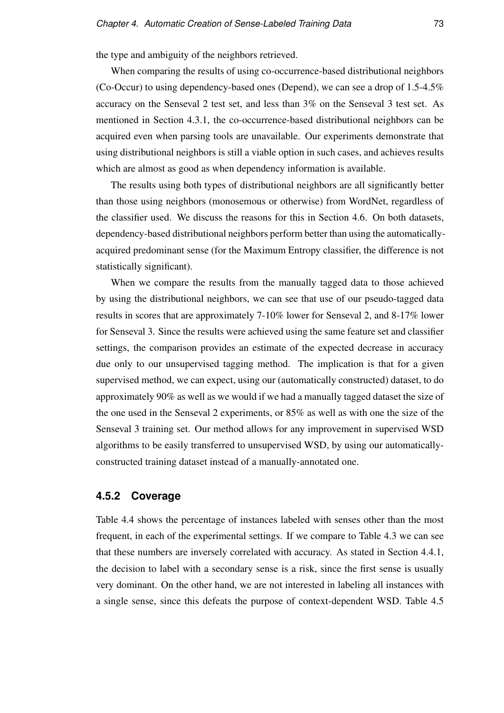the type and ambiguity of the neighbors retrieved.

When comparing the results of using co-occurrence-based distributional neighbors (Co-Occur) to using dependency-based ones (Depend), we can see a drop of 1.5-4.5% accuracy on the Senseval 2 test set, and less than 3% on the Senseval 3 test set. As mentioned in Section 4.3.1, the co-occurrence-based distributional neighbors can be acquired even when parsing tools are unavailable. Our experiments demonstrate that using distributional neighbors is still a viable option in such cases, and achieves results which are almost as good as when dependency information is available.

The results using both types of distributional neighbors are all significantly better than those using neighbors (monosemous or otherwise) from WordNet, regardless of the classifier used. We discuss the reasons for this in Section 4.6. On both datasets, dependency-based distributional neighbors perform better than using the automaticallyacquired predominant sense (for the Maximum Entropy classifier, the difference is not statistically significant).

When we compare the results from the manually tagged data to those achieved by using the distributional neighbors, we can see that use of our pseudo-tagged data results in scores that are approximately 7-10% lower for Senseval 2, and 8-17% lower for Senseval 3. Since the results were achieved using the same feature set and classifier settings, the comparison provides an estimate of the expected decrease in accuracy due only to our unsupervised tagging method. The implication is that for a given supervised method, we can expect, using our (automatically constructed) dataset, to do approximately 90% as well as we would if we had a manually tagged dataset the size of the one used in the Senseval 2 experiments, or 85% as well as with one the size of the Senseval 3 training set. Our method allows for any improvement in supervised WSD algorithms to be easily transferred to unsupervised WSD, by using our automaticallyconstructed training dataset instead of a manually-annotated one.

### **4.5.2 Coverage**

Table 4.4 shows the percentage of instances labeled with senses other than the most frequent, in each of the experimental settings. If we compare to Table 4.3 we can see that these numbers are inversely correlated with accuracy. As stated in Section 4.4.1, the decision to label with a secondary sense is a risk, since the first sense is usually very dominant. On the other hand, we are not interested in labeling all instances with a single sense, since this defeats the purpose of context-dependent WSD. Table 4.5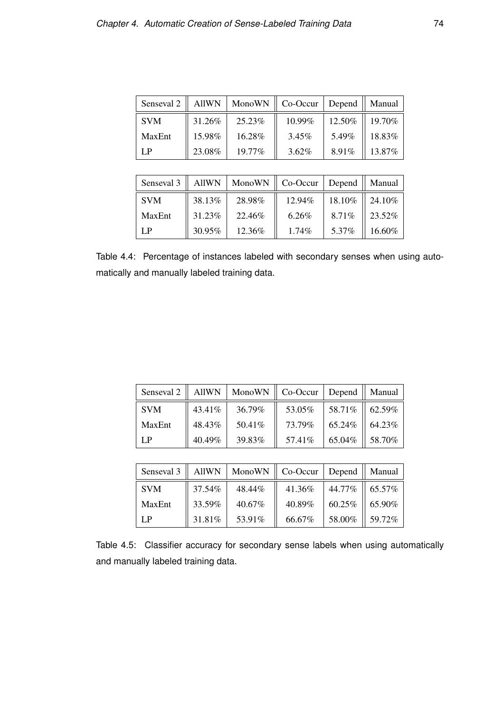| Senseval 2 | <b>AllWN</b> | MonoWN | Co-Occur  | Depend | Manual |
|------------|--------------|--------|-----------|--------|--------|
| <b>SVM</b> | 31.26%       | 25.23% | $10.99\%$ | 12.50% | 19.70% |
| MaxEnt     | 15.98%       | 16.28% | 3.45%     | 5.49%  | 18.83% |
| LP.        | 23.08%       | 19.77% | 3.62%     | 8.91%  | 13.87% |

| Senseval 3 | <b>AllWN</b> | MonoWN | Co-Occur | Depend | Manual |
|------------|--------------|--------|----------|--------|--------|
| <b>SVM</b> | 38.13%       | 28.98% | 12.94%   | 18.10% | 24.10% |
| MaxEnt     | 31.23%       | 22.46% | 6.26%    | 8.71%  | 23.52% |
| LP         | 30.95%       | 12.36% | $1.74\%$ | 5.37%  | 16.60% |

Table 4.4: Percentage of instances labeled with secondary senses when using automatically and manually labeled training data.

| Senseval 2 |        | AllWN   MonoWN $\parallel$ Co-Occur   Depend $\parallel$ |         |         | Manual    |
|------------|--------|----------------------------------------------------------|---------|---------|-----------|
| <b>SVM</b> | 43.41% | 36.79%                                                   | 53.05%  | 58.71\% | $62.59\%$ |
| MaxEnt     | 48.43% | 50.41%                                                   | 73.79%  | 65.24%  | 64.23%    |
| LP         | 40.49% | 39.83%                                                   | 57.41\% | 65.04%  | 58.70%    |

|            |        | Senseval 3    AllWN   MonoWN    Co-Occur   Depend |        |                           | Manual |
|------------|--------|---------------------------------------------------|--------|---------------------------|--------|
| <b>SVM</b> | 37.54% | 48.44%                                            | 41.36% | 44.77% $\parallel$ 65.57% |        |
| MaxEnt     | 33.59% | 40.67%                                            | 40.89% | $60.25\%$                 | 65.90% |
| LP         | 31.81% | 53.91%                                            | 66.67% | 58.00%                    | 59.72% |

Table 4.5: Classifier accuracy for secondary sense labels when using automatically and manually labeled training data.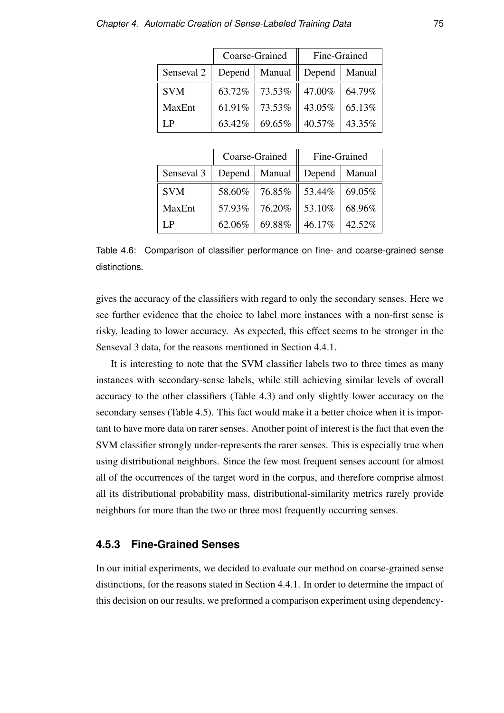|             |        | Coarse-Grained  | Fine-Grained    |        |
|-------------|--------|-----------------|-----------------|--------|
| Senseval 2  |        | Depend   Manual | Depend   Manual |        |
| <b>SVM</b>  | 63.72% | $73.53%$        | 47.00% 64.79%   |        |
| MaxEnt      | 61.91% | 73.53%          | 43.05%          | 65.13% |
| $L_{\rm P}$ | 63.42% | 69.65%          | 40.57%          | 43.35% |

|                        |                                    | Coarse-Grained | Fine-Grained    |        |
|------------------------|------------------------------------|----------------|-----------------|--------|
| Senseval $3 \parallel$ | Depend   Manual    Depend   Manual |                |                 |        |
| <b>SVM</b>             |                                    | 58.60% 76.85%  | 53.44%   69.05% |        |
| <b>MaxEnt</b>          | 57.93%                             | 76.20%         | 53.10%          | 68.96% |
| $L_{\rm P}$            | 62.06%                             | 69.88%         | 46.17%          | 42.52% |

Table 4.6: Comparison of classifier performance on fine- and coarse-grained sense distinctions.

gives the accuracy of the classifiers with regard to only the secondary senses. Here we see further evidence that the choice to label more instances with a non-first sense is risky, leading to lower accuracy. As expected, this effect seems to be stronger in the Senseval 3 data, for the reasons mentioned in Section 4.4.1.

It is interesting to note that the SVM classifier labels two to three times as many instances with secondary-sense labels, while still achieving similar levels of overall accuracy to the other classifiers (Table 4.3) and only slightly lower accuracy on the secondary senses (Table 4.5). This fact would make it a better choice when it is important to have more data on rarer senses. Another point of interest is the fact that even the SVM classifier strongly under-represents the rarer senses. This is especially true when using distributional neighbors. Since the few most frequent senses account for almost all of the occurrences of the target word in the corpus, and therefore comprise almost all its distributional probability mass, distributional-similarity metrics rarely provide neighbors for more than the two or three most frequently occurring senses.

### **4.5.3 Fine-Grained Senses**

In our initial experiments, we decided to evaluate our method on coarse-grained sense distinctions, for the reasons stated in Section 4.4.1. In order to determine the impact of this decision on our results, we preformed a comparison experiment using dependency-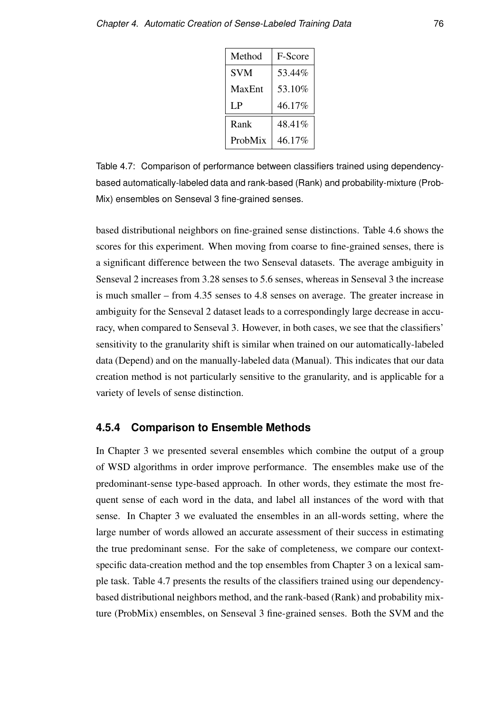| Method     | <b>F-Score</b> |
|------------|----------------|
| <b>SVM</b> | 53.44%         |
| MaxEnt     | 53.10%         |
| LP.        | 46.17%         |
| Rank       | 48.41%         |
| ProbMix    | 46.17%         |

Table 4.7: Comparison of performance between classifiers trained using dependencybased automatically-labeled data and rank-based (Rank) and probability-mixture (Prob-Mix) ensembles on Senseval 3 fine-grained senses.

based distributional neighbors on fine-grained sense distinctions. Table 4.6 shows the scores for this experiment. When moving from coarse to fine-grained senses, there is a significant difference between the two Senseval datasets. The average ambiguity in Senseval 2 increases from 3.28 senses to 5.6 senses, whereas in Senseval 3 the increase is much smaller – from 4.35 senses to 4.8 senses on average. The greater increase in ambiguity for the Senseval 2 dataset leads to a correspondingly large decrease in accuracy, when compared to Senseval 3. However, in both cases, we see that the classifiers' sensitivity to the granularity shift is similar when trained on our automatically-labeled data (Depend) and on the manually-labeled data (Manual). This indicates that our data creation method is not particularly sensitive to the granularity, and is applicable for a variety of levels of sense distinction.

### **4.5.4 Comparison to Ensemble Methods**

In Chapter 3 we presented several ensembles which combine the output of a group of WSD algorithms in order improve performance. The ensembles make use of the predominant-sense type-based approach. In other words, they estimate the most frequent sense of each word in the data, and label all instances of the word with that sense. In Chapter 3 we evaluated the ensembles in an all-words setting, where the large number of words allowed an accurate assessment of their success in estimating the true predominant sense. For the sake of completeness, we compare our contextspecific data-creation method and the top ensembles from Chapter 3 on a lexical sample task. Table 4.7 presents the results of the classifiers trained using our dependencybased distributional neighbors method, and the rank-based (Rank) and probability mixture (ProbMix) ensembles, on Senseval 3 fine-grained senses. Both the SVM and the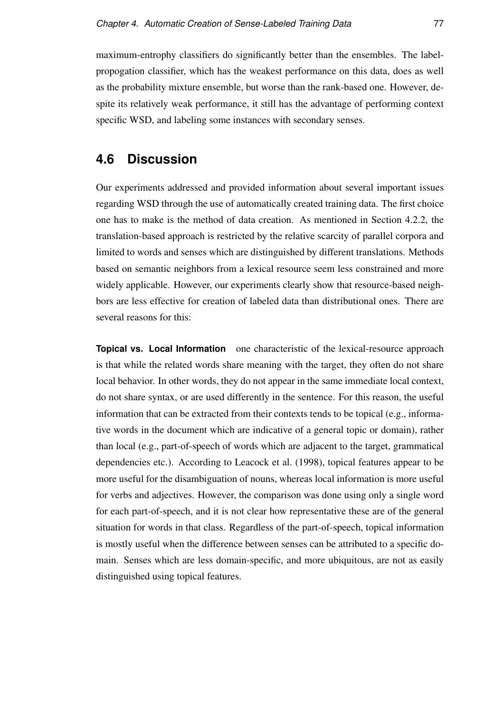maximum-entrophy classifiers do significantly better than the ensembles. The labelpropogation classifier, which has the weakest performance on this data, does as well as the probability mixture ensemble, but worse than the rank-based one. However, despite its relatively weak performance, it still has the advantage of performing context specific WSD, and labeling some instances with secondary senses.

# **4.6 Discussion**

Our experiments addressed and provided information about several important issues regarding WSD through the use of automatically created training data. The first choice one has to make is the method of data creation. As mentioned in Section 4.2.2, the translation-based approach is restricted by the relative scarcity of parallel corpora and limited to words and senses which are distinguished by different translations. Methods based on semantic neighbors from a lexical resource seem less constrained and more widely applicable. However, our experiments clearly show that resource-based neighbors are less effective for creation of labeled data than distributional ones. There are several reasons for this:

**Topical vs. Local Information** one characteristic of the lexical-resource approach is that while the related words share meaning with the target, they often do not share local behavior. In other words, they do not appear in the same immediate local context, do not share syntax, or are used differently in the sentence. For this reason, the useful information that can be extracted from their contexts tends to be topical (e.g., informative words in the document which are indicative of a general topic or domain), rather than local (e.g., part-of-speech of words which are adjacent to the target, grammatical dependencies etc.). According to Leacock et al. (1998), topical features appear to be more useful for the disambiguation of nouns, whereas local information is more useful for verbs and adjectives. However, the comparison was done using only a single word for each part-of-speech, and it is not clear how representative these are of the general situation for words in that class. Regardless of the part-of-speech, topical information is mostly useful when the difference between senses can be attributed to a specific domain. Senses which are less domain-specific, and more ubiquitous, are not as easily distinguished using topical features.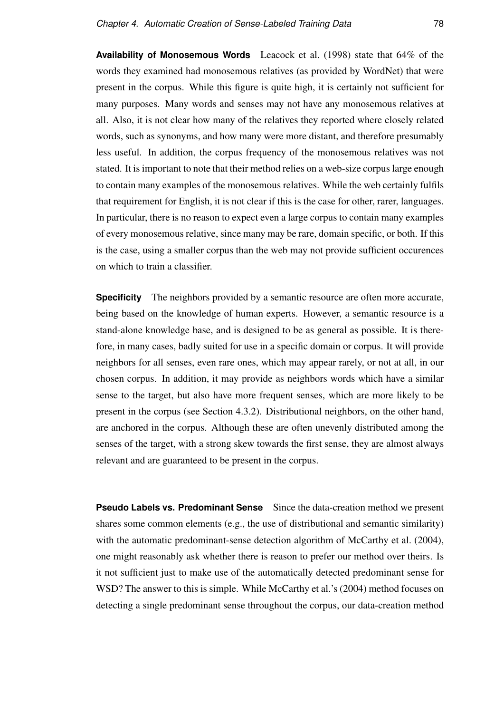**Availability of Monosemous Words** Leacock et al. (1998) state that 64% of the words they examined had monosemous relatives (as provided by WordNet) that were present in the corpus. While this figure is quite high, it is certainly not sufficient for many purposes. Many words and senses may not have any monosemous relatives at all. Also, it is not clear how many of the relatives they reported where closely related words, such as synonyms, and how many were more distant, and therefore presumably less useful. In addition, the corpus frequency of the monosemous relatives was not stated. It is important to note that their method relies on a web-size corpus large enough to contain many examples of the monosemous relatives. While the web certainly fulfils that requirement for English, it is not clear if this is the case for other, rarer, languages. In particular, there is no reason to expect even a large corpus to contain many examples of every monosemous relative, since many may be rare, domain specific, or both. If this is the case, using a smaller corpus than the web may not provide sufficient occurences on which to train a classifier.

**Specificity** The neighbors provided by a semantic resource are often more accurate, being based on the knowledge of human experts. However, a semantic resource is a stand-alone knowledge base, and is designed to be as general as possible. It is therefore, in many cases, badly suited for use in a specific domain or corpus. It will provide neighbors for all senses, even rare ones, which may appear rarely, or not at all, in our chosen corpus. In addition, it may provide as neighbors words which have a similar sense to the target, but also have more frequent senses, which are more likely to be present in the corpus (see Section 4.3.2). Distributional neighbors, on the other hand, are anchored in the corpus. Although these are often unevenly distributed among the senses of the target, with a strong skew towards the first sense, they are almost always relevant and are guaranteed to be present in the corpus.

**Pseudo Labels vs. Predominant Sense** Since the data-creation method we present shares some common elements (e.g., the use of distributional and semantic similarity) with the automatic predominant-sense detection algorithm of McCarthy et al. (2004), one might reasonably ask whether there is reason to prefer our method over theirs. Is it not sufficient just to make use of the automatically detected predominant sense for WSD? The answer to this is simple. While McCarthy et al.'s (2004) method focuses on detecting a single predominant sense throughout the corpus, our data-creation method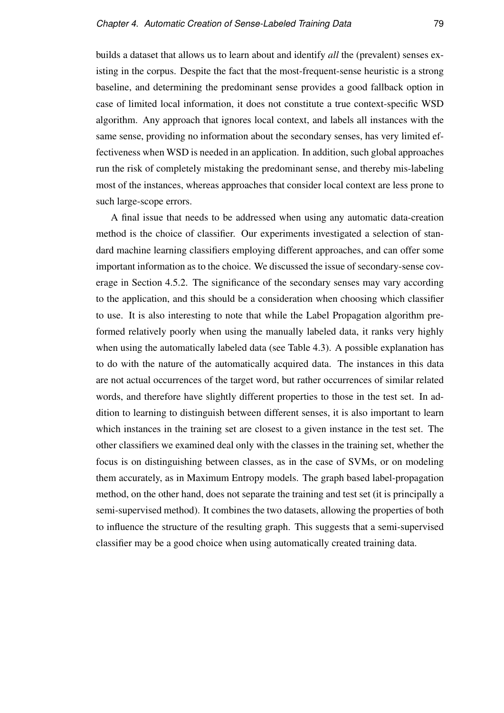builds a dataset that allows us to learn about and identify *all* the (prevalent) senses existing in the corpus. Despite the fact that the most-frequent-sense heuristic is a strong baseline, and determining the predominant sense provides a good fallback option in case of limited local information, it does not constitute a true context-specific WSD algorithm. Any approach that ignores local context, and labels all instances with the same sense, providing no information about the secondary senses, has very limited effectiveness when WSD is needed in an application. In addition, such global approaches run the risk of completely mistaking the predominant sense, and thereby mis-labeling most of the instances, whereas approaches that consider local context are less prone to such large-scope errors.

A final issue that needs to be addressed when using any automatic data-creation method is the choice of classifier. Our experiments investigated a selection of standard machine learning classifiers employing different approaches, and can offer some important information as to the choice. We discussed the issue of secondary-sense coverage in Section 4.5.2. The significance of the secondary senses may vary according to the application, and this should be a consideration when choosing which classifier to use. It is also interesting to note that while the Label Propagation algorithm preformed relatively poorly when using the manually labeled data, it ranks very highly when using the automatically labeled data (see Table 4.3). A possible explanation has to do with the nature of the automatically acquired data. The instances in this data are not actual occurrences of the target word, but rather occurrences of similar related words, and therefore have slightly different properties to those in the test set. In addition to learning to distinguish between different senses, it is also important to learn which instances in the training set are closest to a given instance in the test set. The other classifiers we examined deal only with the classes in the training set, whether the focus is on distinguishing between classes, as in the case of SVMs, or on modeling them accurately, as in Maximum Entropy models. The graph based label-propagation method, on the other hand, does not separate the training and test set (it is principally a semi-supervised method). It combines the two datasets, allowing the properties of both to influence the structure of the resulting graph. This suggests that a semi-supervised classifier may be a good choice when using automatically created training data.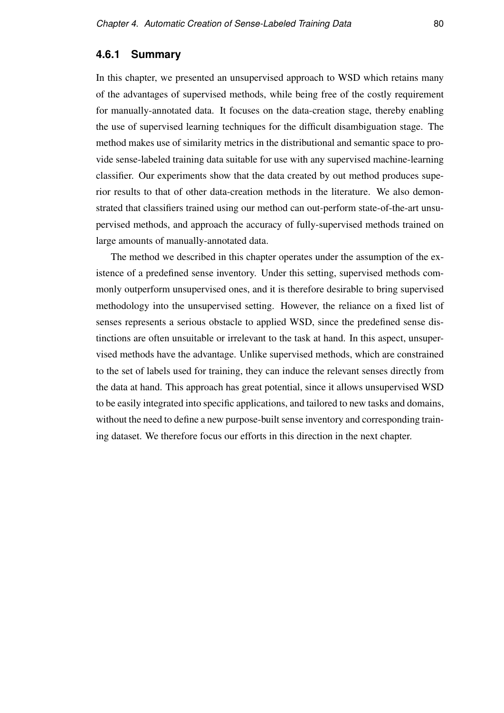### **4.6.1 Summary**

In this chapter, we presented an unsupervised approach to WSD which retains many of the advantages of supervised methods, while being free of the costly requirement for manually-annotated data. It focuses on the data-creation stage, thereby enabling the use of supervised learning techniques for the difficult disambiguation stage. The method makes use of similarity metrics in the distributional and semantic space to provide sense-labeled training data suitable for use with any supervised machine-learning classifier. Our experiments show that the data created by out method produces superior results to that of other data-creation methods in the literature. We also demonstrated that classifiers trained using our method can out-perform state-of-the-art unsupervised methods, and approach the accuracy of fully-supervised methods trained on large amounts of manually-annotated data.

The method we described in this chapter operates under the assumption of the existence of a predefined sense inventory. Under this setting, supervised methods commonly outperform unsupervised ones, and it is therefore desirable to bring supervised methodology into the unsupervised setting. However, the reliance on a fixed list of senses represents a serious obstacle to applied WSD, since the predefined sense distinctions are often unsuitable or irrelevant to the task at hand. In this aspect, unsupervised methods have the advantage. Unlike supervised methods, which are constrained to the set of labels used for training, they can induce the relevant senses directly from the data at hand. This approach has great potential, since it allows unsupervised WSD to be easily integrated into specific applications, and tailored to new tasks and domains, without the need to define a new purpose-built sense inventory and corresponding training dataset. We therefore focus our efforts in this direction in the next chapter.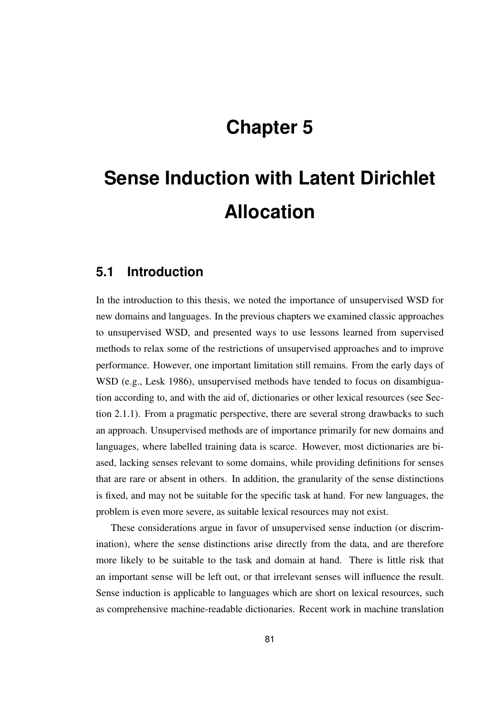# **Chapter 5**

# **Sense Induction with Latent Dirichlet Allocation**

## **5.1 Introduction**

In the introduction to this thesis, we noted the importance of unsupervised WSD for new domains and languages. In the previous chapters we examined classic approaches to unsupervised WSD, and presented ways to use lessons learned from supervised methods to relax some of the restrictions of unsupervised approaches and to improve performance. However, one important limitation still remains. From the early days of WSD (e.g., Lesk 1986), unsupervised methods have tended to focus on disambiguation according to, and with the aid of, dictionaries or other lexical resources (see Section 2.1.1). From a pragmatic perspective, there are several strong drawbacks to such an approach. Unsupervised methods are of importance primarily for new domains and languages, where labelled training data is scarce. However, most dictionaries are biased, lacking senses relevant to some domains, while providing definitions for senses that are rare or absent in others. In addition, the granularity of the sense distinctions is fixed, and may not be suitable for the specific task at hand. For new languages, the problem is even more severe, as suitable lexical resources may not exist.

These considerations argue in favor of unsupervised sense induction (or discrimination), where the sense distinctions arise directly from the data, and are therefore more likely to be suitable to the task and domain at hand. There is little risk that an important sense will be left out, or that irrelevant senses will influence the result. Sense induction is applicable to languages which are short on lexical resources, such as comprehensive machine-readable dictionaries. Recent work in machine translation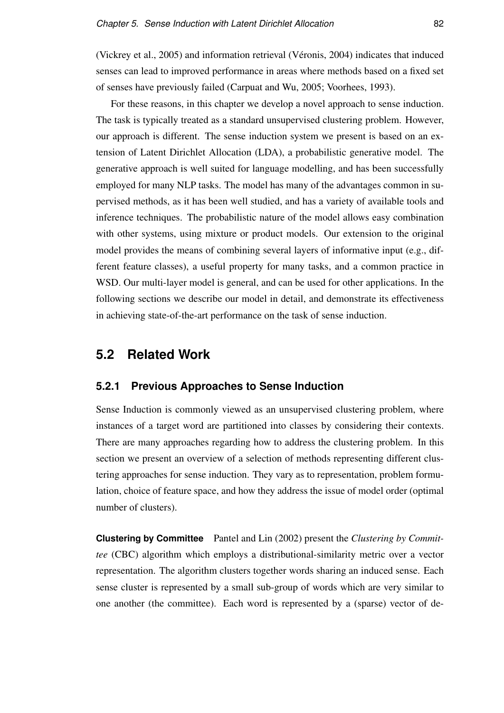(Vickrey et al., 2005) and information retrieval (Véronis, 2004) indicates that induced senses can lead to improved performance in areas where methods based on a fixed set of senses have previously failed (Carpuat and Wu, 2005; Voorhees, 1993).

For these reasons, in this chapter we develop a novel approach to sense induction. The task is typically treated as a standard unsupervised clustering problem. However, our approach is different. The sense induction system we present is based on an extension of Latent Dirichlet Allocation (LDA), a probabilistic generative model. The generative approach is well suited for language modelling, and has been successfully employed for many NLP tasks. The model has many of the advantages common in supervised methods, as it has been well studied, and has a variety of available tools and inference techniques. The probabilistic nature of the model allows easy combination with other systems, using mixture or product models. Our extension to the original model provides the means of combining several layers of informative input (e.g., different feature classes), a useful property for many tasks, and a common practice in WSD. Our multi-layer model is general, and can be used for other applications. In the following sections we describe our model in detail, and demonstrate its effectiveness in achieving state-of-the-art performance on the task of sense induction.

### **5.2 Related Work**

### **5.2.1 Previous Approaches to Sense Induction**

Sense Induction is commonly viewed as an unsupervised clustering problem, where instances of a target word are partitioned into classes by considering their contexts. There are many approaches regarding how to address the clustering problem. In this section we present an overview of a selection of methods representing different clustering approaches for sense induction. They vary as to representation, problem formulation, choice of feature space, and how they address the issue of model order (optimal number of clusters).

**Clustering by Committee** Pantel and Lin (2002) present the *Clustering by Committee* (CBC) algorithm which employs a distributional-similarity metric over a vector representation. The algorithm clusters together words sharing an induced sense. Each sense cluster is represented by a small sub-group of words which are very similar to one another (the committee). Each word is represented by a (sparse) vector of de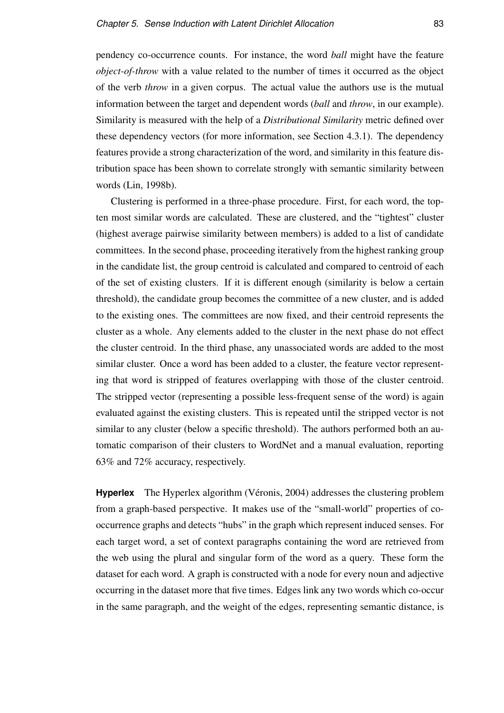pendency co-occurrence counts. For instance, the word *ball* might have the feature *object-of-throw* with a value related to the number of times it occurred as the object of the verb *throw* in a given corpus. The actual value the authors use is the mutual information between the target and dependent words (*ball* and *throw*, in our example). Similarity is measured with the help of a *Distributional Similarity* metric defined over these dependency vectors (for more information, see Section 4.3.1). The dependency features provide a strong characterization of the word, and similarity in this feature distribution space has been shown to correlate strongly with semantic similarity between words (Lin, 1998b).

Clustering is performed in a three-phase procedure. First, for each word, the topten most similar words are calculated. These are clustered, and the "tightest" cluster (highest average pairwise similarity between members) is added to a list of candidate committees. In the second phase, proceeding iteratively from the highest ranking group in the candidate list, the group centroid is calculated and compared to centroid of each of the set of existing clusters. If it is different enough (similarity is below a certain threshold), the candidate group becomes the committee of a new cluster, and is added to the existing ones. The committees are now fixed, and their centroid represents the cluster as a whole. Any elements added to the cluster in the next phase do not effect the cluster centroid. In the third phase, any unassociated words are added to the most similar cluster. Once a word has been added to a cluster, the feature vector representing that word is stripped of features overlapping with those of the cluster centroid. The stripped vector (representing a possible less-frequent sense of the word) is again evaluated against the existing clusters. This is repeated until the stripped vector is not similar to any cluster (below a specific threshold). The authors performed both an automatic comparison of their clusters to WordNet and a manual evaluation, reporting 63% and 72% accuracy, respectively.

**Hyperlex** The Hyperlex algorithm (Véronis, 2004) addresses the clustering problem from a graph-based perspective. It makes use of the "small-world" properties of cooccurrence graphs and detects "hubs" in the graph which represent induced senses. For each target word, a set of context paragraphs containing the word are retrieved from the web using the plural and singular form of the word as a query. These form the dataset for each word. A graph is constructed with a node for every noun and adjective occurring in the dataset more that five times. Edges link any two words which co-occur in the same paragraph, and the weight of the edges, representing semantic distance, is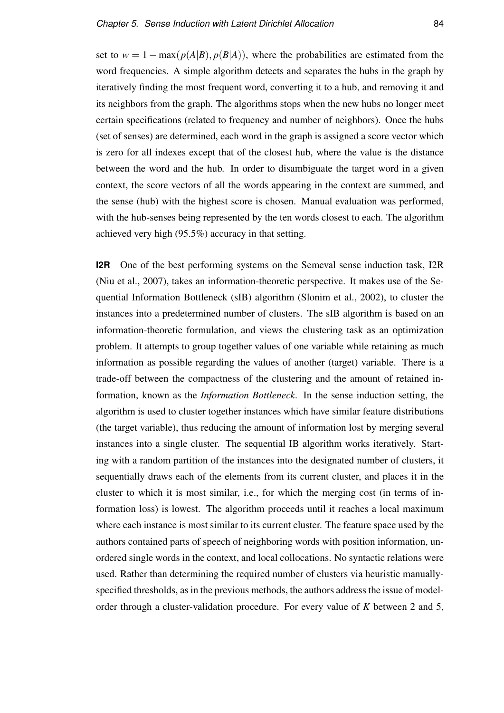set to  $w = 1 - \max(p(A|B), p(B|A))$ , where the probabilities are estimated from the word frequencies. A simple algorithm detects and separates the hubs in the graph by iteratively finding the most frequent word, converting it to a hub, and removing it and its neighbors from the graph. The algorithms stops when the new hubs no longer meet certain specifications (related to frequency and number of neighbors). Once the hubs (set of senses) are determined, each word in the graph is assigned a score vector which is zero for all indexes except that of the closest hub, where the value is the distance between the word and the hub. In order to disambiguate the target word in a given context, the score vectors of all the words appearing in the context are summed, and the sense (hub) with the highest score is chosen. Manual evaluation was performed, with the hub-senses being represented by the ten words closest to each. The algorithm achieved very high (95.5%) accuracy in that setting.

**I2R** One of the best performing systems on the Semeval sense induction task, I2R (Niu et al., 2007), takes an information-theoretic perspective. It makes use of the Sequential Information Bottleneck (sIB) algorithm (Slonim et al., 2002), to cluster the instances into a predetermined number of clusters. The sIB algorithm is based on an information-theoretic formulation, and views the clustering task as an optimization problem. It attempts to group together values of one variable while retaining as much information as possible regarding the values of another (target) variable. There is a trade-off between the compactness of the clustering and the amount of retained information, known as the *Information Bottleneck*. In the sense induction setting, the algorithm is used to cluster together instances which have similar feature distributions (the target variable), thus reducing the amount of information lost by merging several instances into a single cluster. The sequential IB algorithm works iteratively. Starting with a random partition of the instances into the designated number of clusters, it sequentially draws each of the elements from its current cluster, and places it in the cluster to which it is most similar, i.e., for which the merging cost (in terms of information loss) is lowest. The algorithm proceeds until it reaches a local maximum where each instance is most similar to its current cluster. The feature space used by the authors contained parts of speech of neighboring words with position information, unordered single words in the context, and local collocations. No syntactic relations were used. Rather than determining the required number of clusters via heuristic manuallyspecified thresholds, as in the previous methods, the authors address the issue of modelorder through a cluster-validation procedure. For every value of *K* between 2 and 5,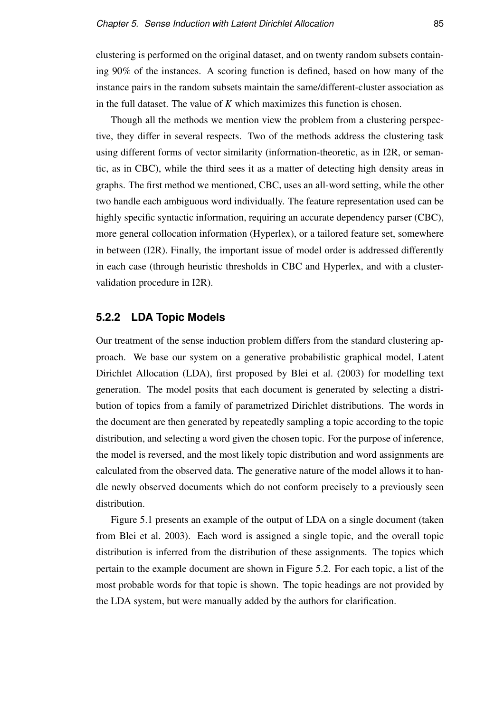clustering is performed on the original dataset, and on twenty random subsets containing 90% of the instances. A scoring function is defined, based on how many of the instance pairs in the random subsets maintain the same/different-cluster association as in the full dataset. The value of *K* which maximizes this function is chosen.

Though all the methods we mention view the problem from a clustering perspective, they differ in several respects. Two of the methods address the clustering task using different forms of vector similarity (information-theoretic, as in I2R, or semantic, as in CBC), while the third sees it as a matter of detecting high density areas in graphs. The first method we mentioned, CBC, uses an all-word setting, while the other two handle each ambiguous word individually. The feature representation used can be highly specific syntactic information, requiring an accurate dependency parser (CBC), more general collocation information (Hyperlex), or a tailored feature set, somewhere in between (I2R). Finally, the important issue of model order is addressed differently in each case (through heuristic thresholds in CBC and Hyperlex, and with a clustervalidation procedure in I2R).

### **5.2.2 LDA Topic Models**

Our treatment of the sense induction problem differs from the standard clustering approach. We base our system on a generative probabilistic graphical model, Latent Dirichlet Allocation (LDA), first proposed by Blei et al. (2003) for modelling text generation. The model posits that each document is generated by selecting a distribution of topics from a family of parametrized Dirichlet distributions. The words in the document are then generated by repeatedly sampling a topic according to the topic distribution, and selecting a word given the chosen topic. For the purpose of inference, the model is reversed, and the most likely topic distribution and word assignments are calculated from the observed data. The generative nature of the model allows it to handle newly observed documents which do not conform precisely to a previously seen distribution.

Figure 5.1 presents an example of the output of LDA on a single document (taken from Blei et al. 2003). Each word is assigned a single topic, and the overall topic distribution is inferred from the distribution of these assignments. The topics which pertain to the example document are shown in Figure 5.2. For each topic, a list of the most probable words for that topic is shown. The topic headings are not provided by the LDA system, but were manually added by the authors for clarification.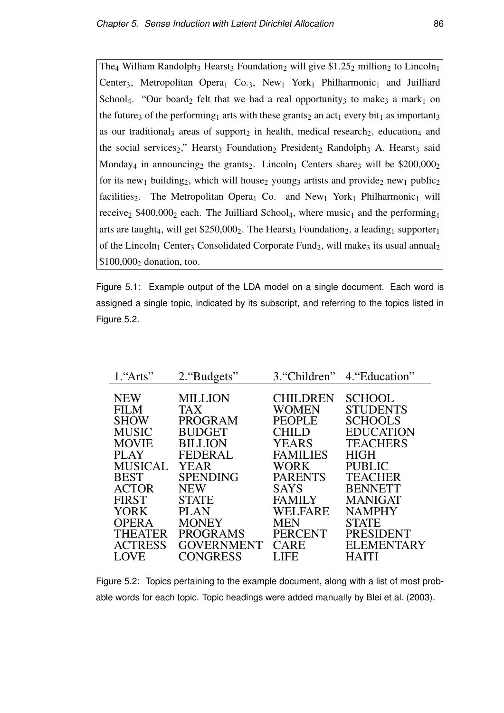The<sub>4</sub> William Randolph<sub>3</sub> Hearst<sub>3</sub> Foundation<sub>2</sub> will give \$1.25<sub>2</sub> million<sub>2</sub> to Lincoln<sub>1</sub> Center<sub>3</sub>, Metropolitan Opera<sub>1</sub> Co.<sub>3</sub>, New<sub>1</sub> York<sub>1</sub> Philharmonic<sub>1</sub> and Juilliard School<sub>4</sub>. "Our board<sub>2</sub> felt that we had a real opportunity<sub>3</sub> to make<sub>3</sub> a mark<sub>1</sub> on the future<sub>3</sub> of the performing<sub>1</sub> arts with these grants<sub>2</sub> an act<sub>1</sub> every bit<sub>1</sub> as important<sub>3</sub> as our traditional<sub>3</sub> areas of support<sub>2</sub> in health, medical research<sub>2</sub>, education<sub>4</sub> and the social services<sub>2</sub>," Hearst<sub>3</sub> Foundation<sub>2</sub> President<sub>2</sub> Randolph<sub>3</sub> A. Hearst<sub>3</sub> said Monday<sub>4</sub> in announcing<sub>2</sub> the grants<sub>2</sub>. Lincoln<sub>1</sub> Centers share<sub>3</sub> will be \$200,000<sub>2</sub> for its new<sub>1</sub> building<sub>2</sub>, which will house<sub>2</sub> young<sub>3</sub> artists and provide<sub>2</sub> new<sub>1</sub> public<sub>2</sub> facilities<sub>2</sub>. The Metropolitan Opera<sub>1</sub> Co. and New<sub>1</sub> York<sub>1</sub> Philharmonic<sub>1</sub> will receive<sub>2</sub> \$400,000<sub>2</sub> each. The Juilliard School<sub>4</sub>, where music<sub>1</sub> and the performing<sub>1</sub> arts are taught<sub>4</sub>, will get \$250,000<sub>2</sub>. The Hearst<sub>3</sub> Foundation<sub>2</sub>, a leading<sub>1</sub> supporter<sub>1</sub> of the Lincoln<sub>1</sub> Center<sub>3</sub> Consolidated Corporate Fund<sub>2</sub>, will make<sub>3</sub> its usual annual<sub>2</sub>  $$100,000_2$  donation, too.

Figure 5.1: Example output of the LDA model on a single document. Each word is assigned a single topic, indicated by its subscript, and referring to the topics listed in Figure 5.2.

| 1."Arts"       | 2. "Budgets"      | 3."Children"    | 4. "Education"    |
|----------------|-------------------|-----------------|-------------------|
|                |                   |                 |                   |
| <b>NEW</b>     | <b>MILLION</b>    | <b>CHILDREN</b> | <b>SCHOOL</b>     |
| <b>FILM</b>    | <b>TAX</b>        | WOMEN           | <b>STUDENTS</b>   |
| <b>SHOW</b>    | <b>PROGRAM</b>    | <b>PEOPLE</b>   | <b>SCHOOLS</b>    |
| <b>MUSIC</b>   | <b>BUDGET</b>     | CHILD           | <b>EDUCATION</b>  |
| <b>MOVIE</b>   | <b>BILLION</b>    | YEARS           | <b>TEACHERS</b>   |
| <b>PLAY</b>    | <b>FEDERAL</b>    | <b>FAMILIES</b> | HIGH              |
| <b>MUSICAL</b> | YEAR              | WORK            | <b>PUBLIC</b>     |
| <b>BEST</b>    | <b>SPENDING</b>   | <b>PARENTS</b>  | <b>TEACHER</b>    |
| <b>ACTOR</b>   | <b>NEW</b>        | <b>SAYS</b>     | <b>BENNETT</b>    |
| <b>FIRST</b>   | <b>STATE</b>      | <b>FAMILY</b>   | <b>MANIGAT</b>    |
| <b>YORK</b>    | <b>PLAN</b>       | <b>WELFARE</b>  | <b>NAMPHY</b>     |
| <b>OPERA</b>   | <b>MONEY</b>      | <b>MEN</b>      | <b>STATE</b>      |
| <b>THEATER</b> | <b>PROGRAMS</b>   | <b>PERCENT</b>  | <b>PRESIDENT</b>  |
| <b>ACTRESS</b> | <b>GOVERNMENT</b> | <b>CARE</b>     | <b>ELEMENTARY</b> |
| <b>LOVE</b>    | <b>CONGRESS</b>   | <b>LIFE</b>     | <b>HAITI</b>      |

Figure 5.2: Topics pertaining to the example document, along with a list of most probable words for each topic. Topic headings were added manually by Blei et al. (2003).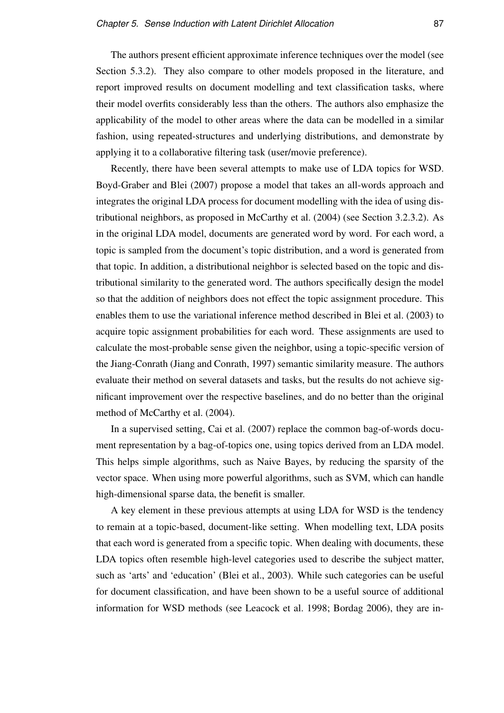The authors present efficient approximate inference techniques over the model (see Section 5.3.2). They also compare to other models proposed in the literature, and report improved results on document modelling and text classification tasks, where their model overfits considerably less than the others. The authors also emphasize the applicability of the model to other areas where the data can be modelled in a similar fashion, using repeated-structures and underlying distributions, and demonstrate by applying it to a collaborative filtering task (user/movie preference).

Recently, there have been several attempts to make use of LDA topics for WSD. Boyd-Graber and Blei (2007) propose a model that takes an all-words approach and integrates the original LDA process for document modelling with the idea of using distributional neighbors, as proposed in McCarthy et al. (2004) (see Section 3.2.3.2). As in the original LDA model, documents are generated word by word. For each word, a topic is sampled from the document's topic distribution, and a word is generated from that topic. In addition, a distributional neighbor is selected based on the topic and distributional similarity to the generated word. The authors specifically design the model so that the addition of neighbors does not effect the topic assignment procedure. This enables them to use the variational inference method described in Blei et al. (2003) to acquire topic assignment probabilities for each word. These assignments are used to calculate the most-probable sense given the neighbor, using a topic-specific version of the Jiang-Conrath (Jiang and Conrath, 1997) semantic similarity measure. The authors evaluate their method on several datasets and tasks, but the results do not achieve significant improvement over the respective baselines, and do no better than the original method of McCarthy et al. (2004).

In a supervised setting, Cai et al. (2007) replace the common bag-of-words document representation by a bag-of-topics one, using topics derived from an LDA model. This helps simple algorithms, such as Naive Bayes, by reducing the sparsity of the vector space. When using more powerful algorithms, such as SVM, which can handle high-dimensional sparse data, the benefit is smaller.

A key element in these previous attempts at using LDA for WSD is the tendency to remain at a topic-based, document-like setting. When modelling text, LDA posits that each word is generated from a specific topic. When dealing with documents, these LDA topics often resemble high-level categories used to describe the subject matter, such as 'arts' and 'education' (Blei et al., 2003). While such categories can be useful for document classification, and have been shown to be a useful source of additional information for WSD methods (see Leacock et al. 1998; Bordag 2006), they are in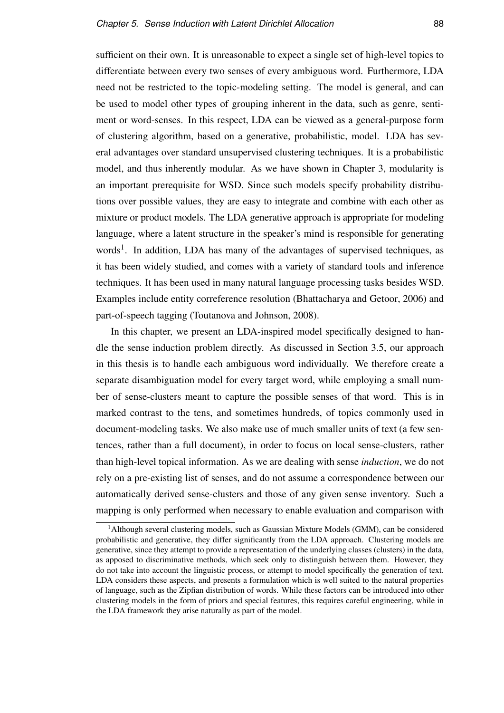sufficient on their own. It is unreasonable to expect a single set of high-level topics to differentiate between every two senses of every ambiguous word. Furthermore, LDA need not be restricted to the topic-modeling setting. The model is general, and can be used to model other types of grouping inherent in the data, such as genre, sentiment or word-senses. In this respect, LDA can be viewed as a general-purpose form of clustering algorithm, based on a generative, probabilistic, model. LDA has several advantages over standard unsupervised clustering techniques. It is a probabilistic model, and thus inherently modular. As we have shown in Chapter 3, modularity is an important prerequisite for WSD. Since such models specify probability distributions over possible values, they are easy to integrate and combine with each other as mixture or product models. The LDA generative approach is appropriate for modeling language, where a latent structure in the speaker's mind is responsible for generating words<sup>1</sup>. In addition, LDA has many of the advantages of supervised techniques, as it has been widely studied, and comes with a variety of standard tools and inference techniques. It has been used in many natural language processing tasks besides WSD. Examples include entity correference resolution (Bhattacharya and Getoor, 2006) and part-of-speech tagging (Toutanova and Johnson, 2008).

In this chapter, we present an LDA-inspired model specifically designed to handle the sense induction problem directly. As discussed in Section 3.5, our approach in this thesis is to handle each ambiguous word individually. We therefore create a separate disambiguation model for every target word, while employing a small number of sense-clusters meant to capture the possible senses of that word. This is in marked contrast to the tens, and sometimes hundreds, of topics commonly used in document-modeling tasks. We also make use of much smaller units of text (a few sentences, rather than a full document), in order to focus on local sense-clusters, rather than high-level topical information. As we are dealing with sense *induction*, we do not rely on a pre-existing list of senses, and do not assume a correspondence between our automatically derived sense-clusters and those of any given sense inventory. Such a mapping is only performed when necessary to enable evaluation and comparison with

<sup>&</sup>lt;sup>1</sup> Although several clustering models, such as Gaussian Mixture Models (GMM), can be considered probabilistic and generative, they differ significantly from the LDA approach. Clustering models are generative, since they attempt to provide a representation of the underlying classes (clusters) in the data, as apposed to discriminative methods, which seek only to distinguish between them. However, they do not take into account the linguistic process, or attempt to model specifically the generation of text. LDA considers these aspects, and presents a formulation which is well suited to the natural properties of language, such as the Zipfian distribution of words. While these factors can be introduced into other clustering models in the form of priors and special features, this requires careful engineering, while in the LDA framework they arise naturally as part of the model.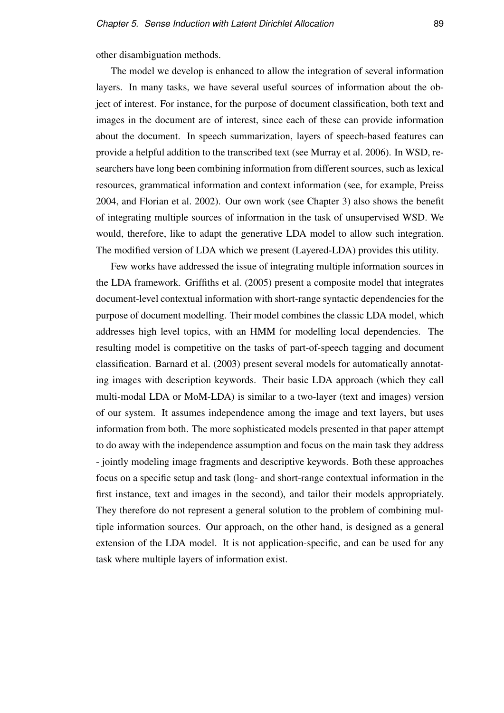other disambiguation methods.

The model we develop is enhanced to allow the integration of several information layers. In many tasks, we have several useful sources of information about the object of interest. For instance, for the purpose of document classification, both text and images in the document are of interest, since each of these can provide information about the document. In speech summarization, layers of speech-based features can provide a helpful addition to the transcribed text (see Murray et al. 2006). In WSD, researchers have long been combining information from different sources, such as lexical resources, grammatical information and context information (see, for example, Preiss 2004, and Florian et al. 2002). Our own work (see Chapter 3) also shows the benefit of integrating multiple sources of information in the task of unsupervised WSD. We would, therefore, like to adapt the generative LDA model to allow such integration. The modified version of LDA which we present (Layered-LDA) provides this utility.

Few works have addressed the issue of integrating multiple information sources in the LDA framework. Griffiths et al. (2005) present a composite model that integrates document-level contextual information with short-range syntactic dependencies for the purpose of document modelling. Their model combines the classic LDA model, which addresses high level topics, with an HMM for modelling local dependencies. The resulting model is competitive on the tasks of part-of-speech tagging and document classification. Barnard et al. (2003) present several models for automatically annotating images with description keywords. Their basic LDA approach (which they call multi-modal LDA or MoM-LDA) is similar to a two-layer (text and images) version of our system. It assumes independence among the image and text layers, but uses information from both. The more sophisticated models presented in that paper attempt to do away with the independence assumption and focus on the main task they address - jointly modeling image fragments and descriptive keywords. Both these approaches focus on a specific setup and task (long- and short-range contextual information in the first instance, text and images in the second), and tailor their models appropriately. They therefore do not represent a general solution to the problem of combining multiple information sources. Our approach, on the other hand, is designed as a general extension of the LDA model. It is not application-specific, and can be used for any task where multiple layers of information exist.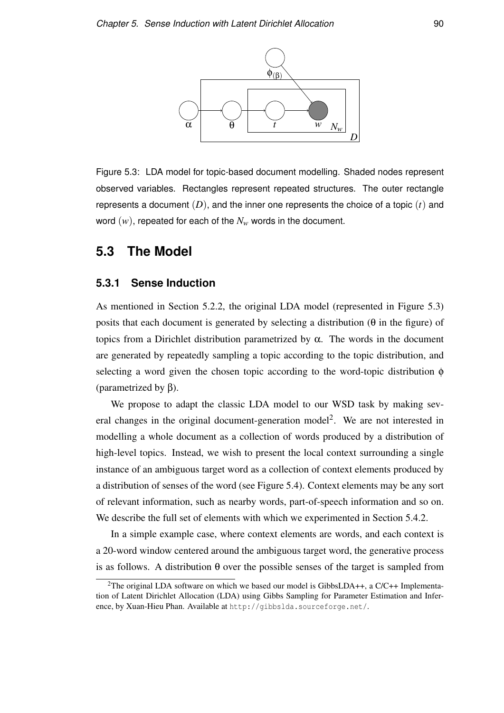

Figure 5.3: LDA model for topic-based document modelling. Shaded nodes represent observed variables. Rectangles represent repeated structures. The outer rectangle represents a document (*D*), and the inner one represents the choice of a topic (*t*) and word (*w*), repeated for each of the *N<sup>w</sup>* words in the document.

# **5.3 The Model**

### **5.3.1 Sense Induction**

As mentioned in Section 5.2.2, the original LDA model (represented in Figure 5.3) posits that each document is generated by selecting a distribution (θ in the figure) of topics from a Dirichlet distribution parametrized by α. The words in the document are generated by repeatedly sampling a topic according to the topic distribution, and selecting a word given the chosen topic according to the word-topic distribution  $\phi$ (parametrized by β).

We propose to adapt the classic LDA model to our WSD task by making several changes in the original document-generation model<sup>2</sup>. We are not interested in modelling a whole document as a collection of words produced by a distribution of high-level topics. Instead, we wish to present the local context surrounding a single instance of an ambiguous target word as a collection of context elements produced by a distribution of senses of the word (see Figure 5.4). Context elements may be any sort of relevant information, such as nearby words, part-of-speech information and so on. We describe the full set of elements with which we experimented in Section 5.4.2.

In a simple example case, where context elements are words, and each context is a 20-word window centered around the ambiguous target word, the generative process is as follows. A distribution θ over the possible senses of the target is sampled from

<sup>&</sup>lt;sup>2</sup>The original LDA software on which we based our model is GibbsLDA++, a  $C/C++$  Implementation of Latent Dirichlet Allocation (LDA) using Gibbs Sampling for Parameter Estimation and Inference, by Xuan-Hieu Phan. Available at http://gibbslda.sourceforge.net/.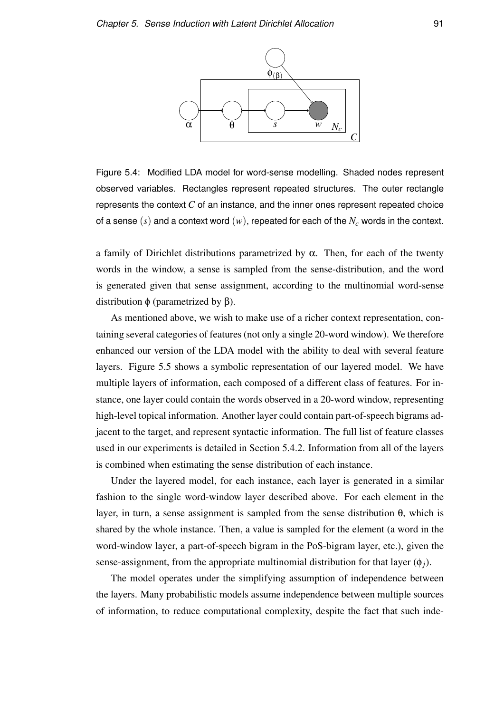

Figure 5.4: Modified LDA model for word-sense modelling. Shaded nodes represent observed variables. Rectangles represent repeated structures. The outer rectangle represents the context *C* of an instance, and the inner ones represent repeated choice of a sense (*s*) and a context word (*w*), repeated for each of the *N<sup>c</sup>* words in the context.

a family of Dirichlet distributions parametrized by  $\alpha$ . Then, for each of the twenty words in the window, a sense is sampled from the sense-distribution, and the word is generated given that sense assignment, according to the multinomial word-sense distribution φ (parametrized by β).

As mentioned above, we wish to make use of a richer context representation, containing several categories of features (not only a single 20-word window). We therefore enhanced our version of the LDA model with the ability to deal with several feature layers. Figure 5.5 shows a symbolic representation of our layered model. We have multiple layers of information, each composed of a different class of features. For instance, one layer could contain the words observed in a 20-word window, representing high-level topical information. Another layer could contain part-of-speech bigrams adjacent to the target, and represent syntactic information. The full list of feature classes used in our experiments is detailed in Section 5.4.2. Information from all of the layers is combined when estimating the sense distribution of each instance.

Under the layered model, for each instance, each layer is generated in a similar fashion to the single word-window layer described above. For each element in the layer, in turn, a sense assignment is sampled from the sense distribution  $θ$ , which is shared by the whole instance. Then, a value is sampled for the element (a word in the word-window layer, a part-of-speech bigram in the PoS-bigram layer, etc.), given the sense-assignment, from the appropriate multinomial distribution for that layer  $(\phi_i)$ .

The model operates under the simplifying assumption of independence between the layers. Many probabilistic models assume independence between multiple sources of information, to reduce computational complexity, despite the fact that such inde-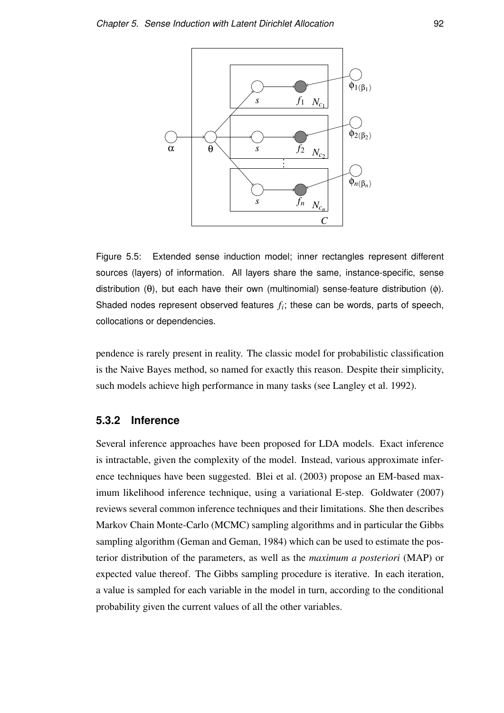

Figure 5.5: Extended sense induction model; inner rectangles represent different sources (layers) of information. All layers share the same, instance-specific, sense distribution  $(θ)$ , but each have their own (multinomial) sense-feature distribution  $(φ)$ . Shaded nodes represent observed features  $f_i$ ; these can be words, parts of speech, collocations or dependencies.

pendence is rarely present in reality. The classic model for probabilistic classification is the Naive Bayes method, so named for exactly this reason. Despite their simplicity, such models achieve high performance in many tasks (see Langley et al. 1992).

### **5.3.2 Inference**

Several inference approaches have been proposed for LDA models. Exact inference is intractable, given the complexity of the model. Instead, various approximate inference techniques have been suggested. Blei et al. (2003) propose an EM-based maximum likelihood inference technique, using a variational E-step. Goldwater (2007) reviews several common inference techniques and their limitations. She then describes Markov Chain Monte-Carlo (MCMC) sampling algorithms and in particular the Gibbs sampling algorithm (Geman and Geman, 1984) which can be used to estimate the posterior distribution of the parameters, as well as the *maximum a posteriori* (MAP) or expected value thereof. The Gibbs sampling procedure is iterative. In each iteration, a value is sampled for each variable in the model in turn, according to the conditional probability given the current values of all the other variables.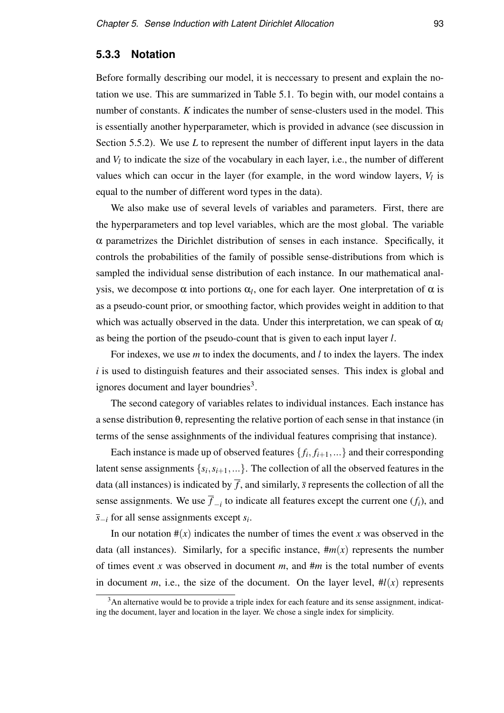### **5.3.3 Notation**

Before formally describing our model, it is neccessary to present and explain the notation we use. This are summarized in Table 5.1. To begin with, our model contains a number of constants. *K* indicates the number of sense-clusters used in the model. This is essentially another hyperparameter, which is provided in advance (see discussion in Section 5.5.2). We use *L* to represent the number of different input layers in the data and  $V_l$  to indicate the size of the vocabulary in each layer, i.e., the number of different values which can occur in the layer (for example, in the word window layers,  $V_l$  is equal to the number of different word types in the data).

We also make use of several levels of variables and parameters. First, there are the hyperparameters and top level variables, which are the most global. The variable  $\alpha$  parametrizes the Dirichlet distribution of senses in each instance. Specifically, it controls the probabilities of the family of possible sense-distributions from which is sampled the individual sense distribution of each instance. In our mathematical analysis, we decompose  $\alpha$  into portions  $\alpha_l$ , one for each layer. One interpretation of  $\alpha$  is as a pseudo-count prior, or smoothing factor, which provides weight in addition to that which was actually observed in the data. Under this interpretation, we can speak of  $\alpha$ <sup>*l*</sup> as being the portion of the pseudo-count that is given to each input layer *l*.

For indexes, we use *m* to index the documents, and *l* to index the layers. The index *i* is used to distinguish features and their associated senses. This index is global and ignores document and layer boundries<sup>3</sup>.

The second category of variables relates to individual instances. Each instance has a sense distribution θ, representing the relative portion of each sense in that instance (in terms of the sense assighnments of the individual features comprising that instance).

Each instance is made up of observed features  $\{f_i, f_{i+1}, ...\}$  and their corresponding latent sense assignments  $\{s_i, s_{i+1}, ...\}$ . The collection of all the observed features in the data (all instances) is indicated by  $\overline{f}$ , and similarly,  $\overline{s}$  represents the collection of all the sense assignments. We use  $\overline{f}_{-i}$  to indicate all features except the current one  $(f_i)$ , and *s*−*<sup>i</sup>* for all sense assignments except *s<sup>i</sup>* .

In our notation  $\#(x)$  indicates the number of times the event x was observed in the data (all instances). Similarly, for a specific instance,  $\#m(x)$  represents the number of times event *x* was observed in document *m*, and #*m* is the total number of events in document *m*, i.e., the size of the document. On the layer level,  $\#l(x)$  represents

<sup>&</sup>lt;sup>3</sup>An alternative would be to provide a triple index for each feature and its sense assignment, indicating the document, layer and location in the layer. We chose a single index for simplicity.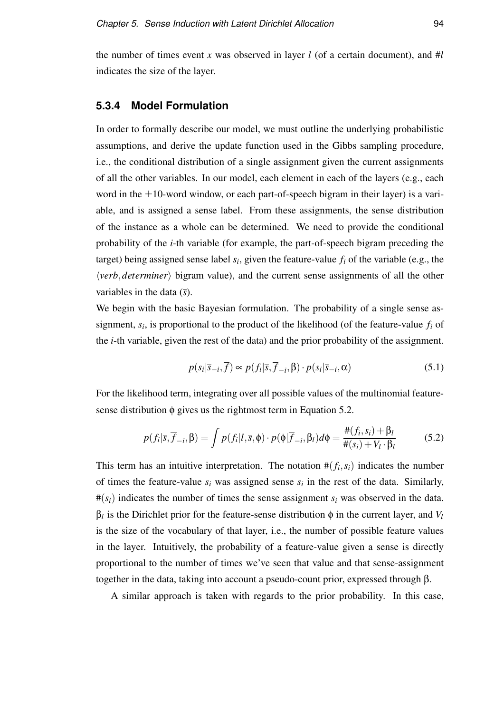the number of times event *x* was observed in layer *l* (of a certain document), and  $#l$ indicates the size of the layer.

### **5.3.4 Model Formulation**

In order to formally describe our model, we must outline the underlying probabilistic assumptions, and derive the update function used in the Gibbs sampling procedure, i.e., the conditional distribution of a single assignment given the current assignments of all the other variables. In our model, each element in each of the layers (e.g., each word in the  $\pm 10$ -word window, or each part-of-speech bigram in their layer) is a variable, and is assigned a sense label. From these assignments, the sense distribution of the instance as a whole can be determined. We need to provide the conditional probability of the *i*-th variable (for example, the part-of-speech bigram preceding the target) being assigned sense label  $s_i$ , given the feature-value  $f_i$  of the variable (e.g., the  $\langle verb, determiner \rangle$  bigram value), and the current sense assignments of all the other variables in the data (*s*).

We begin with the basic Bayesian formulation. The probability of a single sense assignment,  $s_i$ , is proportional to the product of the likelihood (of the feature-value  $f_i$  of the *i*-th variable, given the rest of the data) and the prior probability of the assignment.

$$
p(s_i|\overline{s}_{-i}, \overline{f}) \propto p(f_i|\overline{s}, \overline{f}_{-i}, \beta) \cdot p(s_i|\overline{s}_{-i}, \alpha) \tag{5.1}
$$

For the likelihood term, integrating over all possible values of the multinomial featuresense distribution  $\phi$  gives us the rightmost term in Equation 5.2.

$$
p(f_i|\overline{s}, \overline{f}_{-i}, \beta) = \int p(f_i|l, \overline{s}, \phi) \cdot p(\phi|\overline{f}_{-i}, \beta_l) d\phi = \frac{\#(f_i, s_i) + \beta_l}{\#(s_i) + V_l \cdot \beta_l}
$$
(5.2)

This term has an intuitive interpretation. The notation  $#(f_i, s_i)$  indicates the number of times the feature-value  $s_i$  was assigned sense  $s_i$  in the rest of the data. Similarly,  $\#(s_i)$  indicates the number of times the sense assignment  $s_i$  was observed in the data.  $\beta_l$  is the Dirichlet prior for the feature-sense distribution  $\phi$  in the current layer, and *V*<sub>*l*</sub> is the size of the vocabulary of that layer, i.e., the number of possible feature values in the layer. Intuitively, the probability of a feature-value given a sense is directly proportional to the number of times we've seen that value and that sense-assignment together in the data, taking into account a pseudo-count prior, expressed through β.

A similar approach is taken with regards to the prior probability. In this case,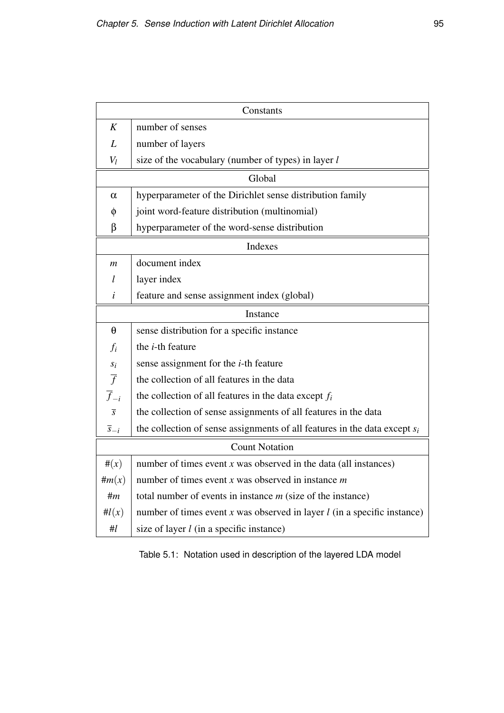| Constants             |                                                                              |  |  |
|-----------------------|------------------------------------------------------------------------------|--|--|
| K                     | number of senses                                                             |  |  |
| L                     | number of layers                                                             |  |  |
| $V_l$                 | size of the vocabulary (number of types) in layer l                          |  |  |
| Global                |                                                                              |  |  |
| $\alpha$              | hyperparameter of the Dirichlet sense distribution family                    |  |  |
| φ                     | joint word-feature distribution (multinomial)                                |  |  |
| β                     | hyperparameter of the word-sense distribution                                |  |  |
| Indexes               |                                                                              |  |  |
| $\mathfrak{m}$        | document index                                                               |  |  |
| l                     | layer index                                                                  |  |  |
| i                     | feature and sense assignment index (global)                                  |  |  |
| Instance              |                                                                              |  |  |
| $\theta$              | sense distribution for a specific instance                                   |  |  |
| $f_i$                 | the <i>i</i> -th feature                                                     |  |  |
|                       | sense assignment for the <i>i</i> -th feature                                |  |  |
| $\frac{s_i}{f}$       | the collection of all features in the data                                   |  |  |
| $\overline{f}_{-i}$   | the collection of all features in the data except $f_i$                      |  |  |
| $\overline{s}$        | the collection of sense assignments of all features in the data              |  |  |
| $\overline{s}_{-i}$   | the collection of sense assignments of all features in the data except $s_i$ |  |  |
| <b>Count Notation</b> |                                                                              |  |  |
| $\#(x)$               | number of times event $x$ was observed in the data (all instances)           |  |  |
| $\#m(x)$              | number of times event x was observed in instance $m$                         |  |  |
| #m                    | total number of events in instance $m$ (size of the instance)                |  |  |
| $\#l(x)$              | number of times event $x$ was observed in layer $l$ (in a specific instance) |  |  |
| #l                    | size of layer $l$ (in a specific instance)                                   |  |  |

Table 5.1: Notation used in description of the layered LDA model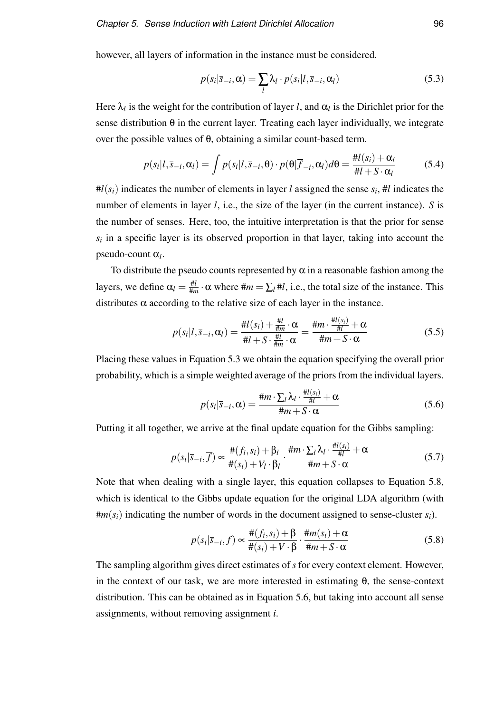however, all layers of information in the instance must be considered.

$$
p(s_i|\bar{s}_{-i}, \alpha) = \sum_l \lambda_l \cdot p(s_i|l, \bar{s}_{-i}, \alpha_l)
$$
\n(5.3)

Here  $\lambda_l$  is the weight for the contribution of layer *l*, and  $\alpha_l$  is the Dirichlet prior for the sense distribution  $\theta$  in the current layer. Treating each layer individually, we integrate over the possible values of θ, obtaining a similar count-based term.

$$
p(s_i|l, \overline{s}_{-i}, \alpha_l) = \int p(s_i|l, \overline{s}_{-i}, \theta) \cdot p(\theta | \overline{f}_{-i}, \alpha_l) d\theta = \frac{\#l(s_i) + \alpha_l}{\#l + S \cdot \alpha_l}
$$
(5.4)

 $#l(s_i)$  indicates the number of elements in layer *l* assigned the sense  $s_i$ ,  $#l$  indicates the number of elements in layer *l*, i.e., the size of the layer (in the current instance). *S* is the number of senses. Here, too, the intuitive interpretation is that the prior for sense  $s_i$  in a specific layer is its observed proportion in that layer, taking into account the pseudo-count α*<sup>l</sup>* .

To distribute the pseudo counts represented by  $\alpha$  in a reasonable fashion among the layers, we define  $\alpha_l = \frac{\# l}{\# n}$  $\frac{\#l}{\#m} \cdot \alpha$  where  $\#m = \sum_l \#l$ , i.e., the total size of the instance. This distributes  $\alpha$  according to the relative size of each layer in the instance.

$$
p(s_i|l, \overline{s}_{-i}, \alpha_l) = \frac{\#l(s_i) + \frac{\#l}{\#m} \cdot \alpha}{\#l + S \cdot \frac{\#l}{\#m} \cdot \alpha} = \frac{\#m \cdot \frac{\#l(s_i)}{\#l} + \alpha}{\#m + S \cdot \alpha} \tag{5.5}
$$

Placing these values in Equation 5.3 we obtain the equation specifying the overall prior probability, which is a simple weighted average of the priors from the individual layers.

$$
p(s_i|\overline{s}_{-i}, \alpha) = \frac{\#m \cdot \sum_l \lambda_l \cdot \frac{\#l(s_i)}{\#l} + \alpha}{\#m + S \cdot \alpha} \tag{5.6}
$$

Putting it all together, we arrive at the final update equation for the Gibbs sampling:

$$
p(s_i|\overline{s}_{-i}, \overline{f}) \propto \frac{\#(f_i, s_i) + \beta_l}{\#(s_i) + V_l \cdot \beta_l} \cdot \frac{\#m \cdot \sum_l \lambda_l \cdot \frac{\#l(s_i)}{\#l} + \alpha}{\#m + S \cdot \alpha} \tag{5.7}
$$

Note that when dealing with a single layer, this equation collapses to Equation 5.8, which is identical to the Gibbs update equation for the original LDA algorithm (with  $\#m(s_i)$  indicating the number of words in the document assigned to sense-cluster  $s_i$ ).

$$
p(s_i|\overline{s}_{-i}, \overline{f}) \propto \frac{\#(f_i, s_i) + \beta}{\#(s_i) + V \cdot \beta} \cdot \frac{\#m(s_i) + \alpha}{\#m + S \cdot \alpha} \tag{5.8}
$$

The sampling algorithm gives direct estimates of *s* for every context element. However, in the context of our task, we are more interested in estimating  $\theta$ , the sense-context distribution. This can be obtained as in Equation 5.6, but taking into account all sense assignments, without removing assignment *i*.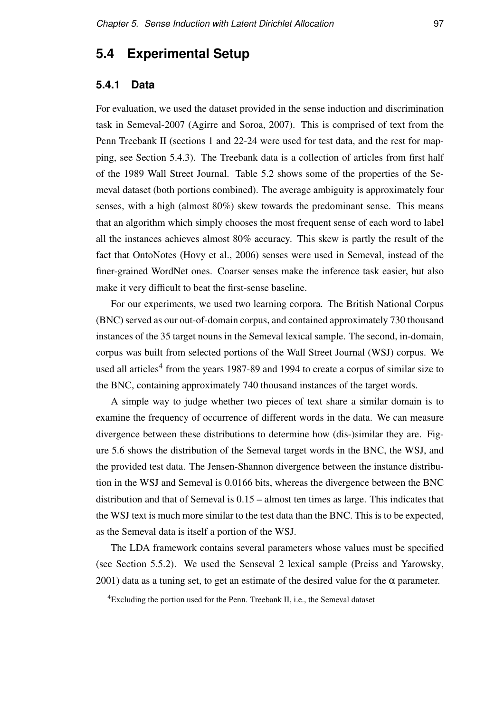# **5.4 Experimental Setup**

### **5.4.1 Data**

For evaluation, we used the dataset provided in the sense induction and discrimination task in Semeval-2007 (Agirre and Soroa, 2007). This is comprised of text from the Penn Treebank II (sections 1 and 22-24 were used for test data, and the rest for mapping, see Section 5.4.3). The Treebank data is a collection of articles from first half of the 1989 Wall Street Journal. Table 5.2 shows some of the properties of the Semeval dataset (both portions combined). The average ambiguity is approximately four senses, with a high (almost 80%) skew towards the predominant sense. This means that an algorithm which simply chooses the most frequent sense of each word to label all the instances achieves almost 80% accuracy. This skew is partly the result of the fact that OntoNotes (Hovy et al., 2006) senses were used in Semeval, instead of the finer-grained WordNet ones. Coarser senses make the inference task easier, but also make it very difficult to beat the first-sense baseline.

For our experiments, we used two learning corpora. The British National Corpus (BNC) served as our out-of-domain corpus, and contained approximately 730 thousand instances of the 35 target nouns in the Semeval lexical sample. The second, in-domain, corpus was built from selected portions of the Wall Street Journal (WSJ) corpus. We used all articles<sup>4</sup> from the years 1987-89 and 1994 to create a corpus of similar size to the BNC, containing approximately 740 thousand instances of the target words.

A simple way to judge whether two pieces of text share a similar domain is to examine the frequency of occurrence of different words in the data. We can measure divergence between these distributions to determine how (dis-)similar they are. Figure 5.6 shows the distribution of the Semeval target words in the BNC, the WSJ, and the provided test data. The Jensen-Shannon divergence between the instance distribution in the WSJ and Semeval is 0.0166 bits, whereas the divergence between the BNC distribution and that of Semeval is 0.15 – almost ten times as large. This indicates that the WSJ text is much more similar to the test data than the BNC. This is to be expected, as the Semeval data is itself a portion of the WSJ.

The LDA framework contains several parameters whose values must be specified (see Section 5.5.2). We used the Senseval 2 lexical sample (Preiss and Yarowsky, 2001) data as a tuning set, to get an estimate of the desired value for the  $\alpha$  parameter.

<sup>4</sup>Excluding the portion used for the Penn. Treebank II, i.e., the Semeval dataset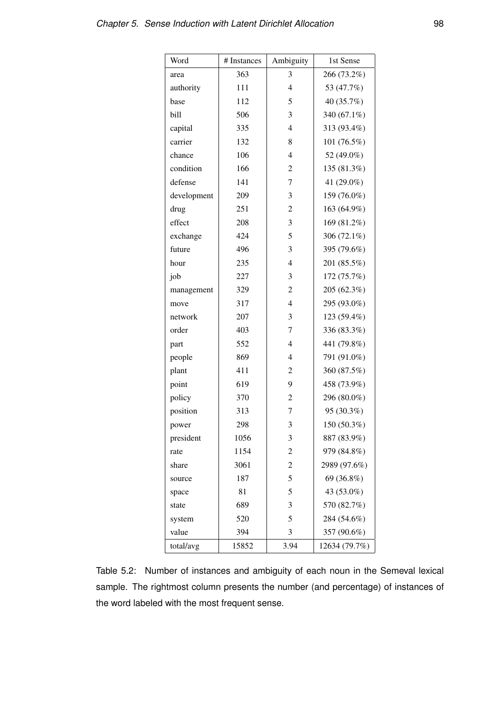| Word        | # Instances | Ambiguity      | 1st Sense     |
|-------------|-------------|----------------|---------------|
| area        | 363         | 3              | 266 (73.2%)   |
| authority   | 111         | $\overline{4}$ | 53 (47.7%)    |
| base        | 112         | 5              | 40 (35.7%)    |
| bill        | 506         | 3              | 340 (67.1%)   |
| capital     | 335         | $\overline{4}$ | 313 (93.4%)   |
| carrier     | 132         | 8              | 101 (76.5%)   |
| chance      | 106         | $\overline{4}$ | 52 (49.0%)    |
| condition   | 166         | 2              | 135 (81.3%)   |
| defense     | 141         | 7              | 41 (29.0%)    |
| development | 209         | 3              | 159 (76.0%)   |
| drug        | 251         | 2              | 163 (64.9%)   |
| effect      | 208         | 3              | 169 (81.2%)   |
| exchange    | 424         | 5              | 306 (72.1%)   |
| future      | 496         | 3              | 395 (79.6%)   |
| hour        | 235         | $\overline{4}$ | 201 (85.5%)   |
| job         | 227         | 3              | 172 (75.7%)   |
| management  | 329         | 2              | 205 (62.3%)   |
| move        | 317         | $\overline{4}$ | 295 (93.0%)   |
| network     | 207         | 3              | 123 (59.4%)   |
| order       | 403         | 7              | 336 (83.3%)   |
| part        | 552         | $\overline{4}$ | 441 (79.8%)   |
| people      | 869         | 4              | 791 (91.0%)   |
| plant       | 411         | 2              | 360 (87.5%)   |
| point       | 619         | 9              | 458 (73.9%)   |
| policy      | 370         | 2              | 296 (80.0%)   |
| position    | 313         | 7              | 95 (30.3%)    |
| power       | 298         | 3              | 150 (50.3%)   |
| president   | 1056        | 3              | 887 (83.9%)   |
| rate        | 1154        | 2              | 979 (84.8%)   |
| share       | 3061        | $\overline{c}$ | 2989 (97.6%)  |
| source      | 187         | 5              | 69 (36.8%)    |
| space       | 81          | 5              | 43 (53.0%)    |
| state       | 689         | 3              | 570 (82.7%)   |
| system      | 520         | 5              | 284 (54.6%)   |
| value       | 394         | 3              | 357 (90.6%)   |
| total/avg   | 15852       | 3.94           | 12634 (79.7%) |

Table 5.2: Number of instances and ambiguity of each noun in the Semeval lexical sample. The rightmost column presents the number (and percentage) of instances of the word labeled with the most frequent sense.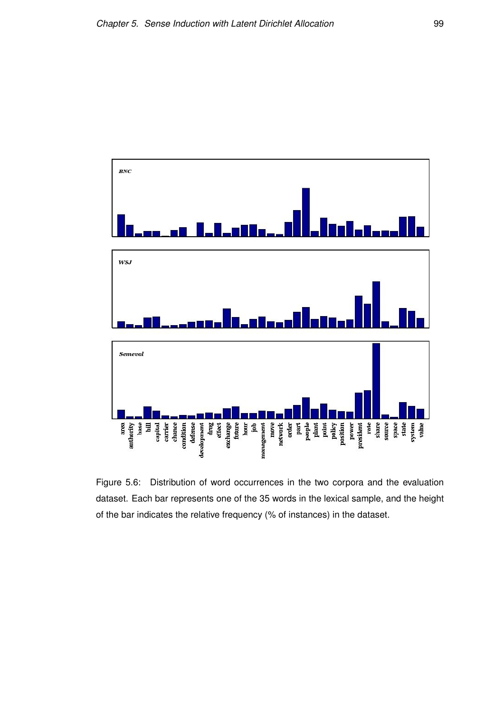

Figure 5.6: Distribution of word occurrences in the two corpora and the evaluation dataset. Each bar represents one of the 35 words in the lexical sample, and the height of the bar indicates the relative frequency (% of instances) in the dataset.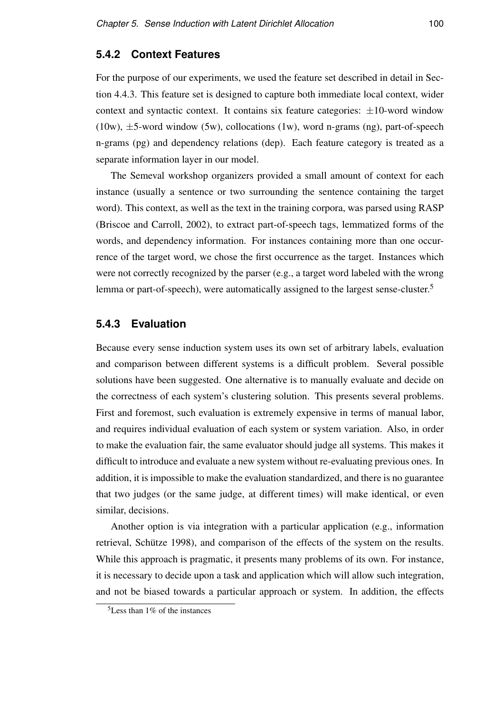# **5.4.2 Context Features**

For the purpose of our experiments, we used the feature set described in detail in Section 4.4.3. This feature set is designed to capture both immediate local context, wider context and syntactic context. It contains six feature categories:  $\pm 10$ -word window  $(10w)$ ,  $\pm$ 5-word window (5w), collocations (1w), word n-grams (ng), part-of-speech n-grams (pg) and dependency relations (dep). Each feature category is treated as a separate information layer in our model.

The Semeval workshop organizers provided a small amount of context for each instance (usually a sentence or two surrounding the sentence containing the target word). This context, as well as the text in the training corpora, was parsed using RASP (Briscoe and Carroll, 2002), to extract part-of-speech tags, lemmatized forms of the words, and dependency information. For instances containing more than one occurrence of the target word, we chose the first occurrence as the target. Instances which were not correctly recognized by the parser (e.g., a target word labeled with the wrong lemma or part-of-speech), were automatically assigned to the largest sense-cluster.<sup>5</sup>

# **5.4.3 Evaluation**

Because every sense induction system uses its own set of arbitrary labels, evaluation and comparison between different systems is a difficult problem. Several possible solutions have been suggested. One alternative is to manually evaluate and decide on the correctness of each system's clustering solution. This presents several problems. First and foremost, such evaluation is extremely expensive in terms of manual labor, and requires individual evaluation of each system or system variation. Also, in order to make the evaluation fair, the same evaluator should judge all systems. This makes it difficult to introduce and evaluate a new system without re-evaluating previous ones. In addition, it is impossible to make the evaluation standardized, and there is no guarantee that two judges (or the same judge, at different times) will make identical, or even similar, decisions.

Another option is via integration with a particular application (e.g., information retrieval, Schütze 1998), and comparison of the effects of the system on the results. While this approach is pragmatic, it presents many problems of its own. For instance, it is necessary to decide upon a task and application which will allow such integration, and not be biased towards a particular approach or system. In addition, the effects

 $5$ Less than 1% of the instances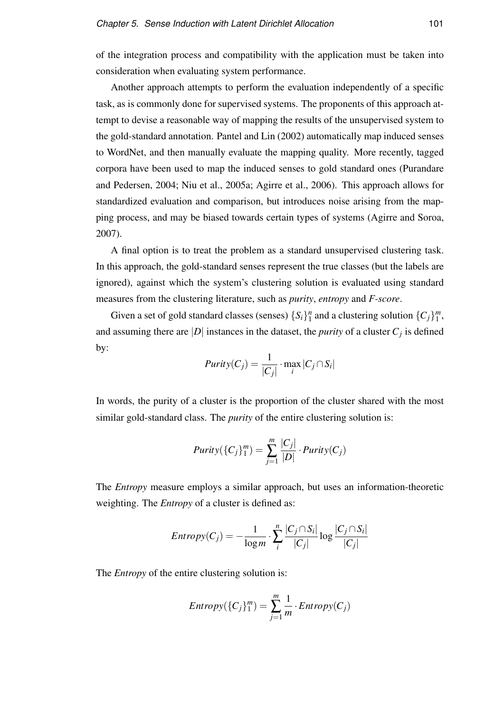of the integration process and compatibility with the application must be taken into consideration when evaluating system performance.

Another approach attempts to perform the evaluation independently of a specific task, as is commonly done for supervised systems. The proponents of this approach attempt to devise a reasonable way of mapping the results of the unsupervised system to the gold-standard annotation. Pantel and Lin (2002) automatically map induced senses to WordNet, and then manually evaluate the mapping quality. More recently, tagged corpora have been used to map the induced senses to gold standard ones (Purandare and Pedersen, 2004; Niu et al., 2005a; Agirre et al., 2006). This approach allows for standardized evaluation and comparison, but introduces noise arising from the mapping process, and may be biased towards certain types of systems (Agirre and Soroa, 2007).

A final option is to treat the problem as a standard unsupervised clustering task. In this approach, the gold-standard senses represent the true classes (but the labels are ignored), against which the system's clustering solution is evaluated using standard measures from the clustering literature, such as *purity*, *entropy* and *F-score*.

Given a set of gold standard classes (senses)  $\{S_i\}_{i=1}^n$  $\binom{n}{1}$  and a clustering solution  $\{C_j\}_{1}^{m}$  $\frac{m}{1}$ and assuming there are  $|D|$  instances in the dataset, the *purity* of a cluster  $C_j$  is defined by:

$$
Purity(C_j) = \frac{1}{|C_j|} \cdot \max_i |C_j \cap S_i|
$$

In words, the purity of a cluster is the proportion of the cluster shared with the most similar gold-standard class. The *purity* of the entire clustering solution is:

$$
Purity(\lbrace C_j \rbrace_1^m) = \sum_{j=1}^m \frac{|C_j|}{|D|} \cdot Purity(C_j)
$$

The *Entropy* measure employs a similar approach, but uses an information-theoretic weighting. The *Entropy* of a cluster is defined as:

$$
Entropy(C_j) = -\frac{1}{\log m} \cdot \sum_{i}^{n} \frac{|C_j \cap S_i|}{|C_j|} \log \frac{|C_j \cap S_i|}{|C_j|}
$$

The *Entropy* of the entire clustering solution is:

$$
Entropy({C_j}_1^m) = \sum_{j=1}^m \frac{1}{m} \cdot Entropy(C_j)
$$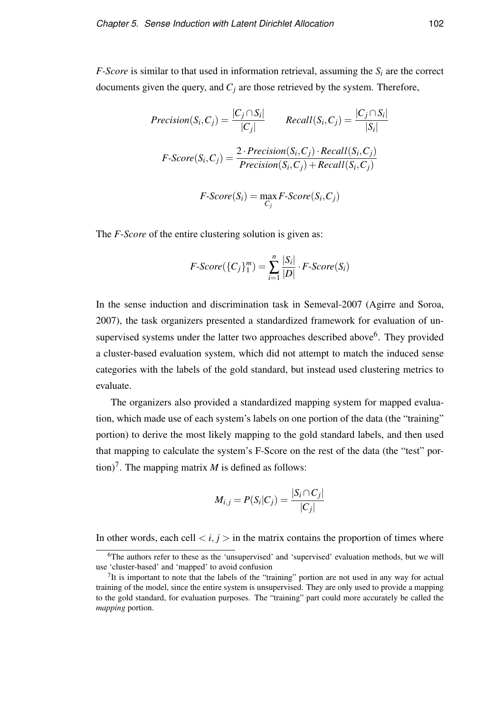*F-Score* is similar to that used in information retrieval, assuming the  $S_i$  are the correct documents given the query, and *C<sup>j</sup>* are those retrieved by the system. Therefore,

$$
Precision(S_i, C_j) = \frac{|C_j \cap S_i|}{|C_j|} \qquad Recall(S_i, C_j) = \frac{|C_j \cap S_i|}{|S_i|}
$$

$$
F\text{-}Score(S_i, C_j) = \frac{2 \cdot Precision(S_i, C_j) \cdot Recall(S_i, C_j)}{Precision(S_i, C_j) + Recall(S_i, C_j)}
$$

$$
F\text{-}Score(S_i) = \max_{C_j} F\text{-}Score(S_i, C_j)
$$

The *F-Score* of the entire clustering solution is given as:

$$
F\text{-}Score(\lbrace C_j\rbrace_1^m)=\sum_{i=1}^n\frac{|S_i|}{|D|}\cdot F\text{-}Score(S_i)
$$

In the sense induction and discrimination task in Semeval-2007 (Agirre and Soroa, 2007), the task organizers presented a standardized framework for evaluation of unsupervised systems under the latter two approaches described above<sup>6</sup>. They provided a cluster-based evaluation system, which did not attempt to match the induced sense categories with the labels of the gold standard, but instead used clustering metrics to evaluate.

The organizers also provided a standardized mapping system for mapped evaluation, which made use of each system's labels on one portion of the data (the "training" portion) to derive the most likely mapping to the gold standard labels, and then used that mapping to calculate the system's F-Score on the rest of the data (the "test" portion)<sup>7</sup>. The mapping matrix  $M$  is defined as follows:

$$
M_{i,j} = P(S_i|C_j) = \frac{|S_i \cap C_j|}{|C_j|}
$$

In other words, each cell  $\langle i, j \rangle$  in the matrix contains the proportion of times where

<sup>6</sup>The authors refer to these as the 'unsupervised' and 'supervised' evaluation methods, but we will use 'cluster-based' and 'mapped' to avoid confusion

 $<sup>7</sup>$ It is important to note that the labels of the "training" portion are not used in any way for actual</sup> training of the model, since the entire system is unsupervised. They are only used to provide a mapping to the gold standard, for evaluation purposes. The "training" part could more accurately be called the *mapping* portion.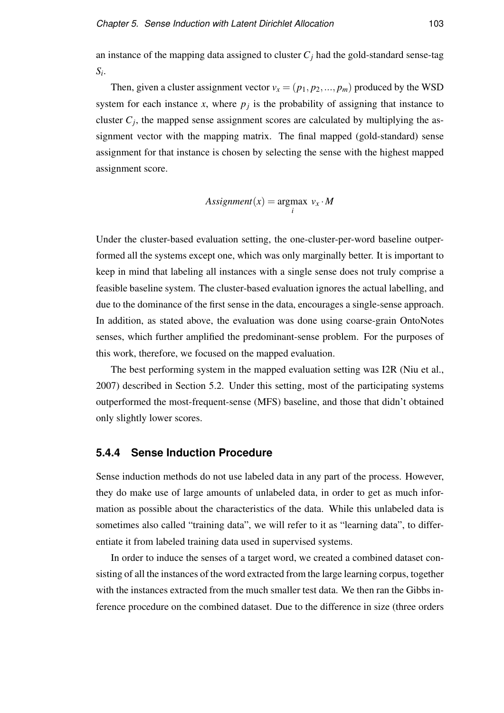an instance of the mapping data assigned to cluster  $C_j$  had the gold-standard sense-tag *Si* .

Then, given a cluster assignment vector  $v_x = (p_1, p_2, ..., p_m)$  produced by the WSD system for each instance *x*, where  $p_j$  is the probability of assigning that instance to cluster  $C_j$ , the mapped sense assignment scores are calculated by multiplying the assignment vector with the mapping matrix. The final mapped (gold-standard) sense assignment for that instance is chosen by selecting the sense with the highest mapped assignment score.

$$
Assignment(x) = \underset{i}{argmax} \ v_x \cdot M
$$

Under the cluster-based evaluation setting, the one-cluster-per-word baseline outperformed all the systems except one, which was only marginally better. It is important to keep in mind that labeling all instances with a single sense does not truly comprise a feasible baseline system. The cluster-based evaluation ignores the actual labelling, and due to the dominance of the first sense in the data, encourages a single-sense approach. In addition, as stated above, the evaluation was done using coarse-grain OntoNotes senses, which further amplified the predominant-sense problem. For the purposes of this work, therefore, we focused on the mapped evaluation.

The best performing system in the mapped evaluation setting was I2R (Niu et al., 2007) described in Section 5.2. Under this setting, most of the participating systems outperformed the most-frequent-sense (MFS) baseline, and those that didn't obtained only slightly lower scores.

## **5.4.4 Sense Induction Procedure**

Sense induction methods do not use labeled data in any part of the process. However, they do make use of large amounts of unlabeled data, in order to get as much information as possible about the characteristics of the data. While this unlabeled data is sometimes also called "training data", we will refer to it as "learning data", to differentiate it from labeled training data used in supervised systems.

In order to induce the senses of a target word, we created a combined dataset consisting of all the instances of the word extracted from the large learning corpus, together with the instances extracted from the much smaller test data. We then ran the Gibbs inference procedure on the combined dataset. Due to the difference in size (three orders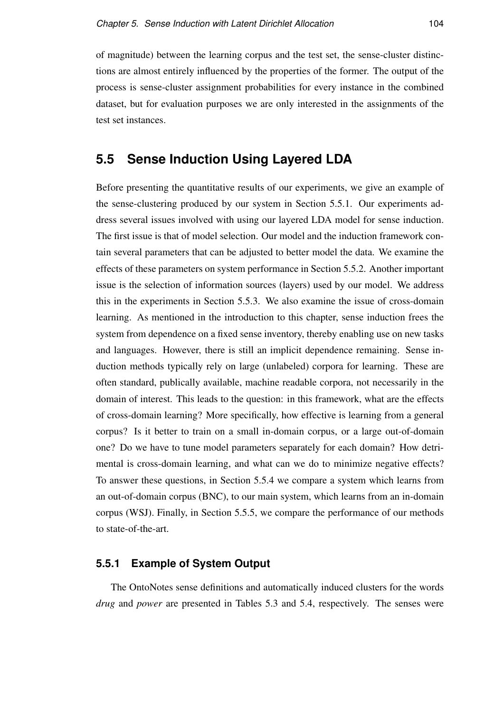of magnitude) between the learning corpus and the test set, the sense-cluster distinctions are almost entirely influenced by the properties of the former. The output of the process is sense-cluster assignment probabilities for every instance in the combined dataset, but for evaluation purposes we are only interested in the assignments of the test set instances.

# **5.5 Sense Induction Using Layered LDA**

Before presenting the quantitative results of our experiments, we give an example of the sense-clustering produced by our system in Section 5.5.1. Our experiments address several issues involved with using our layered LDA model for sense induction. The first issue is that of model selection. Our model and the induction framework contain several parameters that can be adjusted to better model the data. We examine the effects of these parameters on system performance in Section 5.5.2. Another important issue is the selection of information sources (layers) used by our model. We address this in the experiments in Section 5.5.3. We also examine the issue of cross-domain learning. As mentioned in the introduction to this chapter, sense induction frees the system from dependence on a fixed sense inventory, thereby enabling use on new tasks and languages. However, there is still an implicit dependence remaining. Sense induction methods typically rely on large (unlabeled) corpora for learning. These are often standard, publically available, machine readable corpora, not necessarily in the domain of interest. This leads to the question: in this framework, what are the effects of cross-domain learning? More specifically, how effective is learning from a general corpus? Is it better to train on a small in-domain corpus, or a large out-of-domain one? Do we have to tune model parameters separately for each domain? How detrimental is cross-domain learning, and what can we do to minimize negative effects? To answer these questions, in Section 5.5.4 we compare a system which learns from an out-of-domain corpus (BNC), to our main system, which learns from an in-domain corpus (WSJ). Finally, in Section 5.5.5, we compare the performance of our methods to state-of-the-art.

# **5.5.1 Example of System Output**

The OntoNotes sense definitions and automatically induced clusters for the words *drug* and *power* are presented in Tables 5.3 and 5.4, respectively. The senses were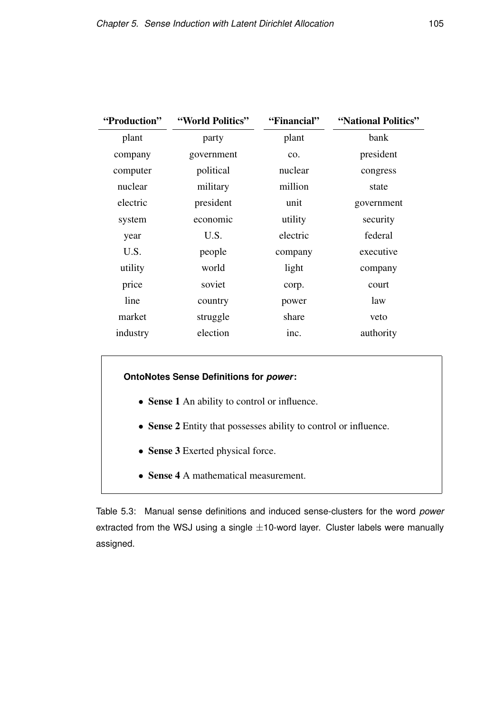| "Production" | "World Politics"<br>"Financial" |          | "National Politics" |
|--------------|---------------------------------|----------|---------------------|
| plant        | party                           | plant    | bank                |
| company      | government                      | CO.      | president           |
| computer     | political                       | nuclear  | congress            |
| nuclear      | military                        | million  | state               |
| electric     | president                       | unit     | government          |
| system       | economic                        | utility  | security            |
| year         | U.S.                            | electric | federal             |
| U.S.         | people                          | company  | executive           |
| utility      | world                           | light    | company             |
| price        | soviet                          | corp.    | court               |
| line         | country                         | power    | law                 |
| market       | struggle                        | share    | veto                |
| industry     | election                        | inc.     | authority           |
|              |                                 |          |                     |

## **OntoNotes Sense Definitions for** *power***:**

- Sense 1 An ability to control or influence.
- Sense 2 Entity that possesses ability to control or influence.
- Sense 3 Exerted physical force.
- Sense 4 A mathematical measurement.

Table 5.3: Manual sense definitions and induced sense-clusters for the word *power* extracted from the WSJ using a single  $\pm$ 10-word layer. Cluster labels were manually assigned.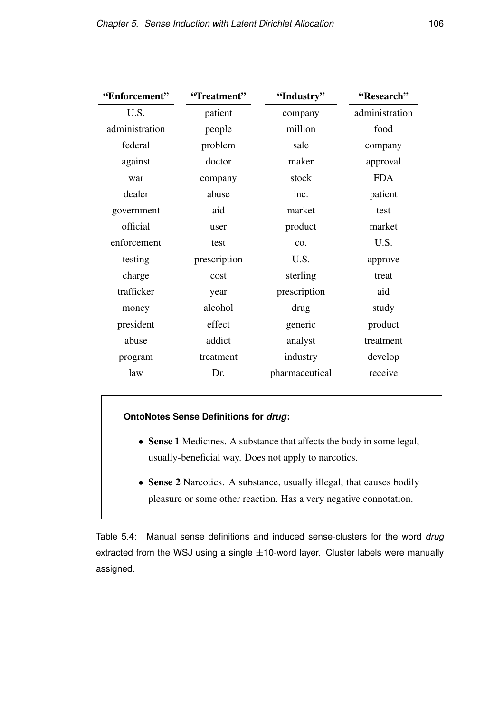| "Enforcement"  | "Treatment"  | "Industry"     | "Research"     |
|----------------|--------------|----------------|----------------|
| U.S.           | patient      | company        | administration |
| administration | people       | million        | food           |
| federal        | problem      | sale           | company        |
| against        | doctor       | maker          | approval       |
| war            | company      | stock          | <b>FDA</b>     |
| dealer         | abuse        | inc.           | patient        |
| government     | aid          | market         | test           |
| official       | user         | product        | market         |
| enforcement    | test         | co.            | U.S.           |
| testing        | prescription | U.S.           | approve        |
| charge         | cost         | sterling       | treat          |
| trafficker     | year         | prescription   | aid            |
| money          | alcohol      | drug           | study          |
| president      | effect       | generic        | product        |
| abuse          | addict       | analyst        | treatment      |
| program        | treatment    | industry       | develop        |
| law            | Dr.          | pharmaceutical | receive        |

## **OntoNotes Sense Definitions for** *drug***:**

- Sense 1 Medicines. A substance that affects the body in some legal, usually-beneficial way. Does not apply to narcotics.
- Sense 2 Narcotics. A substance, usually illegal, that causes bodily pleasure or some other reaction. Has a very negative connotation.

Table 5.4: Manual sense definitions and induced sense-clusters for the word *drug* extracted from the WSJ using a single  $\pm$ 10-word layer. Cluster labels were manually assigned.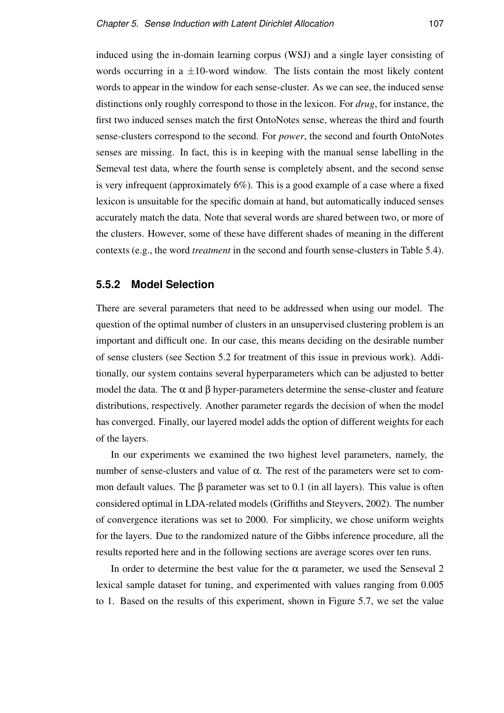induced using the in-domain learning corpus (WSJ) and a single layer consisting of words occurring in a  $\pm 10$ -word window. The lists contain the most likely content words to appear in the window for each sense-cluster. As we can see, the induced sense distinctions only roughly correspond to those in the lexicon. For *drug*, for instance, the first two induced senses match the first OntoNotes sense, whereas the third and fourth sense-clusters correspond to the second. For *power*, the second and fourth OntoNotes senses are missing. In fact, this is in keeping with the manual sense labelling in the Semeval test data, where the fourth sense is completely absent, and the second sense is very infrequent (approximately 6%). This is a good example of a case where a fixed lexicon is unsuitable for the specific domain at hand, but automatically induced senses accurately match the data. Note that several words are shared between two, or more of the clusters. However, some of these have different shades of meaning in the different contexts (e.g., the word *treatment* in the second and fourth sense-clusters in Table 5.4).

## **5.5.2 Model Selection**

There are several parameters that need to be addressed when using our model. The question of the optimal number of clusters in an unsupervised clustering problem is an important and difficult one. In our case, this means deciding on the desirable number of sense clusters (see Section 5.2 for treatment of this issue in previous work). Additionally, our system contains several hyperparameters which can be adjusted to better model the data. The  $\alpha$  and  $\beta$  hyper-parameters determine the sense-cluster and feature distributions, respectively. Another parameter regards the decision of when the model has converged. Finally, our layered model adds the option of different weights for each of the layers.

In our experiments we examined the two highest level parameters, namely, the number of sense-clusters and value of  $\alpha$ . The rest of the parameters were set to common default values. The  $\beta$  parameter was set to 0.1 (in all layers). This value is often considered optimal in LDA-related models (Griffiths and Steyvers, 2002). The number of convergence iterations was set to 2000. For simplicity, we chose uniform weights for the layers. Due to the randomized nature of the Gibbs inference procedure, all the results reported here and in the following sections are average scores over ten runs.

In order to determine the best value for the  $\alpha$  parameter, we used the Senseval 2 lexical sample dataset for tuning, and experimented with values ranging from 0.005 to 1. Based on the results of this experiment, shown in Figure 5.7, we set the value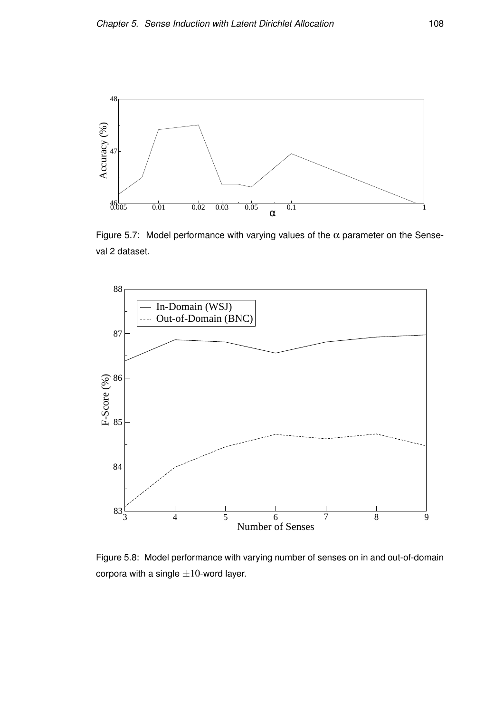

Figure 5.7: Model performance with varying values of the  $\alpha$  parameter on the Senseval 2 dataset.



Figure 5.8: Model performance with varying number of senses on in and out-of-domain corpora with a single  $\pm 10$ -word layer.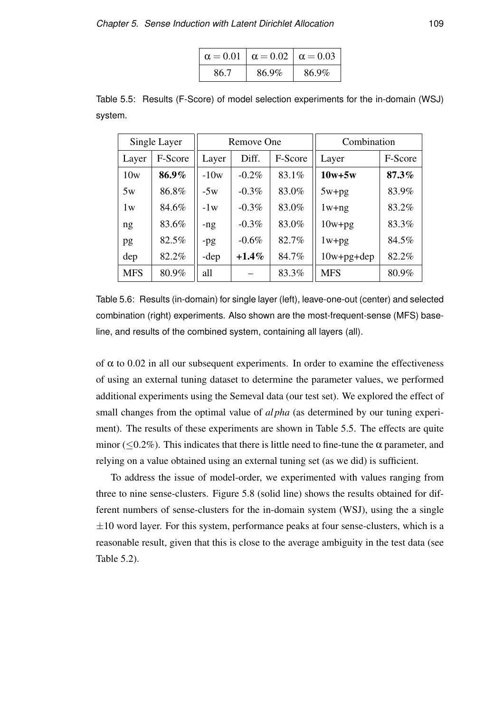|      | $\alpha = 0.01$ $\alpha = 0.02$ $\alpha = 0.03$ |       |
|------|-------------------------------------------------|-------|
| 86.7 | 86.9%                                           | 86.9% |

Table 5.5: Results (F-Score) of model selection experiments for the in-domain (WSJ) system.

|            | Single Layer | Remove One |          | Combination |                  |         |
|------------|--------------|------------|----------|-------------|------------------|---------|
| Layer      | F-Score      | Layer      | Diff.    | F-Score     | Layer            | F-Score |
| 10w        | 86.9%        | $-10w$     | $-0.2\%$ | 83.1%       | $10w+5w$         | 87.3%   |
| 5w         | 86.8%        | $-5w$      | $-0.3\%$ | 83.0%       | $5w+pg$          | 83.9%   |
| 1w         | 84.6%        | $-1w$      | $-0.3\%$ | 83.0%       | $1w+ng$          | 83.2%   |
| ng         | 83.6%        | $-ng$      | $-0.3\%$ | 83.0%       | $10w+pg$         | 83.3%   |
| pg         | 82.5%        | -pg        | $-0.6\%$ | 82.7%       | $1w+pg$          | 84.5%   |
| dep        | 82.2%        | -dep       | $+1.4\%$ | 84.7%       | $10w + pg + dep$ | 82.2%   |
| <b>MFS</b> | 80.9%        | all        |          | 83.3%       | <b>MFS</b>       | 80.9%   |

Table 5.6: Results (in-domain) for single layer (left), leave-one-out (center) and selected combination (right) experiments. Also shown are the most-frequent-sense (MFS) baseline, and results of the combined system, containing all layers (all).

of  $\alpha$  to 0.02 in all our subsequent experiments. In order to examine the effectiveness of using an external tuning dataset to determine the parameter values, we performed additional experiments using the Semeval data (our test set). We explored the effect of small changes from the optimal value of *al pha* (as determined by our tuning experiment). The results of these experiments are shown in Table 5.5. The effects are quite minor ( $\leq 0.2\%$ ). This indicates that there is little need to fine-tune the  $\alpha$  parameter, and relying on a value obtained using an external tuning set (as we did) is sufficient.

To address the issue of model-order, we experimented with values ranging from three to nine sense-clusters. Figure 5.8 (solid line) shows the results obtained for different numbers of sense-clusters for the in-domain system (WSJ), using the a single  $\pm 10$  word layer. For this system, performance peaks at four sense-clusters, which is a reasonable result, given that this is close to the average ambiguity in the test data (see Table 5.2).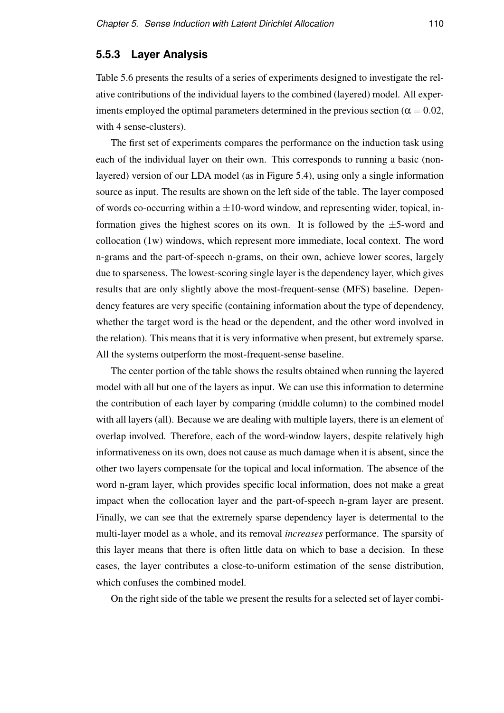# **5.5.3 Layer Analysis**

Table 5.6 presents the results of a series of experiments designed to investigate the relative contributions of the individual layers to the combined (layered) model. All experiments employed the optimal parameters determined in the previous section ( $\alpha = 0.02$ , with 4 sense-clusters).

The first set of experiments compares the performance on the induction task using each of the individual layer on their own. This corresponds to running a basic (nonlayered) version of our LDA model (as in Figure 5.4), using only a single information source as input. The results are shown on the left side of the table. The layer composed of words co-occurring within a  $\pm 10$ -word window, and representing wider, topical, information gives the highest scores on its own. It is followed by the  $\pm$ 5-word and collocation (1w) windows, which represent more immediate, local context. The word n-grams and the part-of-speech n-grams, on their own, achieve lower scores, largely due to sparseness. The lowest-scoring single layer is the dependency layer, which gives results that are only slightly above the most-frequent-sense (MFS) baseline. Dependency features are very specific (containing information about the type of dependency, whether the target word is the head or the dependent, and the other word involved in the relation). This means that it is very informative when present, but extremely sparse. All the systems outperform the most-frequent-sense baseline.

The center portion of the table shows the results obtained when running the layered model with all but one of the layers as input. We can use this information to determine the contribution of each layer by comparing (middle column) to the combined model with all layers (all). Because we are dealing with multiple layers, there is an element of overlap involved. Therefore, each of the word-window layers, despite relatively high informativeness on its own, does not cause as much damage when it is absent, since the other two layers compensate for the topical and local information. The absence of the word n-gram layer, which provides specific local information, does not make a great impact when the collocation layer and the part-of-speech n-gram layer are present. Finally, we can see that the extremely sparse dependency layer is determental to the multi-layer model as a whole, and its removal *increases* performance. The sparsity of this layer means that there is often little data on which to base a decision. In these cases, the layer contributes a close-to-uniform estimation of the sense distribution, which confuses the combined model.

On the right side of the table we present the results for a selected set of layer combi-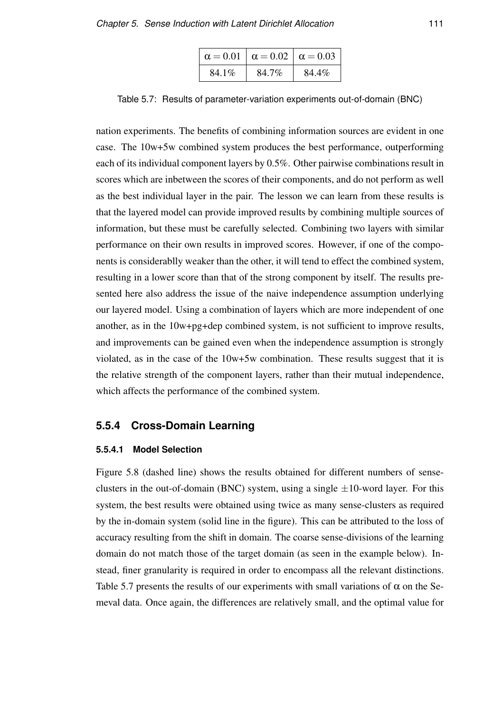|       | $\alpha = 0.01$ $\alpha = 0.02$ $\alpha = 0.03$ |       |
|-------|-------------------------------------------------|-------|
| 84.1% | 84.7%                                           | 84.4% |

Table 5.7: Results of parameter-variation experiments out-of-domain (BNC)

nation experiments. The benefits of combining information sources are evident in one case. The 10w+5w combined system produces the best performance, outperforming each of its individual component layers by 0.5%. Other pairwise combinations result in scores which are inbetween the scores of their components, and do not perform as well as the best individual layer in the pair. The lesson we can learn from these results is that the layered model can provide improved results by combining multiple sources of information, but these must be carefully selected. Combining two layers with similar performance on their own results in improved scores. However, if one of the components is considerablly weaker than the other, it will tend to effect the combined system, resulting in a lower score than that of the strong component by itself. The results presented here also address the issue of the naive independence assumption underlying our layered model. Using a combination of layers which are more independent of one another, as in the 10w+pg+dep combined system, is not sufficient to improve results, and improvements can be gained even when the independence assumption is strongly violated, as in the case of the 10w+5w combination. These results suggest that it is the relative strength of the component layers, rather than their mutual independence, which affects the performance of the combined system.

# **5.5.4 Cross-Domain Learning**

#### **5.5.4.1 Model Selection**

Figure 5.8 (dashed line) shows the results obtained for different numbers of senseclusters in the out-of-domain (BNC) system, using a single  $\pm 10$ -word layer. For this system, the best results were obtained using twice as many sense-clusters as required by the in-domain system (solid line in the figure). This can be attributed to the loss of accuracy resulting from the shift in domain. The coarse sense-divisions of the learning domain do not match those of the target domain (as seen in the example below). Instead, finer granularity is required in order to encompass all the relevant distinctions. Table 5.7 presents the results of our experiments with small variations of  $\alpha$  on the Semeval data. Once again, the differences are relatively small, and the optimal value for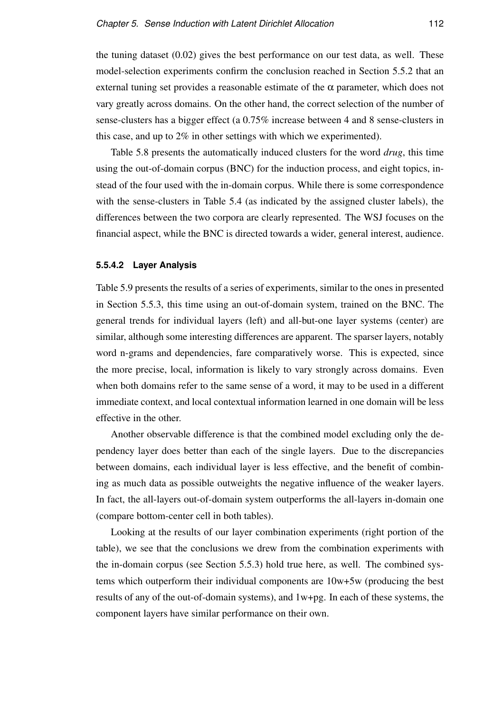the tuning dataset (0.02) gives the best performance on our test data, as well. These model-selection experiments confirm the conclusion reached in Section 5.5.2 that an external tuning set provides a reasonable estimate of the  $\alpha$  parameter, which does not vary greatly across domains. On the other hand, the correct selection of the number of sense-clusters has a bigger effect (a 0.75% increase between 4 and 8 sense-clusters in this case, and up to 2% in other settings with which we experimented).

Table 5.8 presents the automatically induced clusters for the word *drug*, this time using the out-of-domain corpus (BNC) for the induction process, and eight topics, instead of the four used with the in-domain corpus. While there is some correspondence with the sense-clusters in Table 5.4 (as indicated by the assigned cluster labels), the differences between the two corpora are clearly represented. The WSJ focuses on the financial aspect, while the BNC is directed towards a wider, general interest, audience.

#### **5.5.4.2 Layer Analysis**

Table 5.9 presents the results of a series of experiments, similar to the ones in presented in Section 5.5.3, this time using an out-of-domain system, trained on the BNC. The general trends for individual layers (left) and all-but-one layer systems (center) are similar, although some interesting differences are apparent. The sparser layers, notably word n-grams and dependencies, fare comparatively worse. This is expected, since the more precise, local, information is likely to vary strongly across domains. Even when both domains refer to the same sense of a word, it may to be used in a different immediate context, and local contextual information learned in one domain will be less effective in the other.

Another observable difference is that the combined model excluding only the dependency layer does better than each of the single layers. Due to the discrepancies between domains, each individual layer is less effective, and the benefit of combining as much data as possible outweights the negative influence of the weaker layers. In fact, the all-layers out-of-domain system outperforms the all-layers in-domain one (compare bottom-center cell in both tables).

Looking at the results of our layer combination experiments (right portion of the table), we see that the conclusions we drew from the combination experiments with the in-domain corpus (see Section 5.5.3) hold true here, as well. The combined systems which outperform their individual components are 10w+5w (producing the best results of any of the out-of-domain systems), and 1w+pg. In each of these systems, the component layers have similar performance on their own.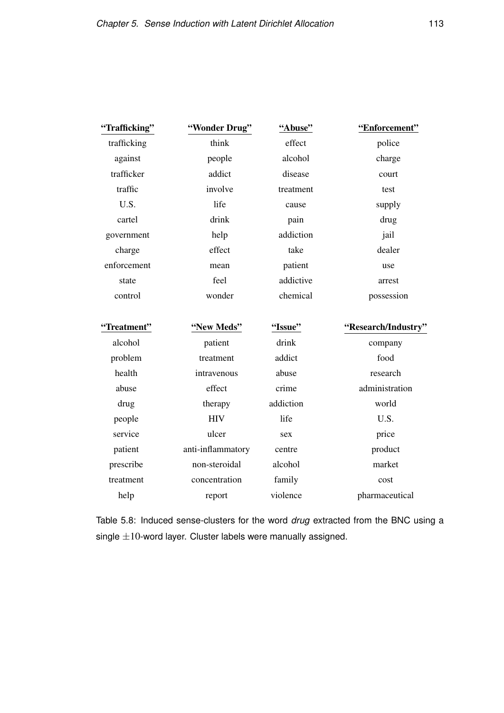| police              |
|---------------------|
| charge              |
| court               |
| test                |
| supply              |
| drug                |
| jail                |
| dealer              |
| use                 |
| arrest              |
| possession          |
|                     |
| "Research/Industry" |
| company             |
| food                |
| research            |
| administration      |
| world               |
| U.S.                |
| price               |
| product             |
| market              |
| cost                |
|                     |

Table 5.8: Induced sense-clusters for the word *drug* extracted from the BNC using a single  $\pm 10$ -word layer. Cluster labels were manually assigned.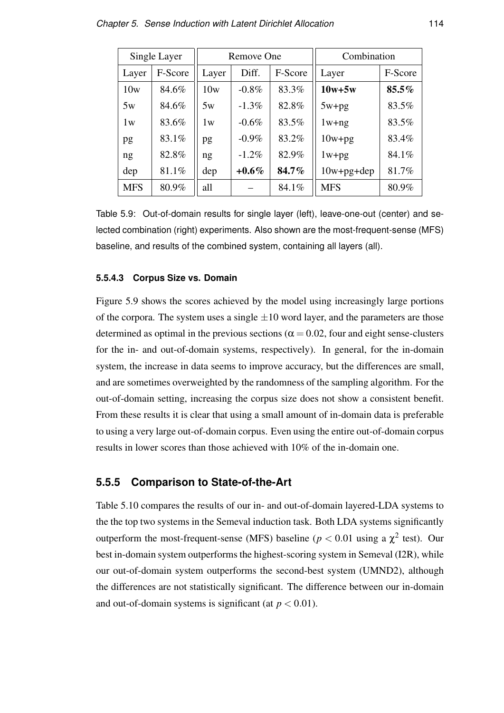|            | Single Layer | Remove One |          | Combination |                  |          |
|------------|--------------|------------|----------|-------------|------------------|----------|
| Layer      | F-Score      | Layer      | Diff.    | F-Score     | Layer            | F-Score  |
| 10w        | 84.6%        | 10w        | $-0.8\%$ | 83.3%       | $10w+5w$         | $85.5\%$ |
| 5w         | 84.6%        | 5w         | $-1.3\%$ | 82.8%       | $5w+pg$          | 83.5%    |
| 1w         | 83.6%        | 1w         | $-0.6\%$ | 83.5%       | $1w+ng$          | 83.5%    |
| pg         | 83.1%        | pg         | $-0.9\%$ | 83.2%       | $10w+pg$         | 83.4%    |
| ng         | 82.8%        | ng         | $-1.2\%$ | 82.9%       | $1w+pg$          | 84.1%    |
| dep        | 81.1%        | dep        | $+0.6\%$ | 84.7%       | $10w + pg + dep$ | 81.7%    |
| <b>MFS</b> | 80.9%        | all        |          | 84.1%       | <b>MFS</b>       | 80.9%    |

Table 5.9: Out-of-domain results for single layer (left), leave-one-out (center) and selected combination (right) experiments. Also shown are the most-frequent-sense (MFS) baseline, and results of the combined system, containing all layers (all).

#### **5.5.4.3 Corpus Size vs. Domain**

Figure 5.9 shows the scores achieved by the model using increasingly large portions of the corpora. The system uses a single  $\pm 10$  word layer, and the parameters are those determined as optimal in the previous sections ( $\alpha$  = 0.02, four and eight sense-clusters for the in- and out-of-domain systems, respectively). In general, for the in-domain system, the increase in data seems to improve accuracy, but the differences are small, and are sometimes overweighted by the randomness of the sampling algorithm. For the out-of-domain setting, increasing the corpus size does not show a consistent benefit. From these results it is clear that using a small amount of in-domain data is preferable to using a very large out-of-domain corpus. Even using the entire out-of-domain corpus results in lower scores than those achieved with 10% of the in-domain one.

## **5.5.5 Comparison to State-of-the-Art**

Table 5.10 compares the results of our in- and out-of-domain layered-LDA systems to the the top two systems in the Semeval induction task. Both LDA systems significantly outperform the most-frequent-sense (MFS) baseline ( $p < 0.01$  using a  $\chi^2$  test). Our best in-domain system outperforms the highest-scoring system in Semeval (I2R), while our out-of-domain system outperforms the second-best system (UMND2), although the differences are not statistically significant. The difference between our in-domain and out-of-domain systems is significant (at  $p < 0.01$ ).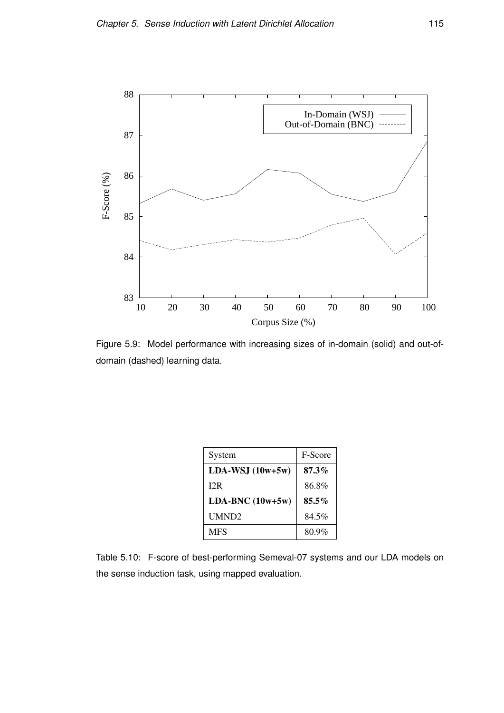

Figure 5.9: Model performance with increasing sizes of in-domain (solid) and out-ofdomain (dashed) learning data.

| System            | F-Score  |
|-------------------|----------|
| $LDA-WSJ(10w+5w)$ | $87.3\%$ |
| 12R               | 86.8%    |
| $LDA-BNC(10w+5w)$ | $85.5\%$ |
| UMND2             | 84.5%    |
| <b>MFS</b>        | 80.9%    |

Table 5.10: F-score of best-performing Semeval-07 systems and our LDA models on the sense induction task, using mapped evaluation.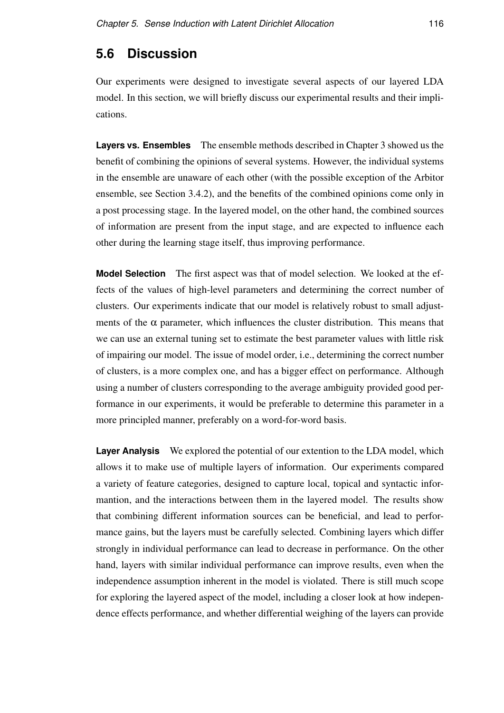# **5.6 Discussion**

Our experiments were designed to investigate several aspects of our layered LDA model. In this section, we will briefly discuss our experimental results and their implications.

**Layers vs. Ensembles** The ensemble methods described in Chapter 3 showed us the benefit of combining the opinions of several systems. However, the individual systems in the ensemble are unaware of each other (with the possible exception of the Arbitor ensemble, see Section 3.4.2), and the benefits of the combined opinions come only in a post processing stage. In the layered model, on the other hand, the combined sources of information are present from the input stage, and are expected to influence each other during the learning stage itself, thus improving performance.

**Model Selection** The first aspect was that of model selection. We looked at the effects of the values of high-level parameters and determining the correct number of clusters. Our experiments indicate that our model is relatively robust to small adjustments of the  $\alpha$  parameter, which influences the cluster distribution. This means that we can use an external tuning set to estimate the best parameter values with little risk of impairing our model. The issue of model order, i.e., determining the correct number of clusters, is a more complex one, and has a bigger effect on performance. Although using a number of clusters corresponding to the average ambiguity provided good performance in our experiments, it would be preferable to determine this parameter in a more principled manner, preferably on a word-for-word basis.

**Layer Analysis** We explored the potential of our extention to the LDA model, which allows it to make use of multiple layers of information. Our experiments compared a variety of feature categories, designed to capture local, topical and syntactic informantion, and the interactions between them in the layered model. The results show that combining different information sources can be beneficial, and lead to performance gains, but the layers must be carefully selected. Combining layers which differ strongly in individual performance can lead to decrease in performance. On the other hand, layers with similar individual performance can improve results, even when the independence assumption inherent in the model is violated. There is still much scope for exploring the layered aspect of the model, including a closer look at how independence effects performance, and whether differential weighing of the layers can provide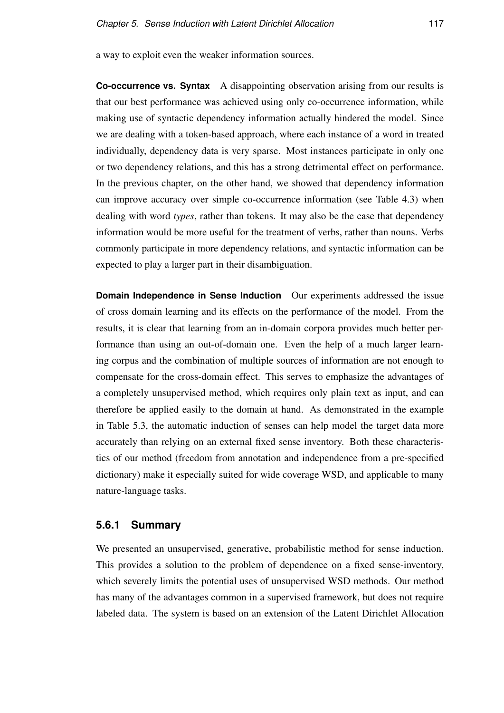a way to exploit even the weaker information sources.

**Co-occurrence vs. Syntax** A disappointing observation arising from our results is that our best performance was achieved using only co-occurrence information, while making use of syntactic dependency information actually hindered the model. Since we are dealing with a token-based approach, where each instance of a word in treated individually, dependency data is very sparse. Most instances participate in only one or two dependency relations, and this has a strong detrimental effect on performance. In the previous chapter, on the other hand, we showed that dependency information can improve accuracy over simple co-occurrence information (see Table 4.3) when dealing with word *types*, rather than tokens. It may also be the case that dependency information would be more useful for the treatment of verbs, rather than nouns. Verbs commonly participate in more dependency relations, and syntactic information can be expected to play a larger part in their disambiguation.

**Domain Independence in Sense Induction** Our experiments addressed the issue of cross domain learning and its effects on the performance of the model. From the results, it is clear that learning from an in-domain corpora provides much better performance than using an out-of-domain one. Even the help of a much larger learning corpus and the combination of multiple sources of information are not enough to compensate for the cross-domain effect. This serves to emphasize the advantages of a completely unsupervised method, which requires only plain text as input, and can therefore be applied easily to the domain at hand. As demonstrated in the example in Table 5.3, the automatic induction of senses can help model the target data more accurately than relying on an external fixed sense inventory. Both these characteristics of our method (freedom from annotation and independence from a pre-specified dictionary) make it especially suited for wide coverage WSD, and applicable to many nature-language tasks.

# **5.6.1 Summary**

We presented an unsupervised, generative, probabilistic method for sense induction. This provides a solution to the problem of dependence on a fixed sense-inventory, which severely limits the potential uses of unsupervised WSD methods. Our method has many of the advantages common in a supervised framework, but does not require labeled data. The system is based on an extension of the Latent Dirichlet Allocation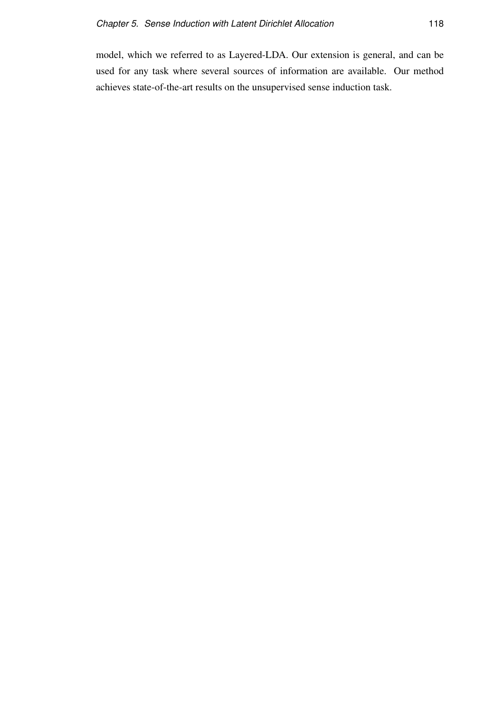model, which we referred to as Layered-LDA. Our extension is general, and can be used for any task where several sources of information are available. Our method achieves state-of-the-art results on the unsupervised sense induction task.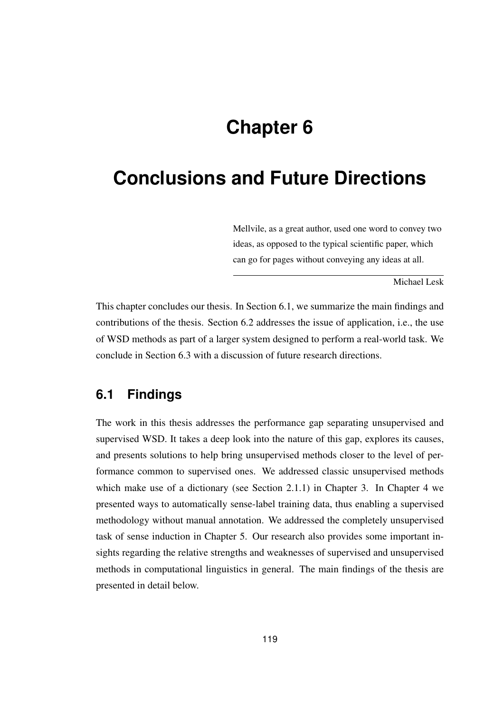# **Chapter 6**

# **Conclusions and Future Directions**

Mellvile, as a great author, used one word to convey two ideas, as opposed to the typical scientific paper, which can go for pages without conveying any ideas at all.

Michael Lesk

This chapter concludes our thesis. In Section 6.1, we summarize the main findings and contributions of the thesis. Section 6.2 addresses the issue of application, i.e., the use of WSD methods as part of a larger system designed to perform a real-world task. We conclude in Section 6.3 with a discussion of future research directions.

# **6.1 Findings**

The work in this thesis addresses the performance gap separating unsupervised and supervised WSD. It takes a deep look into the nature of this gap, explores its causes, and presents solutions to help bring unsupervised methods closer to the level of performance common to supervised ones. We addressed classic unsupervised methods which make use of a dictionary (see Section 2.1.1) in Chapter 3. In Chapter 4 we presented ways to automatically sense-label training data, thus enabling a supervised methodology without manual annotation. We addressed the completely unsupervised task of sense induction in Chapter 5. Our research also provides some important insights regarding the relative strengths and weaknesses of supervised and unsupervised methods in computational linguistics in general. The main findings of the thesis are presented in detail below.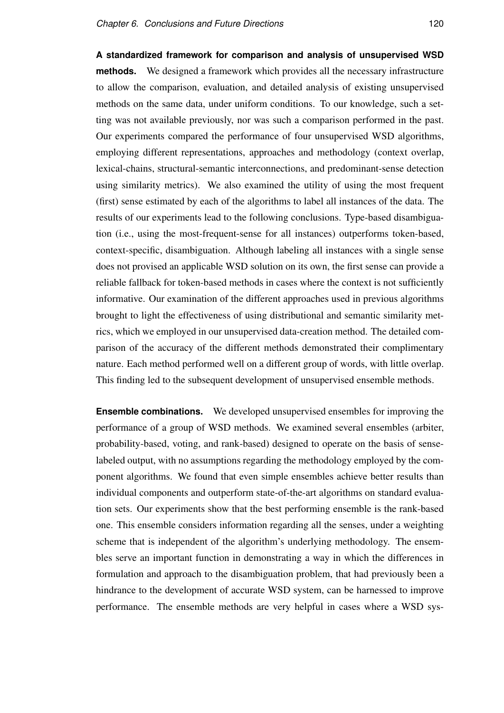**A standardized framework for comparison and analysis of unsupervised WSD methods.** We designed a framework which provides all the necessary infrastructure to allow the comparison, evaluation, and detailed analysis of existing unsupervised methods on the same data, under uniform conditions. To our knowledge, such a setting was not available previously, nor was such a comparison performed in the past. Our experiments compared the performance of four unsupervised WSD algorithms, employing different representations, approaches and methodology (context overlap, lexical-chains, structural-semantic interconnections, and predominant-sense detection using similarity metrics). We also examined the utility of using the most frequent (first) sense estimated by each of the algorithms to label all instances of the data. The results of our experiments lead to the following conclusions. Type-based disambiguation (i.e., using the most-frequent-sense for all instances) outperforms token-based, context-specific, disambiguation. Although labeling all instances with a single sense does not provised an applicable WSD solution on its own, the first sense can provide a reliable fallback for token-based methods in cases where the context is not sufficiently informative. Our examination of the different approaches used in previous algorithms brought to light the effectiveness of using distributional and semantic similarity metrics, which we employed in our unsupervised data-creation method. The detailed comparison of the accuracy of the different methods demonstrated their complimentary nature. Each method performed well on a different group of words, with little overlap. This finding led to the subsequent development of unsupervised ensemble methods.

**Ensemble combinations.** We developed unsupervised ensembles for improving the performance of a group of WSD methods. We examined several ensembles (arbiter, probability-based, voting, and rank-based) designed to operate on the basis of senselabeled output, with no assumptions regarding the methodology employed by the component algorithms. We found that even simple ensembles achieve better results than individual components and outperform state-of-the-art algorithms on standard evaluation sets. Our experiments show that the best performing ensemble is the rank-based one. This ensemble considers information regarding all the senses, under a weighting scheme that is independent of the algorithm's underlying methodology. The ensembles serve an important function in demonstrating a way in which the differences in formulation and approach to the disambiguation problem, that had previously been a hindrance to the development of accurate WSD system, can be harnessed to improve performance. The ensemble methods are very helpful in cases where a WSD sys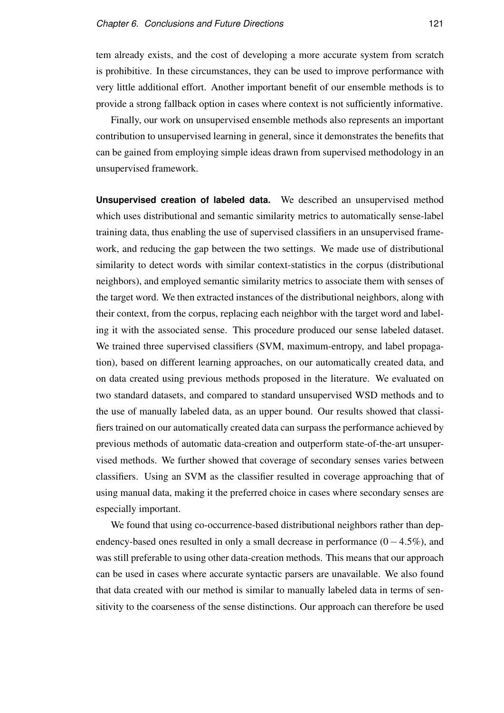tem already exists, and the cost of developing a more accurate system from scratch is prohibitive. In these circumstances, they can be used to improve performance with very little additional effort. Another important benefit of our ensemble methods is to provide a strong fallback option in cases where context is not sufficiently informative.

Finally, our work on unsupervised ensemble methods also represents an important contribution to unsupervised learning in general, since it demonstrates the benefits that can be gained from employing simple ideas drawn from supervised methodology in an unsupervised framework.

**Unsupervised creation of labeled data.** We described an unsupervised method which uses distributional and semantic similarity metrics to automatically sense-label training data, thus enabling the use of supervised classifiers in an unsupervised framework, and reducing the gap between the two settings. We made use of distributional similarity to detect words with similar context-statistics in the corpus (distributional neighbors), and employed semantic similarity metrics to associate them with senses of the target word. We then extracted instances of the distributional neighbors, along with their context, from the corpus, replacing each neighbor with the target word and labeling it with the associated sense. This procedure produced our sense labeled dataset. We trained three supervised classifiers (SVM, maximum-entropy, and label propagation), based on different learning approaches, on our automatically created data, and on data created using previous methods proposed in the literature. We evaluated on two standard datasets, and compared to standard unsupervised WSD methods and to the use of manually labeled data, as an upper bound. Our results showed that classifiers trained on our automatically created data can surpass the performance achieved by previous methods of automatic data-creation and outperform state-of-the-art unsupervised methods. We further showed that coverage of secondary senses varies between classifiers. Using an SVM as the classifier resulted in coverage approaching that of using manual data, making it the preferred choice in cases where secondary senses are especially important.

We found that using co-occurrence-based distributional neighbors rather than dependency-based ones resulted in only a small decrease in performance  $(0-4.5\%)$ , and was still preferable to using other data-creation methods. This means that our approach can be used in cases where accurate syntactic parsers are unavailable. We also found that data created with our method is similar to manually labeled data in terms of sensitivity to the coarseness of the sense distinctions. Our approach can therefore be used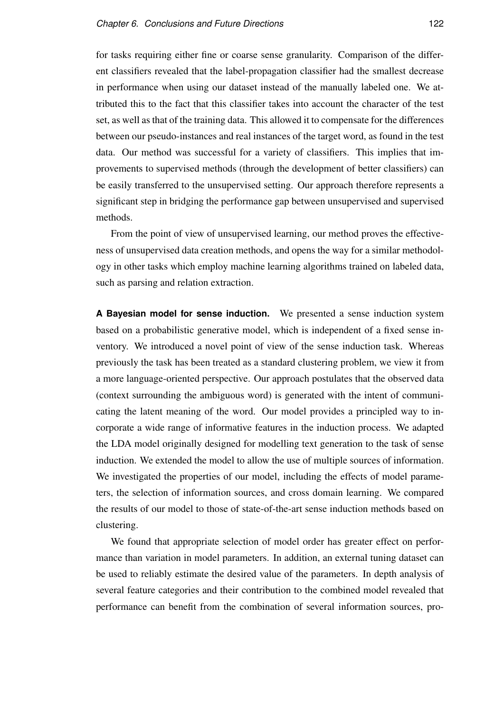for tasks requiring either fine or coarse sense granularity. Comparison of the different classifiers revealed that the label-propagation classifier had the smallest decrease in performance when using our dataset instead of the manually labeled one. We attributed this to the fact that this classifier takes into account the character of the test set, as well as that of the training data. This allowed it to compensate for the differences between our pseudo-instances and real instances of the target word, as found in the test data. Our method was successful for a variety of classifiers. This implies that improvements to supervised methods (through the development of better classifiers) can be easily transferred to the unsupervised setting. Our approach therefore represents a significant step in bridging the performance gap between unsupervised and supervised methods.

From the point of view of unsupervised learning, our method proves the effectiveness of unsupervised data creation methods, and opens the way for a similar methodology in other tasks which employ machine learning algorithms trained on labeled data, such as parsing and relation extraction.

**A Bayesian model for sense induction.** We presented a sense induction system based on a probabilistic generative model, which is independent of a fixed sense inventory. We introduced a novel point of view of the sense induction task. Whereas previously the task has been treated as a standard clustering problem, we view it from a more language-oriented perspective. Our approach postulates that the observed data (context surrounding the ambiguous word) is generated with the intent of communicating the latent meaning of the word. Our model provides a principled way to incorporate a wide range of informative features in the induction process. We adapted the LDA model originally designed for modelling text generation to the task of sense induction. We extended the model to allow the use of multiple sources of information. We investigated the properties of our model, including the effects of model parameters, the selection of information sources, and cross domain learning. We compared the results of our model to those of state-of-the-art sense induction methods based on clustering.

We found that appropriate selection of model order has greater effect on performance than variation in model parameters. In addition, an external tuning dataset can be used to reliably estimate the desired value of the parameters. In depth analysis of several feature categories and their contribution to the combined model revealed that performance can benefit from the combination of several information sources, pro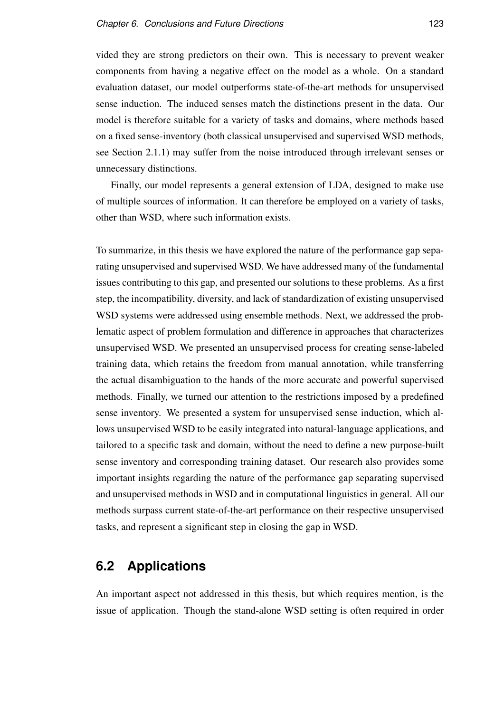vided they are strong predictors on their own. This is necessary to prevent weaker components from having a negative effect on the model as a whole. On a standard evaluation dataset, our model outperforms state-of-the-art methods for unsupervised sense induction. The induced senses match the distinctions present in the data. Our model is therefore suitable for a variety of tasks and domains, where methods based on a fixed sense-inventory (both classical unsupervised and supervised WSD methods, see Section 2.1.1) may suffer from the noise introduced through irrelevant senses or unnecessary distinctions.

Finally, our model represents a general extension of LDA, designed to make use of multiple sources of information. It can therefore be employed on a variety of tasks, other than WSD, where such information exists.

To summarize, in this thesis we have explored the nature of the performance gap separating unsupervised and supervised WSD. We have addressed many of the fundamental issues contributing to this gap, and presented our solutions to these problems. As a first step, the incompatibility, diversity, and lack of standardization of existing unsupervised WSD systems were addressed using ensemble methods. Next, we addressed the problematic aspect of problem formulation and difference in approaches that characterizes unsupervised WSD. We presented an unsupervised process for creating sense-labeled training data, which retains the freedom from manual annotation, while transferring the actual disambiguation to the hands of the more accurate and powerful supervised methods. Finally, we turned our attention to the restrictions imposed by a predefined sense inventory. We presented a system for unsupervised sense induction, which allows unsupervised WSD to be easily integrated into natural-language applications, and tailored to a specific task and domain, without the need to define a new purpose-built sense inventory and corresponding training dataset. Our research also provides some important insights regarding the nature of the performance gap separating supervised and unsupervised methods in WSD and in computational linguistics in general. All our methods surpass current state-of-the-art performance on their respective unsupervised tasks, and represent a significant step in closing the gap in WSD.

# **6.2 Applications**

An important aspect not addressed in this thesis, but which requires mention, is the issue of application. Though the stand-alone WSD setting is often required in order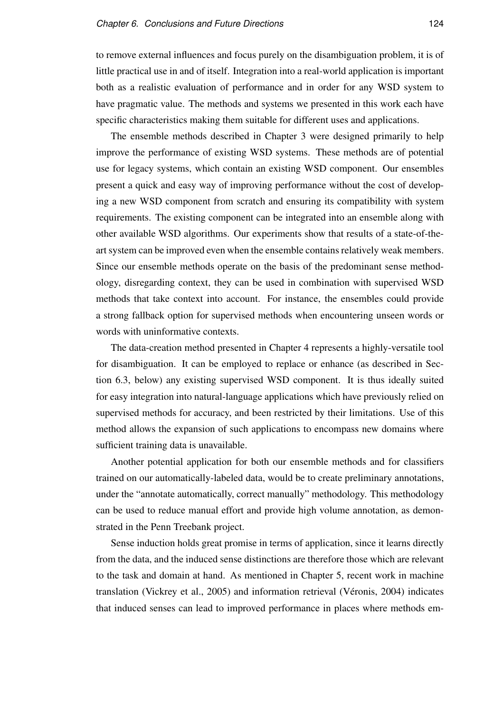to remove external influences and focus purely on the disambiguation problem, it is of little practical use in and of itself. Integration into a real-world application is important both as a realistic evaluation of performance and in order for any WSD system to have pragmatic value. The methods and systems we presented in this work each have specific characteristics making them suitable for different uses and applications.

The ensemble methods described in Chapter 3 were designed primarily to help improve the performance of existing WSD systems. These methods are of potential use for legacy systems, which contain an existing WSD component. Our ensembles present a quick and easy way of improving performance without the cost of developing a new WSD component from scratch and ensuring its compatibility with system requirements. The existing component can be integrated into an ensemble along with other available WSD algorithms. Our experiments show that results of a state-of-theart system can be improved even when the ensemble contains relatively weak members. Since our ensemble methods operate on the basis of the predominant sense methodology, disregarding context, they can be used in combination with supervised WSD methods that take context into account. For instance, the ensembles could provide a strong fallback option for supervised methods when encountering unseen words or words with uninformative contexts.

The data-creation method presented in Chapter 4 represents a highly-versatile tool for disambiguation. It can be employed to replace or enhance (as described in Section 6.3, below) any existing supervised WSD component. It is thus ideally suited for easy integration into natural-language applications which have previously relied on supervised methods for accuracy, and been restricted by their limitations. Use of this method allows the expansion of such applications to encompass new domains where sufficient training data is unavailable.

Another potential application for both our ensemble methods and for classifiers trained on our automatically-labeled data, would be to create preliminary annotations, under the "annotate automatically, correct manually" methodology. This methodology can be used to reduce manual effort and provide high volume annotation, as demonstrated in the Penn Treebank project.

Sense induction holds great promise in terms of application, since it learns directly from the data, and the induced sense distinctions are therefore those which are relevant to the task and domain at hand. As mentioned in Chapter 5, recent work in machine translation (Vickrey et al., 2005) and information retrieval (Véronis, 2004) indicates that induced senses can lead to improved performance in places where methods em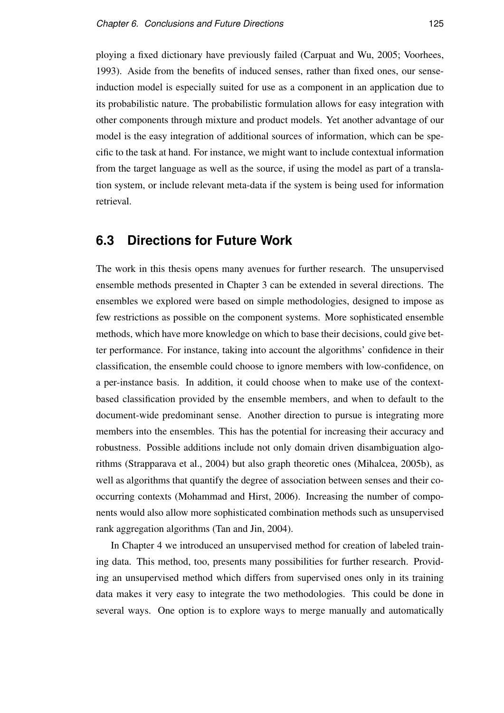ploying a fixed dictionary have previously failed (Carpuat and Wu, 2005; Voorhees, 1993). Aside from the benefits of induced senses, rather than fixed ones, our senseinduction model is especially suited for use as a component in an application due to its probabilistic nature. The probabilistic formulation allows for easy integration with other components through mixture and product models. Yet another advantage of our model is the easy integration of additional sources of information, which can be specific to the task at hand. For instance, we might want to include contextual information from the target language as well as the source, if using the model as part of a translation system, or include relevant meta-data if the system is being used for information retrieval.

# **6.3 Directions for Future Work**

The work in this thesis opens many avenues for further research. The unsupervised ensemble methods presented in Chapter 3 can be extended in several directions. The ensembles we explored were based on simple methodologies, designed to impose as few restrictions as possible on the component systems. More sophisticated ensemble methods, which have more knowledge on which to base their decisions, could give better performance. For instance, taking into account the algorithms' confidence in their classification, the ensemble could choose to ignore members with low-confidence, on a per-instance basis. In addition, it could choose when to make use of the contextbased classification provided by the ensemble members, and when to default to the document-wide predominant sense. Another direction to pursue is integrating more members into the ensembles. This has the potential for increasing their accuracy and robustness. Possible additions include not only domain driven disambiguation algorithms (Strapparava et al., 2004) but also graph theoretic ones (Mihalcea, 2005b), as well as algorithms that quantify the degree of association between senses and their cooccurring contexts (Mohammad and Hirst, 2006). Increasing the number of components would also allow more sophisticated combination methods such as unsupervised rank aggregation algorithms (Tan and Jin, 2004).

In Chapter 4 we introduced an unsupervised method for creation of labeled training data. This method, too, presents many possibilities for further research. Providing an unsupervised method which differs from supervised ones only in its training data makes it very easy to integrate the two methodologies. This could be done in several ways. One option is to explore ways to merge manually and automatically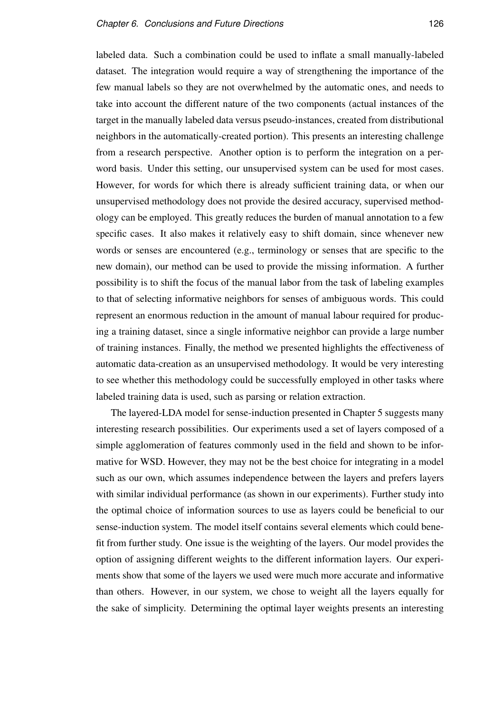labeled data. Such a combination could be used to inflate a small manually-labeled dataset. The integration would require a way of strengthening the importance of the few manual labels so they are not overwhelmed by the automatic ones, and needs to take into account the different nature of the two components (actual instances of the target in the manually labeled data versus pseudo-instances, created from distributional neighbors in the automatically-created portion). This presents an interesting challenge from a research perspective. Another option is to perform the integration on a perword basis. Under this setting, our unsupervised system can be used for most cases. However, for words for which there is already sufficient training data, or when our unsupervised methodology does not provide the desired accuracy, supervised methodology can be employed. This greatly reduces the burden of manual annotation to a few specific cases. It also makes it relatively easy to shift domain, since whenever new words or senses are encountered (e.g., terminology or senses that are specific to the new domain), our method can be used to provide the missing information. A further possibility is to shift the focus of the manual labor from the task of labeling examples to that of selecting informative neighbors for senses of ambiguous words. This could represent an enormous reduction in the amount of manual labour required for producing a training dataset, since a single informative neighbor can provide a large number of training instances. Finally, the method we presented highlights the effectiveness of automatic data-creation as an unsupervised methodology. It would be very interesting to see whether this methodology could be successfully employed in other tasks where labeled training data is used, such as parsing or relation extraction.

The layered-LDA model for sense-induction presented in Chapter 5 suggests many interesting research possibilities. Our experiments used a set of layers composed of a simple agglomeration of features commonly used in the field and shown to be informative for WSD. However, they may not be the best choice for integrating in a model such as our own, which assumes independence between the layers and prefers layers with similar individual performance (as shown in our experiments). Further study into the optimal choice of information sources to use as layers could be beneficial to our sense-induction system. The model itself contains several elements which could benefit from further study. One issue is the weighting of the layers. Our model provides the option of assigning different weights to the different information layers. Our experiments show that some of the layers we used were much more accurate and informative than others. However, in our system, we chose to weight all the layers equally for the sake of simplicity. Determining the optimal layer weights presents an interesting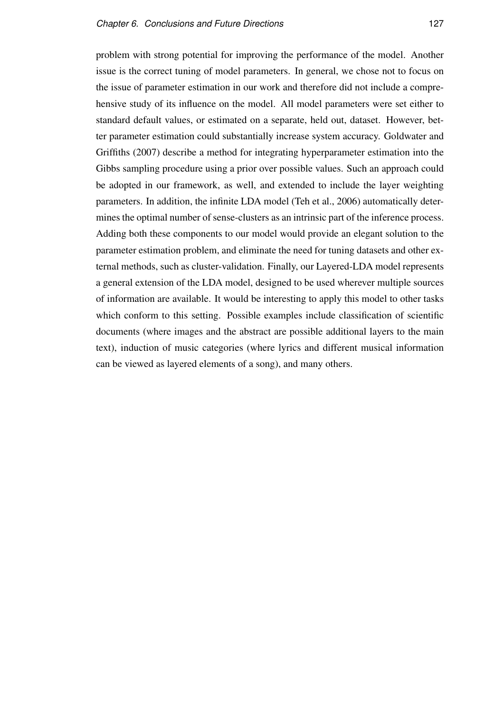problem with strong potential for improving the performance of the model. Another issue is the correct tuning of model parameters. In general, we chose not to focus on the issue of parameter estimation in our work and therefore did not include a comprehensive study of its influence on the model. All model parameters were set either to standard default values, or estimated on a separate, held out, dataset. However, better parameter estimation could substantially increase system accuracy. Goldwater and Griffiths (2007) describe a method for integrating hyperparameter estimation into the Gibbs sampling procedure using a prior over possible values. Such an approach could be adopted in our framework, as well, and extended to include the layer weighting parameters. In addition, the infinite LDA model (Teh et al., 2006) automatically determines the optimal number of sense-clusters as an intrinsic part of the inference process. Adding both these components to our model would provide an elegant solution to the parameter estimation problem, and eliminate the need for tuning datasets and other external methods, such as cluster-validation. Finally, our Layered-LDA model represents a general extension of the LDA model, designed to be used wherever multiple sources of information are available. It would be interesting to apply this model to other tasks which conform to this setting. Possible examples include classification of scientific documents (where images and the abstract are possible additional layers to the main text), induction of music categories (where lyrics and different musical information can be viewed as layered elements of a song), and many others.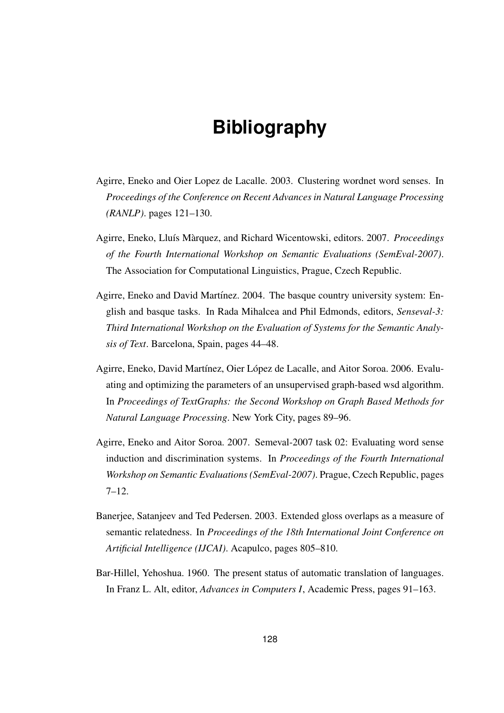# **Bibliography**

- Agirre, Eneko and Oier Lopez de Lacalle. 2003. Clustering wordnet word senses. In *Proceedings of the Conference on Recent Advances in Natural Language Processing (RANLP)*. pages 121–130.
- Agirre, Eneko, Lluís Màrquez, and Richard Wicentowski, editors. 2007. Proceedings *of the Fourth International Workshop on Semantic Evaluations (SemEval-2007)*. The Association for Computational Linguistics, Prague, Czech Republic.
- Agirre, Eneko and David Martínez. 2004. The basque country university system: English and basque tasks. In Rada Mihalcea and Phil Edmonds, editors, *Senseval-3: Third International Workshop on the Evaluation of Systems for the Semantic Analysis of Text*. Barcelona, Spain, pages 44–48.
- Agirre, Eneko, David Martínez, Oier López de Lacalle, and Aitor Soroa. 2006. Evaluating and optimizing the parameters of an unsupervised graph-based wsd algorithm. In *Proceedings of TextGraphs: the Second Workshop on Graph Based Methods for Natural Language Processing*. New York City, pages 89–96.
- Agirre, Eneko and Aitor Soroa. 2007. Semeval-2007 task 02: Evaluating word sense induction and discrimination systems. In *Proceedings of the Fourth International Workshop on Semantic Evaluations (SemEval-2007)*. Prague, Czech Republic, pages 7–12.
- Banerjee, Satanjeev and Ted Pedersen. 2003. Extended gloss overlaps as a measure of semantic relatedness. In *Proceedings of the 18th International Joint Conference on Artificial Intelligence (IJCAI)*. Acapulco, pages 805–810.
- Bar-Hillel, Yehoshua. 1960. The present status of automatic translation of languages. In Franz L. Alt, editor, *Advances in Computers I*, Academic Press, pages 91–163.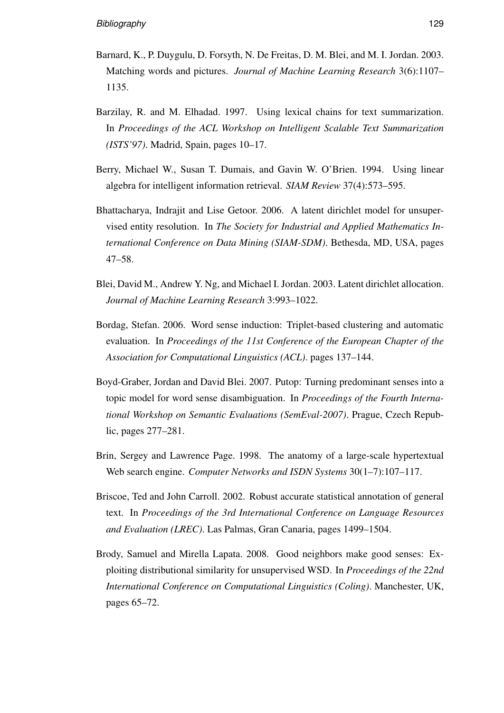- Barnard, K., P. Duygulu, D. Forsyth, N. De Freitas, D. M. Blei, and M. I. Jordan. 2003. Matching words and pictures. *Journal of Machine Learning Research* 3(6):1107– 1135.
- Barzilay, R. and M. Elhadad. 1997. Using lexical chains for text summarization. In *Proceedings of the ACL Workshop on Intelligent Scalable Text Summarization (ISTS'97)*. Madrid, Spain, pages 10–17.
- Berry, Michael W., Susan T. Dumais, and Gavin W. O'Brien. 1994. Using linear algebra for intelligent information retrieval. *SIAM Review* 37(4):573–595.
- Bhattacharya, Indrajit and Lise Getoor. 2006. A latent dirichlet model for unsupervised entity resolution. In *The Society for Industrial and Applied Mathematics International Conference on Data Mining (SIAM-SDM)*. Bethesda, MD, USA, pages 47–58.
- Blei, David M., Andrew Y. Ng, and Michael I. Jordan. 2003. Latent dirichlet allocation. *Journal of Machine Learning Research* 3:993–1022.
- Bordag, Stefan. 2006. Word sense induction: Triplet-based clustering and automatic evaluation. In *Proceedings of the 11st Conference of the European Chapter of the Association for Computational Linguistics (ACL)*. pages 137–144.
- Boyd-Graber, Jordan and David Blei. 2007. Putop: Turning predominant senses into a topic model for word sense disambiguation. In *Proceedings of the Fourth International Workshop on Semantic Evaluations (SemEval-2007)*. Prague, Czech Republic, pages 277–281.
- Brin, Sergey and Lawrence Page. 1998. The anatomy of a large-scale hypertextual Web search engine. *Computer Networks and ISDN Systems* 30(1–7):107–117.
- Briscoe, Ted and John Carroll. 2002. Robust accurate statistical annotation of general text. In *Proceedings of the 3rd International Conference on Language Resources and Evaluation (LREC)*. Las Palmas, Gran Canaria, pages 1499–1504.
- Brody, Samuel and Mirella Lapata. 2008. Good neighbors make good senses: Exploiting distributional similarity for unsupervised WSD. In *Proceedings of the 22nd International Conference on Computational Linguistics (Coling)*. Manchester, UK, pages 65–72.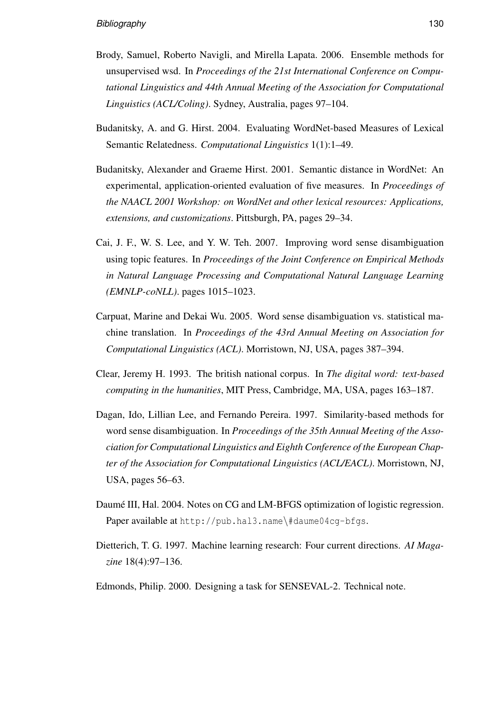- Brody, Samuel, Roberto Navigli, and Mirella Lapata. 2006. Ensemble methods for unsupervised wsd. In *Proceedings of the 21st International Conference on Computational Linguistics and 44th Annual Meeting of the Association for Computational Linguistics (ACL/Coling)*. Sydney, Australia, pages 97–104.
- Budanitsky, A. and G. Hirst. 2004. Evaluating WordNet-based Measures of Lexical Semantic Relatedness. *Computational Linguistics* 1(1):1–49.
- Budanitsky, Alexander and Graeme Hirst. 2001. Semantic distance in WordNet: An experimental, application-oriented evaluation of five measures. In *Proceedings of the NAACL 2001 Workshop: on WordNet and other lexical resources: Applications, extensions, and customizations*. Pittsburgh, PA, pages 29–34.
- Cai, J. F., W. S. Lee, and Y. W. Teh. 2007. Improving word sense disambiguation using topic features. In *Proceedings of the Joint Conference on Empirical Methods in Natural Language Processing and Computational Natural Language Learning (EMNLP-coNLL)*. pages 1015–1023.
- Carpuat, Marine and Dekai Wu. 2005. Word sense disambiguation vs. statistical machine translation. In *Proceedings of the 43rd Annual Meeting on Association for Computational Linguistics (ACL)*. Morristown, NJ, USA, pages 387–394.
- Clear, Jeremy H. 1993. The british national corpus. In *The digital word: text-based computing in the humanities*, MIT Press, Cambridge, MA, USA, pages 163–187.
- Dagan, Ido, Lillian Lee, and Fernando Pereira. 1997. Similarity-based methods for word sense disambiguation. In *Proceedings of the 35th Annual Meeting of the Association for Computational Linguistics and Eighth Conference of the European Chapter of the Association for Computational Linguistics (ACL/EACL)*. Morristown, NJ, USA, pages 56–63.
- Daumé III, Hal. 2004. Notes on CG and LM-BFGS optimization of logistic regression. Paper available at http://pub.hal3.name\#daume04cg-bfgs.
- Dietterich, T. G. 1997. Machine learning research: Four current directions. *AI Magazine* 18(4):97–136.
- Edmonds, Philip. 2000. Designing a task for SENSEVAL-2. Technical note.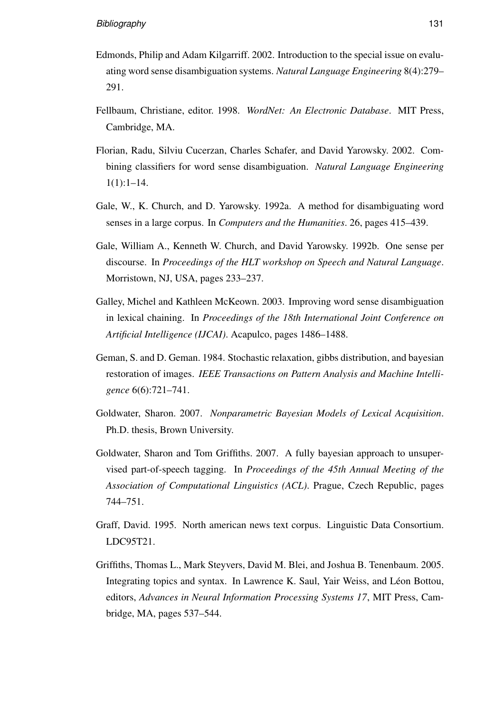- Edmonds, Philip and Adam Kilgarriff. 2002. Introduction to the special issue on evaluating word sense disambiguation systems. *Natural Language Engineering* 8(4):279– 291.
- Fellbaum, Christiane, editor. 1998. *WordNet: An Electronic Database*. MIT Press, Cambridge, MA.
- Florian, Radu, Silviu Cucerzan, Charles Schafer, and David Yarowsky. 2002. Combining classifiers for word sense disambiguation. *Natural Language Engineering*  $1(1):1-14.$
- Gale, W., K. Church, and D. Yarowsky. 1992a. A method for disambiguating word senses in a large corpus. In *Computers and the Humanities*. 26, pages 415–439.
- Gale, William A., Kenneth W. Church, and David Yarowsky. 1992b. One sense per discourse. In *Proceedings of the HLT workshop on Speech and Natural Language*. Morristown, NJ, USA, pages 233–237.
- Galley, Michel and Kathleen McKeown. 2003. Improving word sense disambiguation in lexical chaining. In *Proceedings of the 18th International Joint Conference on Artificial Intelligence (IJCAI)*. Acapulco, pages 1486–1488.
- Geman, S. and D. Geman. 1984. Stochastic relaxation, gibbs distribution, and bayesian restoration of images. *IEEE Transactions on Pattern Analysis and Machine Intelligence* 6(6):721–741.
- Goldwater, Sharon. 2007. *Nonparametric Bayesian Models of Lexical Acquisition*. Ph.D. thesis, Brown University.
- Goldwater, Sharon and Tom Griffiths. 2007. A fully bayesian approach to unsupervised part-of-speech tagging. In *Proceedings of the 45th Annual Meeting of the Association of Computational Linguistics (ACL)*. Prague, Czech Republic, pages 744–751.
- Graff, David. 1995. North american news text corpus. Linguistic Data Consortium. LDC95T21.
- Griffiths, Thomas L., Mark Steyvers, David M. Blei, and Joshua B. Tenenbaum. 2005. Integrating topics and syntax. In Lawrence K. Saul, Yair Weiss, and Léon Bottou, editors, *Advances in Neural Information Processing Systems 17*, MIT Press, Cambridge, MA, pages 537–544.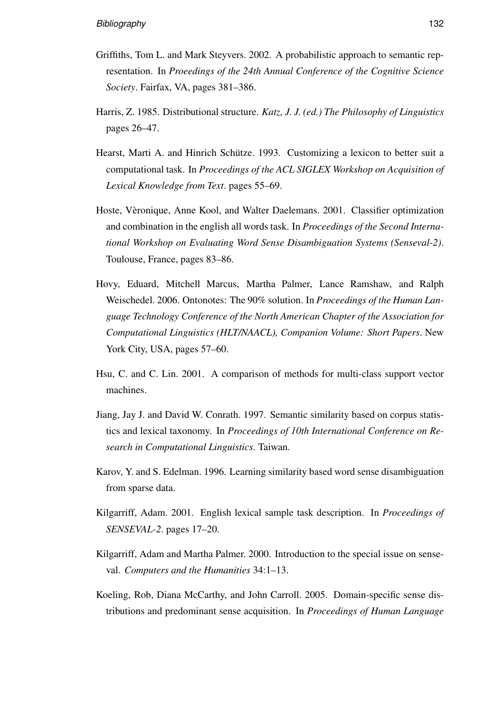- Griffiths, Tom L. and Mark Steyvers. 2002. A probabilistic approach to semantic representation. In *Proeedings of the 24th Annual Conference of the Cognitive Science Society*. Fairfax, VA, pages 381–386.
- Harris, Z. 1985. Distributional structure. *Katz, J. J. (ed.) The Philosophy of Linguistics* pages 26–47.
- Hearst, Marti A. and Hinrich Schütze. 1993. Customizing a lexicon to better suit a computational task. In *Proceedings of the ACL SIGLEX Workshop on Acquisition of Lexical Knowledge from Text*. pages 55–69.
- Hoste, Vèronique, Anne Kool, and Walter Daelemans. 2001. Classifier optimization and combination in the english all words task. In *Proceedings of the Second International Workshop on Evaluating Word Sense Disambiguation Systems (Senseval-2)*. Toulouse, France, pages 83–86.
- Hovy, Eduard, Mitchell Marcus, Martha Palmer, Lance Ramshaw, and Ralph Weischedel. 2006. Ontonotes: The 90% solution. In *Proceedings of the Human Language Technology Conference of the North American Chapter of the Association for Computational Linguistics (HLT/NAACL), Companion Volume: Short Papers*. New York City, USA, pages 57–60.
- Hsu, C. and C. Lin. 2001. A comparison of methods for multi-class support vector machines.
- Jiang, Jay J. and David W. Conrath. 1997. Semantic similarity based on corpus statistics and lexical taxonomy. In *Proceedings of 10th International Conference on Research in Computational Linguistics*. Taiwan.
- Karov, Y. and S. Edelman. 1996. Learning similarity based word sense disambiguation from sparse data.
- Kilgarriff, Adam. 2001. English lexical sample task description. In *Proceedings of SENSEVAL-2*. pages 17–20.
- Kilgarriff, Adam and Martha Palmer. 2000. Introduction to the special issue on senseval. *Computers and the Humanities* 34:1–13.
- Koeling, Rob, Diana McCarthy, and John Carroll. 2005. Domain-specific sense distributions and predominant sense acquisition. In *Proceedings of Human Language*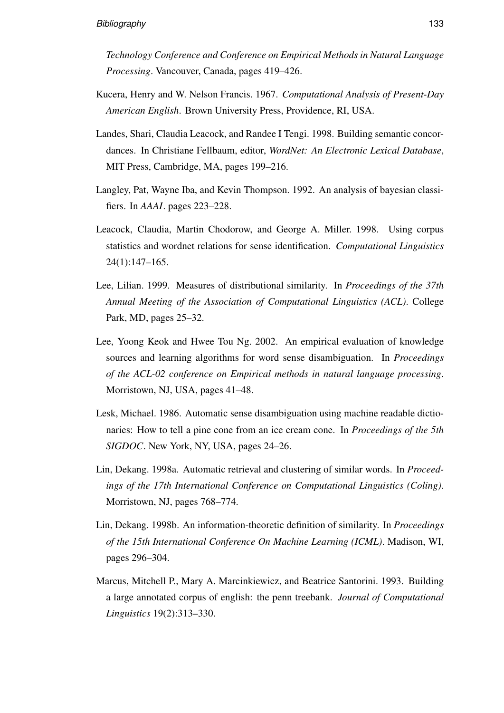*Technology Conference and Conference on Empirical Methods in Natural Language Processing*. Vancouver, Canada, pages 419–426.

- Kucera, Henry and W. Nelson Francis. 1967. *Computational Analysis of Present-Day American English*. Brown University Press, Providence, RI, USA.
- Landes, Shari, Claudia Leacock, and Randee I Tengi. 1998. Building semantic concordances. In Christiane Fellbaum, editor, *WordNet: An Electronic Lexical Database*, MIT Press, Cambridge, MA, pages 199–216.
- Langley, Pat, Wayne Iba, and Kevin Thompson. 1992. An analysis of bayesian classifiers. In *AAAI*. pages 223–228.
- Leacock, Claudia, Martin Chodorow, and George A. Miller. 1998. Using corpus statistics and wordnet relations for sense identification. *Computational Linguistics* 24(1):147–165.
- Lee, Lilian. 1999. Measures of distributional similarity. In *Proceedings of the 37th Annual Meeting of the Association of Computational Linguistics (ACL)*. College Park, MD, pages 25–32.
- Lee, Yoong Keok and Hwee Tou Ng. 2002. An empirical evaluation of knowledge sources and learning algorithms for word sense disambiguation. In *Proceedings of the ACL-02 conference on Empirical methods in natural language processing*. Morristown, NJ, USA, pages 41–48.
- Lesk, Michael. 1986. Automatic sense disambiguation using machine readable dictionaries: How to tell a pine cone from an ice cream cone. In *Proceedings of the 5th SIGDOC*. New York, NY, USA, pages 24–26.
- Lin, Dekang. 1998a. Automatic retrieval and clustering of similar words. In *Proceedings of the 17th International Conference on Computational Linguistics (Coling)*. Morristown, NJ, pages 768–774.
- Lin, Dekang. 1998b. An information-theoretic definition of similarity. In *Proceedings of the 15th International Conference On Machine Learning (ICML)*. Madison, WI, pages 296–304.
- Marcus, Mitchell P., Mary A. Marcinkiewicz, and Beatrice Santorini. 1993. Building a large annotated corpus of english: the penn treebank. *Journal of Computational Linguistics* 19(2):313–330.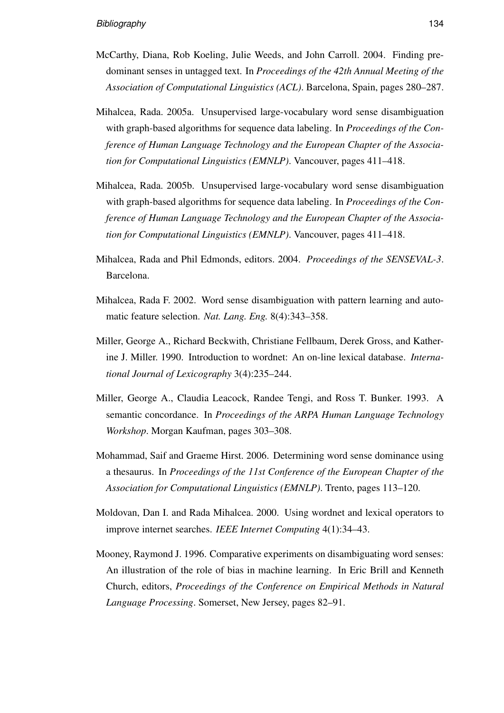- McCarthy, Diana, Rob Koeling, Julie Weeds, and John Carroll. 2004. Finding predominant senses in untagged text. In *Proceedings of the 42th Annual Meeting of the Association of Computational Linguistics (ACL)*. Barcelona, Spain, pages 280–287.
- Mihalcea, Rada. 2005a. Unsupervised large-vocabulary word sense disambiguation with graph-based algorithms for sequence data labeling. In *Proceedings of the Conference of Human Language Technology and the European Chapter of the Association for Computational Linguistics (EMNLP)*. Vancouver, pages 411–418.
- Mihalcea, Rada. 2005b. Unsupervised large-vocabulary word sense disambiguation with graph-based algorithms for sequence data labeling. In *Proceedings of the Conference of Human Language Technology and the European Chapter of the Association for Computational Linguistics (EMNLP)*. Vancouver, pages 411–418.
- Mihalcea, Rada and Phil Edmonds, editors. 2004. *Proceedings of the SENSEVAL-3*. Barcelona.
- Mihalcea, Rada F. 2002. Word sense disambiguation with pattern learning and automatic feature selection. *Nat. Lang. Eng.* 8(4):343–358.
- Miller, George A., Richard Beckwith, Christiane Fellbaum, Derek Gross, and Katherine J. Miller. 1990. Introduction to wordnet: An on-line lexical database. *International Journal of Lexicography* 3(4):235–244.
- Miller, George A., Claudia Leacock, Randee Tengi, and Ross T. Bunker. 1993. A semantic concordance. In *Proceedings of the ARPA Human Language Technology Workshop*. Morgan Kaufman, pages 303–308.
- Mohammad, Saif and Graeme Hirst. 2006. Determining word sense dominance using a thesaurus. In *Proceedings of the 11st Conference of the European Chapter of the Association for Computational Linguistics (EMNLP)*. Trento, pages 113–120.
- Moldovan, Dan I. and Rada Mihalcea. 2000. Using wordnet and lexical operators to improve internet searches. *IEEE Internet Computing* 4(1):34–43.
- Mooney, Raymond J. 1996. Comparative experiments on disambiguating word senses: An illustration of the role of bias in machine learning. In Eric Brill and Kenneth Church, editors, *Proceedings of the Conference on Empirical Methods in Natural Language Processing*. Somerset, New Jersey, pages 82–91.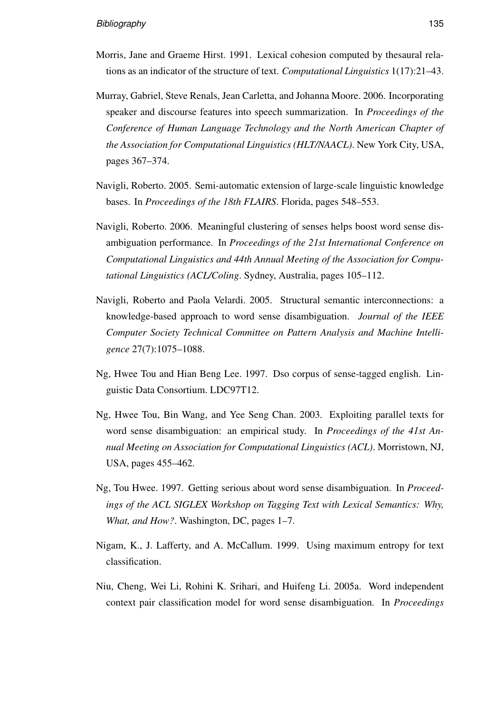- Morris, Jane and Graeme Hirst. 1991. Lexical cohesion computed by thesaural relations as an indicator of the structure of text. *Computational Linguistics* 1(17):21–43.
- Murray, Gabriel, Steve Renals, Jean Carletta, and Johanna Moore. 2006. Incorporating speaker and discourse features into speech summarization. In *Proceedings of the Conference of Human Language Technology and the North American Chapter of the Association for Computational Linguistics (HLT/NAACL)*. New York City, USA, pages 367–374.
- Navigli, Roberto. 2005. Semi-automatic extension of large-scale linguistic knowledge bases. In *Proceedings of the 18th FLAIRS*. Florida, pages 548–553.
- Navigli, Roberto. 2006. Meaningful clustering of senses helps boost word sense disambiguation performance. In *Proceedings of the 21st International Conference on Computational Linguistics and 44th Annual Meeting of the Association for Computational Linguistics (ACL/Coling*. Sydney, Australia, pages 105–112.
- Navigli, Roberto and Paola Velardi. 2005. Structural semantic interconnections: a knowledge-based approach to word sense disambiguation. *Journal of the IEEE Computer Society Technical Committee on Pattern Analysis and Machine Intelligence* 27(7):1075–1088.
- Ng, Hwee Tou and Hian Beng Lee. 1997. Dso corpus of sense-tagged english. Linguistic Data Consortium. LDC97T12.
- Ng, Hwee Tou, Bin Wang, and Yee Seng Chan. 2003. Exploiting parallel texts for word sense disambiguation: an empirical study. In *Proceedings of the 41st Annual Meeting on Association for Computational Linguistics (ACL)*. Morristown, NJ, USA, pages 455–462.
- Ng, Tou Hwee. 1997. Getting serious about word sense disambiguation. In *Proceedings of the ACL SIGLEX Workshop on Tagging Text with Lexical Semantics: Why, What, and How?*. Washington, DC, pages 1–7.
- Nigam, K., J. Lafferty, and A. McCallum. 1999. Using maximum entropy for text classification.
- Niu, Cheng, Wei Li, Rohini K. Srihari, and Huifeng Li. 2005a. Word independent context pair classification model for word sense disambiguation. In *Proceedings*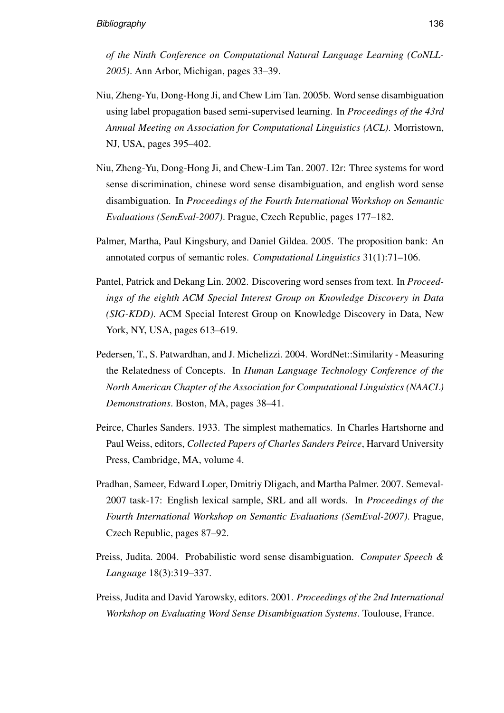*of the Ninth Conference on Computational Natural Language Learning (CoNLL-2005)*. Ann Arbor, Michigan, pages 33–39.

- Niu, Zheng-Yu, Dong-Hong Ji, and Chew Lim Tan. 2005b. Word sense disambiguation using label propagation based semi-supervised learning. In *Proceedings of the 43rd Annual Meeting on Association for Computational Linguistics (ACL)*. Morristown, NJ, USA, pages 395–402.
- Niu, Zheng-Yu, Dong-Hong Ji, and Chew-Lim Tan. 2007. I2r: Three systems for word sense discrimination, chinese word sense disambiguation, and english word sense disambiguation. In *Proceedings of the Fourth International Workshop on Semantic Evaluations (SemEval-2007)*. Prague, Czech Republic, pages 177–182.
- Palmer, Martha, Paul Kingsbury, and Daniel Gildea. 2005. The proposition bank: An annotated corpus of semantic roles. *Computational Linguistics* 31(1):71–106.
- Pantel, Patrick and Dekang Lin. 2002. Discovering word senses from text. In *Proceedings of the eighth ACM Special Interest Group on Knowledge Discovery in Data (SIG-KDD)*. ACM Special Interest Group on Knowledge Discovery in Data, New York, NY, USA, pages 613–619.
- Pedersen, T., S. Patwardhan, and J. Michelizzi. 2004. WordNet::Similarity Measuring the Relatedness of Concepts. In *Human Language Technology Conference of the North American Chapter of the Association for Computational Linguistics (NAACL) Demonstrations*. Boston, MA, pages 38–41.
- Peirce, Charles Sanders. 1933. The simplest mathematics. In Charles Hartshorne and Paul Weiss, editors, *Collected Papers of Charles Sanders Peirce*, Harvard University Press, Cambridge, MA, volume 4.
- Pradhan, Sameer, Edward Loper, Dmitriy Dligach, and Martha Palmer. 2007. Semeval-2007 task-17: English lexical sample, SRL and all words. In *Proceedings of the Fourth International Workshop on Semantic Evaluations (SemEval-2007)*. Prague, Czech Republic, pages 87–92.
- Preiss, Judita. 2004. Probabilistic word sense disambiguation. *Computer Speech & Language* 18(3):319–337.
- Preiss, Judita and David Yarowsky, editors. 2001. *Proceedings of the 2nd International Workshop on Evaluating Word Sense Disambiguation Systems*. Toulouse, France.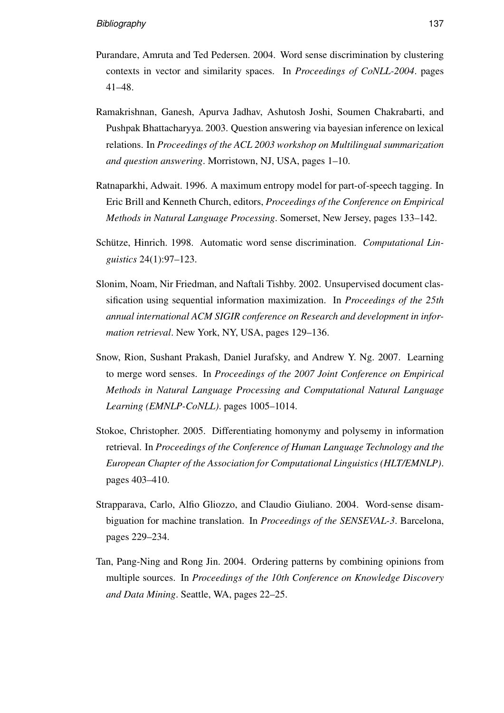- Purandare, Amruta and Ted Pedersen. 2004. Word sense discrimination by clustering contexts in vector and similarity spaces. In *Proceedings of CoNLL-2004*. pages 41–48.
- Ramakrishnan, Ganesh, Apurva Jadhav, Ashutosh Joshi, Soumen Chakrabarti, and Pushpak Bhattacharyya. 2003. Question answering via bayesian inference on lexical relations. In *Proceedings of the ACL 2003 workshop on Multilingual summarization and question answering*. Morristown, NJ, USA, pages 1–10.
- Ratnaparkhi, Adwait. 1996. A maximum entropy model for part-of-speech tagging. In Eric Brill and Kenneth Church, editors, *Proceedings of the Conference on Empirical Methods in Natural Language Processing*. Somerset, New Jersey, pages 133–142.
- Schütze, Hinrich. 1998. Automatic word sense discrimination. Computational Lin*guistics* 24(1):97–123.
- Slonim, Noam, Nir Friedman, and Naftali Tishby. 2002. Unsupervised document classification using sequential information maximization. In *Proceedings of the 25th annual international ACM SIGIR conference on Research and development in information retrieval*. New York, NY, USA, pages 129–136.
- Snow, Rion, Sushant Prakash, Daniel Jurafsky, and Andrew Y. Ng. 2007. Learning to merge word senses. In *Proceedings of the 2007 Joint Conference on Empirical Methods in Natural Language Processing and Computational Natural Language Learning (EMNLP-CoNLL)*. pages 1005–1014.
- Stokoe, Christopher. 2005. Differentiating homonymy and polysemy in information retrieval. In *Proceedings of the Conference of Human Language Technology and the European Chapter of the Association for Computational Linguistics (HLT/EMNLP)*. pages 403–410.
- Strapparava, Carlo, Alfio Gliozzo, and Claudio Giuliano. 2004. Word-sense disambiguation for machine translation. In *Proceedings of the SENSEVAL-3*. Barcelona, pages 229–234.
- Tan, Pang-Ning and Rong Jin. 2004. Ordering patterns by combining opinions from multiple sources. In *Proceedings of the 10th Conference on Knowledge Discovery and Data Mining*. Seattle, WA, pages 22–25.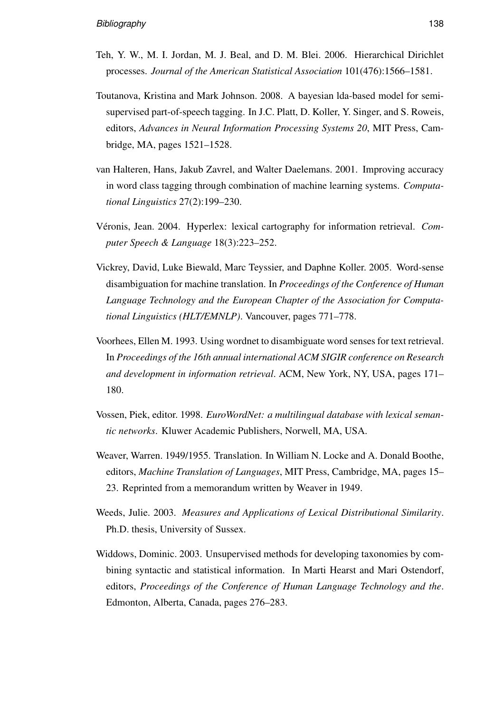- Teh, Y. W., M. I. Jordan, M. J. Beal, and D. M. Blei. 2006. Hierarchical Dirichlet processes. *Journal of the American Statistical Association* 101(476):1566–1581.
- Toutanova, Kristina and Mark Johnson. 2008. A bayesian lda-based model for semisupervised part-of-speech tagging. In J.C. Platt, D. Koller, Y. Singer, and S. Roweis, editors, *Advances in Neural Information Processing Systems 20*, MIT Press, Cambridge, MA, pages 1521–1528.
- van Halteren, Hans, Jakub Zavrel, and Walter Daelemans. 2001. Improving accuracy in word class tagging through combination of machine learning systems. *Computational Linguistics* 27(2):199–230.
- Véronis, Jean. 2004. Hyperlex: lexical cartography for information retrieval. *Computer Speech & Language* 18(3):223–252.
- Vickrey, David, Luke Biewald, Marc Teyssier, and Daphne Koller. 2005. Word-sense disambiguation for machine translation. In *Proceedings of the Conference of Human Language Technology and the European Chapter of the Association for Computational Linguistics (HLT/EMNLP)*. Vancouver, pages 771–778.
- Voorhees, Ellen M. 1993. Using wordnet to disambiguate word senses for text retrieval. In *Proceedings of the 16th annual international ACM SIGIR conference on Research and development in information retrieval*. ACM, New York, NY, USA, pages 171– 180.
- Vossen, Piek, editor. 1998. *EuroWordNet: a multilingual database with lexical semantic networks*. Kluwer Academic Publishers, Norwell, MA, USA.
- Weaver, Warren. 1949/1955. Translation. In William N. Locke and A. Donald Boothe, editors, *Machine Translation of Languages*, MIT Press, Cambridge, MA, pages 15– 23. Reprinted from a memorandum written by Weaver in 1949.
- Weeds, Julie. 2003. *Measures and Applications of Lexical Distributional Similarity*. Ph.D. thesis, University of Sussex.
- Widdows, Dominic. 2003. Unsupervised methods for developing taxonomies by combining syntactic and statistical information. In Marti Hearst and Mari Ostendorf, editors, *Proceedings of the Conference of Human Language Technology and the*. Edmonton, Alberta, Canada, pages 276–283.